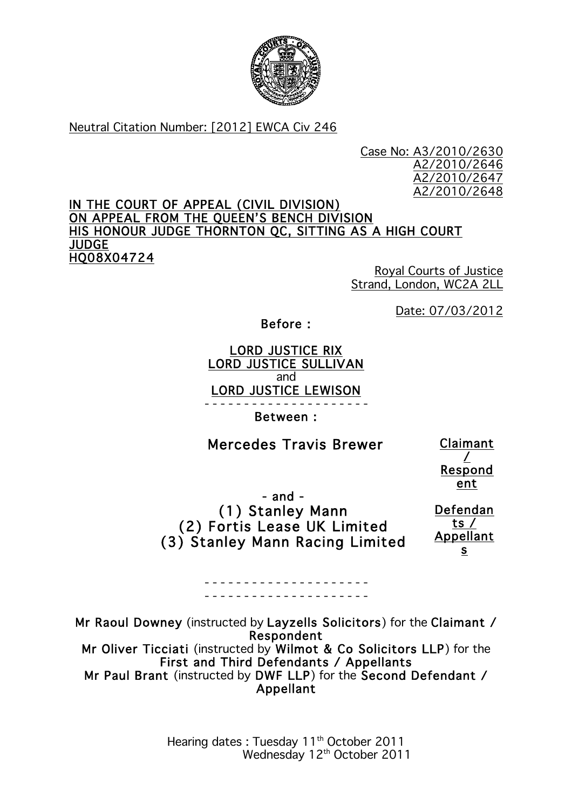

### Neutral Citation Number: [2012] EWCA Civ 246

Case No: A3/2010/2630 A2/2010/2646 A2/2010/2647 A2/2010/2648

#### IN THE COURT OF APPEAL (CIVIL DIVISION) ON APPEAL FROM THE QUEEN'S BENCH DIVISION HIS HONOUR JUDGE THORNTON QC, SITTING AS A HIGH COURT JUDGE HQ08X04724

Royal Courts of Justice Strand, London, WC2A 2LL

Date: 07/03/2012

Before :

### LORD JUSTICE RIX LORD JUSTICE SULLIVAN and LORD JUSTICE LEWISON - - - - - - - - - - - - - - - - - - - - -

Between :

# Mercedes Travis Brewer

Claimant / Respond ent

 - and - (1) Stanley Mann (2) Fortis Lease UK Limited (3) Stanley Mann Racing Limited

> - - - - - - - - - - - - - - - - - - - - - - - - - - - - - - - - - - - - - - - - - -

Defendan ts / Appellant s

Mr Raoul Downey (instructed by Layzells Solicitors) for the Claimant / Respondent Mr Oliver Ticciati (instructed by Wilmot & Co Solicitors LLP) for the First and Third Defendants / Appellants Mr Paul Brant (instructed by DWF LLP) for the Second Defendant / Appellant

> Hearing dates : Tuesday 11<sup>th</sup> October 2011 Wednesday 12<sup>th</sup> October 2011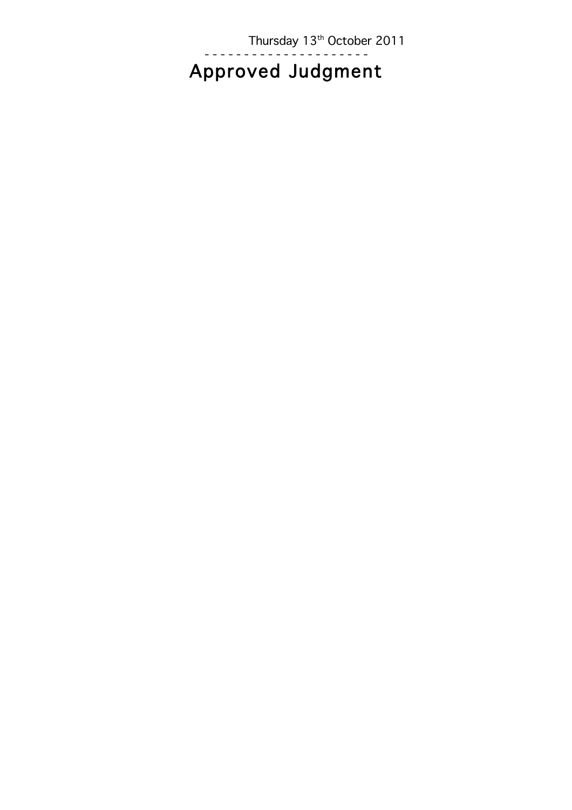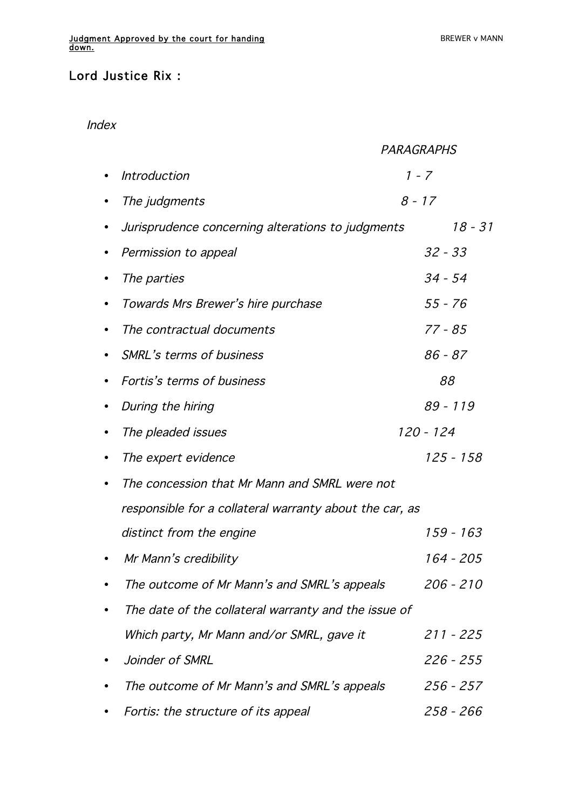## Lord Justice Rix :

### Index

|           |                                                         | <b>PARAGRAPHS</b> |  |
|-----------|---------------------------------------------------------|-------------------|--|
|           | <b>Introduction</b>                                     | 1 - 7             |  |
| $\bullet$ | The judgments                                           | $8 - 17$          |  |
| $\bullet$ | Jurisprudence concerning alterations to judgments       | $18 - 31$         |  |
| $\bullet$ | Permission to appeal                                    | $32 - 33$         |  |
|           | The parties                                             | $34 - 54$         |  |
| $\bullet$ | Towards Mrs Brewer's hire purchase                      | $55 - 76$         |  |
| $\bullet$ | The contractual documents                               | $77 - 85$         |  |
| $\bullet$ | <b>SMRL's terms of business</b>                         | $86 - 87$         |  |
| $\bullet$ | Fortis's terms of business                              | 88                |  |
| $\bullet$ | During the hiring                                       | $89 - 119$        |  |
|           | The pleaded issues                                      | 120 - 124         |  |
| $\bullet$ | The expert evidence                                     | 125 - 158         |  |
| ٠         | The concession that Mr Mann and SMRL were not           |                   |  |
|           | responsible for a collateral warranty about the car, as |                   |  |
|           | distinct from the engine                                | 159 - 163         |  |
|           | Mr Mann's credibility                                   | 164 - 205         |  |
|           | The outcome of Mr Mann's and SMRL's appeals             | 206 - 210         |  |
|           | The date of the collateral warranty and the issue of    |                   |  |
|           | Which party, Mr Mann and/or SMRL, gave it               | 211 - 225         |  |
|           | Joinder of SMRL                                         | 226 - 255         |  |
|           | The outcome of Mr Mann's and SMRL's appeals             | 256 - 257         |  |
|           | Fortis: the structure of its appeal                     | 258 - 266         |  |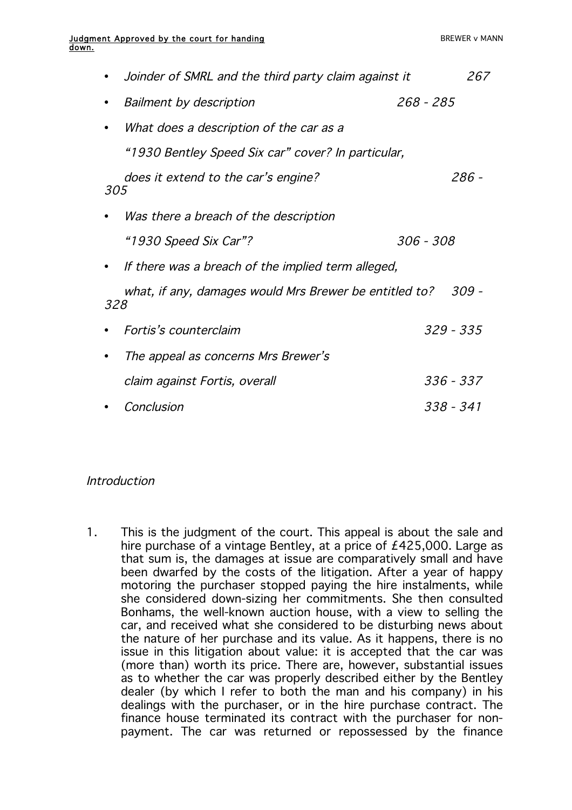|     | Joinder of SMRL and the third party claim against it   |           | 267         |
|-----|--------------------------------------------------------|-----------|-------------|
|     | <b>Bailment by description</b>                         | 268 - 285 |             |
|     | What does a description of the car as a                |           |             |
|     | "1930 Bentley Speed Six car" cover? In particular,     |           |             |
| 305 | does it extend to the car's engine?                    |           | 286 -       |
|     | Was there a breach of the description                  |           |             |
|     | "1930 Speed Six Car"?                                  | 306 - 308 |             |
|     | If there was a breach of the implied term alleged,     |           |             |
| 328 | what, if any, damages would Mrs Brewer be entitled to? |           | 309 -       |
|     | Fortis's counterclaim                                  |           | $329 - 335$ |
|     | The appeal as concerns Mrs Brewer's                    |           |             |
|     | claim against Fortis, overall                          |           | 336 - 337   |
|     | Conclusion                                             |           | 338 - 341   |

### Introduction

1. This is the judgment of the court. This appeal is about the sale and hire purchase of a vintage Bentley, at a price of £425,000. Large as that sum is, the damages at issue are comparatively small and have been dwarfed by the costs of the litigation. After a year of happy motoring the purchaser stopped paying the hire instalments, while she considered down-sizing her commitments. She then consulted Bonhams, the well-known auction house, with a view to selling the car, and received what she considered to be disturbing news about the nature of her purchase and its value. As it happens, there is no issue in this litigation about value: it is accepted that the car was (more than) worth its price. There are, however, substantial issues as to whether the car was properly described either by the Bentley dealer (by which I refer to both the man and his company) in his dealings with the purchaser, or in the hire purchase contract. The finance house terminated its contract with the purchaser for nonpayment. The car was returned or repossessed by the finance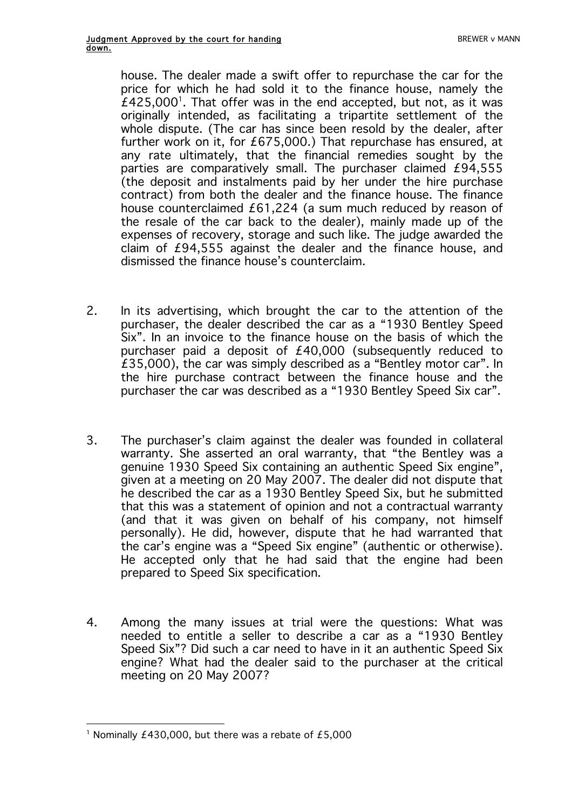house. The dealer made a swift offer to repurchase the car for the price for which he had sold it to the finance house, namely the  $£425,000$ <sup>1</sup>. That offer was in the end accepted, but not, as it was originally intended, as facilitating a tripartite settlement of the whole dispute. (The car has since been resold by the dealer, after further work on it, for £675,000.) That repurchase has ensured, at any rate ultimately, that the financial remedies sought by the parties are comparatively small. The purchaser claimed £94,555 (the deposit and instalments paid by her under the hire purchase contract) from both the dealer and the finance house. The finance house counterclaimed £61,224 (a sum much reduced by reason of the resale of the car back to the dealer), mainly made up of the expenses of recovery, storage and such like. The judge awarded the claim of £94,555 against the dealer and the finance house, and dismissed the finance house's counterclaim.

- 2. In its advertising, which brought the car to the attention of the purchaser, the dealer described the car as a "1930 Bentley Speed Six". In an invoice to the finance house on the basis of which the purchaser paid a deposit of £40,000 (subsequently reduced to £35,000), the car was simply described as a "Bentley motor car". In the hire purchase contract between the finance house and the purchaser the car was described as a "1930 Bentley Speed Six car".
- 3. The purchaser's claim against the dealer was founded in collateral warranty. She asserted an oral warranty, that "the Bentley was a genuine 1930 Speed Six containing an authentic Speed Six engine", given at a meeting on 20 May 2007. The dealer did not dispute that he described the car as a 1930 Bentley Speed Six, but he submitted that this was a statement of opinion and not a contractual warranty (and that it was given on behalf of his company, not himself personally). He did, however, dispute that he had warranted that the car's engine was a "Speed Six engine" (authentic or otherwise). He accepted only that he had said that the engine had been prepared to Speed Six specification.
- 4. Among the many issues at trial were the questions: What was needed to entitle a seller to describe a car as a "1930 Bentley Speed Six"? Did such a car need to have in it an authentic Speed Six engine? What had the dealer said to the purchaser at the critical meeting on 20 May 2007?

 $\overline{a}$ <sup>1</sup> Nominally £430,000, but there was a rebate of £5,000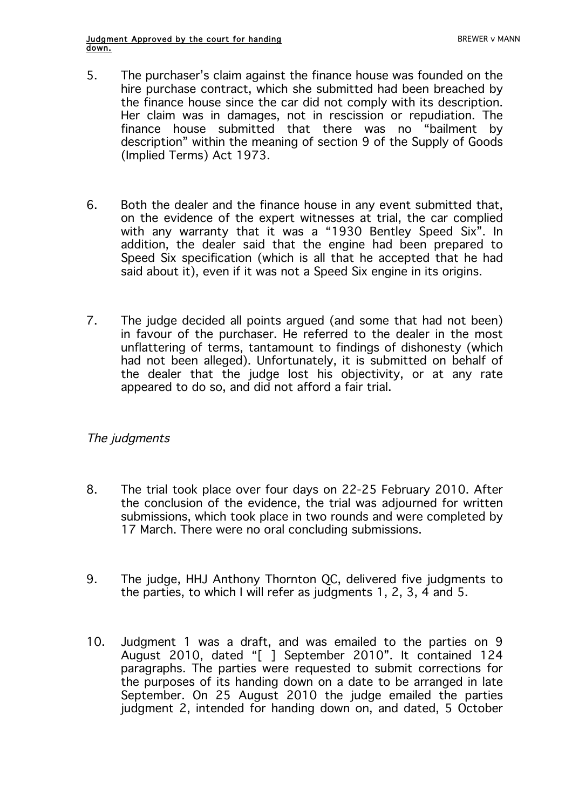- 5. The purchaser's claim against the finance house was founded on the hire purchase contract, which she submitted had been breached by the finance house since the car did not comply with its description. Her claim was in damages, not in rescission or repudiation. The finance house submitted that there was no "bailment by description" within the meaning of section 9 of the Supply of Goods (Implied Terms) Act 1973.
- 6. Both the dealer and the finance house in any event submitted that, on the evidence of the expert witnesses at trial, the car complied with any warranty that it was a "1930 Bentley Speed Six". In addition, the dealer said that the engine had been prepared to Speed Six specification (which is all that he accepted that he had said about it), even if it was not a Speed Six engine in its origins.
- 7. The judge decided all points argued (and some that had not been) in favour of the purchaser. He referred to the dealer in the most unflattering of terms, tantamount to findings of dishonesty (which had not been alleged). Unfortunately, it is submitted on behalf of the dealer that the judge lost his objectivity, or at any rate appeared to do so, and did not afford a fair trial.

### The judgments

- 8. The trial took place over four days on 22-25 February 2010. After the conclusion of the evidence, the trial was adjourned for written submissions, which took place in two rounds and were completed by 17 March. There were no oral concluding submissions.
- 9. The judge, HHJ Anthony Thornton QC, delivered five judgments to the parties, to which I will refer as judgments 1, 2, 3, 4 and 5.
- 10. Judgment 1 was a draft, and was emailed to the parties on 9 August 2010, dated "[ ] September 2010". It contained 124 paragraphs. The parties were requested to submit corrections for the purposes of its handing down on a date to be arranged in late September. On 25 August 2010 the judge emailed the parties judgment 2, intended for handing down on, and dated, 5 October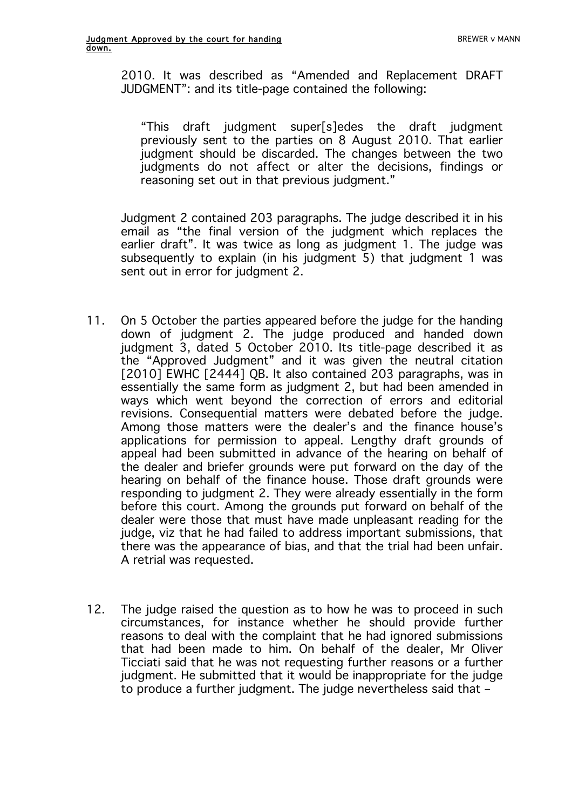2010. It was described as "Amended and Replacement DRAFT JUDGMENT": and its title-page contained the following:

"This draft judgment super[s]edes the draft judgment previously sent to the parties on 8 August 2010. That earlier judgment should be discarded. The changes between the two judgments do not affect or alter the decisions, findings or reasoning set out in that previous judgment."

Judgment 2 contained 203 paragraphs. The judge described it in his email as "the final version of the judgment which replaces the earlier draft". It was twice as long as judgment 1. The judge was subsequently to explain (in his judgment 5) that judgment 1 was sent out in error for judgment 2.

- 11. On 5 October the parties appeared before the judge for the handing down of judgment 2. The judge produced and handed down judgment 3, dated 5 October 2010. Its title-page described it as the "Approved Judgment" and it was given the neutral citation [2010] EWHC [2444] QB. It also contained 203 paragraphs, was in essentially the same form as judgment 2, but had been amended in ways which went beyond the correction of errors and editorial revisions. Consequential matters were debated before the judge. Among those matters were the dealer's and the finance house's applications for permission to appeal. Lengthy draft grounds of appeal had been submitted in advance of the hearing on behalf of the dealer and briefer grounds were put forward on the day of the hearing on behalf of the finance house. Those draft grounds were responding to judgment 2. They were already essentially in the form before this court. Among the grounds put forward on behalf of the dealer were those that must have made unpleasant reading for the judge, viz that he had failed to address important submissions, that there was the appearance of bias, and that the trial had been unfair. A retrial was requested.
- 12. The judge raised the question as to how he was to proceed in such circumstances, for instance whether he should provide further reasons to deal with the complaint that he had ignored submissions that had been made to him. On behalf of the dealer, Mr Oliver Ticciati said that he was not requesting further reasons or a further judgment. He submitted that it would be inappropriate for the judge to produce a further judgment. The judge nevertheless said that –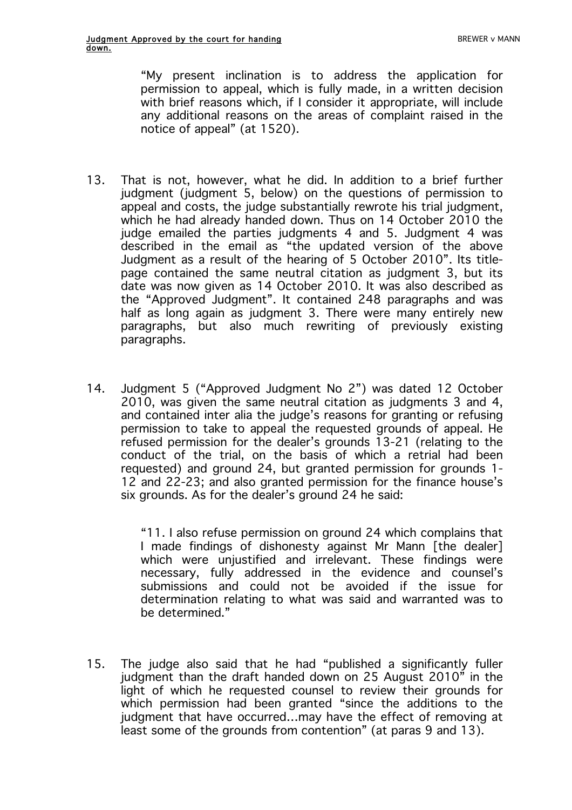"My present inclination is to address the application for permission to appeal, which is fully made, in a written decision with brief reasons which, if I consider it appropriate, will include any additional reasons on the areas of complaint raised in the notice of appeal" (at 1520).

- 13. That is not, however, what he did. In addition to a brief further judgment (judgment 5, below) on the questions of permission to appeal and costs, the judge substantially rewrote his trial judgment, which he had already handed down. Thus on 14 October 2010 the judge emailed the parties judgments 4 and 5. Judgment 4 was described in the email as "the updated version of the above Judgment as a result of the hearing of 5 October 2010". Its titlepage contained the same neutral citation as judgment 3, but its date was now given as 14 October 2010. It was also described as the "Approved Judgment". It contained 248 paragraphs and was half as long again as judgment 3. There were many entirely new paragraphs, but also much rewriting of previously existing paragraphs.
- 14. Judgment 5 ("Approved Judgment No 2") was dated 12 October 2010, was given the same neutral citation as judgments 3 and 4, and contained inter alia the judge's reasons for granting or refusing permission to take to appeal the requested grounds of appeal. He refused permission for the dealer's grounds 13-21 (relating to the conduct of the trial, on the basis of which a retrial had been requested) and ground 24, but granted permission for grounds 1- 12 and 22-23; and also granted permission for the finance house's six grounds. As for the dealer's ground 24 he said:

"11. I also refuse permission on ground 24 which complains that I made findings of dishonesty against Mr Mann [the dealer] which were unjustified and irrelevant. These findings were necessary, fully addressed in the evidence and counsel's submissions and could not be avoided if the issue for determination relating to what was said and warranted was to be determined."

15. The judge also said that he had "published a significantly fuller judgment than the draft handed down on 25 August 2010" in the light of which he requested counsel to review their grounds for which permission had been granted "since the additions to the judgment that have occurred…may have the effect of removing at least some of the grounds from contention" (at paras 9 and 13).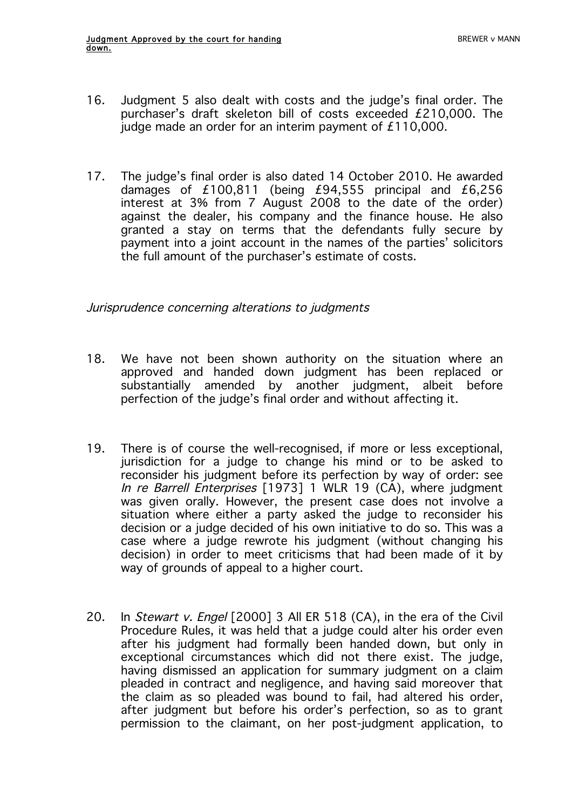- 16. Judgment 5 also dealt with costs and the judge's final order. The purchaser's draft skeleton bill of costs exceeded £210,000. The judge made an order for an interim payment of £110,000.
- 17. The judge's final order is also dated 14 October 2010. He awarded damages of £100,811 (being £94,555 principal and £6,256 interest at 3% from 7 August 2008 to the date of the order) against the dealer, his company and the finance house. He also granted a stay on terms that the defendants fully secure by payment into a joint account in the names of the parties' solicitors the full amount of the purchaser's estimate of costs.

Jurisprudence concerning alterations to judgments

- 18. We have not been shown authority on the situation where an approved and handed down judgment has been replaced or substantially amended by another judgment, albeit before perfection of the judge's final order and without affecting it.
- 19. There is of course the well-recognised, if more or less exceptional, jurisdiction for a judge to change his mind or to be asked to reconsider his judgment before its perfection by way of order: see In re Barrell Enterprises [1973] 1 WLR 19 (CA), where judgment was given orally. However, the present case does not involve a situation where either a party asked the judge to reconsider his decision or a judge decided of his own initiative to do so. This was a case where a judge rewrote his judgment (without changing his decision) in order to meet criticisms that had been made of it by way of grounds of appeal to a higher court.
- 20. In Stewart v. Engel [2000] 3 All ER 518 (CA), in the era of the Civil Procedure Rules, it was held that a judge could alter his order even after his judgment had formally been handed down, but only in exceptional circumstances which did not there exist. The judge, having dismissed an application for summary judgment on a claim pleaded in contract and negligence, and having said moreover that the claim as so pleaded was bound to fail, had altered his order, after judgment but before his order's perfection, so as to grant permission to the claimant, on her post-judgment application, to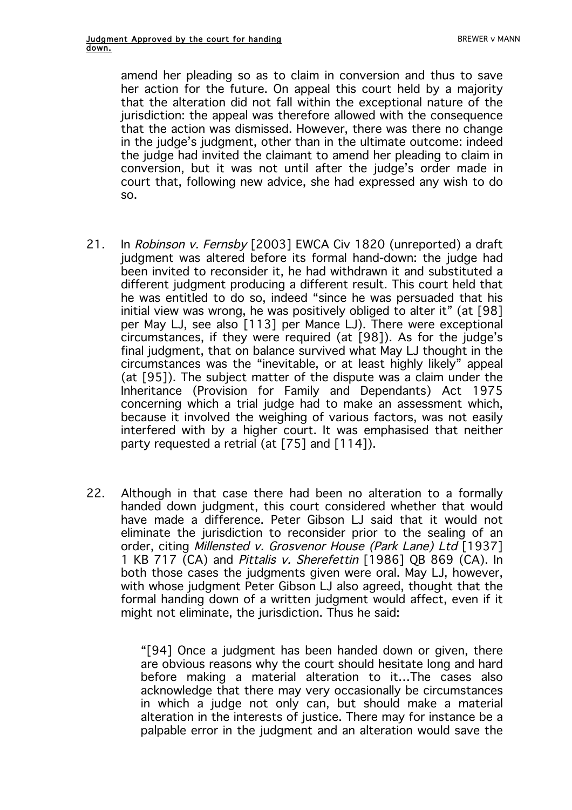amend her pleading so as to claim in conversion and thus to save her action for the future. On appeal this court held by a majority that the alteration did not fall within the exceptional nature of the jurisdiction: the appeal was therefore allowed with the consequence that the action was dismissed. However, there was there no change in the judge's judgment, other than in the ultimate outcome: indeed the judge had invited the claimant to amend her pleading to claim in conversion, but it was not until after the judge's order made in court that, following new advice, she had expressed any wish to do so.

- 21. In Robinson v. Fernsby [2003] EWCA Civ 1820 (unreported) a draft judgment was altered before its formal hand-down: the judge had been invited to reconsider it, he had withdrawn it and substituted a different judgment producing a different result. This court held that he was entitled to do so, indeed "since he was persuaded that his initial view was wrong, he was positively obliged to alter it" (at [98] per May LJ, see also [113] per Mance LJ). There were exceptional circumstances, if they were required (at [98]). As for the judge's final judgment, that on balance survived what May LJ thought in the circumstances was the "inevitable, or at least highly likely" appeal (at [95]). The subject matter of the dispute was a claim under the Inheritance (Provision for Family and Dependants) Act 1975 concerning which a trial judge had to make an assessment which, because it involved the weighing of various factors, was not easily interfered with by a higher court. It was emphasised that neither party requested a retrial (at [75] and [114]).
- 22. Although in that case there had been no alteration to a formally handed down judgment, this court considered whether that would have made a difference. Peter Gibson LJ said that it would not eliminate the jurisdiction to reconsider prior to the sealing of an order, citing Millensted v. Grosvenor House (Park Lane) Ltd [1937] 1 KB 717 (CA) and Pittalis v. Sherefettin [1986] QB 869 (CA). In both those cases the judgments given were oral. May LJ, however, with whose judgment Peter Gibson LJ also agreed, thought that the formal handing down of a written judgment would affect, even if it might not eliminate, the jurisdiction. Thus he said:

"[94] Once a judgment has been handed down or given, there are obvious reasons why the court should hesitate long and hard before making a material alteration to it…The cases also acknowledge that there may very occasionally be circumstances in which a judge not only can, but should make a material alteration in the interests of justice. There may for instance be a palpable error in the judgment and an alteration would save the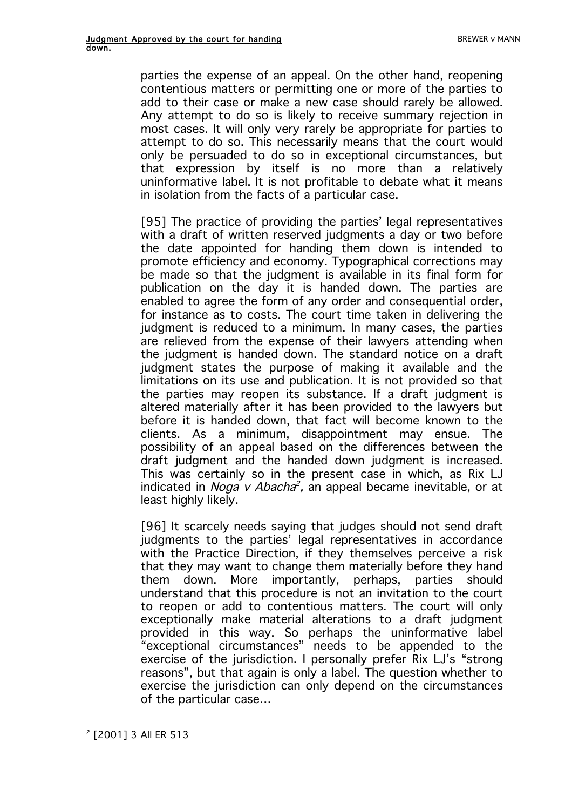parties the expense of an appeal. On the other hand, reopening contentious matters or permitting one or more of the parties to add to their case or make a new case should rarely be allowed. Any attempt to do so is likely to receive summary rejection in most cases. It will only very rarely be appropriate for parties to attempt to do so. This necessarily means that the court would only be persuaded to do so in exceptional circumstances, but that expression by itself is no more than a relatively uninformative label. It is not profitable to debate what it means in isolation from the facts of a particular case.

[95] The practice of providing the parties' legal representatives with a draft of written reserved judgments a day or two before the date appointed for handing them down is intended to promote efficiency and economy. Typographical corrections may be made so that the judgment is available in its final form for publication on the day it is handed down. The parties are enabled to agree the form of any order and consequential order, for instance as to costs. The court time taken in delivering the judgment is reduced to a minimum. In many cases, the parties are relieved from the expense of their lawyers attending when the judgment is handed down. The standard notice on a draft judgment states the purpose of making it available and the limitations on its use and publication. It is not provided so that the parties may reopen its substance. If a draft judgment is altered materially after it has been provided to the lawyers but before it is handed down, that fact will become known to the clients. As a minimum, disappointment may ensue. The possibility of an appeal based on the differences between the draft judgment and the handed down judgment is increased. This was certainly so in the present case in which, as Rix LJ indicated in *Noga v Abacha*<sup>2</sup>, an appeal became inevitable, or at least highly likely.

[96] It scarcely needs saying that judges should not send draft judgments to the parties' legal representatives in accordance with the Practice Direction, if they themselves perceive a risk that they may want to change them materially before they hand them down. More importantly, perhaps, parties should understand that this procedure is not an invitation to the court to reopen or add to contentious matters. The court will only exceptionally make material alterations to a draft judgment provided in this way. So perhaps the uninformative label "exceptional circumstances" needs to be appended to the exercise of the jurisdiction. I personally prefer Rix LJ's "strong reasons", but that again is only a label. The question whether to exercise the jurisdiction can only depend on the circumstances of the particular case…

 $\overline{a}$ <sup>2</sup> [2001] 3 All ER 513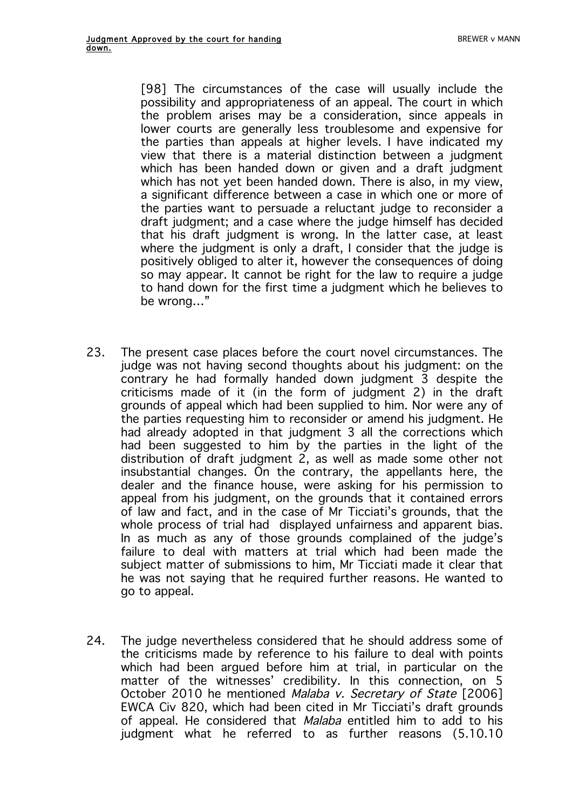[98] The circumstances of the case will usually include the possibility and appropriateness of an appeal. The court in which the problem arises may be a consideration, since appeals in lower courts are generally less troublesome and expensive for the parties than appeals at higher levels. I have indicated my view that there is a material distinction between a judgment which has been handed down or given and a draft judgment which has not yet been handed down. There is also, in my view, a significant difference between a case in which one or more of the parties want to persuade a reluctant judge to reconsider a draft judgment; and a case where the judge himself has decided that his draft judgment is wrong. In the latter case, at least where the judgment is only a draft, I consider that the judge is positively obliged to alter it, however the consequences of doing so may appear. It cannot be right for the law to require a judge to hand down for the first time a judgment which he believes to be wrong…"

- 23. The present case places before the court novel circumstances. The judge was not having second thoughts about his judgment: on the contrary he had formally handed down judgment 3 despite the criticisms made of it (in the form of judgment 2) in the draft grounds of appeal which had been supplied to him. Nor were any of the parties requesting him to reconsider or amend his judgment. He had already adopted in that judgment 3 all the corrections which had been suggested to him by the parties in the light of the distribution of draft judgment 2, as well as made some other not insubstantial changes. On the contrary, the appellants here, the dealer and the finance house, were asking for his permission to appeal from his judgment, on the grounds that it contained errors of law and fact, and in the case of Mr Ticciati's grounds, that the whole process of trial had displayed unfairness and apparent bias. In as much as any of those grounds complained of the judge's failure to deal with matters at trial which had been made the subject matter of submissions to him, Mr Ticciati made it clear that he was not saying that he required further reasons. He wanted to go to appeal.
- 24. The judge nevertheless considered that he should address some of the criticisms made by reference to his failure to deal with points which had been argued before him at trial, in particular on the matter of the witnesses' credibility. In this connection, on 5 October 2010 he mentioned Malaba v. Secretary of State [2006] EWCA Civ 820, which had been cited in Mr Ticciati's draft grounds of appeal. He considered that *Malaba* entitled him to add to his judgment what he referred to as further reasons (5.10.10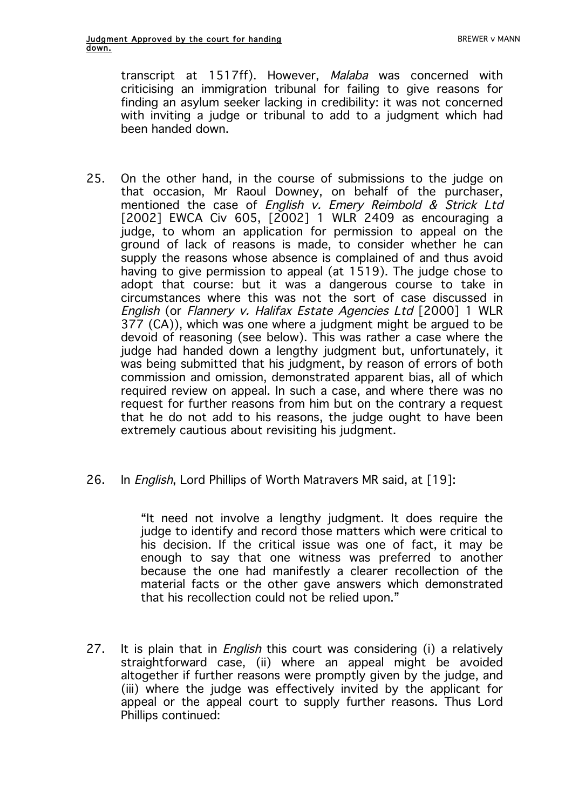transcript at 1517ff). However, Malaba was concerned with criticising an immigration tribunal for failing to give reasons for finding an asylum seeker lacking in credibility: it was not concerned with inviting a judge or tribunal to add to a judgment which had been handed down.

- 25. On the other hand, in the course of submissions to the judge on that occasion, Mr Raoul Downey, on behalf of the purchaser, mentioned the case of English v. Emery Reimbold & Strick Ltd [2002] EWCA Civ 605, [2002] 1 WLR 2409 as encouraging a judge, to whom an application for permission to appeal on the ground of lack of reasons is made, to consider whether he can supply the reasons whose absence is complained of and thus avoid having to give permission to appeal (at 1519). The judge chose to adopt that course: but it was a dangerous course to take in circumstances where this was not the sort of case discussed in English (or Flannery v. Halifax Estate Agencies Ltd [2000] 1 WLR 377 (CA)), which was one where a judgment might be argued to be devoid of reasoning (see below). This was rather a case where the judge had handed down a lengthy judgment but, unfortunately, it was being submitted that his judgment, by reason of errors of both commission and omission, demonstrated apparent bias, all of which required review on appeal. In such a case, and where there was no request for further reasons from him but on the contrary a request that he do not add to his reasons, the judge ought to have been extremely cautious about revisiting his judgment.
- 26. In *English*, Lord Phillips of Worth Matravers MR said, at [19]:

"It need not involve a lengthy judgment. It does require the judge to identify and record those matters which were critical to his decision. If the critical issue was one of fact, it may be enough to say that one witness was preferred to another because the one had manifestly a clearer recollection of the material facts or the other gave answers which demonstrated that his recollection could not be relied upon."

27. It is plain that in *English* this court was considering (i) a relatively straightforward case, (ii) where an appeal might be avoided altogether if further reasons were promptly given by the judge, and (iii) where the judge was effectively invited by the applicant for appeal or the appeal court to supply further reasons. Thus Lord Phillips continued: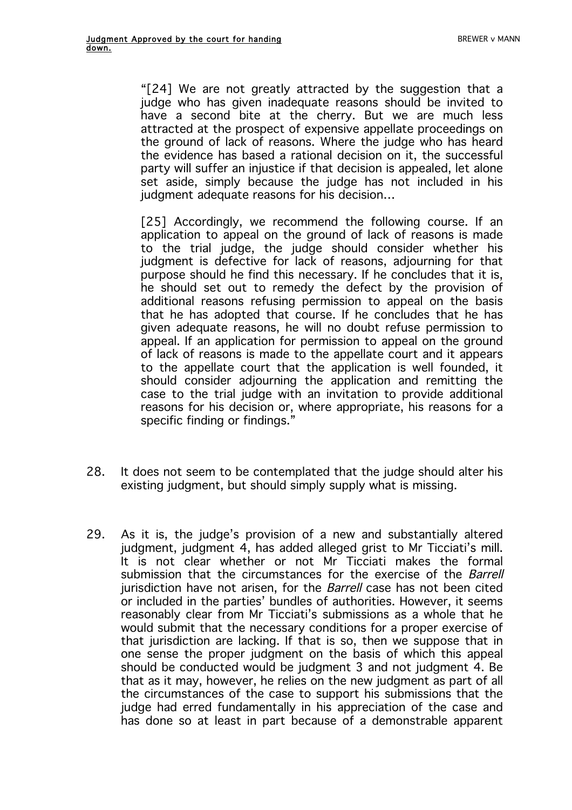"[24] We are not greatly attracted by the suggestion that a judge who has given inadequate reasons should be invited to have a second bite at the cherry. But we are much less attracted at the prospect of expensive appellate proceedings on the ground of lack of reasons. Where the judge who has heard the evidence has based a rational decision on it, the successful party will suffer an injustice if that decision is appealed, let alone set aside, simply because the judge has not included in his judgment adequate reasons for his decision…

[25] Accordingly, we recommend the following course. If an application to appeal on the ground of lack of reasons is made to the trial judge, the judge should consider whether his judgment is defective for lack of reasons, adjourning for that purpose should he find this necessary. If he concludes that it is, he should set out to remedy the defect by the provision of additional reasons refusing permission to appeal on the basis that he has adopted that course. If he concludes that he has given adequate reasons, he will no doubt refuse permission to appeal. If an application for permission to appeal on the ground of lack of reasons is made to the appellate court and it appears to the appellate court that the application is well founded, it should consider adjourning the application and remitting the case to the trial judge with an invitation to provide additional reasons for his decision or, where appropriate, his reasons for a specific finding or findings."

- 28. It does not seem to be contemplated that the judge should alter his existing judgment, but should simply supply what is missing.
- 29. As it is, the judge's provision of a new and substantially altered judgment, judgment 4, has added alleged grist to Mr Ticciati's mill. It is not clear whether or not Mr Ticciati makes the formal submission that the circumstances for the exercise of the *Barrell* jurisdiction have not arisen, for the *Barrell* case has not been cited or included in the parties' bundles of authorities. However, it seems reasonably clear from Mr Ticciati's submissions as a whole that he would submit that the necessary conditions for a proper exercise of that jurisdiction are lacking. If that is so, then we suppose that in one sense the proper judgment on the basis of which this appeal should be conducted would be judgment 3 and not judgment 4. Be that as it may, however, he relies on the new judgment as part of all the circumstances of the case to support his submissions that the judge had erred fundamentally in his appreciation of the case and has done so at least in part because of a demonstrable apparent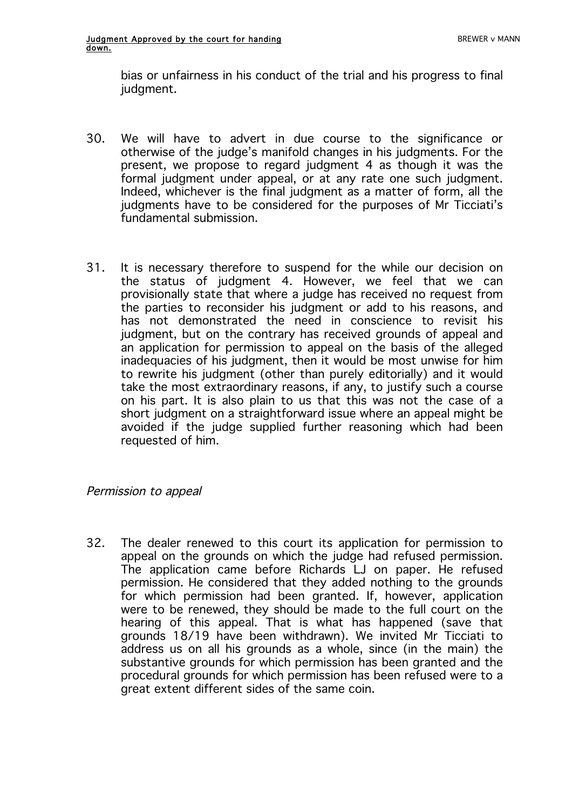bias or unfairness in his conduct of the trial and his progress to final judgment.

- 30. We will have to advert in due course to the significance or otherwise of the judge's manifold changes in his judgments. For the present, we propose to regard judgment 4 as though it was the formal judgment under appeal, or at any rate one such judgment. Indeed, whichever is the final judgment as a matter of form, all the judgments have to be considered for the purposes of Mr Ticciati's fundamental submission.
- 31. It is necessary therefore to suspend for the while our decision on the status of judgment 4. However, we feel that we can provisionally state that where a judge has received no request from the parties to reconsider his judgment or add to his reasons, and has not demonstrated the need in conscience to revisit his judgment, but on the contrary has received grounds of appeal and an application for permission to appeal on the basis of the alleged inadequacies of his judgment, then it would be most unwise for him to rewrite his judgment (other than purely editorially) and it would take the most extraordinary reasons, if any, to justify such a course on his part. It is also plain to us that this was not the case of a short judgment on a straightforward issue where an appeal might be avoided if the judge supplied further reasoning which had been requested of him.

### Permission to appeal

32. The dealer renewed to this court its application for permission to appeal on the grounds on which the judge had refused permission. The application came before Richards LJ on paper. He refused permission. He considered that they added nothing to the grounds for which permission had been granted. If, however, application were to be renewed, they should be made to the full court on the hearing of this appeal. That is what has happened (save that grounds 18/19 have been withdrawn). We invited Mr Ticciati to address us on all his grounds as a whole, since (in the main) the substantive grounds for which permission has been granted and the procedural grounds for which permission has been refused were to a great extent different sides of the same coin.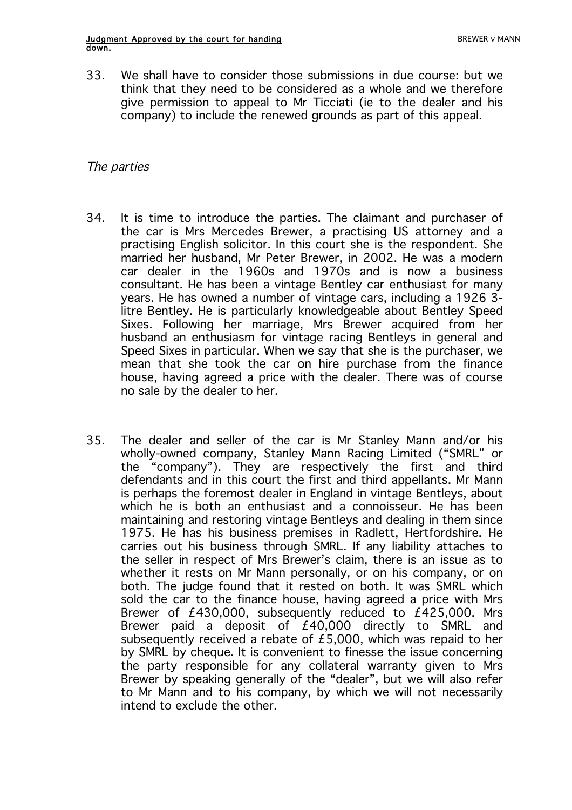33. We shall have to consider those submissions in due course: but we think that they need to be considered as a whole and we therefore give permission to appeal to Mr Ticciati (ie to the dealer and his company) to include the renewed grounds as part of this appeal.

### The parties

- 34. It is time to introduce the parties. The claimant and purchaser of the car is Mrs Mercedes Brewer, a practising US attorney and a practising English solicitor. In this court she is the respondent. She married her husband, Mr Peter Brewer, in 2002. He was a modern car dealer in the 1960s and 1970s and is now a business consultant. He has been a vintage Bentley car enthusiast for many years. He has owned a number of vintage cars, including a 1926 3 litre Bentley. He is particularly knowledgeable about Bentley Speed Sixes. Following her marriage, Mrs Brewer acquired from her husband an enthusiasm for vintage racing Bentleys in general and Speed Sixes in particular. When we say that she is the purchaser, we mean that she took the car on hire purchase from the finance house, having agreed a price with the dealer. There was of course no sale by the dealer to her.
- 35. The dealer and seller of the car is Mr Stanley Mann and/or his wholly-owned company, Stanley Mann Racing Limited ("SMRL" or the "company"). They are respectively the first and third defendants and in this court the first and third appellants. Mr Mann is perhaps the foremost dealer in England in vintage Bentleys, about which he is both an enthusiast and a connoisseur. He has been maintaining and restoring vintage Bentleys and dealing in them since 1975. He has his business premises in Radlett, Hertfordshire. He carries out his business through SMRL. If any liability attaches to the seller in respect of Mrs Brewer's claim, there is an issue as to whether it rests on Mr Mann personally, or on his company, or on both. The judge found that it rested on both. It was SMRL which sold the car to the finance house, having agreed a price with Mrs Brewer of £430,000, subsequently reduced to £425,000. Mrs Brewer paid a deposit of £40,000 directly to SMRL and subsequently received a rebate of £5,000, which was repaid to her by SMRL by cheque. It is convenient to finesse the issue concerning the party responsible for any collateral warranty given to Mrs Brewer by speaking generally of the "dealer", but we will also refer to Mr Mann and to his company, by which we will not necessarily intend to exclude the other.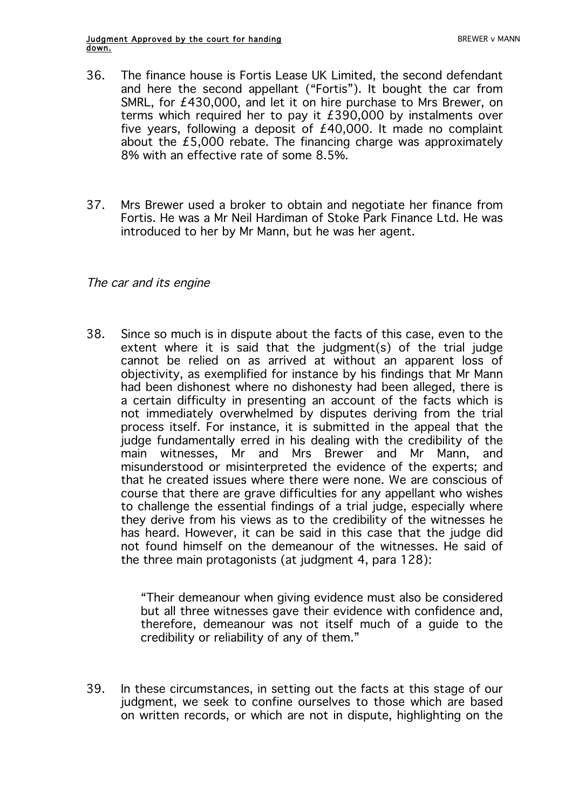- 36. The finance house is Fortis Lease UK Limited, the second defendant and here the second appellant ("Fortis"). It bought the car from SMRL, for £430,000, and let it on hire purchase to Mrs Brewer, on terms which required her to pay it £390,000 by instalments over five years, following a deposit of £40,000. It made no complaint about the £5,000 rebate. The financing charge was approximately 8% with an effective rate of some 8.5%.
- 37. Mrs Brewer used a broker to obtain and negotiate her finance from Fortis. He was a Mr Neil Hardiman of Stoke Park Finance Ltd. He was introduced to her by Mr Mann, but he was her agent.

#### The car and its engine

38. Since so much is in dispute about the facts of this case, even to the extent where it is said that the judgment(s) of the trial judge cannot be relied on as arrived at without an apparent loss of objectivity, as exemplified for instance by his findings that Mr Mann had been dishonest where no dishonesty had been alleged, there is a certain difficulty in presenting an account of the facts which is not immediately overwhelmed by disputes deriving from the trial process itself. For instance, it is submitted in the appeal that the judge fundamentally erred in his dealing with the credibility of the main witnesses, Mr and Mrs Brewer and Mr Mann, and misunderstood or misinterpreted the evidence of the experts; and that he created issues where there were none. We are conscious of course that there are grave difficulties for any appellant who wishes to challenge the essential findings of a trial judge, especially where they derive from his views as to the credibility of the witnesses he has heard. However, it can be said in this case that the judge did not found himself on the demeanour of the witnesses. He said of the three main protagonists (at judgment 4, para 128):

> "Their demeanour when giving evidence must also be considered but all three witnesses gave their evidence with confidence and, therefore, demeanour was not itself much of a guide to the credibility or reliability of any of them."

39. In these circumstances, in setting out the facts at this stage of our judgment, we seek to confine ourselves to those which are based on written records, or which are not in dispute, highlighting on the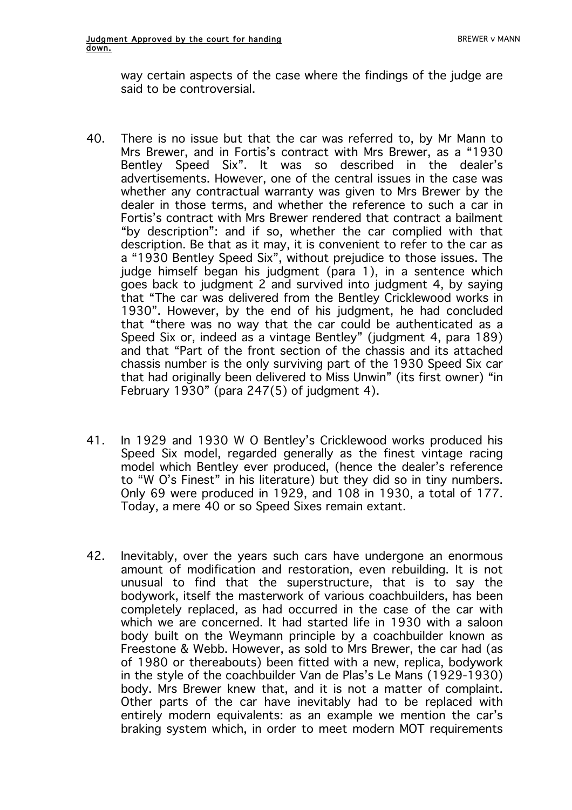way certain aspects of the case where the findings of the judge are said to be controversial.

- 40. There is no issue but that the car was referred to, by Mr Mann to Mrs Brewer, and in Fortis's contract with Mrs Brewer, as a "1930 Bentley Speed Six". It was so described in the dealer's advertisements. However, one of the central issues in the case was whether any contractual warranty was given to Mrs Brewer by the dealer in those terms, and whether the reference to such a car in Fortis's contract with Mrs Brewer rendered that contract a bailment "by description": and if so, whether the car complied with that description. Be that as it may, it is convenient to refer to the car as a "1930 Bentley Speed Six", without prejudice to those issues. The judge himself began his judgment (para 1), in a sentence which goes back to judgment 2 and survived into judgment 4, by saying that "The car was delivered from the Bentley Cricklewood works in 1930". However, by the end of his judgment, he had concluded that "there was no way that the car could be authenticated as a Speed Six or, indeed as a vintage Bentley" (judgment 4, para 189) and that "Part of the front section of the chassis and its attached chassis number is the only surviving part of the 1930 Speed Six car that had originally been delivered to Miss Unwin" (its first owner) "in February 1930" (para 247(5) of judgment 4).
- 41. In 1929 and 1930 W O Bentley's Cricklewood works produced his Speed Six model, regarded generally as the finest vintage racing model which Bentley ever produced, (hence the dealer's reference to "W O's Finest" in his literature) but they did so in tiny numbers. Only 69 were produced in 1929, and 108 in 1930, a total of 177. Today, a mere 40 or so Speed Sixes remain extant.
- 42. Inevitably, over the years such cars have undergone an enormous amount of modification and restoration, even rebuilding. It is not unusual to find that the superstructure, that is to say the bodywork, itself the masterwork of various coachbuilders, has been completely replaced, as had occurred in the case of the car with which we are concerned. It had started life in 1930 with a saloon body built on the Weymann principle by a coachbuilder known as Freestone & Webb. However, as sold to Mrs Brewer, the car had (as of 1980 or thereabouts) been fitted with a new, replica, bodywork in the style of the coachbuilder Van de Plas's Le Mans (1929-1930) body. Mrs Brewer knew that, and it is not a matter of complaint. Other parts of the car have inevitably had to be replaced with entirely modern equivalents: as an example we mention the car's braking system which, in order to meet modern MOT requirements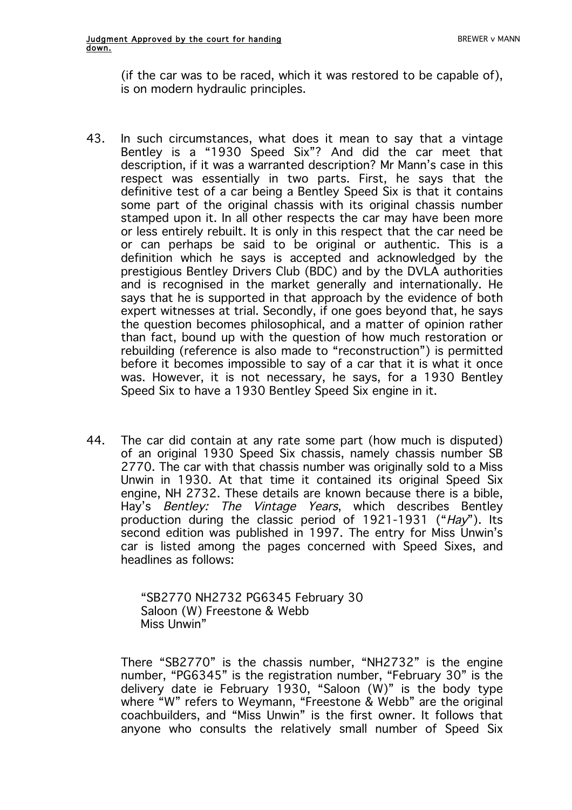(if the car was to be raced, which it was restored to be capable of), is on modern hydraulic principles.

- 43. In such circumstances, what does it mean to say that a vintage Bentley is a "1930 Speed Six"? And did the car meet that description, if it was a warranted description? Mr Mann's case in this respect was essentially in two parts. First, he says that the definitive test of a car being a Bentley Speed Six is that it contains some part of the original chassis with its original chassis number stamped upon it. In all other respects the car may have been more or less entirely rebuilt. It is only in this respect that the car need be or can perhaps be said to be original or authentic. This is a definition which he says is accepted and acknowledged by the prestigious Bentley Drivers Club (BDC) and by the DVLA authorities and is recognised in the market generally and internationally. He says that he is supported in that approach by the evidence of both expert witnesses at trial. Secondly, if one goes beyond that, he says the question becomes philosophical, and a matter of opinion rather than fact, bound up with the question of how much restoration or rebuilding (reference is also made to "reconstruction") is permitted before it becomes impossible to say of a car that it is what it once was. However, it is not necessary, he says, for a 1930 Bentley Speed Six to have a 1930 Bentley Speed Six engine in it.
- 44. The car did contain at any rate some part (how much is disputed) of an original 1930 Speed Six chassis, namely chassis number SB 2770. The car with that chassis number was originally sold to a Miss Unwin in 1930. At that time it contained its original Speed Six engine, NH 2732. These details are known because there is a bible, Hay's Bentley: The Vintage Years, which describes Bentley production during the classic period of 1921-1931 ("Hay"). Its second edition was published in 1997. The entry for Miss Unwin's car is listed among the pages concerned with Speed Sixes, and headlines as follows:

"SB2770 NH2732 PG6345 February 30 Saloon (W) Freestone & Webb Miss Unwin"

There "SB2770" is the chassis number, "NH2732" is the engine number, "PG6345" is the registration number, "February 30" is the delivery date ie February 1930, "Saloon (W)" is the body type where "W" refers to Weymann, "Freestone & Webb" are the original coachbuilders, and "Miss Unwin" is the first owner. It follows that anyone who consults the relatively small number of Speed Six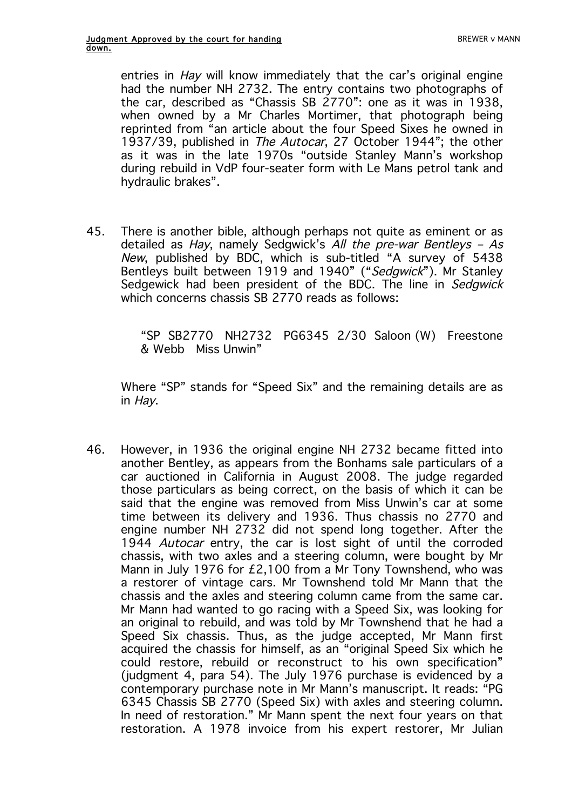entries in Hay will know immediately that the car's original engine had the number NH 2732. The entry contains two photographs of the car, described as "Chassis SB 2770": one as it was in 1938, when owned by a Mr Charles Mortimer, that photograph being reprinted from "an article about the four Speed Sixes he owned in 1937/39, published in *The Autocar*, 27 October 1944"; the other as it was in the late 1970s "outside Stanley Mann's workshop during rebuild in VdP four-seater form with Le Mans petrol tank and hydraulic brakes".

45. There is another bible, although perhaps not quite as eminent or as detailed as Hay, namely Sedgwick's All the pre-war Bentleys – As New, published by BDC, which is sub-titled "A survey of 5438 Bentleys built between 1919 and 1940" ("Sedgwick"). Mr Stanley Sedgewick had been president of the BDC. The line in Sedgwick which concerns chassis SB 2770 reads as follows:

> "SP SB2770 NH2732 PG6345 2/30 Saloon (W) Freestone & Webb Miss Unwin"

Where "SP" stands for "Speed Six" and the remaining details are as in Hay.

46. However, in 1936 the original engine NH 2732 became fitted into another Bentley, as appears from the Bonhams sale particulars of a car auctioned in California in August 2008. The judge regarded those particulars as being correct, on the basis of which it can be said that the engine was removed from Miss Unwin's car at some time between its delivery and 1936. Thus chassis no 2770 and engine number NH 2732 did not spend long together. After the 1944 Autocar entry, the car is lost sight of until the corroded chassis, with two axles and a steering column, were bought by Mr Mann in July 1976 for £2,100 from a Mr Tony Townshend, who was a restorer of vintage cars. Mr Townshend told Mr Mann that the chassis and the axles and steering column came from the same car. Mr Mann had wanted to go racing with a Speed Six, was looking for an original to rebuild, and was told by Mr Townshend that he had a Speed Six chassis. Thus, as the judge accepted, Mr Mann first acquired the chassis for himself, as an "original Speed Six which he could restore, rebuild or reconstruct to his own specification" (judgment 4, para 54). The July 1976 purchase is evidenced by a contemporary purchase note in Mr Mann's manuscript. It reads: "PG 6345 Chassis SB 2770 (Speed Six) with axles and steering column. In need of restoration." Mr Mann spent the next four years on that restoration. A 1978 invoice from his expert restorer, Mr Julian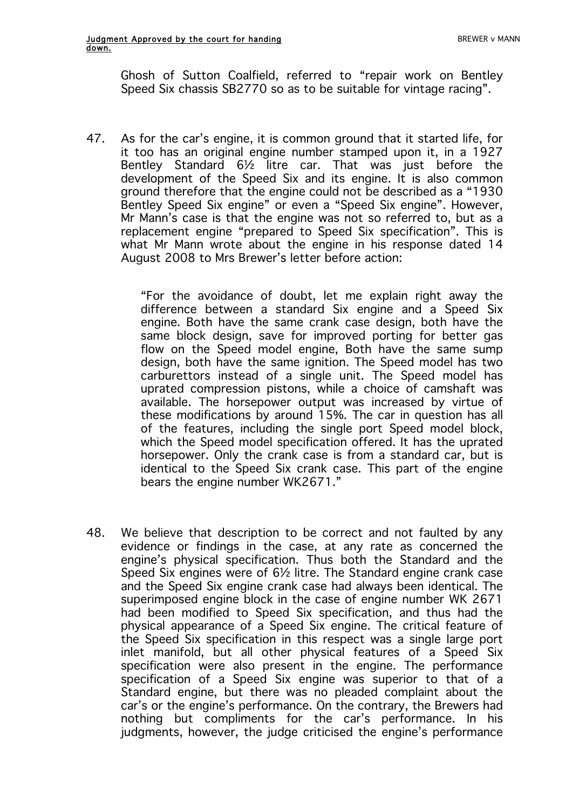Ghosh of Sutton Coalfield, referred to "repair work on Bentley Speed Six chassis SB2770 so as to be suitable for vintage racing".

47. As for the car's engine, it is common ground that it started life, for it too has an original engine number stamped upon it, in a 1927 Bentley Standard 6½ litre car. That was just before the development of the Speed Six and its engine. It is also common ground therefore that the engine could not be described as a "1930 Bentley Speed Six engine" or even a "Speed Six engine". However, Mr Mann's case is that the engine was not so referred to, but as a replacement engine "prepared to Speed Six specification". This is what Mr Mann wrote about the engine in his response dated 14 August 2008 to Mrs Brewer's letter before action:

> "For the avoidance of doubt, let me explain right away the difference between a standard Six engine and a Speed Six engine. Both have the same crank case design, both have the same block design, save for improved porting for better gas flow on the Speed model engine, Both have the same sump design, both have the same ignition. The Speed model has two carburettors instead of a single unit. The Speed model has uprated compression pistons, while a choice of camshaft was available. The horsepower output was increased by virtue of these modifications by around 15%. The car in question has all of the features, including the single port Speed model block, which the Speed model specification offered. It has the uprated horsepower. Only the crank case is from a standard car, but is identical to the Speed Six crank case. This part of the engine bears the engine number WK2671."

48. We believe that description to be correct and not faulted by any evidence or findings in the case, at any rate as concerned the engine's physical specification. Thus both the Standard and the Speed Six engines were of 6½ litre. The Standard engine crank case and the Speed Six engine crank case had always been identical. The superimposed engine block in the case of engine number WK 2671 had been modified to Speed Six specification, and thus had the physical appearance of a Speed Six engine. The critical feature of the Speed Six specification in this respect was a single large port inlet manifold, but all other physical features of a Speed Six specification were also present in the engine. The performance specification of a Speed Six engine was superior to that of a Standard engine, but there was no pleaded complaint about the car's or the engine's performance. On the contrary, the Brewers had nothing but compliments for the car's performance. In his judgments, however, the judge criticised the engine's performance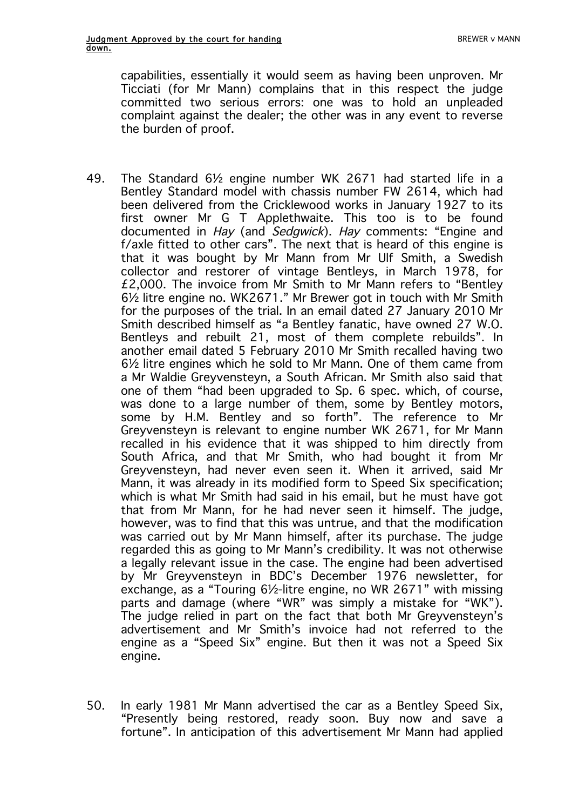capabilities, essentially it would seem as having been unproven. Mr Ticciati (for Mr Mann) complains that in this respect the judge committed two serious errors: one was to hold an unpleaded complaint against the dealer; the other was in any event to reverse the burden of proof.

- 49. The Standard 6½ engine number WK 2671 had started life in a Bentley Standard model with chassis number FW 2614, which had been delivered from the Cricklewood works in January 1927 to its first owner Mr G T Applethwaite. This too is to be found documented in Hay (and Sedgwick). Hay comments: "Engine and f/axle fitted to other cars". The next that is heard of this engine is that it was bought by Mr Mann from Mr Ulf Smith, a Swedish collector and restorer of vintage Bentleys, in March 1978, for £2,000. The invoice from Mr Smith to Mr Mann refers to "Bentley 6½ litre engine no. WK2671." Mr Brewer got in touch with Mr Smith for the purposes of the trial. In an email dated 27 January 2010 Mr Smith described himself as "a Bentley fanatic, have owned 27 W.O. Bentleys and rebuilt 21, most of them complete rebuilds". In another email dated 5 February 2010 Mr Smith recalled having two 6½ litre engines which he sold to Mr Mann. One of them came from a Mr Waldie Greyvensteyn, a South African. Mr Smith also said that one of them "had been upgraded to Sp. 6 spec. which, of course, was done to a large number of them, some by Bentley motors, some by H.M. Bentley and so forth". The reference to Mr Greyvensteyn is relevant to engine number WK 2671, for Mr Mann recalled in his evidence that it was shipped to him directly from South Africa, and that Mr Smith, who had bought it from Mr Greyvensteyn, had never even seen it. When it arrived, said Mr Mann, it was already in its modified form to Speed Six specification; which is what Mr Smith had said in his email, but he must have got that from Mr Mann, for he had never seen it himself. The judge, however, was to find that this was untrue, and that the modification was carried out by Mr Mann himself, after its purchase. The judge regarded this as going to Mr Mann's credibility. It was not otherwise a legally relevant issue in the case. The engine had been advertised by Mr Greyvensteyn in BDC's December 1976 newsletter, for exchange, as a "Touring 6½-litre engine, no WR 2671" with missing parts and damage (where "WR" was simply a mistake for "WK"). The judge relied in part on the fact that both Mr Greyvensteyn's advertisement and Mr Smith's invoice had not referred to the engine as a "Speed Six" engine. But then it was not a Speed Six engine.
- 50. In early 1981 Mr Mann advertised the car as a Bentley Speed Six, "Presently being restored, ready soon. Buy now and save a fortune". In anticipation of this advertisement Mr Mann had applied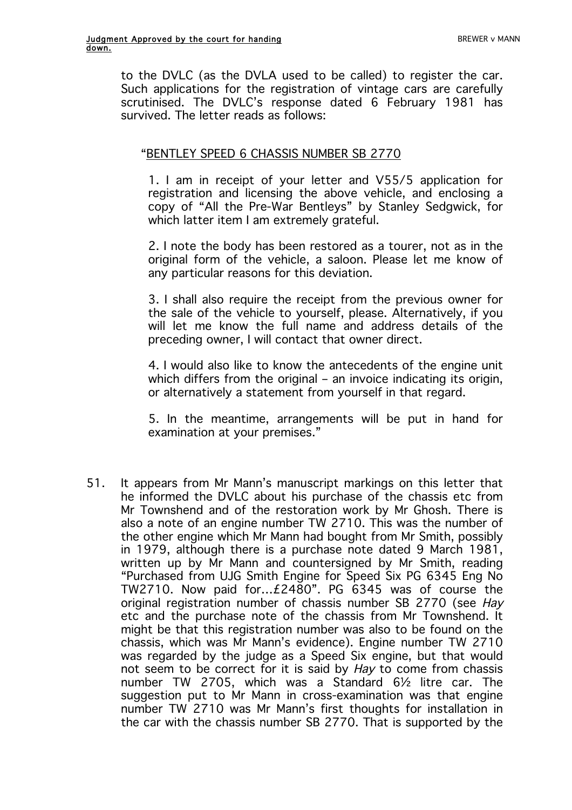to the DVLC (as the DVLA used to be called) to register the car. Such applications for the registration of vintage cars are carefully scrutinised. The DVLC's response dated 6 February 1981 has survived. The letter reads as follows:

### "BENTLEY SPEED 6 CHASSIS NUMBER SB 2770

1. I am in receipt of your letter and V55/5 application for registration and licensing the above vehicle, and enclosing a copy of "All the Pre-War Bentleys" by Stanley Sedgwick, for which latter item I am extremely grateful.

2. I note the body has been restored as a tourer, not as in the original form of the vehicle, a saloon. Please let me know of any particular reasons for this deviation.

3. I shall also require the receipt from the previous owner for the sale of the vehicle to yourself, please. Alternatively, if you will let me know the full name and address details of the preceding owner, I will contact that owner direct.

4. I would also like to know the antecedents of the engine unit which differs from the original – an invoice indicating its origin, or alternatively a statement from yourself in that regard.

5. In the meantime, arrangements will be put in hand for examination at your premises."

51. It appears from Mr Mann's manuscript markings on this letter that he informed the DVLC about his purchase of the chassis etc from Mr Townshend and of the restoration work by Mr Ghosh. There is also a note of an engine number TW 2710. This was the number of the other engine which Mr Mann had bought from Mr Smith, possibly in 1979, although there is a purchase note dated 9 March 1981, written up by Mr Mann and countersigned by Mr Smith, reading "Purchased from UJG Smith Engine for Speed Six PG 6345 Eng No TW2710. Now paid for…£2480". PG 6345 was of course the original registration number of chassis number SB 2770 (see Hay etc and the purchase note of the chassis from Mr Townshend. It might be that this registration number was also to be found on the chassis, which was Mr Mann's evidence). Engine number TW 2710 was regarded by the judge as a Speed Six engine, but that would not seem to be correct for it is said by Hay to come from chassis number TW 2705, which was a Standard 6½ litre car. The suggestion put to Mr Mann in cross-examination was that engine number TW 2710 was Mr Mann's first thoughts for installation in the car with the chassis number SB 2770. That is supported by the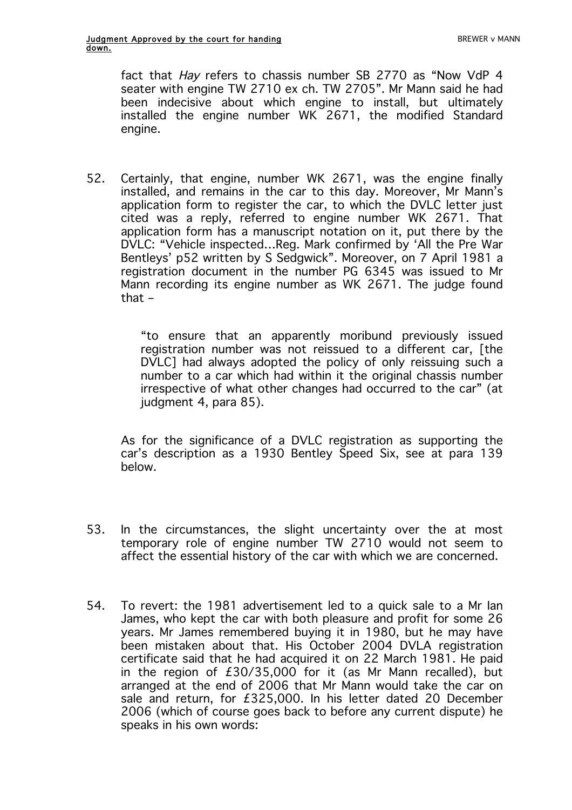fact that Hay refers to chassis number SB 2770 as "Now VdP 4 seater with engine TW 2710 ex ch. TW 2705". Mr Mann said he had been indecisive about which engine to install, but ultimately installed the engine number WK 2671, the modified Standard engine.

52. Certainly, that engine, number WK 2671, was the engine finally installed, and remains in the car to this day. Moreover, Mr Mann's application form to register the car, to which the DVLC letter just cited was a reply, referred to engine number WK 2671. That application form has a manuscript notation on it, put there by the DVLC: "Vehicle inspected…Reg. Mark confirmed by 'All the Pre War Bentleys' p52 written by S Sedgwick". Moreover, on 7 April 1981 a registration document in the number PG 6345 was issued to Mr Mann recording its engine number as WK 2671. The judge found that –

> "to ensure that an apparently moribund previously issued registration number was not reissued to a different car, [the DVLC] had always adopted the policy of only reissuing such a number to a car which had within it the original chassis number irrespective of what other changes had occurred to the car" (at iudgment 4, para 85).

As for the significance of a DVLC registration as supporting the car's description as a 1930 Bentley Speed Six, see at para 139 below.

- 53. In the circumstances, the slight uncertainty over the at most temporary role of engine number TW 2710 would not seem to affect the essential history of the car with which we are concerned.
- 54. To revert: the 1981 advertisement led to a quick sale to a Mr Ian James, who kept the car with both pleasure and profit for some 26 years. Mr James remembered buying it in 1980, but he may have been mistaken about that. His October 2004 DVLA registration certificate said that he had acquired it on 22 March 1981. He paid in the region of £30/35,000 for it (as Mr Mann recalled), but arranged at the end of 2006 that Mr Mann would take the car on sale and return, for £325,000. In his letter dated 20 December 2006 (which of course goes back to before any current dispute) he speaks in his own words: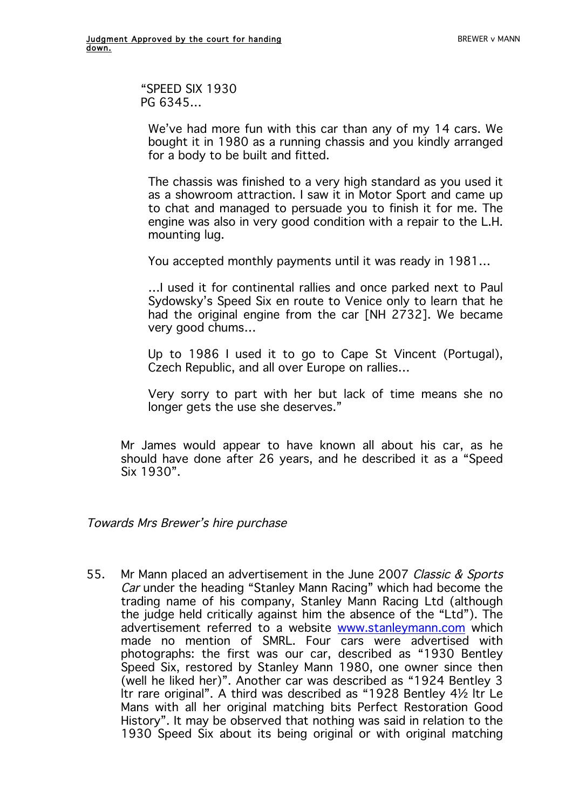"SPEED SIX 1930 PG 6345…

We've had more fun with this car than any of my 14 cars. We bought it in 1980 as a running chassis and you kindly arranged for a body to be built and fitted.

The chassis was finished to a very high standard as you used it as a showroom attraction. I saw it in Motor Sport and came up to chat and managed to persuade you to finish it for me. The engine was also in very good condition with a repair to the L.H. mounting lug.

You accepted monthly payments until it was ready in 1981…

…I used it for continental rallies and once parked next to Paul Sydowsky's Speed Six en route to Venice only to learn that he had the original engine from the car [NH 2732]. We became very good chums…

Up to 1986 I used it to go to Cape St Vincent (Portugal), Czech Republic, and all over Europe on rallies…

Very sorry to part with her but lack of time means she no longer gets the use she deserves."

Mr James would appear to have known all about his car, as he should have done after 26 years, and he described it as a "Speed Six 1930".

Towards Mrs Brewer's hire purchase

55. Mr Mann placed an advertisement in the June 2007 Classic & Sports Car under the heading "Stanley Mann Racing" which had become the trading name of his company, Stanley Mann Racing Ltd (although the judge held critically against him the absence of the "Ltd"). The advertisement referred to a website www.stanleymann.com which made no mention of SMRL. Four cars were advertised with photographs: the first was our car, described as "1930 Bentley Speed Six, restored by Stanley Mann 1980, one owner since then (well he liked her)". Another car was described as "1924 Bentley 3 ltr rare original". A third was described as "1928 Bentley 4½ ltr Le Mans with all her original matching bits Perfect Restoration Good History". It may be observed that nothing was said in relation to the 1930 Speed Six about its being original or with original matching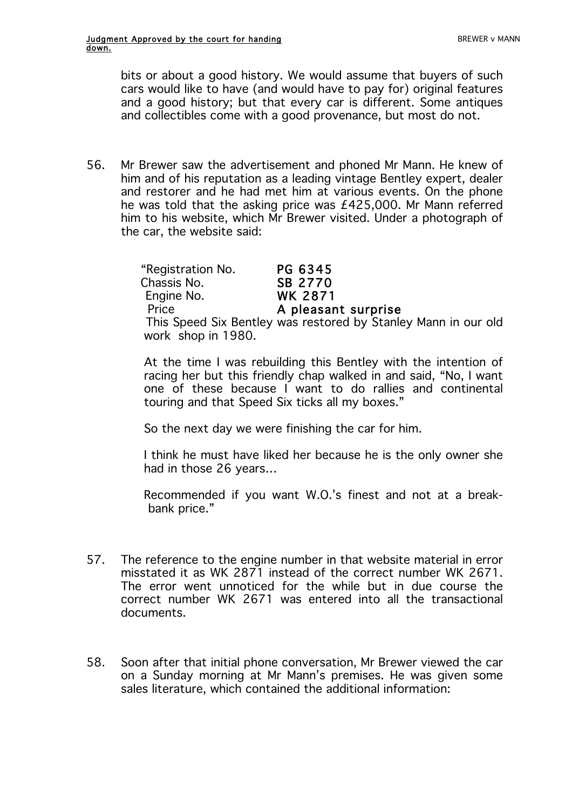bits or about a good history. We would assume that buyers of such cars would like to have (and would have to pay for) original features and a good history; but that every car is different. Some antiques and collectibles come with a good provenance, but most do not.

56. Mr Brewer saw the advertisement and phoned Mr Mann. He knew of him and of his reputation as a leading vintage Bentley expert, dealer and restorer and he had met him at various events. On the phone he was told that the asking price was £425,000. Mr Mann referred him to his website, which Mr Brewer visited. Under a photograph of the car, the website said:

> "Registration No. PG 6345 Chassis No. 68 2770 Engine No. WK 2871 Price **A pleasant surprise**  This Speed Six Bentley was restored by Stanley Mann in our old work shop in 1980.

> At the time I was rebuilding this Bentley with the intention of racing her but this friendly chap walked in and said, "No, I want one of these because I want to do rallies and continental touring and that Speed Six ticks all my boxes."

So the next day we were finishing the car for him.

I think he must have liked her because he is the only owner she had in those 26 years…

Recommended if you want W.O.'s finest and not at a breakbank price."

- 57. The reference to the engine number in that website material in error misstated it as WK 2871 instead of the correct number WK 2671. The error went unnoticed for the while but in due course the correct number WK 2671 was entered into all the transactional documents.
- 58. Soon after that initial phone conversation, Mr Brewer viewed the car on a Sunday morning at Mr Mann's premises. He was given some sales literature, which contained the additional information: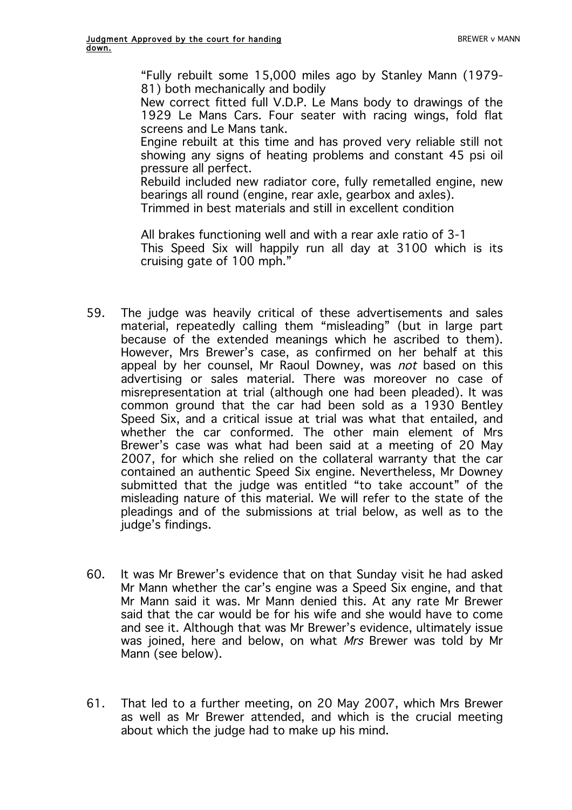"Fully rebuilt some 15,000 miles ago by Stanley Mann (1979- 81) both mechanically and bodily

New correct fitted full V.D.P. Le Mans body to drawings of the 1929 Le Mans Cars. Four seater with racing wings, fold flat screens and Le Mans tank.

Engine rebuilt at this time and has proved very reliable still not showing any signs of heating problems and constant 45 psi oil pressure all perfect.

Rebuild included new radiator core, fully remetalled engine, new bearings all round (engine, rear axle, gearbox and axles).

Trimmed in best materials and still in excellent condition

All brakes functioning well and with a rear axle ratio of 3-1 This Speed Six will happily run all day at 3100 which is its cruising gate of 100 mph."

- 59. The judge was heavily critical of these advertisements and sales material, repeatedly calling them "misleading" (but in large part because of the extended meanings which he ascribed to them). However, Mrs Brewer's case, as confirmed on her behalf at this appeal by her counsel, Mr Raoul Downey, was *not* based on this advertising or sales material. There was moreover no case of misrepresentation at trial (although one had been pleaded). It was common ground that the car had been sold as a 1930 Bentley Speed Six, and a critical issue at trial was what that entailed, and whether the car conformed. The other main element of Mrs Brewer's case was what had been said at a meeting of 20 May 2007, for which she relied on the collateral warranty that the car contained an authentic Speed Six engine. Nevertheless, Mr Downey submitted that the judge was entitled "to take account" of the misleading nature of this material. We will refer to the state of the pleadings and of the submissions at trial below, as well as to the judge's findings.
- 60. It was Mr Brewer's evidence that on that Sunday visit he had asked Mr Mann whether the car's engine was a Speed Six engine, and that Mr Mann said it was. Mr Mann denied this. At any rate Mr Brewer said that the car would be for his wife and she would have to come and see it. Although that was Mr Brewer's evidence, ultimately issue was joined, here and below, on what Mrs Brewer was told by Mr Mann (see below).
- 61. That led to a further meeting, on 20 May 2007, which Mrs Brewer as well as Mr Brewer attended, and which is the crucial meeting about which the judge had to make up his mind.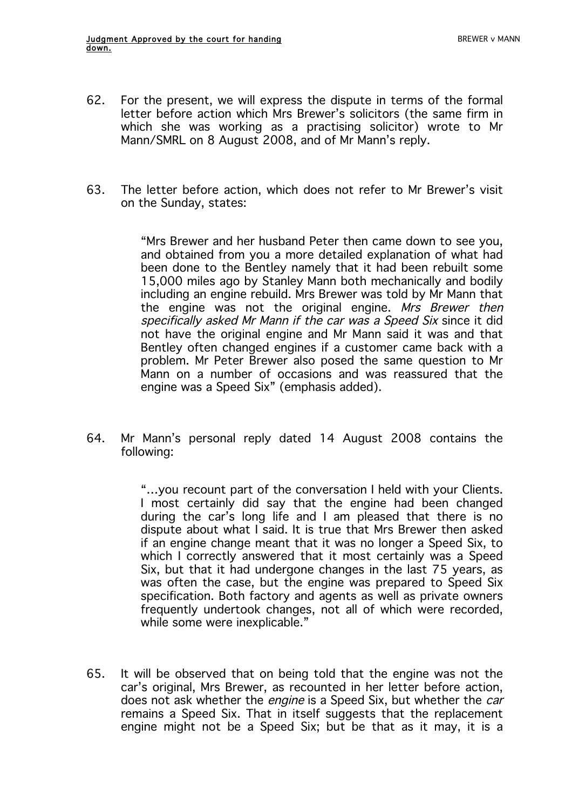- 62. For the present, we will express the dispute in terms of the formal letter before action which Mrs Brewer's solicitors (the same firm in which she was working as a practising solicitor) wrote to Mr Mann/SMRL on 8 August 2008, and of Mr Mann's reply.
- 63. The letter before action, which does not refer to Mr Brewer's visit on the Sunday, states:

"Mrs Brewer and her husband Peter then came down to see you, and obtained from you a more detailed explanation of what had been done to the Bentley namely that it had been rebuilt some 15,000 miles ago by Stanley Mann both mechanically and bodily including an engine rebuild. Mrs Brewer was told by Mr Mann that the engine was not the original engine. Mrs Brewer then specifically asked Mr Mann if the car was a Speed Six since it did not have the original engine and Mr Mann said it was and that Bentley often changed engines if a customer came back with a problem. Mr Peter Brewer also posed the same question to Mr Mann on a number of occasions and was reassured that the engine was a Speed Six" (emphasis added).

64. Mr Mann's personal reply dated 14 August 2008 contains the following:

> "…you recount part of the conversation I held with your Clients. I most certainly did say that the engine had been changed during the car's long life and I am pleased that there is no dispute about what I said. It is true that Mrs Brewer then asked if an engine change meant that it was no longer a Speed Six, to which I correctly answered that it most certainly was a Speed Six, but that it had undergone changes in the last 75 years, as was often the case, but the engine was prepared to Speed Six specification. Both factory and agents as well as private owners frequently undertook changes, not all of which were recorded, while some were inexplicable."

65. It will be observed that on being told that the engine was not the car's original, Mrs Brewer, as recounted in her letter before action, does not ask whether the engine is a Speed Six, but whether the car remains a Speed Six. That in itself suggests that the replacement engine might not be a Speed Six; but be that as it may, it is a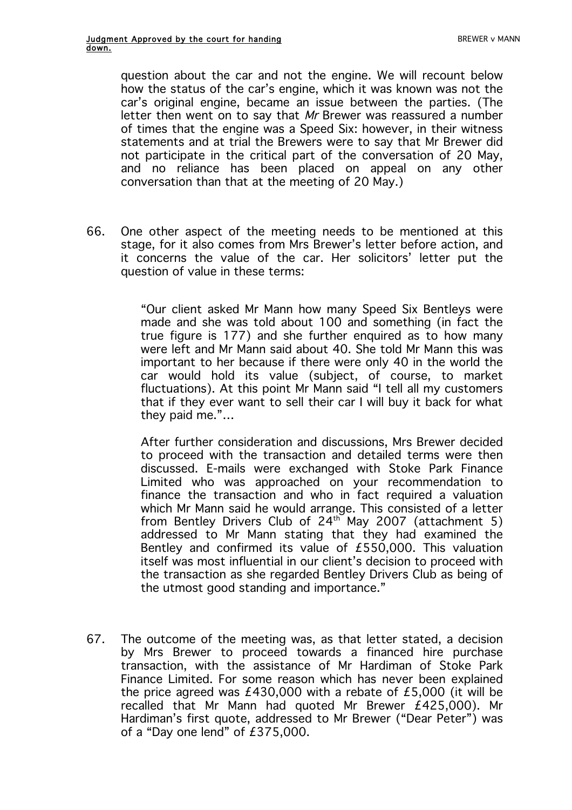question about the car and not the engine. We will recount below how the status of the car's engine, which it was known was not the car's original engine, became an issue between the parties. (The letter then went on to say that Mr Brewer was reassured a number of times that the engine was a Speed Six: however, in their witness statements and at trial the Brewers were to say that Mr Brewer did not participate in the critical part of the conversation of 20 May, and no reliance has been placed on appeal on any other conversation than that at the meeting of 20 May.)

66. One other aspect of the meeting needs to be mentioned at this stage, for it also comes from Mrs Brewer's letter before action, and it concerns the value of the car. Her solicitors' letter put the question of value in these terms:

> "Our client asked Mr Mann how many Speed Six Bentleys were made and she was told about 100 and something (in fact the true figure is 177) and she further enquired as to how many were left and Mr Mann said about 40. She told Mr Mann this was important to her because if there were only 40 in the world the car would hold its value (subject, of course, to market fluctuations). At this point Mr Mann said "I tell all my customers that if they ever want to sell their car I will buy it back for what they paid me."…

> After further consideration and discussions, Mrs Brewer decided to proceed with the transaction and detailed terms were then discussed. E-mails were exchanged with Stoke Park Finance Limited who was approached on your recommendation to finance the transaction and who in fact required a valuation which Mr Mann said he would arrange. This consisted of a letter from Bentley Drivers Club of  $24<sup>th</sup>$  May 2007 (attachment 5) addressed to Mr Mann stating that they had examined the Bentley and confirmed its value of £550,000. This valuation itself was most influential in our client's decision to proceed with the transaction as she regarded Bentley Drivers Club as being of the utmost good standing and importance."

67. The outcome of the meeting was, as that letter stated, a decision by Mrs Brewer to proceed towards a financed hire purchase transaction, with the assistance of Mr Hardiman of Stoke Park Finance Limited. For some reason which has never been explained the price agreed was £430,000 with a rebate of £5,000 (it will be recalled that Mr Mann had quoted Mr Brewer £425,000). Mr Hardiman's first quote, addressed to Mr Brewer ("Dear Peter") was of a "Day one lend" of £375,000.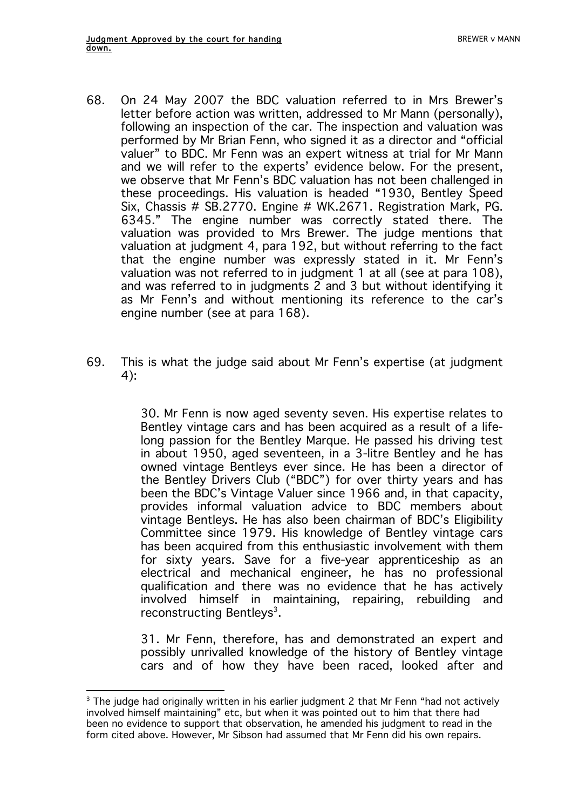- 68. On 24 May 2007 the BDC valuation referred to in Mrs Brewer's letter before action was written, addressed to Mr Mann (personally), following an inspection of the car. The inspection and valuation was performed by Mr Brian Fenn, who signed it as a director and "official valuer" to BDC. Mr Fenn was an expert witness at trial for Mr Mann and we will refer to the experts' evidence below. For the present, we observe that Mr Fenn's BDC valuation has not been challenged in these proceedings. His valuation is headed "1930, Bentley Speed Six, Chassis # SB.2770. Engine # WK.2671. Registration Mark, PG. 6345." The engine number was correctly stated there. The valuation was provided to Mrs Brewer. The judge mentions that valuation at judgment 4, para 192, but without referring to the fact that the engine number was expressly stated in it. Mr Fenn's valuation was not referred to in judgment 1 at all (see at para 108), and was referred to in judgments 2 and 3 but without identifying it as Mr Fenn's and without mentioning its reference to the car's engine number (see at para 168).
- 69. This is what the judge said about Mr Fenn's expertise (at judgment 4):

30. Mr Fenn is now aged seventy seven. His expertise relates to Bentley vintage cars and has been acquired as a result of a lifelong passion for the Bentley Marque. He passed his driving test in about 1950, aged seventeen, in a 3-litre Bentley and he has owned vintage Bentleys ever since. He has been a director of the Bentley Drivers Club ("BDC") for over thirty years and has been the BDC's Vintage Valuer since 1966 and, in that capacity, provides informal valuation advice to BDC members about vintage Bentleys. He has also been chairman of BDC's Eligibility Committee since 1979. His knowledge of Bentley vintage cars has been acquired from this enthusiastic involvement with them for sixty years. Save for a five-year apprenticeship as an electrical and mechanical engineer, he has no professional qualification and there was no evidence that he has actively involved himself in maintaining, repairing, rebuilding and reconstructing Bentleys<sup>3</sup>.

31. Mr Fenn, therefore, has and demonstrated an expert and possibly unrivalled knowledge of the history of Bentley vintage cars and of how they have been raced, looked after and

 $\overline{a}$  $3$  The judge had originally written in his earlier judgment 2 that Mr Fenn "had not actively involved himself maintaining" etc, but when it was pointed out to him that there had been no evidence to support that observation, he amended his judgment to read in the form cited above. However, Mr Sibson had assumed that Mr Fenn did his own repairs.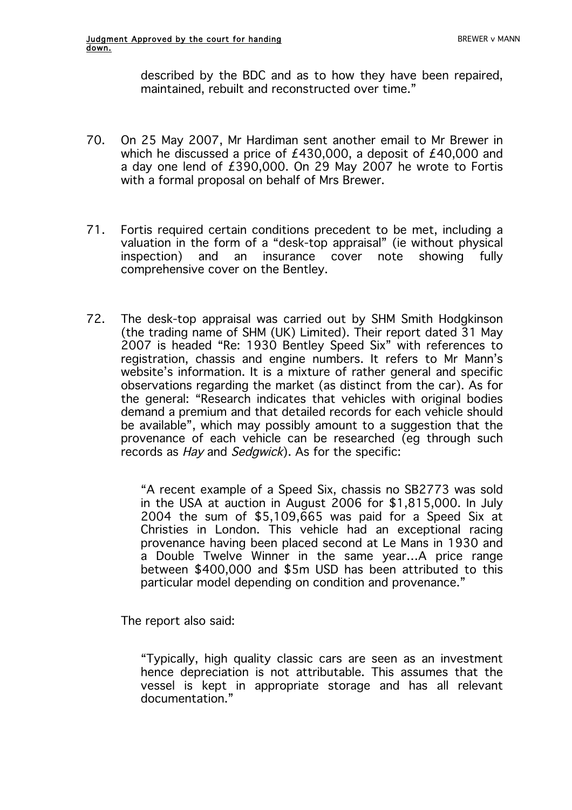described by the BDC and as to how they have been repaired, maintained, rebuilt and reconstructed over time."

- 70. On 25 May 2007, Mr Hardiman sent another email to Mr Brewer in which he discussed a price of £430,000, a deposit of £40,000 and a day one lend of £390,000. On 29 May 2007 he wrote to Fortis with a formal proposal on behalf of Mrs Brewer.
- 71. Fortis required certain conditions precedent to be met, including a valuation in the form of a "desk-top appraisal" (ie without physical inspection) and an insurance cover note showing fully comprehensive cover on the Bentley.
- 72. The desk-top appraisal was carried out by SHM Smith Hodgkinson (the trading name of SHM (UK) Limited). Their report dated 31 May 2007 is headed "Re: 1930 Bentley Speed Six" with references to registration, chassis and engine numbers. It refers to Mr Mann's website's information. It is a mixture of rather general and specific observations regarding the market (as distinct from the car). As for the general: "Research indicates that vehicles with original bodies demand a premium and that detailed records for each vehicle should be available", which may possibly amount to a suggestion that the provenance of each vehicle can be researched (eg through such records as Hay and Sedgwick). As for the specific:

"A recent example of a Speed Six, chassis no SB2773 was sold in the USA at auction in August 2006 for \$1,815,000. In July 2004 the sum of \$5,109,665 was paid for a Speed Six at Christies in London. This vehicle had an exceptional racing provenance having been placed second at Le Mans in 1930 and a Double Twelve Winner in the same year…A price range between \$400,000 and \$5m USD has been attributed to this particular model depending on condition and provenance."

The report also said:

"Typically, high quality classic cars are seen as an investment hence depreciation is not attributable. This assumes that the vessel is kept in appropriate storage and has all relevant documentation."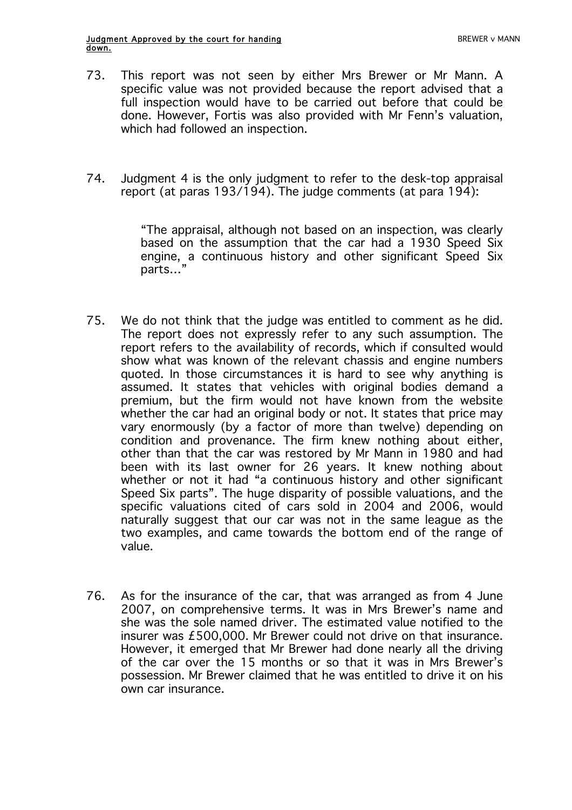- 73. This report was not seen by either Mrs Brewer or Mr Mann. A specific value was not provided because the report advised that a full inspection would have to be carried out before that could be done. However, Fortis was also provided with Mr Fenn's valuation, which had followed an inspection.
- 74. Judgment 4 is the only judgment to refer to the desk-top appraisal report (at paras 193/194). The judge comments (at para 194):

"The appraisal, although not based on an inspection, was clearly based on the assumption that the car had a 1930 Speed Six engine, a continuous history and other significant Speed Six parts…"

- 75. We do not think that the judge was entitled to comment as he did. The report does not expressly refer to any such assumption. The report refers to the availability of records, which if consulted would show what was known of the relevant chassis and engine numbers quoted. In those circumstances it is hard to see why anything is assumed. It states that vehicles with original bodies demand a premium, but the firm would not have known from the website whether the car had an original body or not. It states that price may vary enormously (by a factor of more than twelve) depending on condition and provenance. The firm knew nothing about either, other than that the car was restored by Mr Mann in 1980 and had been with its last owner for 26 years. It knew nothing about whether or not it had "a continuous history and other significant Speed Six parts". The huge disparity of possible valuations, and the specific valuations cited of cars sold in 2004 and 2006, would naturally suggest that our car was not in the same league as the two examples, and came towards the bottom end of the range of value.
- 76. As for the insurance of the car, that was arranged as from 4 June 2007, on comprehensive terms. It was in Mrs Brewer's name and she was the sole named driver. The estimated value notified to the insurer was £500,000. Mr Brewer could not drive on that insurance. However, it emerged that Mr Brewer had done nearly all the driving of the car over the 15 months or so that it was in Mrs Brewer's possession. Mr Brewer claimed that he was entitled to drive it on his own car insurance.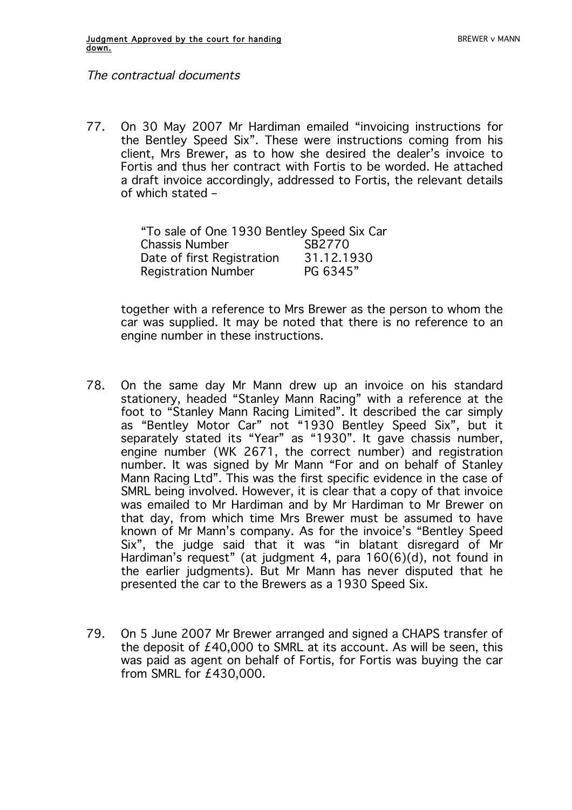The contractual documents

77. On 30 May 2007 Mr Hardiman emailed "invoicing instructions for the Bentley Speed Six". These were instructions coming from his client, Mrs Brewer, as to how she desired the dealer's invoice to Fortis and thus her contract with Fortis to be worded. He attached a draft invoice accordingly, addressed to Fortis, the relevant details of which stated –

| "To sale of One 1930 Bentley Speed Six Car |            |  |  |
|--------------------------------------------|------------|--|--|
| <b>Chassis Number</b>                      | SB2770     |  |  |
| Date of first Registration                 | 31.12.1930 |  |  |
| <b>Registration Number</b>                 | PG 6345"   |  |  |

together with a reference to Mrs Brewer as the person to whom the car was supplied. It may be noted that there is no reference to an engine number in these instructions.

- 78. On the same day Mr Mann drew up an invoice on his standard stationery, headed "Stanley Mann Racing" with a reference at the foot to "Stanley Mann Racing Limited". It described the car simply as "Bentley Motor Car" not "1930 Bentley Speed Six", but it separately stated its "Year" as "1930". It gave chassis number, engine number (WK 2671, the correct number) and registration number. It was signed by Mr Mann "For and on behalf of Stanley Mann Racing Ltd". This was the first specific evidence in the case of SMRL being involved. However, it is clear that a copy of that invoice was emailed to Mr Hardiman and by Mr Hardiman to Mr Brewer on that day, from which time Mrs Brewer must be assumed to have known of Mr Mann's company. As for the invoice's "Bentley Speed Six", the judge said that it was "in blatant disregard of Mr Hardiman's request" (at judgment 4, para 160(6)(d), not found in the earlier judgments). But Mr Mann has never disputed that he presented the car to the Brewers as a 1930 Speed Six.
- 79. On 5 June 2007 Mr Brewer arranged and signed a CHAPS transfer of the deposit of £40,000 to SMRL at its account. As will be seen, this was paid as agent on behalf of Fortis, for Fortis was buying the car from SMRL for £430,000.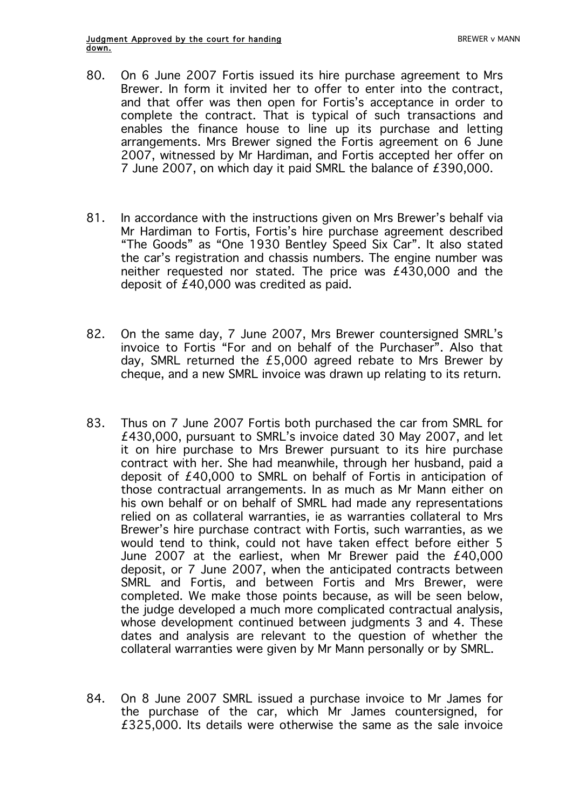- 80. On 6 June 2007 Fortis issued its hire purchase agreement to Mrs Brewer. In form it invited her to offer to enter into the contract, and that offer was then open for Fortis's acceptance in order to complete the contract. That is typical of such transactions and enables the finance house to line up its purchase and letting arrangements. Mrs Brewer signed the Fortis agreement on 6 June 2007, witnessed by Mr Hardiman, and Fortis accepted her offer on 7 June 2007, on which day it paid SMRL the balance of £390,000.
- 81. In accordance with the instructions given on Mrs Brewer's behalf via Mr Hardiman to Fortis, Fortis's hire purchase agreement described "The Goods" as "One 1930 Bentley Speed Six Car". It also stated the car's registration and chassis numbers. The engine number was neither requested nor stated. The price was £430,000 and the deposit of £40,000 was credited as paid.
- 82. On the same day, 7 June 2007, Mrs Brewer countersigned SMRL's invoice to Fortis "For and on behalf of the Purchaser". Also that day, SMRL returned the £5,000 agreed rebate to Mrs Brewer by cheque, and a new SMRL invoice was drawn up relating to its return.
- 83. Thus on 7 June 2007 Fortis both purchased the car from SMRL for £430,000, pursuant to SMRL's invoice dated 30 May 2007, and let it on hire purchase to Mrs Brewer pursuant to its hire purchase contract with her. She had meanwhile, through her husband, paid a deposit of £40,000 to SMRL on behalf of Fortis in anticipation of those contractual arrangements. In as much as Mr Mann either on his own behalf or on behalf of SMRL had made any representations relied on as collateral warranties, ie as warranties collateral to Mrs Brewer's hire purchase contract with Fortis, such warranties, as we would tend to think, could not have taken effect before either 5 June 2007 at the earliest, when Mr Brewer paid the £40,000 deposit, or 7 June 2007, when the anticipated contracts between SMRL and Fortis, and between Fortis and Mrs Brewer, were completed. We make those points because, as will be seen below, the judge developed a much more complicated contractual analysis, whose development continued between judgments 3 and 4. These dates and analysis are relevant to the question of whether the collateral warranties were given by Mr Mann personally or by SMRL.
- 84. On 8 June 2007 SMRL issued a purchase invoice to Mr James for the purchase of the car, which Mr James countersigned, for £325,000. Its details were otherwise the same as the sale invoice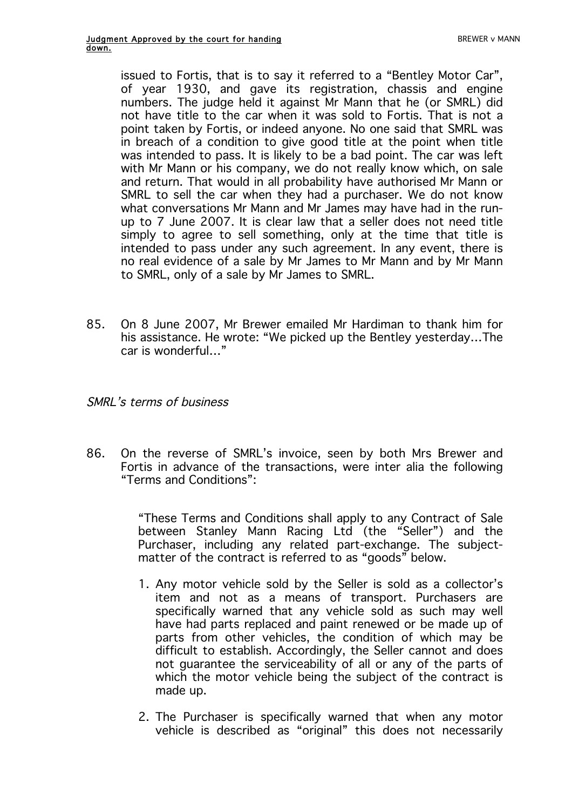issued to Fortis, that is to say it referred to a "Bentley Motor Car", of year 1930, and gave its registration, chassis and engine numbers. The judge held it against Mr Mann that he (or SMRL) did not have title to the car when it was sold to Fortis. That is not a point taken by Fortis, or indeed anyone. No one said that SMRL was in breach of a condition to give good title at the point when title was intended to pass. It is likely to be a bad point. The car was left with Mr Mann or his company, we do not really know which, on sale and return. That would in all probability have authorised Mr Mann or SMRL to sell the car when they had a purchaser. We do not know what conversations Mr Mann and Mr James may have had in the runup to 7 June 2007. It is clear law that a seller does not need title simply to agree to sell something, only at the time that title is intended to pass under any such agreement. In any event, there is no real evidence of a sale by Mr James to Mr Mann and by Mr Mann to SMRL, only of a sale by Mr James to SMRL.

85. On 8 June 2007, Mr Brewer emailed Mr Hardiman to thank him for his assistance. He wrote: "We picked up the Bentley yesterday…The car is wonderful…"

#### SMRL's terms of business

86. On the reverse of SMRL's invoice, seen by both Mrs Brewer and Fortis in advance of the transactions, were inter alia the following "Terms and Conditions":

> "These Terms and Conditions shall apply to any Contract of Sale between Stanley Mann Racing Ltd (the "Seller") and the Purchaser, including any related part-exchange. The subjectmatter of the contract is referred to as "goods" below.

- 1. Any motor vehicle sold by the Seller is sold as a collector's item and not as a means of transport. Purchasers are specifically warned that any vehicle sold as such may well have had parts replaced and paint renewed or be made up of parts from other vehicles, the condition of which may be difficult to establish. Accordingly, the Seller cannot and does not guarantee the serviceability of all or any of the parts of which the motor vehicle being the subject of the contract is made up.
- 2. The Purchaser is specifically warned that when any motor vehicle is described as "original" this does not necessarily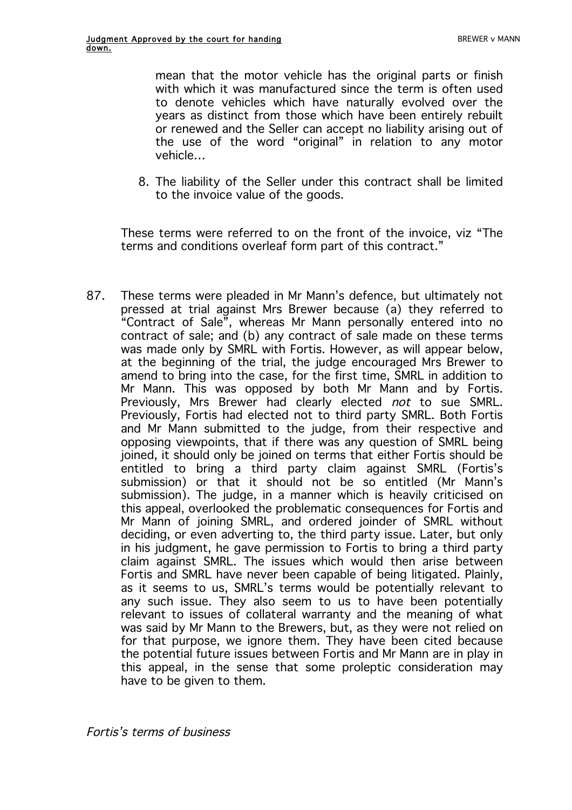mean that the motor vehicle has the original parts or finish with which it was manufactured since the term is often used to denote vehicles which have naturally evolved over the years as distinct from those which have been entirely rebuilt or renewed and the Seller can accept no liability arising out of the use of the word "original" in relation to any motor vehicle…

8. The liability of the Seller under this contract shall be limited to the invoice value of the goods.

These terms were referred to on the front of the invoice, viz "The terms and conditions overleaf form part of this contract."

87. These terms were pleaded in Mr Mann's defence, but ultimately not pressed at trial against Mrs Brewer because (a) they referred to "Contract of Sale", whereas Mr Mann personally entered into no contract of sale; and (b) any contract of sale made on these terms was made only by SMRL with Fortis. However, as will appear below, at the beginning of the trial, the judge encouraged Mrs Brewer to amend to bring into the case, for the first time, SMRL in addition to Mr Mann. This was opposed by both Mr Mann and by Fortis. Previously, Mrs Brewer had clearly elected not to sue SMRL. Previously, Fortis had elected not to third party SMRL. Both Fortis and Mr Mann submitted to the judge, from their respective and opposing viewpoints, that if there was any question of SMRL being joined, it should only be joined on terms that either Fortis should be entitled to bring a third party claim against SMRL (Fortis's submission) or that it should not be so entitled (Mr Mann's submission). The judge, in a manner which is heavily criticised on this appeal, overlooked the problematic consequences for Fortis and Mr Mann of joining SMRL, and ordered joinder of SMRL without deciding, or even adverting to, the third party issue. Later, but only in his judgment, he gave permission to Fortis to bring a third party claim against SMRL. The issues which would then arise between Fortis and SMRL have never been capable of being litigated. Plainly, as it seems to us, SMRL's terms would be potentially relevant to any such issue. They also seem to us to have been potentially relevant to issues of collateral warranty and the meaning of what was said by Mr Mann to the Brewers, but, as they were not relied on for that purpose, we ignore them. They have been cited because the potential future issues between Fortis and Mr Mann are in play in this appeal, in the sense that some proleptic consideration may have to be given to them.

Fortis's terms of business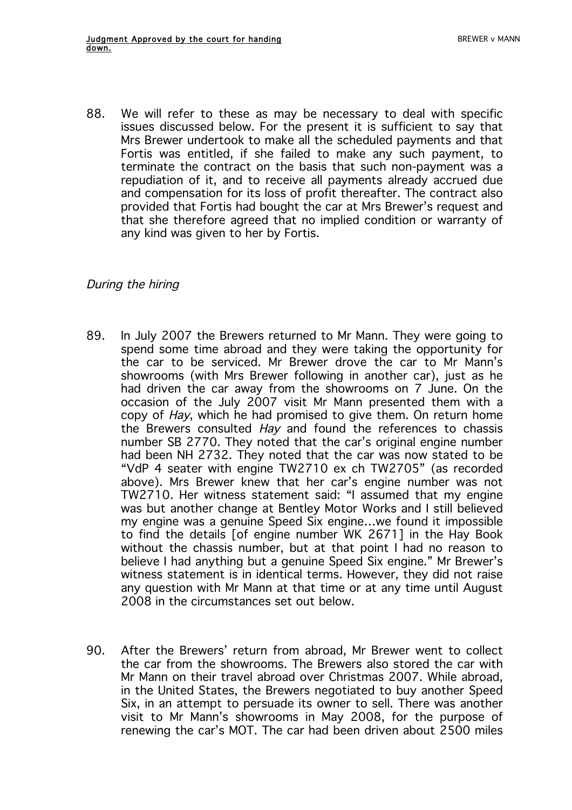88. We will refer to these as may be necessary to deal with specific issues discussed below. For the present it is sufficient to say that Mrs Brewer undertook to make all the scheduled payments and that Fortis was entitled, if she failed to make any such payment, to terminate the contract on the basis that such non-payment was a repudiation of it, and to receive all payments already accrued due and compensation for its loss of profit thereafter. The contract also provided that Fortis had bought the car at Mrs Brewer's request and that she therefore agreed that no implied condition or warranty of any kind was given to her by Fortis.

# During the hiring

- 89. In July 2007 the Brewers returned to Mr Mann. They were going to spend some time abroad and they were taking the opportunity for the car to be serviced. Mr Brewer drove the car to Mr Mann's showrooms (with Mrs Brewer following in another car), just as he had driven the car away from the showrooms on 7 June. On the occasion of the July 2007 visit Mr Mann presented them with a copy of Hay, which he had promised to give them. On return home the Brewers consulted Hay and found the references to chassis number SB 2770. They noted that the car's original engine number had been NH 2732. They noted that the car was now stated to be "VdP 4 seater with engine TW2710 ex ch TW2705" (as recorded above). Mrs Brewer knew that her car's engine number was not TW2710. Her witness statement said: "I assumed that my engine was but another change at Bentley Motor Works and I still believed my engine was a genuine Speed Six engine…we found it impossible to find the details [of engine number WK 2671] in the Hay Book without the chassis number, but at that point I had no reason to believe I had anything but a genuine Speed Six engine." Mr Brewer's witness statement is in identical terms. However, they did not raise any question with Mr Mann at that time or at any time until August 2008 in the circumstances set out below.
- 90. After the Brewers' return from abroad, Mr Brewer went to collect the car from the showrooms. The Brewers also stored the car with Mr Mann on their travel abroad over Christmas 2007. While abroad, in the United States, the Brewers negotiated to buy another Speed Six, in an attempt to persuade its owner to sell. There was another visit to Mr Mann's showrooms in May 2008, for the purpose of renewing the car's MOT. The car had been driven about 2500 miles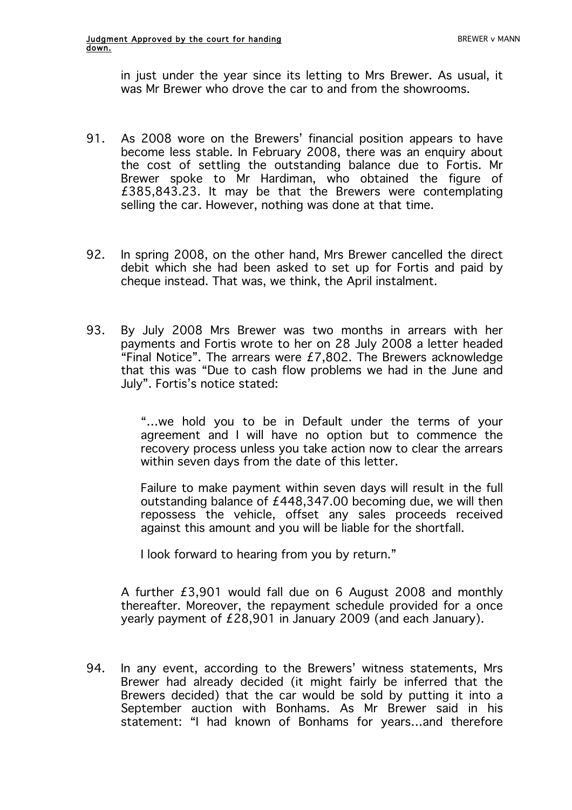in just under the year since its letting to Mrs Brewer. As usual, it was Mr Brewer who drove the car to and from the showrooms.

- 91. As 2008 wore on the Brewers' financial position appears to have become less stable. In February 2008, there was an enquiry about the cost of settling the outstanding balance due to Fortis. Mr Brewer spoke to Mr Hardiman, who obtained the figure of £385,843.23. It may be that the Brewers were contemplating selling the car. However, nothing was done at that time.
- 92. In spring 2008, on the other hand, Mrs Brewer cancelled the direct debit which she had been asked to set up for Fortis and paid by cheque instead. That was, we think, the April instalment.
- 93. By July 2008 Mrs Brewer was two months in arrears with her payments and Fortis wrote to her on 28 July 2008 a letter headed "Final Notice". The arrears were  $E7,802$ . The Brewers acknowledge that this was "Due to cash flow problems we had in the June and July". Fortis's notice stated:

"…we hold you to be in Default under the terms of your agreement and I will have no option but to commence the recovery process unless you take action now to clear the arrears within seven days from the date of this letter.

Failure to make payment within seven days will result in the full outstanding balance of £448,347.00 becoming due, we will then repossess the vehicle, offset any sales proceeds received against this amount and you will be liable for the shortfall.

I look forward to hearing from you by return."

A further £3,901 would fall due on 6 August 2008 and monthly thereafter. Moreover, the repayment schedule provided for a once yearly payment of £28,901 in January 2009 (and each January).

94. In any event, according to the Brewers' witness statements, Mrs Brewer had already decided (it might fairly be inferred that the Brewers decided) that the car would be sold by putting it into a September auction with Bonhams. As Mr Brewer said in his statement: "I had known of Bonhams for years…and therefore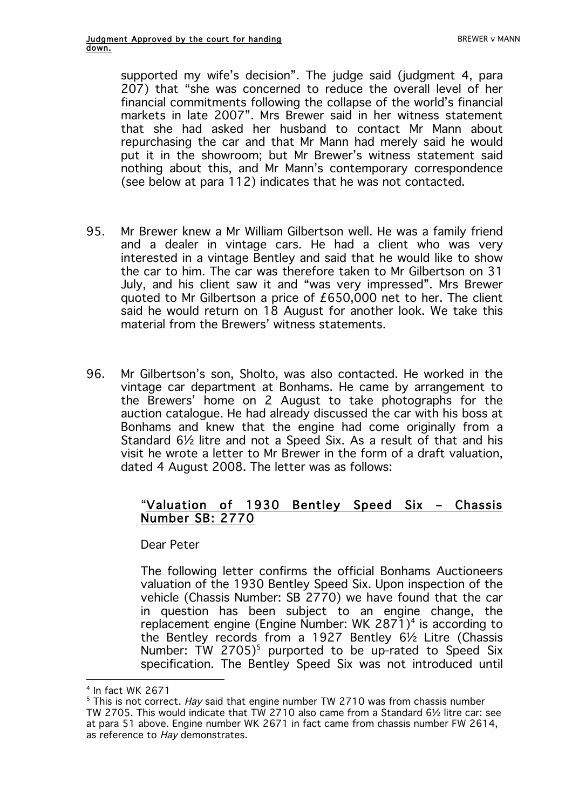supported my wife's decision". The judge said (judgment 4, para 207) that "she was concerned to reduce the overall level of her financial commitments following the collapse of the world's financial markets in late 2007". Mrs Brewer said in her witness statement that she had asked her husband to contact Mr Mann about repurchasing the car and that Mr Mann had merely said he would put it in the showroom; but Mr Brewer's witness statement said nothing about this, and Mr Mann's contemporary correspondence (see below at para 112) indicates that he was not contacted.

- 95. Mr Brewer knew a Mr William Gilbertson well. He was a family friend and a dealer in vintage cars. He had a client who was very interested in a vintage Bentley and said that he would like to show the car to him. The car was therefore taken to Mr Gilbertson on 31 July, and his client saw it and "was very impressed". Mrs Brewer quoted to Mr Gilbertson a price of £650,000 net to her. The client said he would return on 18 August for another look. We take this material from the Brewers' witness statements.
- 96. Mr Gilbertson's son, Sholto, was also contacted. He worked in the vintage car department at Bonhams. He came by arrangement to the Brewers' home on 2 August to take photographs for the auction catalogue. He had already discussed the car with his boss at Bonhams and knew that the engine had come originally from a Standard 6½ litre and not a Speed Six. As a result of that and his visit he wrote a letter to Mr Brewer in the form of a draft valuation, dated 4 August 2008. The letter was as follows:

# "Valuation of 1930 Bentley Speed Six – Chassis Number SB: 2770

Dear Peter

The following letter confirms the official Bonhams Auctioneers valuation of the 1930 Bentley Speed Six. Upon inspection of the vehicle (Chassis Number: SB 2770) we have found that the car in question has been subject to an engine change, the replacement engine (Engine Number: WK 2871)<sup>4</sup> is according to the Bentley records from a 1927 Bentley 6½ Litre (Chassis Number: TW 2705)<sup>5</sup> purported to be up-rated to Speed Six specification. The Bentley Speed Six was not introduced until

 $\overline{a}$ 

<sup>4</sup> In fact WK 2671

 $5$  This is not correct. Hay said that engine number TW 2710 was from chassis number TW 2705. This would indicate that TW 2710 also came from a Standard 6½ litre car: see at para 51 above. Engine number WK 2671 in fact came from chassis number FW 2614, as reference to Hay demonstrates.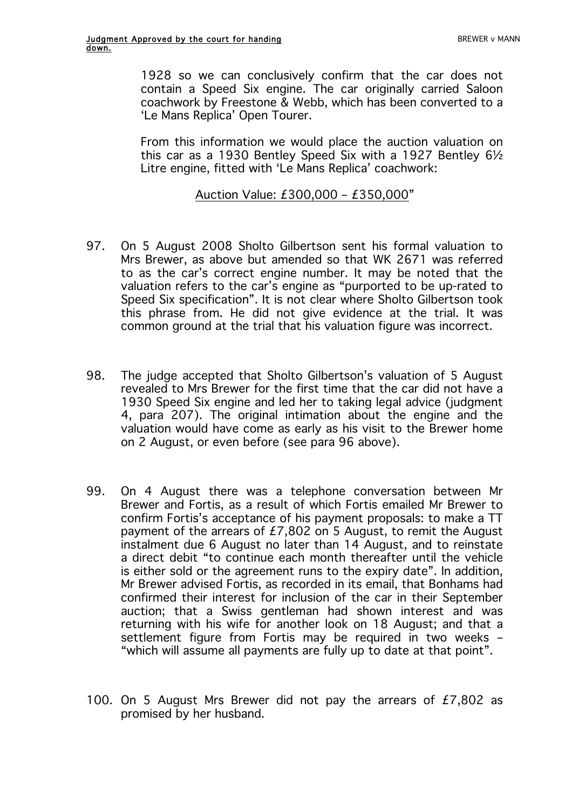1928 so we can conclusively confirm that the car does not contain a Speed Six engine. The car originally carried Saloon coachwork by Freestone & Webb, which has been converted to a 'Le Mans Replica' Open Tourer.

From this information we would place the auction valuation on this car as a 1930 Bentley Speed Six with a 1927 Bentley 6½ Litre engine, fitted with 'Le Mans Replica' coachwork:

## Auction Value: £300,000 – £350,000"

- 97. On 5 August 2008 Sholto Gilbertson sent his formal valuation to Mrs Brewer, as above but amended so that WK 2671 was referred to as the car's correct engine number. It may be noted that the valuation refers to the car's engine as "purported to be up-rated to Speed Six specification". It is not clear where Sholto Gilbertson took this phrase from. He did not give evidence at the trial. It was common ground at the trial that his valuation figure was incorrect.
- 98. The judge accepted that Sholto Gilbertson's valuation of 5 August revealed to Mrs Brewer for the first time that the car did not have a 1930 Speed Six engine and led her to taking legal advice (judgment 4, para 207). The original intimation about the engine and the valuation would have come as early as his visit to the Brewer home on 2 August, or even before (see para 96 above).
- 99. On 4 August there was a telephone conversation between Mr Brewer and Fortis, as a result of which Fortis emailed Mr Brewer to confirm Fortis's acceptance of his payment proposals: to make a TT payment of the arrears of £7,802 on 5 August, to remit the August instalment due 6 August no later than 14 August, and to reinstate a direct debit "to continue each month thereafter until the vehicle is either sold or the agreement runs to the expiry date". In addition, Mr Brewer advised Fortis, as recorded in its email, that Bonhams had confirmed their interest for inclusion of the car in their September auction; that a Swiss gentleman had shown interest and was returning with his wife for another look on 18 August; and that a settlement figure from Fortis may be required in two weeks – "which will assume all payments are fully up to date at that point".
- 100. On 5 August Mrs Brewer did not pay the arrears of £7,802 as promised by her husband.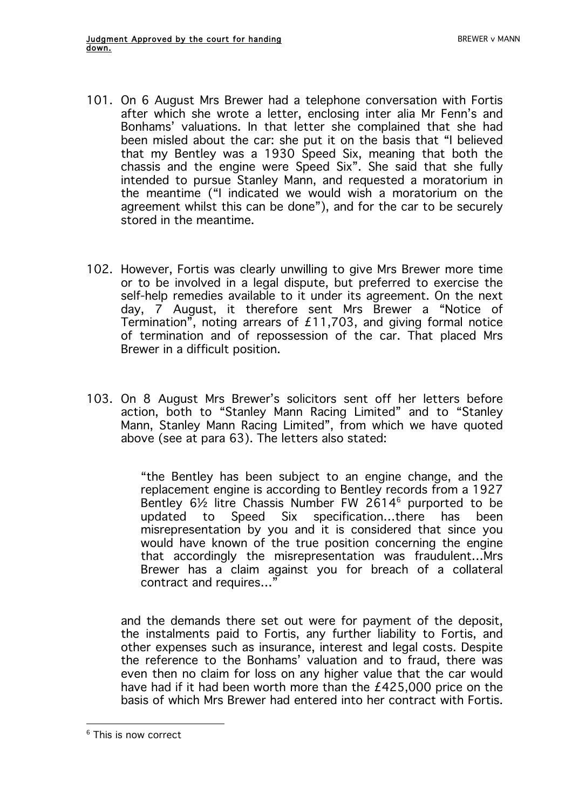- 101. On 6 August Mrs Brewer had a telephone conversation with Fortis after which she wrote a letter, enclosing inter alia Mr Fenn's and Bonhams' valuations. In that letter she complained that she had been misled about the car: she put it on the basis that "I believed that my Bentley was a 1930 Speed Six, meaning that both the chassis and the engine were Speed Six". She said that she fully intended to pursue Stanley Mann, and requested a moratorium in the meantime ("I indicated we would wish a moratorium on the agreement whilst this can be done"), and for the car to be securely stored in the meantime.
- 102. However, Fortis was clearly unwilling to give Mrs Brewer more time or to be involved in a legal dispute, but preferred to exercise the self-help remedies available to it under its agreement. On the next day, 7 August, it therefore sent Mrs Brewer a "Notice of Termination", noting arrears of £11,703, and giving formal notice of termination and of repossession of the car. That placed Mrs Brewer in a difficult position.
- 103. On 8 August Mrs Brewer's solicitors sent off her letters before action, both to "Stanley Mann Racing Limited" and to "Stanley Mann, Stanley Mann Racing Limited", from which we have quoted above (see at para 63). The letters also stated:

"the Bentley has been subject to an engine change, and the replacement engine is according to Bentley records from a 1927 Bentley 6½ litre Chassis Number FW 2614<sup>6</sup> purported to be updated to Speed Six specification…there has been misrepresentation by you and it is considered that since you would have known of the true position concerning the engine that accordingly the misrepresentation was fraudulent…Mrs Brewer has a claim against you for breach of a collateral contract and requires…"

and the demands there set out were for payment of the deposit, the instalments paid to Fortis, any further liability to Fortis, and other expenses such as insurance, interest and legal costs. Despite the reference to the Bonhams' valuation and to fraud, there was even then no claim for loss on any higher value that the car would have had if it had been worth more than the £425,000 price on the basis of which Mrs Brewer had entered into her contract with Fortis.

 $\overline{a}$ <sup>6</sup> This is now correct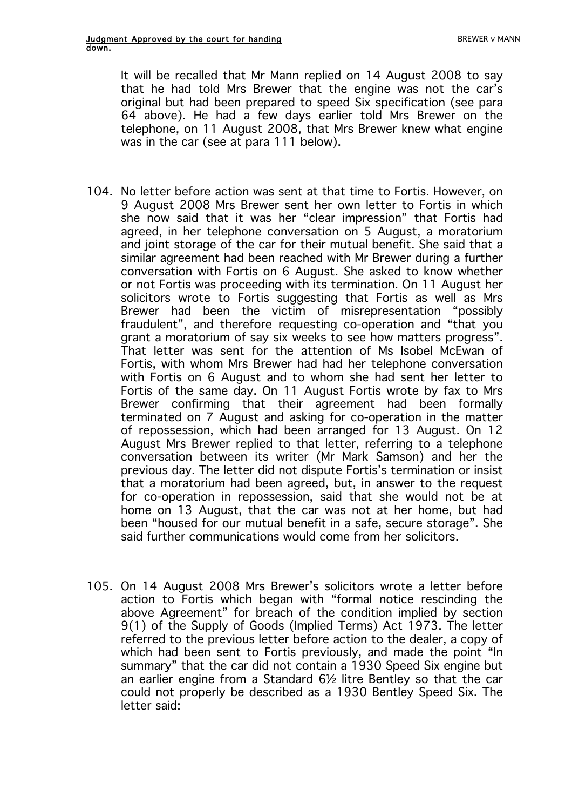It will be recalled that Mr Mann replied on 14 August 2008 to say that he had told Mrs Brewer that the engine was not the car's original but had been prepared to speed Six specification (see para 64 above). He had a few days earlier told Mrs Brewer on the telephone, on 11 August 2008, that Mrs Brewer knew what engine was in the car (see at para 111 below).

- 104. No letter before action was sent at that time to Fortis. However, on 9 August 2008 Mrs Brewer sent her own letter to Fortis in which she now said that it was her "clear impression" that Fortis had agreed, in her telephone conversation on 5 August, a moratorium and joint storage of the car for their mutual benefit. She said that a similar agreement had been reached with Mr Brewer during a further conversation with Fortis on 6 August. She asked to know whether or not Fortis was proceeding with its termination. On 11 August her solicitors wrote to Fortis suggesting that Fortis as well as Mrs Brewer had been the victim of misrepresentation "possibly fraudulent", and therefore requesting co-operation and "that you grant a moratorium of say six weeks to see how matters progress". That letter was sent for the attention of Ms Isobel McEwan of Fortis, with whom Mrs Brewer had had her telephone conversation with Fortis on 6 August and to whom she had sent her letter to Fortis of the same day. On 11 August Fortis wrote by fax to Mrs Brewer confirming that their agreement had been formally terminated on 7 August and asking for co-operation in the matter of repossession, which had been arranged for 13 August. On 12 August Mrs Brewer replied to that letter, referring to a telephone conversation between its writer (Mr Mark Samson) and her the previous day. The letter did not dispute Fortis's termination or insist that a moratorium had been agreed, but, in answer to the request for co-operation in repossession, said that she would not be at home on 13 August, that the car was not at her home, but had been "housed for our mutual benefit in a safe, secure storage". She said further communications would come from her solicitors.
- 105. On 14 August 2008 Mrs Brewer's solicitors wrote a letter before action to Fortis which began with "formal notice rescinding the above Agreement" for breach of the condition implied by section 9(1) of the Supply of Goods (Implied Terms) Act 1973. The letter referred to the previous letter before action to the dealer, a copy of which had been sent to Fortis previously, and made the point "In summary" that the car did not contain a 1930 Speed Six engine but an earlier engine from a Standard 6½ litre Bentley so that the car could not properly be described as a 1930 Bentley Speed Six. The letter said: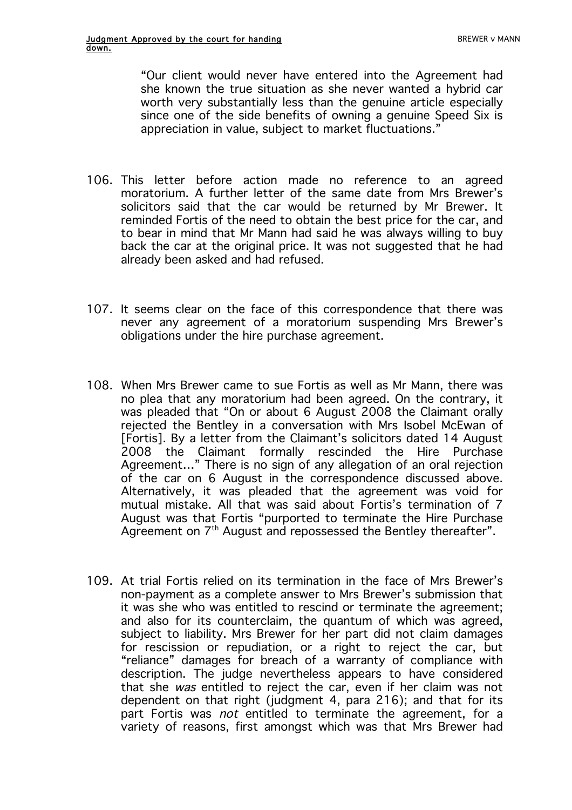"Our client would never have entered into the Agreement had she known the true situation as she never wanted a hybrid car worth very substantially less than the genuine article especially since one of the side benefits of owning a genuine Speed Six is appreciation in value, subject to market fluctuations."

- 106. This letter before action made no reference to an agreed moratorium. A further letter of the same date from Mrs Brewer's solicitors said that the car would be returned by Mr Brewer. It reminded Fortis of the need to obtain the best price for the car, and to bear in mind that Mr Mann had said he was always willing to buy back the car at the original price. It was not suggested that he had already been asked and had refused.
- 107. It seems clear on the face of this correspondence that there was never any agreement of a moratorium suspending Mrs Brewer's obligations under the hire purchase agreement.
- 108. When Mrs Brewer came to sue Fortis as well as Mr Mann, there was no plea that any moratorium had been agreed. On the contrary, it was pleaded that "On or about 6 August 2008 the Claimant orally rejected the Bentley in a conversation with Mrs Isobel McEwan of [Fortis]. By a letter from the Claimant's solicitors dated 14 August 2008 the Claimant formally rescinded the Hire Purchase Agreement…" There is no sign of any allegation of an oral rejection of the car on 6 August in the correspondence discussed above. Alternatively, it was pleaded that the agreement was void for mutual mistake. All that was said about Fortis's termination of 7 August was that Fortis "purported to terminate the Hire Purchase Agreement on  $7<sup>th</sup>$  August and repossessed the Bentley thereafter".
- 109. At trial Fortis relied on its termination in the face of Mrs Brewer's non-payment as a complete answer to Mrs Brewer's submission that it was she who was entitled to rescind or terminate the agreement; and also for its counterclaim, the quantum of which was agreed, subject to liability. Mrs Brewer for her part did not claim damages for rescission or repudiation, or a right to reject the car, but "reliance" damages for breach of a warranty of compliance with description. The judge nevertheless appears to have considered that she was entitled to reject the car, even if her claim was not dependent on that right (judgment 4, para 216); and that for its part Fortis was not entitled to terminate the agreement, for a variety of reasons, first amongst which was that Mrs Brewer had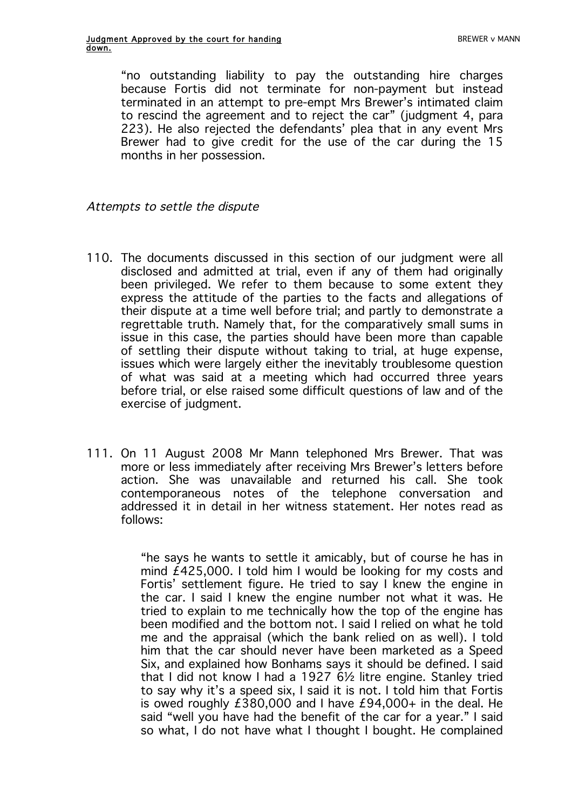"no outstanding liability to pay the outstanding hire charges because Fortis did not terminate for non-payment but instead terminated in an attempt to pre-empt Mrs Brewer's intimated claim to rescind the agreement and to reject the car" (judgment 4, para 223). He also rejected the defendants' plea that in any event Mrs Brewer had to give credit for the use of the car during the 15 months in her possession.

### Attempts to settle the dispute

- 110. The documents discussed in this section of our judgment were all disclosed and admitted at trial, even if any of them had originally been privileged. We refer to them because to some extent they express the attitude of the parties to the facts and allegations of their dispute at a time well before trial; and partly to demonstrate a regrettable truth. Namely that, for the comparatively small sums in issue in this case, the parties should have been more than capable of settling their dispute without taking to trial, at huge expense, issues which were largely either the inevitably troublesome question of what was said at a meeting which had occurred three years before trial, or else raised some difficult questions of law and of the exercise of judgment.
- 111. On 11 August 2008 Mr Mann telephoned Mrs Brewer. That was more or less immediately after receiving Mrs Brewer's letters before action. She was unavailable and returned his call. She took contemporaneous notes of the telephone conversation and addressed it in detail in her witness statement. Her notes read as follows:

"he says he wants to settle it amicably, but of course he has in mind £425,000. I told him I would be looking for my costs and Fortis' settlement figure. He tried to say I knew the engine in the car. I said I knew the engine number not what it was. He tried to explain to me technically how the top of the engine has been modified and the bottom not. I said I relied on what he told me and the appraisal (which the bank relied on as well). I told him that the car should never have been marketed as a Speed Six, and explained how Bonhams says it should be defined. I said that I did not know I had a 1927 6½ litre engine. Stanley tried to say why it's a speed six, I said it is not. I told him that Fortis is owed roughly  $£380,000$  and I have  $£94,000+$  in the deal. He said "well you have had the benefit of the car for a year." I said so what, I do not have what I thought I bought. He complained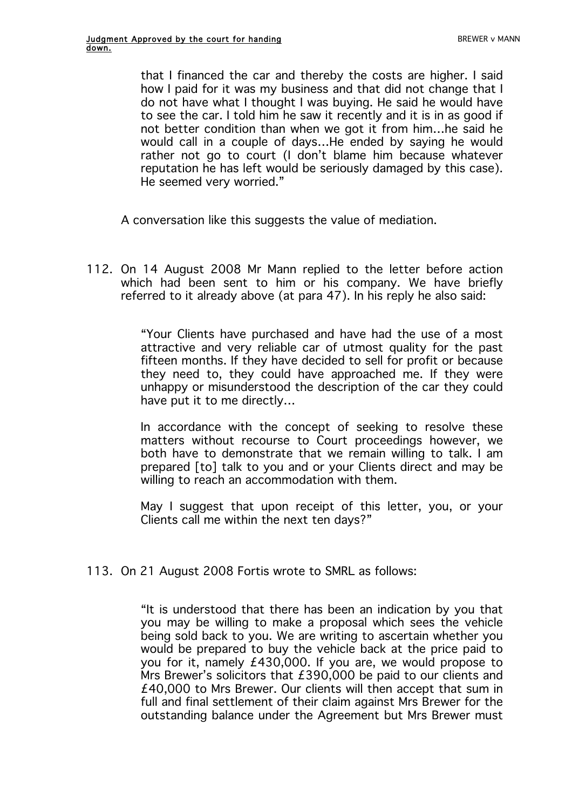that I financed the car and thereby the costs are higher. I said how I paid for it was my business and that did not change that I do not have what I thought I was buying. He said he would have to see the car. I told him he saw it recently and it is in as good if not better condition than when we got it from him…he said he would call in a couple of days…He ended by saying he would rather not go to court (I don't blame him because whatever reputation he has left would be seriously damaged by this case). He seemed very worried."

A conversation like this suggests the value of mediation.

112. On 14 August 2008 Mr Mann replied to the letter before action which had been sent to him or his company. We have briefly referred to it already above (at para 47). In his reply he also said:

> "Your Clients have purchased and have had the use of a most attractive and very reliable car of utmost quality for the past fifteen months. If they have decided to sell for profit or because they need to, they could have approached me. If they were unhappy or misunderstood the description of the car they could have put it to me directly…

> In accordance with the concept of seeking to resolve these matters without recourse to Court proceedings however, we both have to demonstrate that we remain willing to talk. I am prepared [to] talk to you and or your Clients direct and may be willing to reach an accommodation with them.

> May I suggest that upon receipt of this letter, you, or your Clients call me within the next ten days?"

113. On 21 August 2008 Fortis wrote to SMRL as follows:

"It is understood that there has been an indication by you that you may be willing to make a proposal which sees the vehicle being sold back to you. We are writing to ascertain whether you would be prepared to buy the vehicle back at the price paid to you for it, namely £430,000. If you are, we would propose to Mrs Brewer's solicitors that £390,000 be paid to our clients and £40,000 to Mrs Brewer. Our clients will then accept that sum in full and final settlement of their claim against Mrs Brewer for the outstanding balance under the Agreement but Mrs Brewer must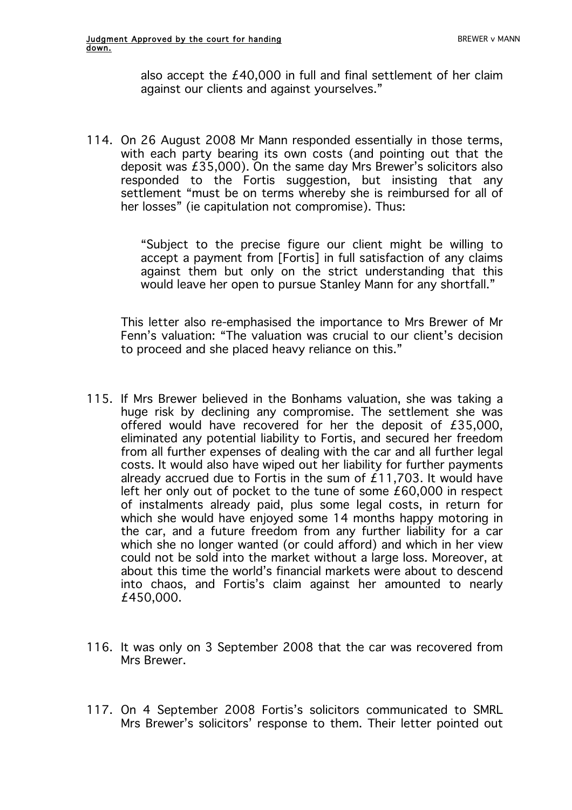also accept the £40,000 in full and final settlement of her claim against our clients and against yourselves."

114. On 26 August 2008 Mr Mann responded essentially in those terms, with each party bearing its own costs (and pointing out that the deposit was £35,000). On the same day Mrs Brewer's solicitors also responded to the Fortis suggestion, but insisting that any settlement "must be on terms whereby she is reimbursed for all of her losses" (ie capitulation not compromise). Thus:

> "Subject to the precise figure our client might be willing to accept a payment from [Fortis] in full satisfaction of any claims against them but only on the strict understanding that this would leave her open to pursue Stanley Mann for any shortfall."

This letter also re-emphasised the importance to Mrs Brewer of Mr Fenn's valuation: "The valuation was crucial to our client's decision to proceed and she placed heavy reliance on this."

- 115. If Mrs Brewer believed in the Bonhams valuation, she was taking a huge risk by declining any compromise. The settlement she was offered would have recovered for her the deposit of £35,000, eliminated any potential liability to Fortis, and secured her freedom from all further expenses of dealing with the car and all further legal costs. It would also have wiped out her liability for further payments already accrued due to Fortis in the sum of £11,703. It would have left her only out of pocket to the tune of some £60,000 in respect of instalments already paid, plus some legal costs, in return for which she would have enjoyed some 14 months happy motoring in the car, and a future freedom from any further liability for a car which she no longer wanted (or could afford) and which in her view could not be sold into the market without a large loss. Moreover, at about this time the world's financial markets were about to descend into chaos, and Fortis's claim against her amounted to nearly £450,000.
- 116. It was only on 3 September 2008 that the car was recovered from Mrs Brewer.
- 117. On 4 September 2008 Fortis's solicitors communicated to SMRL Mrs Brewer's solicitors' response to them. Their letter pointed out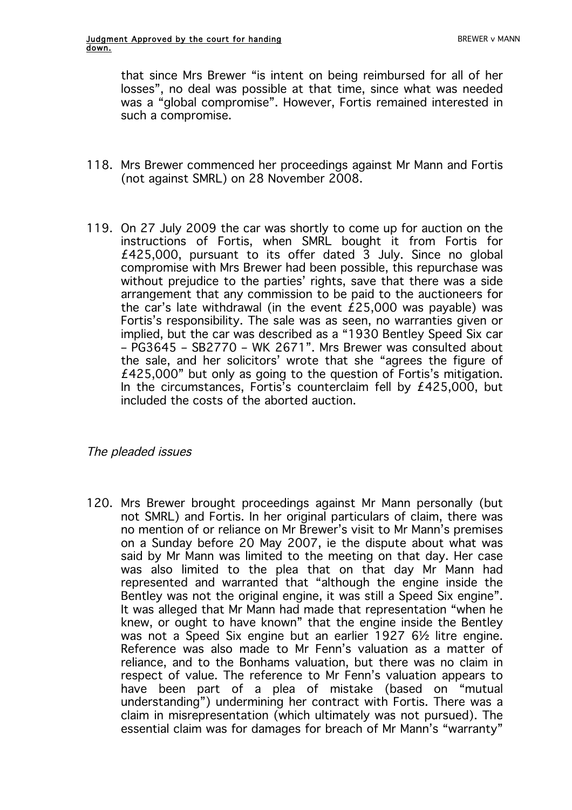that since Mrs Brewer "is intent on being reimbursed for all of her losses", no deal was possible at that time, since what was needed was a "global compromise". However, Fortis remained interested in such a compromise.

- 118. Mrs Brewer commenced her proceedings against Mr Mann and Fortis (not against SMRL) on 28 November 2008.
- 119. On 27 July 2009 the car was shortly to come up for auction on the instructions of Fortis, when SMRL bought it from Fortis for £425,000, pursuant to its offer dated 3 July. Since no global compromise with Mrs Brewer had been possible, this repurchase was without prejudice to the parties' rights, save that there was a side arrangement that any commission to be paid to the auctioneers for the car's late withdrawal (in the event £25,000 was payable) was Fortis's responsibility. The sale was as seen, no warranties given or implied, but the car was described as a "1930 Bentley Speed Six car – PG3645 – SB2770 – WK 2671". Mrs Brewer was consulted about the sale, and her solicitors' wrote that she "agrees the figure of £425,000" but only as going to the question of Fortis's mitigation. In the circumstances, Fortis's counterclaim fell by £425,000, but included the costs of the aborted auction.

## The pleaded issues

120. Mrs Brewer brought proceedings against Mr Mann personally (but not SMRL) and Fortis. In her original particulars of claim, there was no mention of or reliance on Mr Brewer's visit to Mr Mann's premises on a Sunday before 20 May 2007, ie the dispute about what was said by Mr Mann was limited to the meeting on that day. Her case was also limited to the plea that on that day Mr Mann had represented and warranted that "although the engine inside the Bentley was not the original engine, it was still a Speed Six engine". It was alleged that Mr Mann had made that representation "when he knew, or ought to have known" that the engine inside the Bentley was not a Speed Six engine but an earlier 1927 6½ litre engine. Reference was also made to Mr Fenn's valuation as a matter of reliance, and to the Bonhams valuation, but there was no claim in respect of value. The reference to Mr Fenn's valuation appears to have been part of a plea of mistake (based on "mutual understanding") undermining her contract with Fortis. There was a claim in misrepresentation (which ultimately was not pursued). The essential claim was for damages for breach of Mr Mann's "warranty"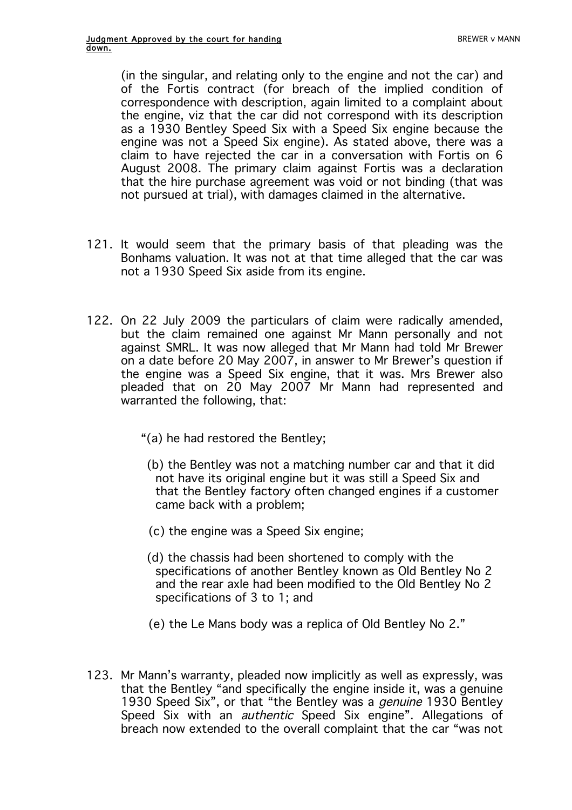(in the singular, and relating only to the engine and not the car) and of the Fortis contract (for breach of the implied condition of correspondence with description, again limited to a complaint about the engine, viz that the car did not correspond with its description as a 1930 Bentley Speed Six with a Speed Six engine because the engine was not a Speed Six engine). As stated above, there was a claim to have rejected the car in a conversation with Fortis on 6 August 2008. The primary claim against Fortis was a declaration that the hire purchase agreement was void or not binding (that was not pursued at trial), with damages claimed in the alternative.

- 121. It would seem that the primary basis of that pleading was the Bonhams valuation. It was not at that time alleged that the car was not a 1930 Speed Six aside from its engine.
- 122. On 22 July 2009 the particulars of claim were radically amended, but the claim remained one against Mr Mann personally and not against SMRL. It was now alleged that Mr Mann had told Mr Brewer on a date before 20 May 2007, in answer to Mr Brewer's question if the engine was a Speed Six engine, that it was. Mrs Brewer also pleaded that on 20 May 2007 Mr Mann had represented and warranted the following, that:
	- "(a) he had restored the Bentley;
	- (b) the Bentley was not a matching number car and that it did not have its original engine but it was still a Speed Six and that the Bentley factory often changed engines if a customer came back with a problem;
	- (c) the engine was a Speed Six engine;
	- (d) the chassis had been shortened to comply with the specifications of another Bentley known as Old Bentley No 2 and the rear axle had been modified to the Old Bentley No 2 specifications of 3 to 1; and
	- (e) the Le Mans body was a replica of Old Bentley No 2."
- 123. Mr Mann's warranty, pleaded now implicitly as well as expressly, was that the Bentley "and specifically the engine inside it, was a genuine 1930 Speed Six", or that "the Bentley was a *genuine* 1930 Bentley Speed Six with an *authentic* Speed Six engine". Allegations of breach now extended to the overall complaint that the car "was not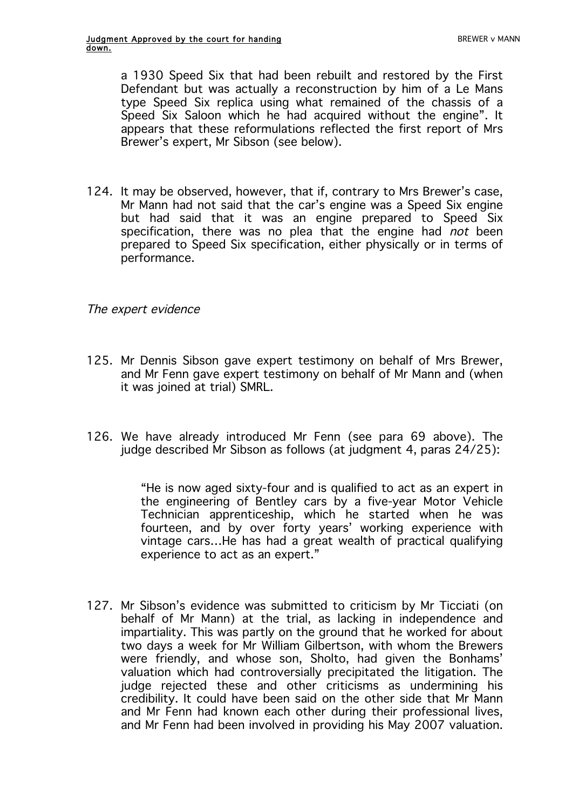a 1930 Speed Six that had been rebuilt and restored by the First Defendant but was actually a reconstruction by him of a Le Mans type Speed Six replica using what remained of the chassis of a Speed Six Saloon which he had acquired without the engine". It appears that these reformulations reflected the first report of Mrs Brewer's expert, Mr Sibson (see below).

124. It may be observed, however, that if, contrary to Mrs Brewer's case, Mr Mann had not said that the car's engine was a Speed Six engine but had said that it was an engine prepared to Speed Six specification, there was no plea that the engine had not been prepared to Speed Six specification, either physically or in terms of performance.

### The expert evidence

- 125. Mr Dennis Sibson gave expert testimony on behalf of Mrs Brewer, and Mr Fenn gave expert testimony on behalf of Mr Mann and (when it was joined at trial) SMRL.
- 126. We have already introduced Mr Fenn (see para 69 above). The judge described Mr Sibson as follows (at judgment 4, paras 24/25):

"He is now aged sixty-four and is qualified to act as an expert in the engineering of Bentley cars by a five-year Motor Vehicle Technician apprenticeship, which he started when he was fourteen, and by over forty years' working experience with vintage cars…He has had a great wealth of practical qualifying experience to act as an expert."

127. Mr Sibson's evidence was submitted to criticism by Mr Ticciati (on behalf of Mr Mann) at the trial, as lacking in independence and impartiality. This was partly on the ground that he worked for about two days a week for Mr William Gilbertson, with whom the Brewers were friendly, and whose son, Sholto, had given the Bonhams' valuation which had controversially precipitated the litigation. The judge rejected these and other criticisms as undermining his credibility. It could have been said on the other side that Mr Mann and Mr Fenn had known each other during their professional lives, and Mr Fenn had been involved in providing his May 2007 valuation.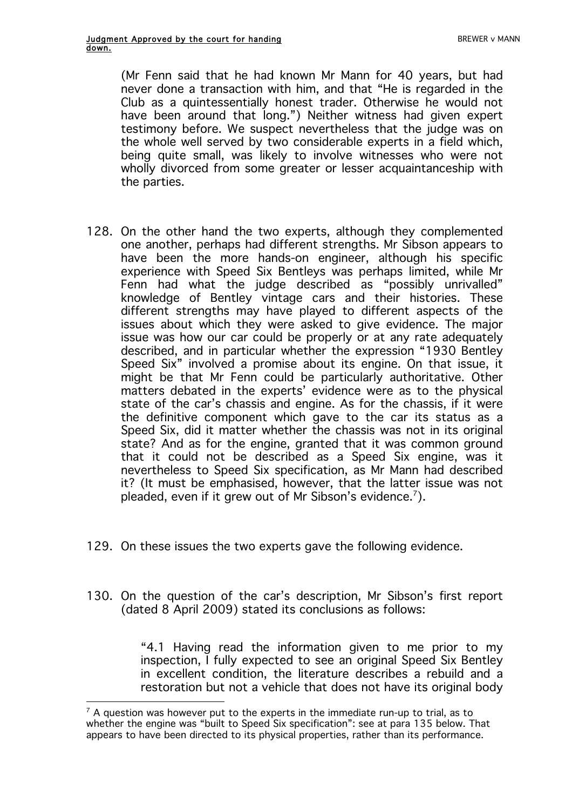(Mr Fenn said that he had known Mr Mann for 40 years, but had never done a transaction with him, and that "He is regarded in the Club as a quintessentially honest trader. Otherwise he would not have been around that long.") Neither witness had given expert testimony before. We suspect nevertheless that the judge was on the whole well served by two considerable experts in a field which, being quite small, was likely to involve witnesses who were not wholly divorced from some greater or lesser acquaintanceship with the parties.

- 128. On the other hand the two experts, although they complemented one another, perhaps had different strengths. Mr Sibson appears to have been the more hands-on engineer, although his specific experience with Speed Six Bentleys was perhaps limited, while Mr Fenn had what the judge described as "possibly unrivalled" knowledge of Bentley vintage cars and their histories. These different strengths may have played to different aspects of the issues about which they were asked to give evidence. The major issue was how our car could be properly or at any rate adequately described, and in particular whether the expression "1930 Bentley Speed Six" involved a promise about its engine. On that issue, it might be that Mr Fenn could be particularly authoritative. Other matters debated in the experts' evidence were as to the physical state of the car's chassis and engine. As for the chassis, if it were the definitive component which gave to the car its status as a Speed Six, did it matter whether the chassis was not in its original state? And as for the engine, granted that it was common ground that it could not be described as a Speed Six engine, was it nevertheless to Speed Six specification, as Mr Mann had described it? (It must be emphasised, however, that the latter issue was not pleaded, even if it grew out of Mr Sibson's evidence. $^7$ ).
- 129. On these issues the two experts gave the following evidence.
- 130. On the question of the car's description, Mr Sibson's first report (dated 8 April 2009) stated its conclusions as follows:

"4.1 Having read the information given to me prior to my inspection, I fully expected to see an original Speed Six Bentley in excellent condition, the literature describes a rebuild and a restoration but not a vehicle that does not have its original body

 $\overline{a}$  $7$  A question was however put to the experts in the immediate run-up to trial, as to whether the engine was "built to Speed Six specification": see at para 135 below. That appears to have been directed to its physical properties, rather than its performance.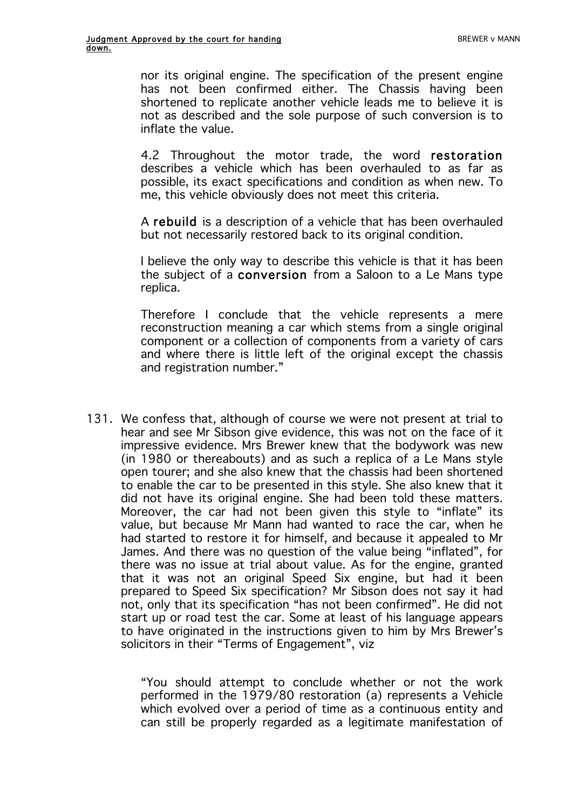nor its original engine. The specification of the present engine has not been confirmed either. The Chassis having been shortened to replicate another vehicle leads me to believe it is not as described and the sole purpose of such conversion is to inflate the value.

4.2 Throughout the motor trade, the word restoration describes a vehicle which has been overhauled to as far as possible, its exact specifications and condition as when new. To me, this vehicle obviously does not meet this criteria.

A rebuild is a description of a vehicle that has been overhauled but not necessarily restored back to its original condition.

I believe the only way to describe this vehicle is that it has been the subject of a conversion from a Saloon to a Le Mans type replica.

Therefore I conclude that the vehicle represents a mere reconstruction meaning a car which stems from a single original component or a collection of components from a variety of cars and where there is little left of the original except the chassis and registration number."

131. We confess that, although of course we were not present at trial to hear and see Mr Sibson give evidence, this was not on the face of it impressive evidence. Mrs Brewer knew that the bodywork was new (in 1980 or thereabouts) and as such a replica of a Le Mans style open tourer; and she also knew that the chassis had been shortened to enable the car to be presented in this style. She also knew that it did not have its original engine. She had been told these matters. Moreover, the car had not been given this style to "inflate" its value, but because Mr Mann had wanted to race the car, when he had started to restore it for himself, and because it appealed to Mr James. And there was no question of the value being "inflated", for there was no issue at trial about value. As for the engine, granted that it was not an original Speed Six engine, but had it been prepared to Speed Six specification? Mr Sibson does not say it had not, only that its specification "has not been confirmed". He did not start up or road test the car. Some at least of his language appears to have originated in the instructions given to him by Mrs Brewer's solicitors in their "Terms of Engagement", viz

> "You should attempt to conclude whether or not the work performed in the 1979/80 restoration (a) represents a Vehicle which evolved over a period of time as a continuous entity and can still be properly regarded as a legitimate manifestation of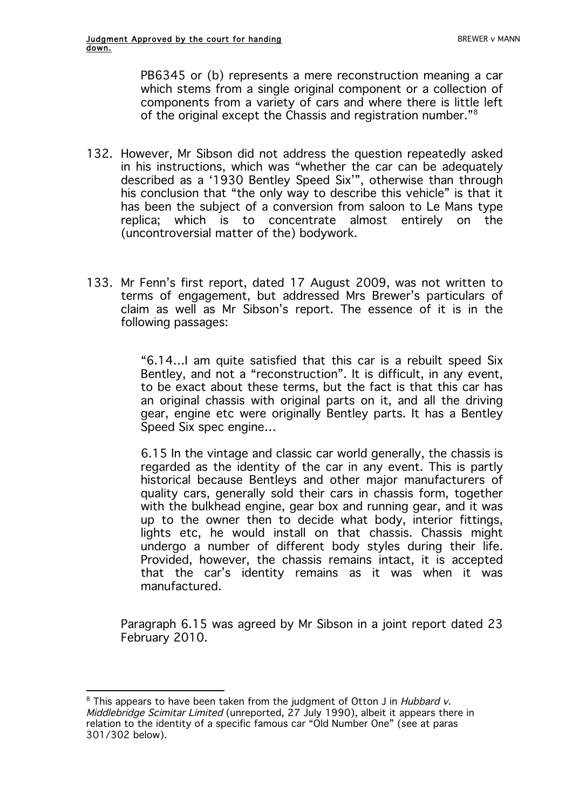PB6345 or (b) represents a mere reconstruction meaning a car which stems from a single original component or a collection of components from a variety of cars and where there is little left of the original except the Chassis and registration number."8

- 132. However, Mr Sibson did not address the question repeatedly asked in his instructions, which was "whether the car can be adequately described as a '1930 Bentley Speed Six'", otherwise than through his conclusion that "the only way to describe this vehicle" is that it has been the subject of a conversion from saloon to Le Mans type replica; which is to concentrate almost entirely on the (uncontroversial matter of the) bodywork.
- 133. Mr Fenn's first report, dated 17 August 2009, was not written to terms of engagement, but addressed Mrs Brewer's particulars of claim as well as Mr Sibson's report. The essence of it is in the following passages:

"6.14…I am quite satisfied that this car is a rebuilt speed Six Bentley, and not a "reconstruction". It is difficult, in any event, to be exact about these terms, but the fact is that this car has an original chassis with original parts on it, and all the driving gear, engine etc were originally Bentley parts. It has a Bentley Speed Six spec engine…

6.15 In the vintage and classic car world generally, the chassis is regarded as the identity of the car in any event. This is partly historical because Bentleys and other major manufacturers of quality cars, generally sold their cars in chassis form, together with the bulkhead engine, gear box and running gear, and it was up to the owner then to decide what body, interior fittings, lights etc, he would install on that chassis. Chassis might undergo a number of different body styles during their life. Provided, however, the chassis remains intact, it is accepted that the car's identity remains as it was when it was manufactured.

Paragraph 6.15 was agreed by Mr Sibson in a joint report dated 23 February 2010.

 $\overline{a}$  $8$  This appears to have been taken from the judgment of Otton J in Hubbard v. Middlebridge Scimitar Limited (unreported, 27 July 1990), albeit it appears there in relation to the identity of a specific famous car "Old Number One" (see at paras 301/302 below).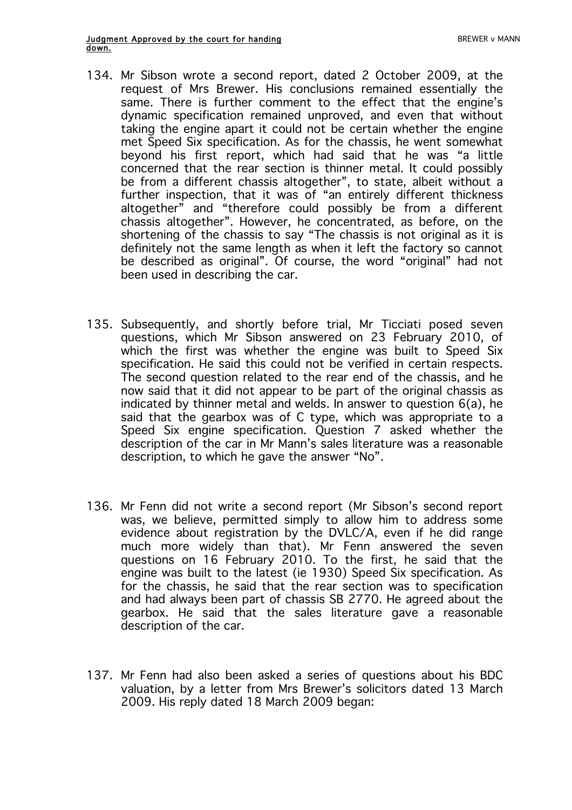- 134. Mr Sibson wrote a second report, dated 2 October 2009, at the request of Mrs Brewer. His conclusions remained essentially the same. There is further comment to the effect that the engine's dynamic specification remained unproved, and even that without taking the engine apart it could not be certain whether the engine met Speed Six specification. As for the chassis, he went somewhat beyond his first report, which had said that he was "a little concerned that the rear section is thinner metal. It could possibly be from a different chassis altogether", to state, albeit without a further inspection, that it was of "an entirely different thickness altogether" and "therefore could possibly be from a different chassis altogether". However, he concentrated, as before, on the shortening of the chassis to say "The chassis is not original as it is definitely not the same length as when it left the factory so cannot be described as original". Of course, the word "original" had not been used in describing the car.
- 135. Subsequently, and shortly before trial, Mr Ticciati posed seven questions, which Mr Sibson answered on 23 February 2010, of which the first was whether the engine was built to Speed Six specification. He said this could not be verified in certain respects. The second question related to the rear end of the chassis, and he now said that it did not appear to be part of the original chassis as indicated by thinner metal and welds. In answer to question 6(a), he said that the gearbox was of C type, which was appropriate to a Speed Six engine specification. Question 7 asked whether the description of the car in Mr Mann's sales literature was a reasonable description, to which he gave the answer "No".
- 136. Mr Fenn did not write a second report (Mr Sibson's second report was, we believe, permitted simply to allow him to address some evidence about registration by the DVLC/A, even if he did range much more widely than that). Mr Fenn answered the seven questions on 16 February 2010. To the first, he said that the engine was built to the latest (ie 1930) Speed Six specification. As for the chassis, he said that the rear section was to specification and had always been part of chassis SB 2770. He agreed about the gearbox. He said that the sales literature gave a reasonable description of the car.
- 137. Mr Fenn had also been asked a series of questions about his BDC valuation, by a letter from Mrs Brewer's solicitors dated 13 March 2009. His reply dated 18 March 2009 began: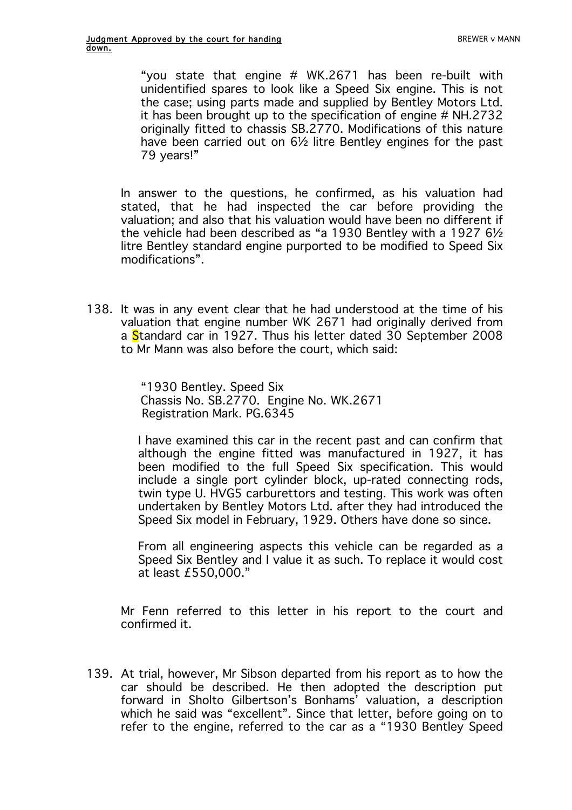"you state that engine # WK.2671 has been re-built with unidentified spares to look like a Speed Six engine. This is not the case; using parts made and supplied by Bentley Motors Ltd. it has been brought up to the specification of engine # NH.2732 originally fitted to chassis SB.2770. Modifications of this nature have been carried out on 6½ litre Bentley engines for the past 79 years!"

In answer to the questions, he confirmed, as his valuation had stated, that he had inspected the car before providing the valuation; and also that his valuation would have been no different if the vehicle had been described as "a 1930 Bentley with a 1927 6½ litre Bentley standard engine purported to be modified to Speed Six modifications".

138. It was in any event clear that he had understood at the time of his valuation that engine number WK 2671 had originally derived from a Standard car in 1927. Thus his letter dated 30 September 2008 to Mr Mann was also before the court, which said:

> "1930 Bentley. Speed Six Chassis No. SB.2770. Engine No. WK.2671 Registration Mark. PG.6345

I have examined this car in the recent past and can confirm that although the engine fitted was manufactured in 1927, it has been modified to the full Speed Six specification. This would include a single port cylinder block, up-rated connecting rods, twin type U. HVG5 carburettors and testing. This work was often undertaken by Bentley Motors Ltd. after they had introduced the Speed Six model in February, 1929. Others have done so since.

From all engineering aspects this vehicle can be regarded as a Speed Six Bentley and I value it as such. To replace it would cost at least £550,000."

Mr Fenn referred to this letter in his report to the court and confirmed it.

139. At trial, however, Mr Sibson departed from his report as to how the car should be described. He then adopted the description put forward in Sholto Gilbertson's Bonhams' valuation, a description which he said was "excellent". Since that letter, before going on to refer to the engine, referred to the car as a "1930 Bentley Speed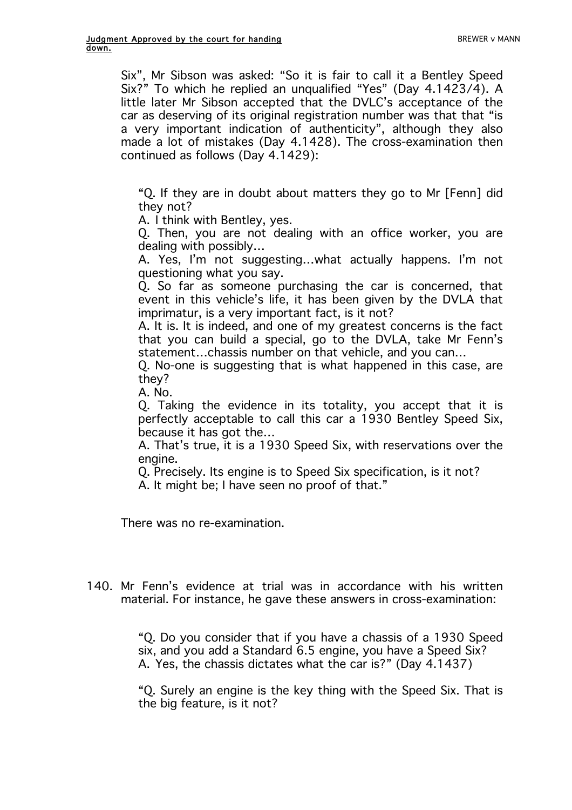Six", Mr Sibson was asked: "So it is fair to call it a Bentley Speed Six?" To which he replied an unqualified "Yes" (Day 4.1423/4). A little later Mr Sibson accepted that the DVLC's acceptance of the car as deserving of its original registration number was that that "is a very important indication of authenticity", although they also made a lot of mistakes (Day 4.1428). The cross-examination then continued as follows (Day 4.1429):

"Q. If they are in doubt about matters they go to Mr [Fenn] did they not?

A. I think with Bentley, yes.

Q. Then, you are not dealing with an office worker, you are dealing with possibly…

A. Yes, I'm not suggesting…what actually happens. I'm not questioning what you say.

Q. So far as someone purchasing the car is concerned, that event in this vehicle's life, it has been given by the DVLA that imprimatur, is a very important fact, is it not?

A. It is. It is indeed, and one of my greatest concerns is the fact that you can build a special, go to the DVLA, take Mr Fenn's statement…chassis number on that vehicle, and you can…

Q. No-one is suggesting that is what happened in this case, are they?

A. No.

Q. Taking the evidence in its totality, you accept that it is perfectly acceptable to call this car a 1930 Bentley Speed Six, because it has got the…

A. That's true, it is a 1930 Speed Six, with reservations over the engine.

Q. Precisely. Its engine is to Speed Six specification, is it not?

A. It might be; I have seen no proof of that."

There was no re-examination.

140. Mr Fenn's evidence at trial was in accordance with his written material. For instance, he gave these answers in cross-examination:

> "Q. Do you consider that if you have a chassis of a 1930 Speed six, and you add a Standard 6.5 engine, you have a Speed Six? A. Yes, the chassis dictates what the car is?" (Day 4.1437)

> "Q. Surely an engine is the key thing with the Speed Six. That is the big feature, is it not?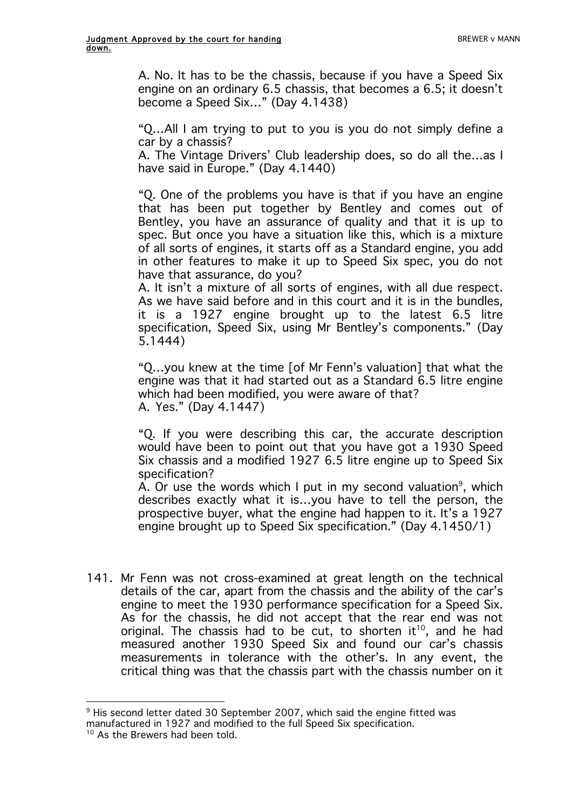A. No. It has to be the chassis, because if you have a Speed Six engine on an ordinary 6.5 chassis, that becomes a 6.5; it doesn't become a Speed Six…" (Day 4.1438)

"Q…All I am trying to put to you is you do not simply define a car by a chassis?

A. The Vintage Drivers' Club leadership does, so do all the…as I have said in Europe." (Day 4.1440)

"Q. One of the problems you have is that if you have an engine that has been put together by Bentley and comes out of Bentley, you have an assurance of quality and that it is up to spec. But once you have a situation like this, which is a mixture of all sorts of engines, it starts off as a Standard engine, you add in other features to make it up to Speed Six spec, you do not have that assurance, do you?

A. It isn't a mixture of all sorts of engines, with all due respect. As we have said before and in this court and it is in the bundles, it is a 1927 engine brought up to the latest 6.5 litre specification, Speed Six, using Mr Bentley's components." (Day 5.1444)

"Q…you knew at the time [of Mr Fenn's valuation] that what the engine was that it had started out as a Standard 6.5 litre engine which had been modified, you were aware of that? A. Yes." (Day 4.1447)

"Q. If you were describing this car, the accurate description would have been to point out that you have got a 1930 Speed Six chassis and a modified 1927 6.5 litre engine up to Speed Six specification?

A. Or use the words which I put in my second valuation<sup>9</sup>, which describes exactly what it is…you have to tell the person, the prospective buyer, what the engine had happen to it. It's a 1927 engine brought up to Speed Six specification." (Day 4.1450/1)

141. Mr Fenn was not cross-examined at great length on the technical details of the car, apart from the chassis and the ability of the car's engine to meet the 1930 performance specification for a Speed Six. As for the chassis, he did not accept that the rear end was not original. The chassis had to be cut, to shorten it<sup>10</sup>, and he had measured another 1930 Speed Six and found our car's chassis measurements in tolerance with the other's. In any event, the critical thing was that the chassis part with the chassis number on it

 $\overline{a}$ <sup>9</sup> His second letter dated 30 September 2007, which said the engine fitted was manufactured in 1927 and modified to the full Speed Six specification.

 $10$  As the Brewers had been told.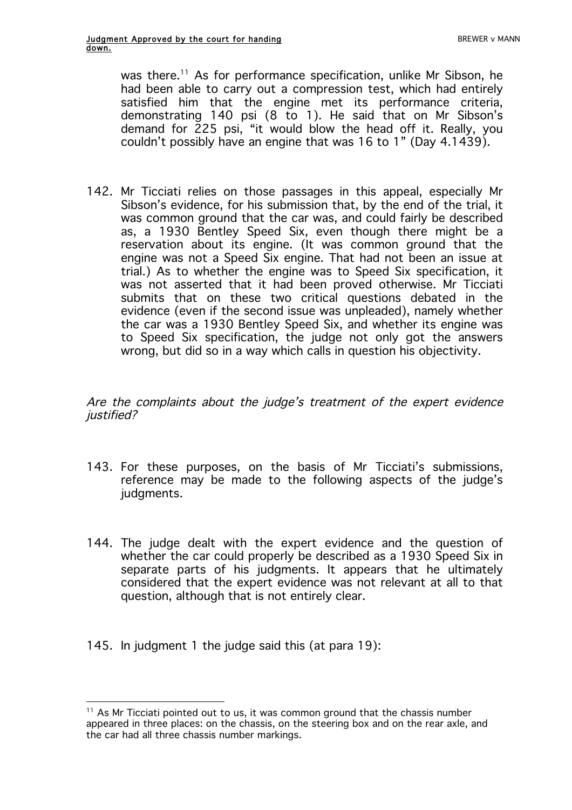was there.<sup>11</sup> As for performance specification, unlike Mr Sibson, he had been able to carry out a compression test, which had entirely satisfied him that the engine met its performance criteria, demonstrating 140 psi (8 to 1). He said that on Mr Sibson's demand for 225 psi, "it would blow the head off it. Really, you couldn't possibly have an engine that was 16 to 1" (Day 4.1439).

142. Mr Ticciati relies on those passages in this appeal, especially Mr Sibson's evidence, for his submission that, by the end of the trial, it was common ground that the car was, and could fairly be described as, a 1930 Bentley Speed Six, even though there might be a reservation about its engine. (It was common ground that the engine was not a Speed Six engine. That had not been an issue at trial.) As to whether the engine was to Speed Six specification, it was not asserted that it had been proved otherwise. Mr Ticciati submits that on these two critical questions debated in the evidence (even if the second issue was unpleaded), namely whether the car was a 1930 Bentley Speed Six, and whether its engine was to Speed Six specification, the judge not only got the answers wrong, but did so in a way which calls in question his objectivity.

Are the complaints about the judge's treatment of the expert evidence justified?

- 143. For these purposes, on the basis of Mr Ticciati's submissions, reference may be made to the following aspects of the judge's judgments.
- 144. The judge dealt with the expert evidence and the question of whether the car could properly be described as a 1930 Speed Six in separate parts of his judgments. It appears that he ultimately considered that the expert evidence was not relevant at all to that question, although that is not entirely clear.
- 145. In judgment 1 the judge said this (at para 19):

 $\overline{a}$  $11$  As Mr Ticciati pointed out to us, it was common ground that the chassis number appeared in three places: on the chassis, on the steering box and on the rear axle, and the car had all three chassis number markings.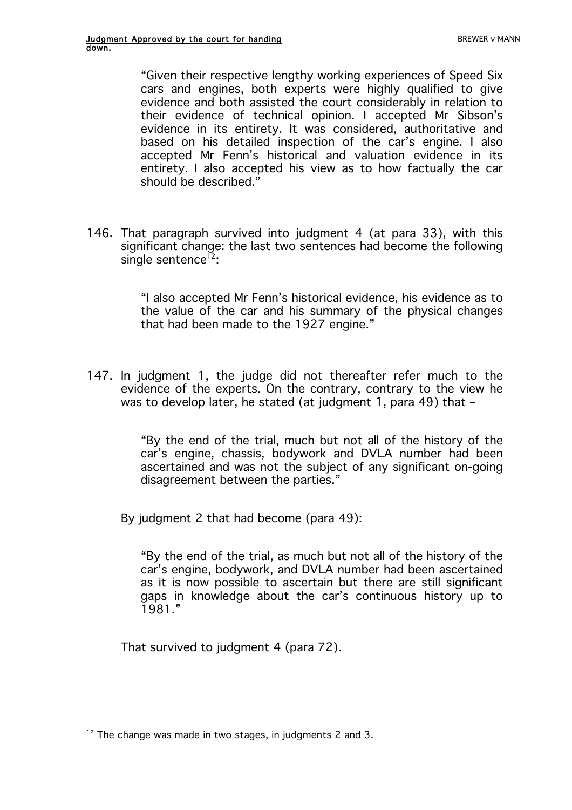"Given their respective lengthy working experiences of Speed Six cars and engines, both experts were highly qualified to give evidence and both assisted the court considerably in relation to their evidence of technical opinion. I accepted Mr Sibson's evidence in its entirety. It was considered, authoritative and based on his detailed inspection of the car's engine. I also accepted Mr Fenn's historical and valuation evidence in its entirety. I also accepted his view as to how factually the car should be described."

146. That paragraph survived into judgment 4 (at para 33), with this significant change: the last two sentences had become the following single sentence<sup>12</sup>:

> "I also accepted Mr Fenn's historical evidence, his evidence as to the value of the car and his summary of the physical changes that had been made to the 1927 engine."

147. In judgment 1, the judge did not thereafter refer much to the evidence of the experts. On the contrary, contrary to the view he was to develop later, he stated (at judgment 1, para 49) that –

> "By the end of the trial, much but not all of the history of the car's engine, chassis, bodywork and DVLA number had been ascertained and was not the subject of any significant on-going disagreement between the parties."

By judgment 2 that had become (para 49):

"By the end of the trial, as much but not all of the history of the car's engine, bodywork, and DVLA number had been ascertained as it is now possible to ascertain but there are still significant gaps in knowledge about the car's continuous history up to 1981."

That survived to judgment 4 (para 72).

 $\overline{a}$  $12$  The change was made in two stages, in judgments 2 and 3.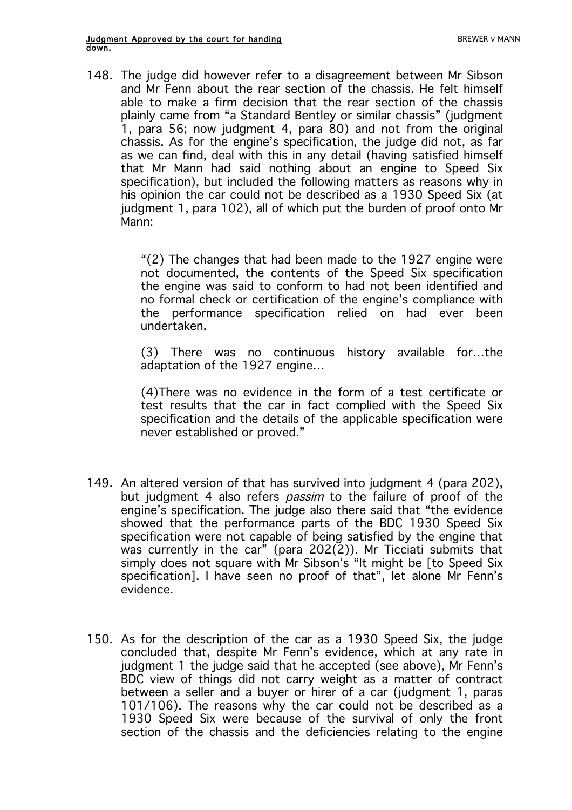148. The judge did however refer to a disagreement between Mr Sibson and Mr Fenn about the rear section of the chassis. He felt himself able to make a firm decision that the rear section of the chassis plainly came from "a Standard Bentley or similar chassis" (judgment 1, para 56; now judgment 4, para 80) and not from the original chassis. As for the engine's specification, the judge did not, as far as we can find, deal with this in any detail (having satisfied himself that Mr Mann had said nothing about an engine to Speed Six specification), but included the following matters as reasons why in his opinion the car could not be described as a 1930 Speed Six (at judgment 1, para 102), all of which put the burden of proof onto Mr Mann:

> "(2) The changes that had been made to the 1927 engine were not documented, the contents of the Speed Six specification the engine was said to conform to had not been identified and no formal check or certification of the engine's compliance with the performance specification relied on had ever been undertaken.

> (3) There was no continuous history available for…the adaptation of the 1927 engine…

> (4)There was no evidence in the form of a test certificate or test results that the car in fact complied with the Speed Six specification and the details of the applicable specification were never established or proved."

- 149. An altered version of that has survived into judgment 4 (para 202), but judgment 4 also refers *passim* to the failure of proof of the engine's specification. The judge also there said that "the evidence showed that the performance parts of the BDC 1930 Speed Six specification were not capable of being satisfied by the engine that was currently in the car" (para  $202(2)$ ). Mr Ticciati submits that simply does not square with Mr Sibson's "It might be Ito Speed Six specification]. I have seen no proof of that", let alone Mr Fenn's evidence.
- 150. As for the description of the car as a 1930 Speed Six, the judge concluded that, despite Mr Fenn's evidence, which at any rate in judgment 1 the judge said that he accepted (see above), Mr Fenn's BDC view of things did not carry weight as a matter of contract between a seller and a buyer or hirer of a car (judgment 1, paras 101/106). The reasons why the car could not be described as a 1930 Speed Six were because of the survival of only the front section of the chassis and the deficiencies relating to the engine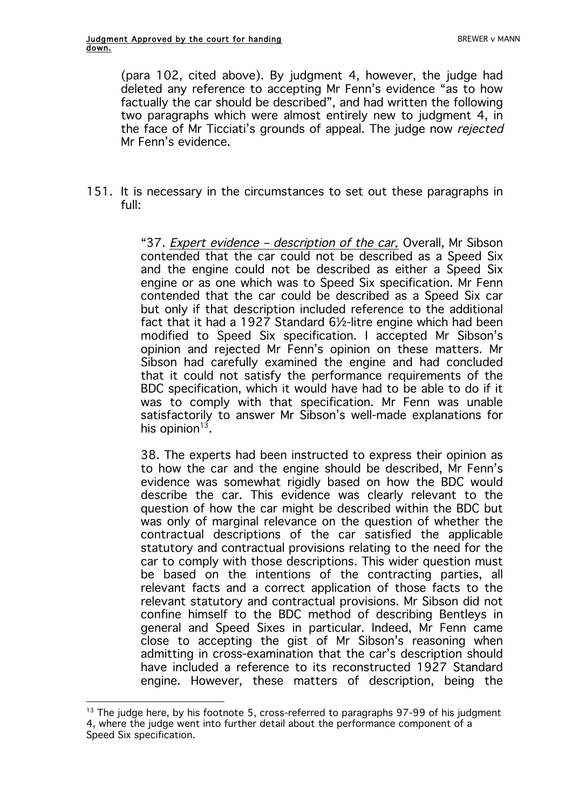(para 102, cited above). By judgment 4, however, the judge had deleted any reference to accepting Mr Fenn's evidence "as to how factually the car should be described", and had written the following two paragraphs which were almost entirely new to judgment 4, in the face of Mr Ticciati's grounds of appeal. The judge now rejected Mr Fenn's evidence.

151. It is necessary in the circumstances to set out these paragraphs in full:

> "37. Expert evidence – description of the car. Overall, Mr Sibson contended that the car could not be described as a Speed Six and the engine could not be described as either a Speed Six engine or as one which was to Speed Six specification. Mr Fenn contended that the car could be described as a Speed Six car but only if that description included reference to the additional fact that it had a 1927 Standard 6½-litre engine which had been modified to Speed Six specification. I accepted Mr Sibson's opinion and rejected Mr Fenn's opinion on these matters. Mr Sibson had carefully examined the engine and had concluded that it could not satisfy the performance requirements of the BDC specification, which it would have had to be able to do if it was to comply with that specification. Mr Fenn was unable satisfactorily to answer Mr Sibson's well-made explanations for his opinion $13$ .

> 38. The experts had been instructed to express their opinion as to how the car and the engine should be described, Mr Fenn's evidence was somewhat rigidly based on how the BDC would describe the car. This evidence was clearly relevant to the question of how the car might be described within the BDC but was only of marginal relevance on the question of whether the contractual descriptions of the car satisfied the applicable statutory and contractual provisions relating to the need for the car to comply with those descriptions. This wider question must be based on the intentions of the contracting parties, all relevant facts and a correct application of those facts to the relevant statutory and contractual provisions. Mr Sibson did not confine himself to the BDC method of describing Bentleys in general and Speed Sixes in particular. Indeed, Mr Fenn came close to accepting the gist of Mr Sibson's reasoning when admitting in cross-examination that the car's description should have included a reference to its reconstructed 1927 Standard engine. However, these matters of description, being the

 $\overline{a}$  $13$  The judge here, by his footnote 5, cross-referred to paragraphs 97-99 of his judgment 4, where the judge went into further detail about the performance component of a Speed Six specification.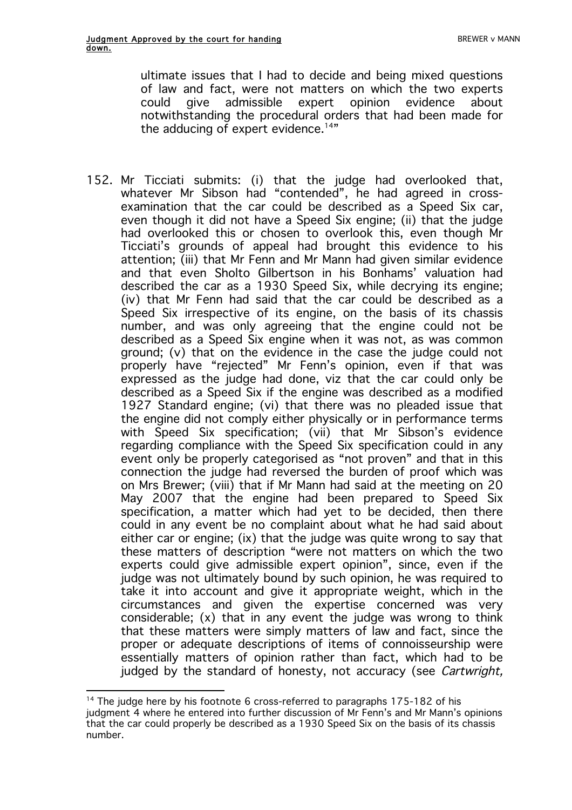ultimate issues that I had to decide and being mixed questions of law and fact, were not matters on which the two experts could give admissible expert opinion evidence about notwithstanding the procedural orders that had been made for the adducing of expert evidence.<sup>14"</sup>

152. Mr Ticciati submits: (i) that the judge had overlooked that, whatever Mr Sibson had "contended", he had agreed in crossexamination that the car could be described as a Speed Six car, even though it did not have a Speed Six engine; (ii) that the judge had overlooked this or chosen to overlook this, even though Mr Ticciati's grounds of appeal had brought this evidence to his attention; (iii) that Mr Fenn and Mr Mann had given similar evidence and that even Sholto Gilbertson in his Bonhams' valuation had described the car as a 1930 Speed Six, while decrying its engine; (iv) that Mr Fenn had said that the car could be described as a Speed Six irrespective of its engine, on the basis of its chassis number, and was only agreeing that the engine could not be described as a Speed Six engine when it was not, as was common ground; (v) that on the evidence in the case the judge could not properly have "rejected" Mr Fenn's opinion, even if that was expressed as the judge had done, viz that the car could only be described as a Speed Six if the engine was described as a modified 1927 Standard engine; (vi) that there was no pleaded issue that the engine did not comply either physically or in performance terms with Speed Six specification; (vii) that Mr Sibson's evidence regarding compliance with the Speed Six specification could in any event only be properly categorised as "not proven" and that in this connection the judge had reversed the burden of proof which was on Mrs Brewer; (viii) that if Mr Mann had said at the meeting on 20 May 2007 that the engine had been prepared to Speed Six specification, a matter which had yet to be decided, then there could in any event be no complaint about what he had said about either car or engine; (ix) that the judge was quite wrong to say that these matters of description "were not matters on which the two experts could give admissible expert opinion", since, even if the judge was not ultimately bound by such opinion, he was required to take it into account and give it appropriate weight, which in the circumstances and given the expertise concerned was very considerable; (x) that in any event the judge was wrong to think that these matters were simply matters of law and fact, since the proper or adequate descriptions of items of connoisseurship were essentially matters of opinion rather than fact, which had to be judged by the standard of honesty, not accuracy (see Cartwright,

 $\overline{a}$ 

<sup>&</sup>lt;sup>14</sup> The judge here by his footnote 6 cross-referred to paragraphs 175-182 of his judgment 4 where he entered into further discussion of Mr Fenn's and Mr Mann's opinions that the car could properly be described as a 1930 Speed Six on the basis of its chassis number.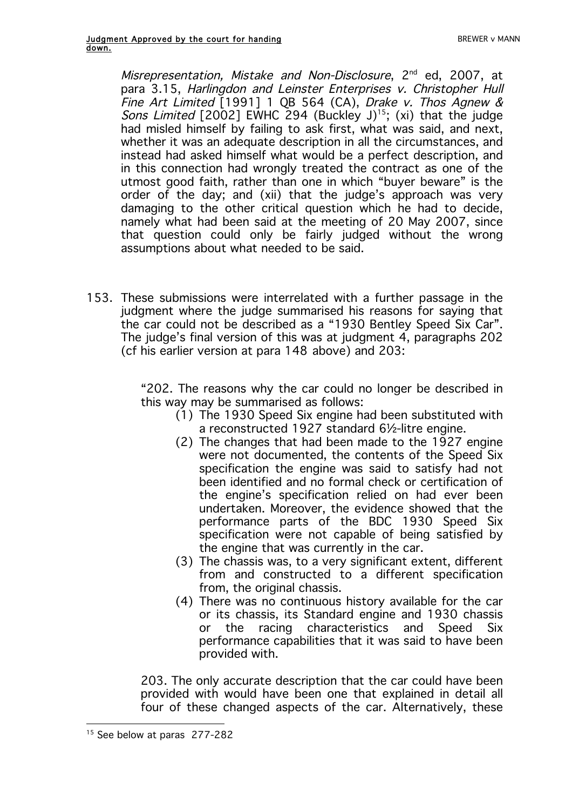Misrepresentation, Mistake and Non-Disclosure, 2<sup>nd</sup> ed, 2007, at para 3.15, Harlingdon and Leinster Enterprises v. Christopher Hull Fine Art Limited [1991] 1 QB 564 (CA), Drake v. Thos Agnew & Sons Limited  $[2002]$  EWHC 294 (Buckley J)<sup>15</sup>; (xi) that the judge had misled himself by failing to ask first, what was said, and next, whether it was an adequate description in all the circumstances, and instead had asked himself what would be a perfect description, and in this connection had wrongly treated the contract as one of the utmost good faith, rather than one in which "buyer beware" is the order of the day; and (xii) that the judge's approach was very damaging to the other critical question which he had to decide, namely what had been said at the meeting of 20 May 2007, since that question could only be fairly judged without the wrong assumptions about what needed to be said.

153. These submissions were interrelated with a further passage in the judgment where the judge summarised his reasons for saying that the car could not be described as a "1930 Bentley Speed Six Car". The judge's final version of this was at judgment 4, paragraphs 202 (cf his earlier version at para 148 above) and 203:

> "202. The reasons why the car could no longer be described in this way may be summarised as follows:

- (1) The 1930 Speed Six engine had been substituted with a reconstructed 1927 standard 6½-litre engine.
- (2) The changes that had been made to the 1927 engine were not documented, the contents of the Speed Six specification the engine was said to satisfy had not been identified and no formal check or certification of the engine's specification relied on had ever been undertaken. Moreover, the evidence showed that the performance parts of the BDC 1930 Speed Six specification were not capable of being satisfied by the engine that was currently in the car.
- (3) The chassis was, to a very significant extent, different from and constructed to a different specification from, the original chassis.
- (4) There was no continuous history available for the car or its chassis, its Standard engine and 1930 chassis or the racing characteristics and Speed Six performance capabilities that it was said to have been provided with.

203. The only accurate description that the car could have been provided with would have been one that explained in detail all four of these changed aspects of the car. Alternatively, these

 $\overline{a}$ <sup>15</sup> See below at paras 277-282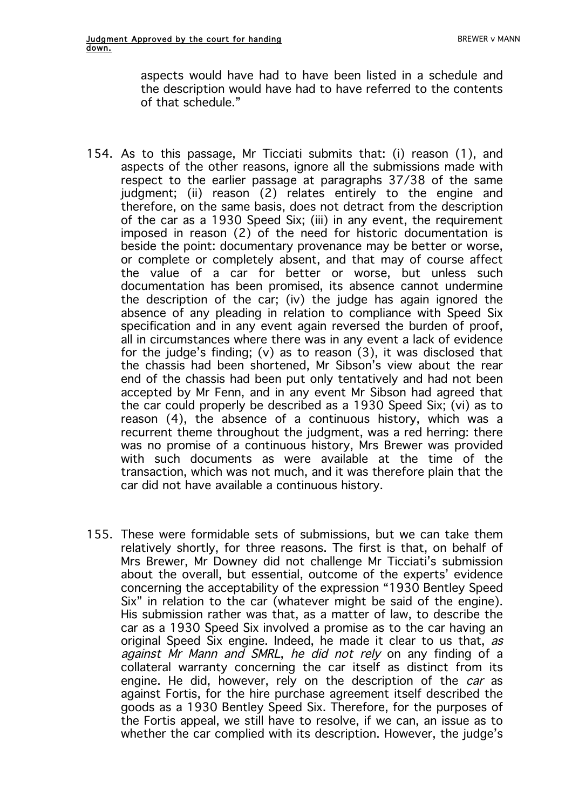aspects would have had to have been listed in a schedule and the description would have had to have referred to the contents of that schedule."

- 154. As to this passage, Mr Ticciati submits that: (i) reason (1), and aspects of the other reasons, ignore all the submissions made with respect to the earlier passage at paragraphs 37/38 of the same judgment; (ii) reason (2) relates entirely to the engine and therefore, on the same basis, does not detract from the description of the car as a 1930 Speed Six; (iii) in any event, the requirement imposed in reason (2) of the need for historic documentation is beside the point: documentary provenance may be better or worse, or complete or completely absent, and that may of course affect the value of a car for better or worse, but unless such documentation has been promised, its absence cannot undermine the description of the car; (iv) the judge has again ignored the absence of any pleading in relation to compliance with Speed Six specification and in any event again reversed the burden of proof, all in circumstances where there was in any event a lack of evidence for the judge's finding; (y) as to reason  $(3)$ , it was disclosed that the chassis had been shortened, Mr Sibson's view about the rear end of the chassis had been put only tentatively and had not been accepted by Mr Fenn, and in any event Mr Sibson had agreed that the car could properly be described as a 1930 Speed Six; (vi) as to reason (4), the absence of a continuous history, which was a recurrent theme throughout the judgment, was a red herring: there was no promise of a continuous history, Mrs Brewer was provided with such documents as were available at the time of the transaction, which was not much, and it was therefore plain that the car did not have available a continuous history.
- 155. These were formidable sets of submissions, but we can take them relatively shortly, for three reasons. The first is that, on behalf of Mrs Brewer, Mr Downey did not challenge Mr Ticciati's submission about the overall, but essential, outcome of the experts' evidence concerning the acceptability of the expression "1930 Bentley Speed Six" in relation to the car (whatever might be said of the engine). His submission rather was that, as a matter of law, to describe the car as a 1930 Speed Six involved a promise as to the car having an original Speed Six engine. Indeed, he made it clear to us that, as against Mr Mann and SMRL, he did not rely on any finding of a collateral warranty concerning the car itself as distinct from its engine. He did, however, rely on the description of the *car* as against Fortis, for the hire purchase agreement itself described the goods as a 1930 Bentley Speed Six. Therefore, for the purposes of the Fortis appeal, we still have to resolve, if we can, an issue as to whether the car complied with its description. However, the judge's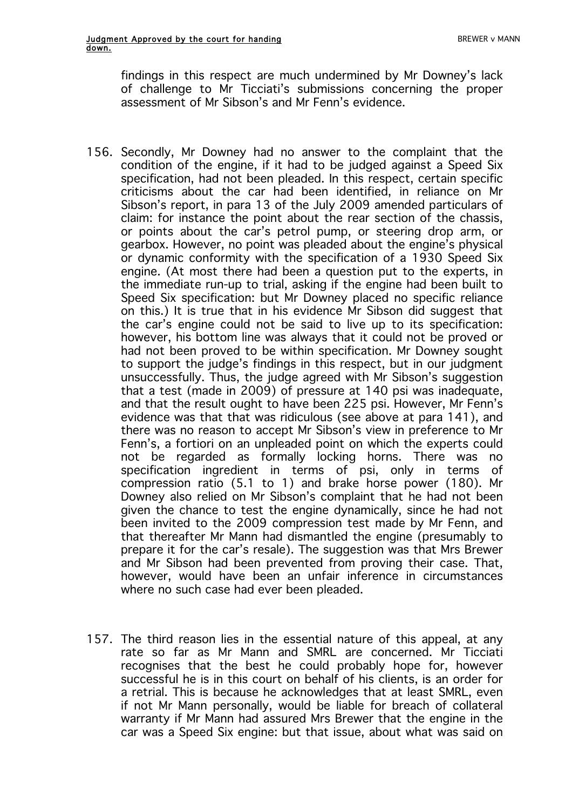findings in this respect are much undermined by Mr Downey's lack of challenge to Mr Ticciati's submissions concerning the proper assessment of Mr Sibson's and Mr Fenn's evidence.

- 156. Secondly, Mr Downey had no answer to the complaint that the condition of the engine, if it had to be judged against a Speed Six specification, had not been pleaded. In this respect, certain specific criticisms about the car had been identified, in reliance on Mr Sibson's report, in para 13 of the July 2009 amended particulars of claim: for instance the point about the rear section of the chassis, or points about the car's petrol pump, or steering drop arm, or gearbox. However, no point was pleaded about the engine's physical or dynamic conformity with the specification of a 1930 Speed Six engine. (At most there had been a question put to the experts, in the immediate run-up to trial, asking if the engine had been built to Speed Six specification: but Mr Downey placed no specific reliance on this.) It is true that in his evidence Mr Sibson did suggest that the car's engine could not be said to live up to its specification: however, his bottom line was always that it could not be proved or had not been proved to be within specification. Mr Downey sought to support the judge's findings in this respect, but in our judgment unsuccessfully. Thus, the judge agreed with Mr Sibson's suggestion that a test (made in 2009) of pressure at 140 psi was inadequate, and that the result ought to have been 225 psi. However, Mr Fenn's evidence was that that was ridiculous (see above at para 141), and there was no reason to accept Mr Sibson's view in preference to Mr Fenn's, a fortiori on an unpleaded point on which the experts could not be regarded as formally locking horns. There was no specification ingredient in terms of psi, only in terms of compression ratio (5.1 to 1) and brake horse power (180). Mr Downey also relied on Mr Sibson's complaint that he had not been given the chance to test the engine dynamically, since he had not been invited to the 2009 compression test made by Mr Fenn, and that thereafter Mr Mann had dismantled the engine (presumably to prepare it for the car's resale). The suggestion was that Mrs Brewer and Mr Sibson had been prevented from proving their case. That, however, would have been an unfair inference in circumstances where no such case had ever been pleaded.
- 157. The third reason lies in the essential nature of this appeal, at any rate so far as Mr Mann and SMRL are concerned. Mr Ticciati recognises that the best he could probably hope for, however successful he is in this court on behalf of his clients, is an order for a retrial. This is because he acknowledges that at least SMRL, even if not Mr Mann personally, would be liable for breach of collateral warranty if Mr Mann had assured Mrs Brewer that the engine in the car was a Speed Six engine: but that issue, about what was said on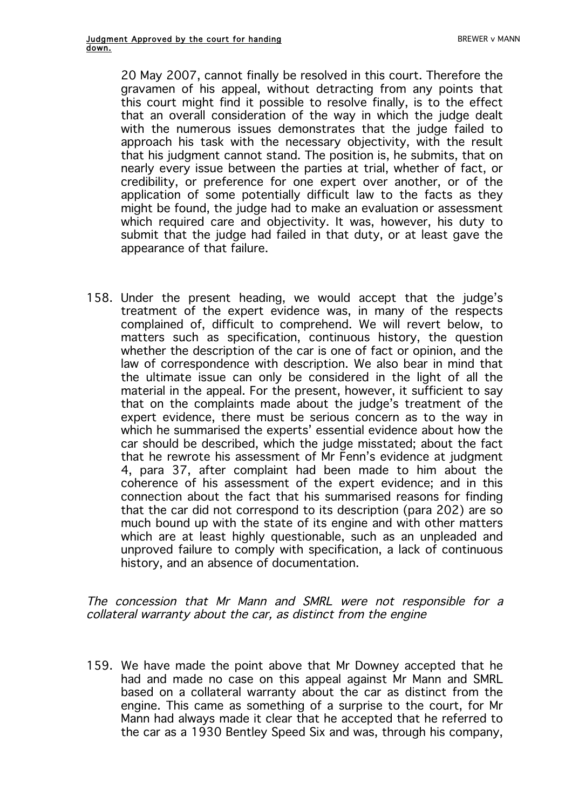20 May 2007, cannot finally be resolved in this court. Therefore the gravamen of his appeal, without detracting from any points that this court might find it possible to resolve finally, is to the effect that an overall consideration of the way in which the judge dealt with the numerous issues demonstrates that the judge failed to approach his task with the necessary objectivity, with the result that his judgment cannot stand. The position is, he submits, that on nearly every issue between the parties at trial, whether of fact, or credibility, or preference for one expert over another, or of the application of some potentially difficult law to the facts as they might be found, the judge had to make an evaluation or assessment which required care and objectivity. It was, however, his duty to submit that the judge had failed in that duty, or at least gave the appearance of that failure.

158. Under the present heading, we would accept that the judge's treatment of the expert evidence was, in many of the respects complained of, difficult to comprehend. We will revert below, to matters such as specification, continuous history, the question whether the description of the car is one of fact or opinion, and the law of correspondence with description. We also bear in mind that the ultimate issue can only be considered in the light of all the material in the appeal. For the present, however, it sufficient to say that on the complaints made about the judge's treatment of the expert evidence, there must be serious concern as to the way in which he summarised the experts' essential evidence about how the car should be described, which the judge misstated; about the fact that he rewrote his assessment of Mr Fenn's evidence at judgment 4, para 37, after complaint had been made to him about the coherence of his assessment of the expert evidence; and in this connection about the fact that his summarised reasons for finding that the car did not correspond to its description (para 202) are so much bound up with the state of its engine and with other matters which are at least highly questionable, such as an unpleaded and unproved failure to comply with specification, a lack of continuous history, and an absence of documentation.

The concession that Mr Mann and SMRL were not responsible for a collateral warranty about the car, as distinct from the engine

159. We have made the point above that Mr Downey accepted that he had and made no case on this appeal against Mr Mann and SMRL based on a collateral warranty about the car as distinct from the engine. This came as something of a surprise to the court, for Mr Mann had always made it clear that he accepted that he referred to the car as a 1930 Bentley Speed Six and was, through his company,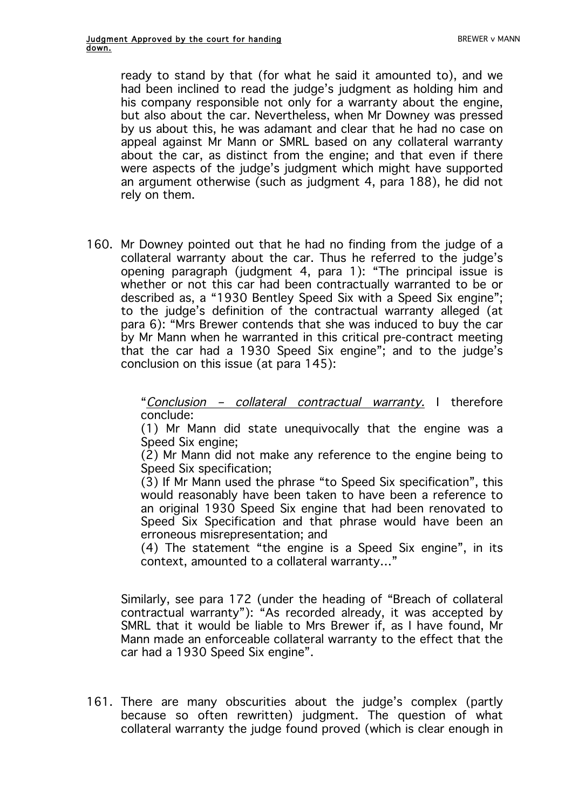ready to stand by that (for what he said it amounted to), and we had been inclined to read the judge's judgment as holding him and his company responsible not only for a warranty about the engine, but also about the car. Nevertheless, when Mr Downey was pressed by us about this, he was adamant and clear that he had no case on appeal against Mr Mann or SMRL based on any collateral warranty about the car, as distinct from the engine; and that even if there were aspects of the judge's judgment which might have supported an argument otherwise (such as judgment 4, para 188), he did not rely on them.

160. Mr Downey pointed out that he had no finding from the judge of a collateral warranty about the car. Thus he referred to the judge's opening paragraph (judgment 4, para 1): "The principal issue is whether or not this car had been contractually warranted to be or described as, a "1930 Bentley Speed Six with a Speed Six engine"; to the judge's definition of the contractual warranty alleged (at para 6): "Mrs Brewer contends that she was induced to buy the car by Mr Mann when he warranted in this critical pre-contract meeting that the car had a 1930 Speed Six engine"; and to the judge's conclusion on this issue (at para 145):

> "Conclusion – collateral contractual warranty. I therefore conclude:

> (1) Mr Mann did state unequivocally that the engine was a Speed Six engine;

> (2) Mr Mann did not make any reference to the engine being to Speed Six specification;

> (3) If Mr Mann used the phrase "to Speed Six specification", this would reasonably have been taken to have been a reference to an original 1930 Speed Six engine that had been renovated to Speed Six Specification and that phrase would have been an erroneous misrepresentation; and

> (4) The statement "the engine is a Speed Six engine", in its context, amounted to a collateral warranty…"

Similarly, see para 172 (under the heading of "Breach of collateral contractual warranty"): "As recorded already, it was accepted by SMRL that it would be liable to Mrs Brewer if, as I have found, Mr Mann made an enforceable collateral warranty to the effect that the car had a 1930 Speed Six engine".

161. There are many obscurities about the judge's complex (partly because so often rewritten) judgment. The question of what collateral warranty the judge found proved (which is clear enough in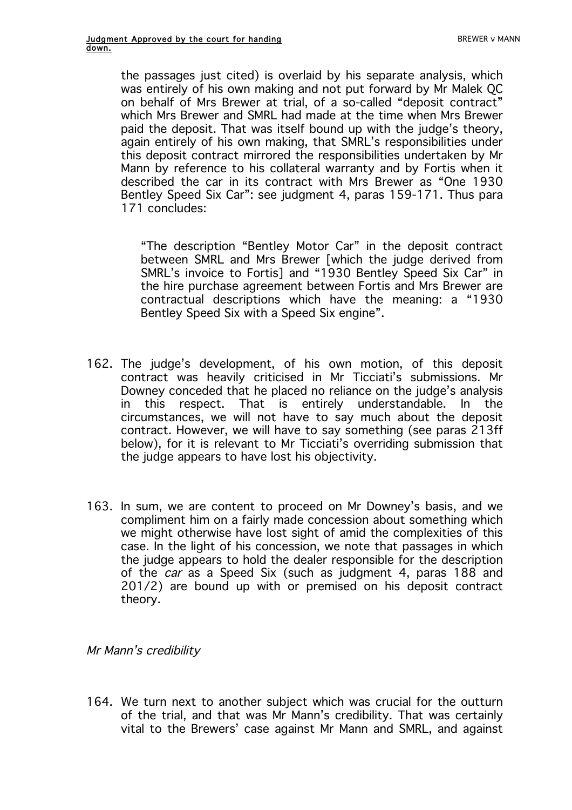the passages just cited) is overlaid by his separate analysis, which was entirely of his own making and not put forward by Mr Malek QC on behalf of Mrs Brewer at trial, of a so-called "deposit contract" which Mrs Brewer and SMRL had made at the time when Mrs Brewer paid the deposit. That was itself bound up with the judge's theory, again entirely of his own making, that SMRL's responsibilities under this deposit contract mirrored the responsibilities undertaken by Mr Mann by reference to his collateral warranty and by Fortis when it described the car in its contract with Mrs Brewer as "One 1930 Bentley Speed Six Car": see judgment 4, paras 159-171. Thus para 171 concludes:

"The description "Bentley Motor Car" in the deposit contract between SMRL and Mrs Brewer [which the judge derived from SMRL's invoice to Fortis] and "1930 Bentley Speed Six Car" in the hire purchase agreement between Fortis and Mrs Brewer are contractual descriptions which have the meaning: a "1930 Bentley Speed Six with a Speed Six engine".

- 162. The judge's development, of his own motion, of this deposit contract was heavily criticised in Mr Ticciati's submissions. Mr Downey conceded that he placed no reliance on the judge's analysis in this respect. That is entirely understandable. In the circumstances, we will not have to say much about the deposit contract. However, we will have to say something (see paras 213ff below), for it is relevant to Mr Ticciati's overriding submission that the judge appears to have lost his objectivity.
- 163. In sum, we are content to proceed on Mr Downey's basis, and we compliment him on a fairly made concession about something which we might otherwise have lost sight of amid the complexities of this case. In the light of his concession, we note that passages in which the judge appears to hold the dealer responsible for the description of the car as a Speed Six (such as judgment 4, paras 188 and 201/2) are bound up with or premised on his deposit contract theory.

Mr Mann's credibility

164. We turn next to another subject which was crucial for the outturn of the trial, and that was Mr Mann's credibility. That was certainly vital to the Brewers' case against Mr Mann and SMRL, and against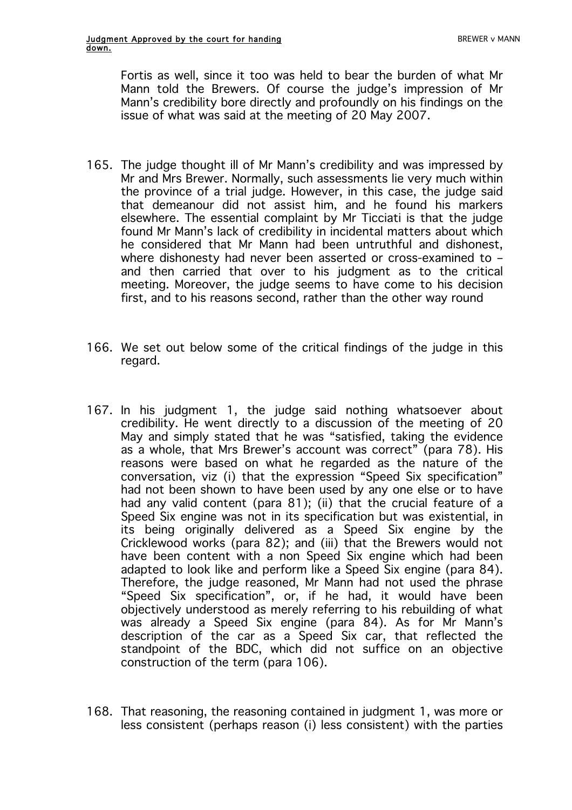Fortis as well, since it too was held to bear the burden of what Mr Mann told the Brewers. Of course the judge's impression of Mr Mann's credibility bore directly and profoundly on his findings on the issue of what was said at the meeting of 20 May 2007.

- 165. The judge thought ill of Mr Mann's credibility and was impressed by Mr and Mrs Brewer. Normally, such assessments lie very much within the province of a trial judge. However, in this case, the judge said that demeanour did not assist him, and he found his markers elsewhere. The essential complaint by Mr Ticciati is that the judge found Mr Mann's lack of credibility in incidental matters about which he considered that Mr Mann had been untruthful and dishonest, where dishonesty had never been asserted or cross-examined to – and then carried that over to his judgment as to the critical meeting. Moreover, the judge seems to have come to his decision first, and to his reasons second, rather than the other way round
- 166. We set out below some of the critical findings of the judge in this regard.
- 167. In his judgment 1, the judge said nothing whatsoever about credibility. He went directly to a discussion of the meeting of 20 May and simply stated that he was "satisfied, taking the evidence as a whole, that Mrs Brewer's account was correct" (para 78). His reasons were based on what he regarded as the nature of the conversation, viz (i) that the expression "Speed Six specification" had not been shown to have been used by any one else or to have had any valid content (para 81); (ii) that the crucial feature of a Speed Six engine was not in its specification but was existential, in its being originally delivered as a Speed Six engine by the Cricklewood works (para 82); and (iii) that the Brewers would not have been content with a non Speed Six engine which had been adapted to look like and perform like a Speed Six engine (para 84). Therefore, the judge reasoned, Mr Mann had not used the phrase "Speed Six specification", or, if he had, it would have been objectively understood as merely referring to his rebuilding of what was already a Speed Six engine (para 84). As for Mr Mann's description of the car as a Speed Six car, that reflected the standpoint of the BDC, which did not suffice on an objective construction of the term (para 106).
- 168. That reasoning, the reasoning contained in judgment 1, was more or less consistent (perhaps reason (i) less consistent) with the parties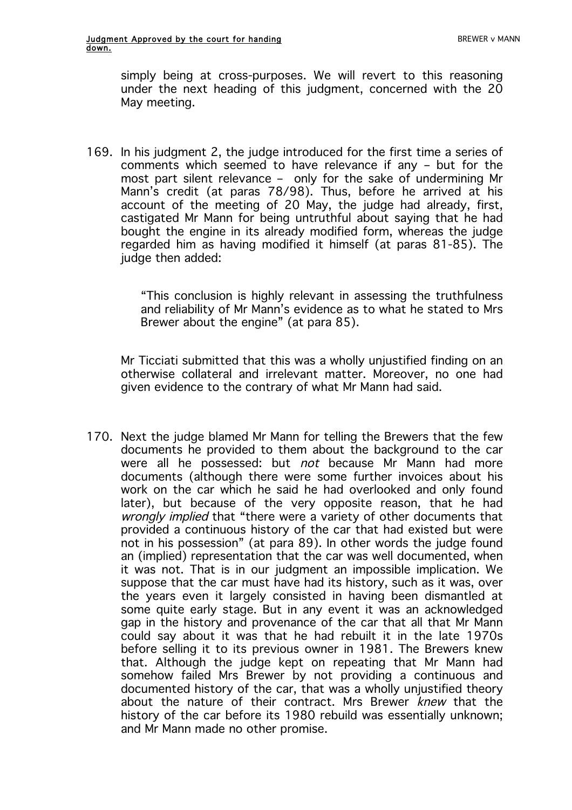simply being at cross-purposes. We will revert to this reasoning under the next heading of this judgment, concerned with the 20 May meeting.

169. In his judgment 2, the judge introduced for the first time a series of comments which seemed to have relevance if any – but for the most part silent relevance – only for the sake of undermining Mr Mann's credit (at paras 78/98). Thus, before he arrived at his account of the meeting of 20 May, the judge had already, first, castigated Mr Mann for being untruthful about saying that he had bought the engine in its already modified form, whereas the judge regarded him as having modified it himself (at paras 81-85). The judge then added:

> "This conclusion is highly relevant in assessing the truthfulness and reliability of Mr Mann's evidence as to what he stated to Mrs Brewer about the engine" (at para 85).

Mr Ticciati submitted that this was a wholly unjustified finding on an otherwise collateral and irrelevant matter. Moreover, no one had given evidence to the contrary of what Mr Mann had said.

170. Next the judge blamed Mr Mann for telling the Brewers that the few documents he provided to them about the background to the car were all he possessed: but not because Mr Mann had more documents (although there were some further invoices about his work on the car which he said he had overlooked and only found later), but because of the very opposite reason, that he had wrongly implied that "there were a variety of other documents that provided a continuous history of the car that had existed but were not in his possession" (at para 89). In other words the judge found an (implied) representation that the car was well documented, when it was not. That is in our judgment an impossible implication. We suppose that the car must have had its history, such as it was, over the years even it largely consisted in having been dismantled at some quite early stage. But in any event it was an acknowledged gap in the history and provenance of the car that all that Mr Mann could say about it was that he had rebuilt it in the late 1970s before selling it to its previous owner in 1981. The Brewers knew that. Although the judge kept on repeating that Mr Mann had somehow failed Mrs Brewer by not providing a continuous and documented history of the car, that was a wholly unjustified theory about the nature of their contract. Mrs Brewer knew that the history of the car before its 1980 rebuild was essentially unknown: and Mr Mann made no other promise.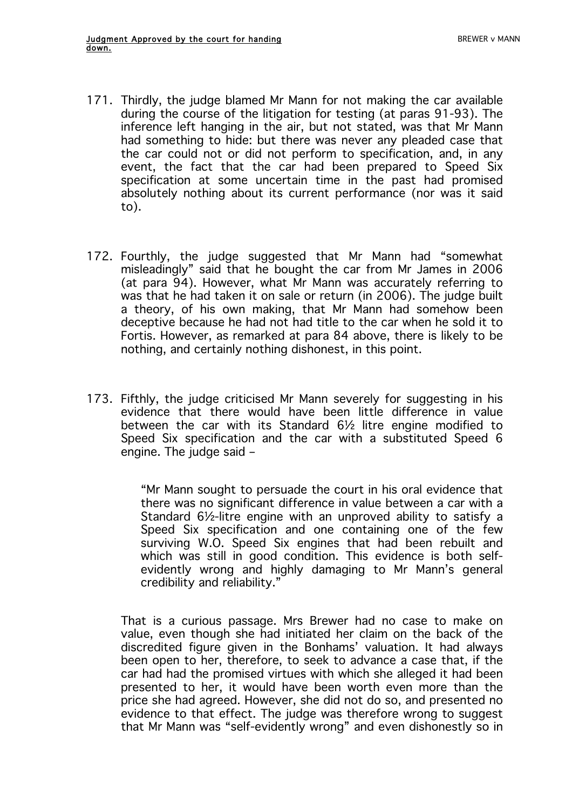- 171. Thirdly, the judge blamed Mr Mann for not making the car available during the course of the litigation for testing (at paras 91-93). The inference left hanging in the air, but not stated, was that Mr Mann had something to hide: but there was never any pleaded case that the car could not or did not perform to specification, and, in any event, the fact that the car had been prepared to Speed Six specification at some uncertain time in the past had promised absolutely nothing about its current performance (nor was it said to).
- 172. Fourthly, the judge suggested that Mr Mann had "somewhat misleadingly" said that he bought the car from Mr James in 2006 (at para 94). However, what Mr Mann was accurately referring to was that he had taken it on sale or return (in 2006). The judge built a theory, of his own making, that Mr Mann had somehow been deceptive because he had not had title to the car when he sold it to Fortis. However, as remarked at para 84 above, there is likely to be nothing, and certainly nothing dishonest, in this point.
- 173. Fifthly, the judge criticised Mr Mann severely for suggesting in his evidence that there would have been little difference in value between the car with its Standard 6½ litre engine modified to Speed Six specification and the car with a substituted Speed 6 engine. The judge said –

"Mr Mann sought to persuade the court in his oral evidence that there was no significant difference in value between a car with a Standard 6½-litre engine with an unproved ability to satisfy a Speed Six specification and one containing one of the few surviving W.O. Speed Six engines that had been rebuilt and which was still in good condition. This evidence is both selfevidently wrong and highly damaging to Mr Mann's general credibility and reliability."

That is a curious passage. Mrs Brewer had no case to make on value, even though she had initiated her claim on the back of the discredited figure given in the Bonhams' valuation. It had always been open to her, therefore, to seek to advance a case that, if the car had had the promised virtues with which she alleged it had been presented to her, it would have been worth even more than the price she had agreed. However, she did not do so, and presented no evidence to that effect. The judge was therefore wrong to suggest that Mr Mann was "self-evidently wrong" and even dishonestly so in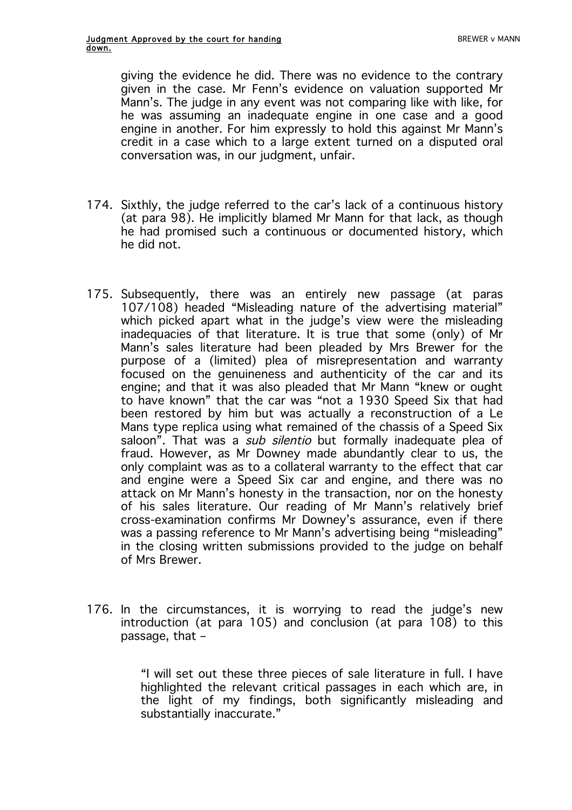giving the evidence he did. There was no evidence to the contrary given in the case. Mr Fenn's evidence on valuation supported Mr Mann's. The judge in any event was not comparing like with like, for he was assuming an inadequate engine in one case and a good engine in another. For him expressly to hold this against Mr Mann's credit in a case which to a large extent turned on a disputed oral conversation was, in our judgment, unfair.

- 174. Sixthly, the judge referred to the car's lack of a continuous history (at para 98). He implicitly blamed Mr Mann for that lack, as though he had promised such a continuous or documented history, which he did not.
- 175. Subsequently, there was an entirely new passage (at paras 107/108) headed "Misleading nature of the advertising material" which picked apart what in the judge's view were the misleading inadequacies of that literature. It is true that some (only) of Mr Mann's sales literature had been pleaded by Mrs Brewer for the purpose of a (limited) plea of misrepresentation and warranty focused on the genuineness and authenticity of the car and its engine; and that it was also pleaded that Mr Mann "knew or ought to have known" that the car was "not a 1930 Speed Six that had been restored by him but was actually a reconstruction of a Le Mans type replica using what remained of the chassis of a Speed Six saloon". That was a *sub silentio* but formally inadequate plea of fraud. However, as Mr Downey made abundantly clear to us, the only complaint was as to a collateral warranty to the effect that car and engine were a Speed Six car and engine, and there was no attack on Mr Mann's honesty in the transaction, nor on the honesty of his sales literature. Our reading of Mr Mann's relatively brief cross-examination confirms Mr Downey's assurance, even if there was a passing reference to Mr Mann's advertising being "misleading" in the closing written submissions provided to the judge on behalf of Mrs Brewer.
- 176. In the circumstances, it is worrying to read the judge's new introduction (at para 105) and conclusion (at para 108) to this passage, that –

"I will set out these three pieces of sale literature in full. I have highlighted the relevant critical passages in each which are, in the light of my findings, both significantly misleading and substantially inaccurate."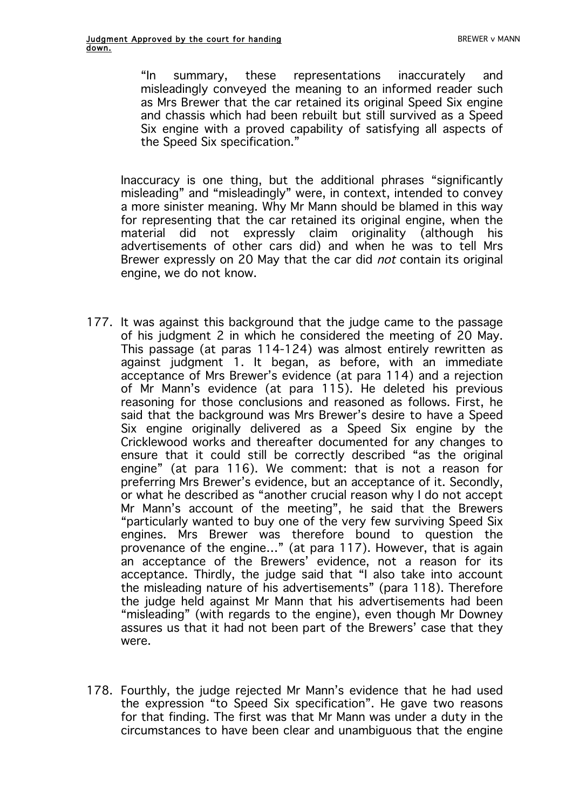"In summary, these representations inaccurately and misleadingly conveyed the meaning to an informed reader such as Mrs Brewer that the car retained its original Speed Six engine and chassis which had been rebuilt but still survived as a Speed Six engine with a proved capability of satisfying all aspects of the Speed Six specification."

Inaccuracy is one thing, but the additional phrases "significantly misleading" and "misleadingly" were, in context, intended to convey a more sinister meaning. Why Mr Mann should be blamed in this way for representing that the car retained its original engine, when the material did not expressly claim originality (although his advertisements of other cars did) and when he was to tell Mrs Brewer expressly on 20 May that the car did not contain its original engine, we do not know.

- 177. It was against this background that the judge came to the passage of his judgment 2 in which he considered the meeting of 20 May. This passage (at paras 114-124) was almost entirely rewritten as against judgment 1. It began, as before, with an immediate acceptance of Mrs Brewer's evidence (at para 114) and a rejection of Mr Mann's evidence (at para 115). He deleted his previous reasoning for those conclusions and reasoned as follows. First, he said that the background was Mrs Brewer's desire to have a Speed Six engine originally delivered as a Speed Six engine by the Cricklewood works and thereafter documented for any changes to ensure that it could still be correctly described "as the original engine" (at para 116). We comment: that is not a reason for preferring Mrs Brewer's evidence, but an acceptance of it. Secondly, or what he described as "another crucial reason why I do not accept Mr Mann's account of the meeting", he said that the Brewers "particularly wanted to buy one of the very few surviving Speed Six engines. Mrs Brewer was therefore bound to question the provenance of the engine..." (at para 117). However, that is again an acceptance of the Brewers' evidence, not a reason for its acceptance. Thirdly, the judge said that "I also take into account the misleading nature of his advertisements" (para 118). Therefore the judge held against Mr Mann that his advertisements had been "misleading" (with regards to the engine), even though Mr Downey assures us that it had not been part of the Brewers' case that they were.
- 178. Fourthly, the judge rejected Mr Mann's evidence that he had used the expression "to Speed Six specification". He gave two reasons for that finding. The first was that Mr Mann was under a duty in the circumstances to have been clear and unambiguous that the engine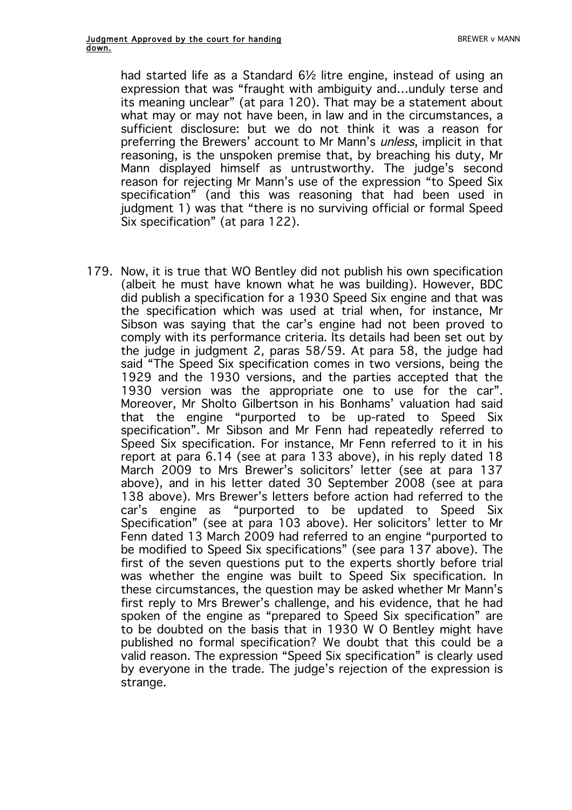had started life as a Standard 6<sup>1</sup>/<sub>2</sub> litre engine, instead of using an expression that was "fraught with ambiguity and…unduly terse and its meaning unclear" (at para 120). That may be a statement about what may or may not have been, in law and in the circumstances, a sufficient disclosure: but we do not think it was a reason for preferring the Brewers' account to Mr Mann's unless, implicit in that reasoning, is the unspoken premise that, by breaching his duty, Mr Mann displayed himself as untrustworthy. The judge's second reason for rejecting Mr Mann's use of the expression "to Speed Six specification" (and this was reasoning that had been used in judgment 1) was that "there is no surviving official or formal Speed Six specification" (at para 122).

179. Now, it is true that WO Bentley did not publish his own specification (albeit he must have known what he was building). However, BDC did publish a specification for a 1930 Speed Six engine and that was the specification which was used at trial when, for instance, Mr Sibson was saying that the car's engine had not been proved to comply with its performance criteria. Its details had been set out by the judge in judgment 2, paras 58/59. At para 58, the judge had said "The Speed Six specification comes in two versions, being the 1929 and the 1930 versions, and the parties accepted that the 1930 version was the appropriate one to use for the car". Moreover, Mr Sholto Gilbertson in his Bonhams' valuation had said that the engine "purported to be up-rated to Speed Six specification". Mr Sibson and Mr Fenn had repeatedly referred to Speed Six specification. For instance, Mr Fenn referred to it in his report at para 6.14 (see at para 133 above), in his reply dated 18 March 2009 to Mrs Brewer's solicitors' letter (see at para 137 above), and in his letter dated 30 September 2008 (see at para 138 above). Mrs Brewer's letters before action had referred to the car's engine as "purported to be updated to Speed Six Specification" (see at para 103 above). Her solicitors' letter to Mr Fenn dated 13 March 2009 had referred to an engine "purported to be modified to Speed Six specifications" (see para 137 above). The first of the seven questions put to the experts shortly before trial was whether the engine was built to Speed Six specification. In these circumstances, the question may be asked whether Mr Mann's first reply to Mrs Brewer's challenge, and his evidence, that he had spoken of the engine as "prepared to Speed Six specification" are to be doubted on the basis that in 1930 W O Bentley might have published no formal specification? We doubt that this could be a valid reason. The expression "Speed Six specification" is clearly used by everyone in the trade. The judge's rejection of the expression is strange.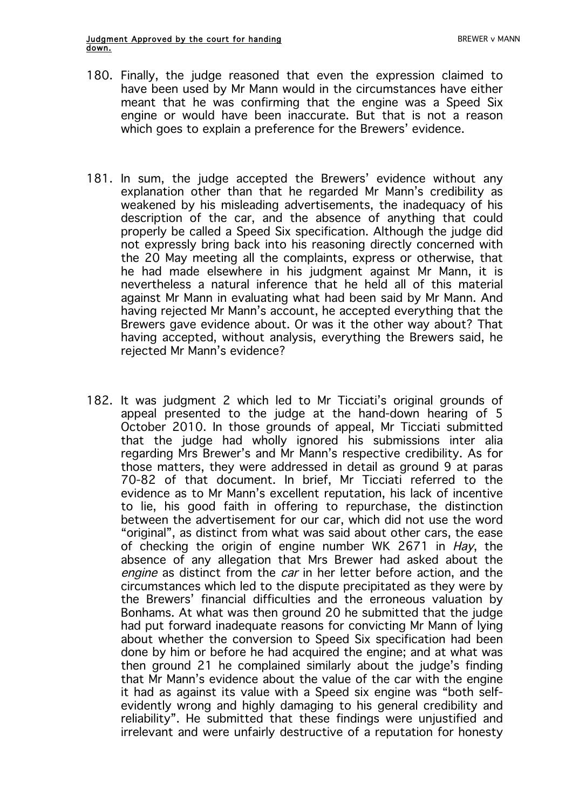- 180. Finally, the judge reasoned that even the expression claimed to have been used by Mr Mann would in the circumstances have either meant that he was confirming that the engine was a Speed Six engine or would have been inaccurate. But that is not a reason which goes to explain a preference for the Brewers' evidence.
- 181. In sum, the judge accepted the Brewers' evidence without any explanation other than that he regarded Mr Mann's credibility as weakened by his misleading advertisements, the inadequacy of his description of the car, and the absence of anything that could properly be called a Speed Six specification. Although the judge did not expressly bring back into his reasoning directly concerned with the 20 May meeting all the complaints, express or otherwise, that he had made elsewhere in his judgment against Mr Mann, it is nevertheless a natural inference that he held all of this material against Mr Mann in evaluating what had been said by Mr Mann. And having rejected Mr Mann's account, he accepted everything that the Brewers gave evidence about. Or was it the other way about? That having accepted, without analysis, everything the Brewers said, he rejected Mr Mann's evidence?
- 182. It was judgment 2 which led to Mr Ticciati's original grounds of appeal presented to the judge at the hand-down hearing of 5 October 2010. In those grounds of appeal, Mr Ticciati submitted that the judge had wholly ignored his submissions inter alia regarding Mrs Brewer's and Mr Mann's respective credibility. As for those matters, they were addressed in detail as ground 9 at paras 70-82 of that document. In brief, Mr Ticciati referred to the evidence as to Mr Mann's excellent reputation, his lack of incentive to lie, his good faith in offering to repurchase, the distinction between the advertisement for our car, which did not use the word "original", as distinct from what was said about other cars, the ease of checking the origin of engine number WK 2671 in Hay, the absence of any allegation that Mrs Brewer had asked about the engine as distinct from the car in her letter before action, and the circumstances which led to the dispute precipitated as they were by the Brewers' financial difficulties and the erroneous valuation by Bonhams. At what was then ground 20 he submitted that the judge had put forward inadequate reasons for convicting Mr Mann of lying about whether the conversion to Speed Six specification had been done by him or before he had acquired the engine; and at what was then ground 21 he complained similarly about the judge's finding that Mr Mann's evidence about the value of the car with the engine it had as against its value with a Speed six engine was "both selfevidently wrong and highly damaging to his general credibility and reliability". He submitted that these findings were unjustified and irrelevant and were unfairly destructive of a reputation for honesty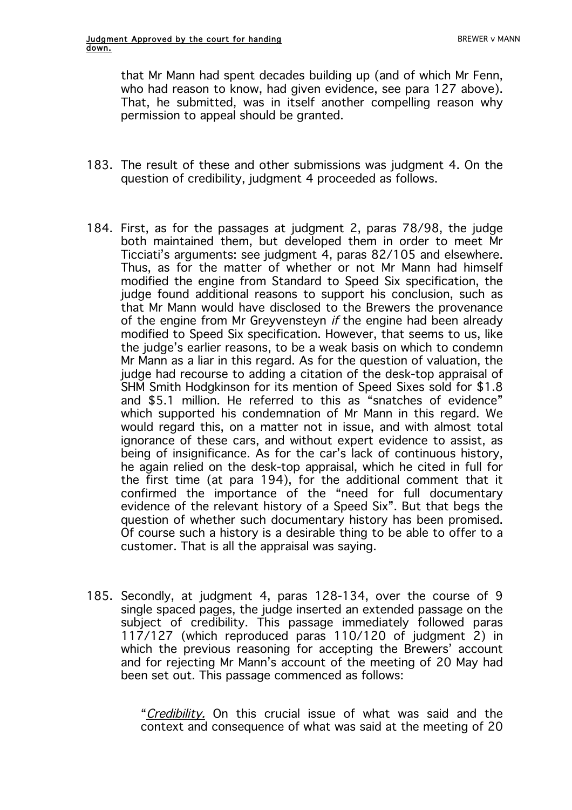that Mr Mann had spent decades building up (and of which Mr Fenn, who had reason to know, had given evidence, see para 127 above). That, he submitted, was in itself another compelling reason why permission to appeal should be granted.

- 183. The result of these and other submissions was judgment 4. On the question of credibility, judgment 4 proceeded as follows.
- 184. First, as for the passages at judgment 2, paras 78/98, the judge both maintained them, but developed them in order to meet Mr Ticciati's arguments: see judgment 4, paras 82/105 and elsewhere. Thus, as for the matter of whether or not Mr Mann had himself modified the engine from Standard to Speed Six specification, the judge found additional reasons to support his conclusion, such as that Mr Mann would have disclosed to the Brewers the provenance of the engine from Mr Greyvensteyn *if* the engine had been already modified to Speed Six specification. However, that seems to us, like the judge's earlier reasons, to be a weak basis on which to condemn Mr Mann as a liar in this regard. As for the question of valuation, the judge had recourse to adding a citation of the desk-top appraisal of SHM Smith Hodgkinson for its mention of Speed Sixes sold for \$1.8 and \$5.1 million. He referred to this as "snatches of evidence" which supported his condemnation of Mr Mann in this regard. We would regard this, on a matter not in issue, and with almost total ignorance of these cars, and without expert evidence to assist, as being of insignificance. As for the car's lack of continuous history, he again relied on the desk-top appraisal, which he cited in full for the first time (at para 194), for the additional comment that it confirmed the importance of the "need for full documentary evidence of the relevant history of a Speed Six". But that begs the question of whether such documentary history has been promised. Of course such a history is a desirable thing to be able to offer to a customer. That is all the appraisal was saying.
- 185. Secondly, at judgment 4, paras 128-134, over the course of 9 single spaced pages, the judge inserted an extended passage on the subject of credibility. This passage immediately followed paras 117/127 (which reproduced paras 110/120 of judgment 2) in which the previous reasoning for accepting the Brewers' account and for rejecting Mr Mann's account of the meeting of 20 May had been set out. This passage commenced as follows:

"Credibility. On this crucial issue of what was said and the context and consequence of what was said at the meeting of 20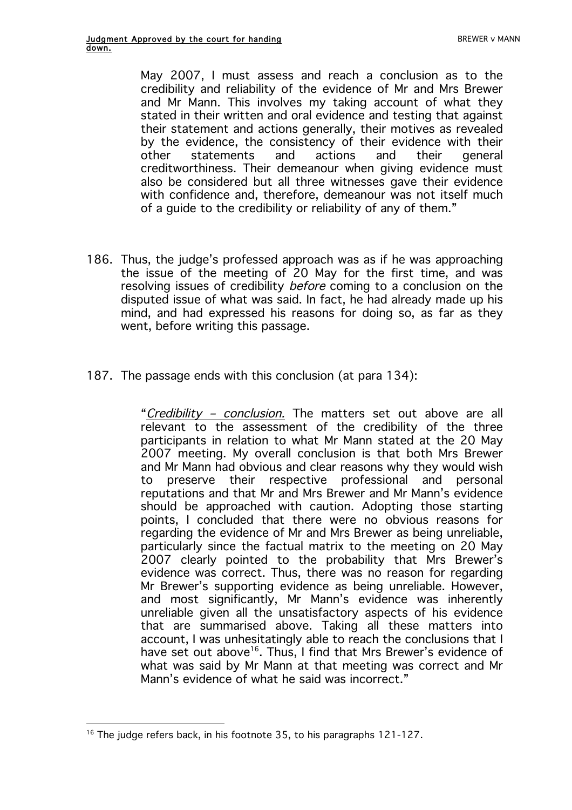May 2007, I must assess and reach a conclusion as to the credibility and reliability of the evidence of Mr and Mrs Brewer and Mr Mann. This involves my taking account of what they stated in their written and oral evidence and testing that against their statement and actions generally, their motives as revealed by the evidence, the consistency of their evidence with their other statements and actions and their general creditworthiness. Their demeanour when giving evidence must also be considered but all three witnesses gave their evidence with confidence and, therefore, demeanour was not itself much of a guide to the credibility or reliability of any of them."

- 186. Thus, the judge's professed approach was as if he was approaching the issue of the meeting of 20 May for the first time, and was resolving issues of credibility before coming to a conclusion on the disputed issue of what was said. In fact, he had already made up his mind, and had expressed his reasons for doing so, as far as they went, before writing this passage.
- 187. The passage ends with this conclusion (at para 134):

"Credibility – conclusion. The matters set out above are all relevant to the assessment of the credibility of the three participants in relation to what Mr Mann stated at the 20 May 2007 meeting. My overall conclusion is that both Mrs Brewer and Mr Mann had obvious and clear reasons why they would wish to preserve their respective professional and personal reputations and that Mr and Mrs Brewer and Mr Mann's evidence should be approached with caution. Adopting those starting points, I concluded that there were no obvious reasons for regarding the evidence of Mr and Mrs Brewer as being unreliable, particularly since the factual matrix to the meeting on 20 May 2007 clearly pointed to the probability that Mrs Brewer's evidence was correct. Thus, there was no reason for regarding Mr Brewer's supporting evidence as being unreliable. However, and most significantly, Mr Mann's evidence was inherently unreliable given all the unsatisfactory aspects of his evidence that are summarised above. Taking all these matters into account, I was unhesitatingly able to reach the conclusions that I have set out above<sup>16</sup>. Thus, I find that Mrs Brewer's evidence of what was said by Mr Mann at that meeting was correct and Mr Mann's evidence of what he said was incorrect."

 $\overline{a}$ <sup>16</sup> The judge refers back, in his footnote 35, to his paragraphs 121-127.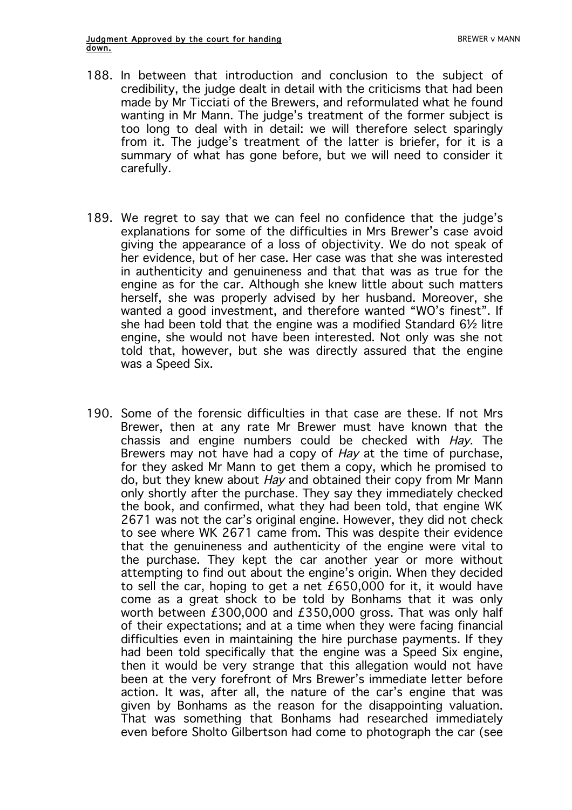- 188. In between that introduction and conclusion to the subject of credibility, the judge dealt in detail with the criticisms that had been made by Mr Ticciati of the Brewers, and reformulated what he found wanting in Mr Mann. The judge's treatment of the former subject is too long to deal with in detail: we will therefore select sparingly from it. The judge's treatment of the latter is briefer, for it is a summary of what has gone before, but we will need to consider it carefully.
- 189. We regret to say that we can feel no confidence that the judge's explanations for some of the difficulties in Mrs Brewer's case avoid giving the appearance of a loss of objectivity. We do not speak of her evidence, but of her case. Her case was that she was interested in authenticity and genuineness and that that was as true for the engine as for the car. Although she knew little about such matters herself, she was properly advised by her husband. Moreover, she wanted a good investment, and therefore wanted "WO's finest". If she had been told that the engine was a modified Standard 6½ litre engine, she would not have been interested. Not only was she not told that, however, but she was directly assured that the engine was a Speed Six.
- 190. Some of the forensic difficulties in that case are these. If not Mrs Brewer, then at any rate Mr Brewer must have known that the chassis and engine numbers could be checked with Hay. The Brewers may not have had a copy of Hay at the time of purchase, for they asked Mr Mann to get them a copy, which he promised to do, but they knew about Hay and obtained their copy from Mr Mann only shortly after the purchase. They say they immediately checked the book, and confirmed, what they had been told, that engine WK 2671 was not the car's original engine. However, they did not check to see where WK 2671 came from. This was despite their evidence that the genuineness and authenticity of the engine were vital to the purchase. They kept the car another year or more without attempting to find out about the engine's origin. When they decided to sell the car, hoping to get a net £650,000 for it, it would have come as a great shock to be told by Bonhams that it was only worth between £300,000 and £350,000 gross. That was only half of their expectations; and at a time when they were facing financial difficulties even in maintaining the hire purchase payments. If they had been told specifically that the engine was a Speed Six engine, then it would be very strange that this allegation would not have been at the very forefront of Mrs Brewer's immediate letter before action. It was, after all, the nature of the car's engine that was given by Bonhams as the reason for the disappointing valuation. That was something that Bonhams had researched immediately even before Sholto Gilbertson had come to photograph the car (see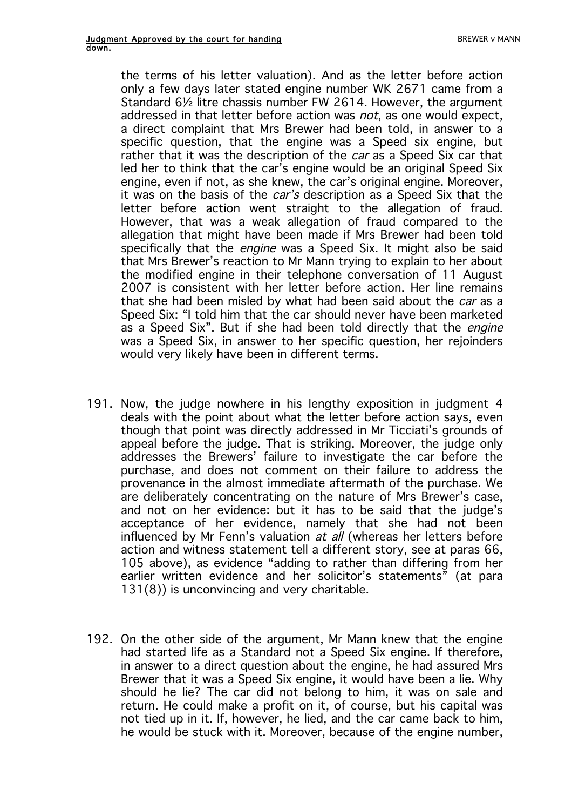the terms of his letter valuation). And as the letter before action only a few days later stated engine number WK 2671 came from a Standard 6½ litre chassis number FW 2614. However, the argument addressed in that letter before action was not, as one would expect, a direct complaint that Mrs Brewer had been told, in answer to a specific question, that the engine was a Speed six engine, but rather that it was the description of the *car* as a Speed Six car that led her to think that the car's engine would be an original Speed Six engine, even if not, as she knew, the car's original engine. Moreover, it was on the basis of the *car's* description as a Speed Six that the letter before action went straight to the allegation of fraud. However, that was a weak allegation of fraud compared to the allegation that might have been made if Mrs Brewer had been told specifically that the engine was a Speed Six. It might also be said that Mrs Brewer's reaction to Mr Mann trying to explain to her about the modified engine in their telephone conversation of 11 August 2007 is consistent with her letter before action. Her line remains that she had been misled by what had been said about the *car* as a Speed Six: "I told him that the car should never have been marketed as a Speed Six". But if she had been told directly that the engine was a Speed Six, in answer to her specific question, her rejoinders would very likely have been in different terms.

- 191. Now, the judge nowhere in his lengthy exposition in judgment 4 deals with the point about what the letter before action says, even though that point was directly addressed in Mr Ticciati's grounds of appeal before the judge. That is striking. Moreover, the judge only addresses the Brewers' failure to investigate the car before the purchase, and does not comment on their failure to address the provenance in the almost immediate aftermath of the purchase. We are deliberately concentrating on the nature of Mrs Brewer's case, and not on her evidence: but it has to be said that the judge's acceptance of her evidence, namely that she had not been influenced by Mr Fenn's valuation at all (whereas her letters before action and witness statement tell a different story, see at paras 66, 105 above), as evidence "adding to rather than differing from her earlier written evidence and her solicitor's statements" (at para 131(8)) is unconvincing and very charitable.
- 192. On the other side of the argument, Mr Mann knew that the engine had started life as a Standard not a Speed Six engine. If therefore, in answer to a direct question about the engine, he had assured Mrs Brewer that it was a Speed Six engine, it would have been a lie. Why should he lie? The car did not belong to him, it was on sale and return. He could make a profit on it, of course, but his capital was not tied up in it. If, however, he lied, and the car came back to him, he would be stuck with it. Moreover, because of the engine number,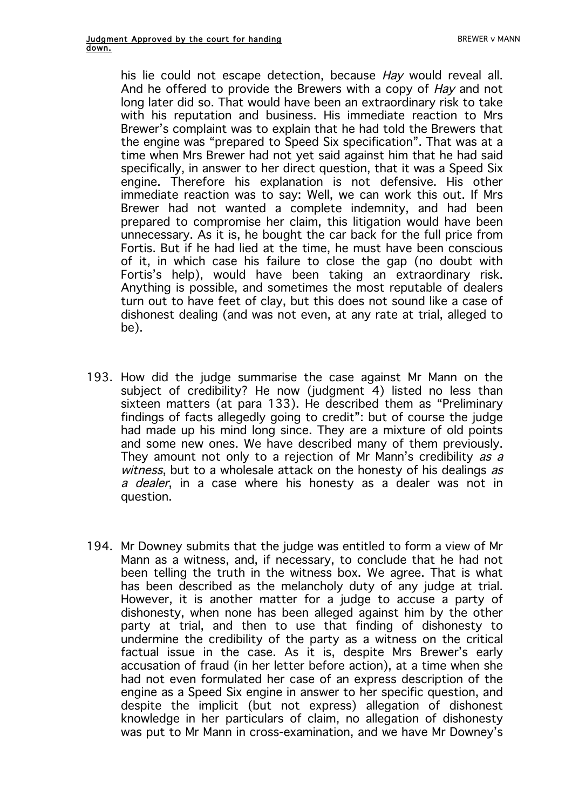his lie could not escape detection, because Hay would reveal all. And he offered to provide the Brewers with a copy of Hay and not long later did so. That would have been an extraordinary risk to take with his reputation and business. His immediate reaction to Mrs Brewer's complaint was to explain that he had told the Brewers that the engine was "prepared to Speed Six specification". That was at a time when Mrs Brewer had not yet said against him that he had said specifically, in answer to her direct question, that it was a Speed Six engine. Therefore his explanation is not defensive. His other immediate reaction was to say: Well, we can work this out. If Mrs Brewer had not wanted a complete indemnity, and had been prepared to compromise her claim, this litigation would have been unnecessary. As it is, he bought the car back for the full price from Fortis. But if he had lied at the time, he must have been conscious of it, in which case his failure to close the gap (no doubt with Fortis's help), would have been taking an extraordinary risk. Anything is possible, and sometimes the most reputable of dealers turn out to have feet of clay, but this does not sound like a case of dishonest dealing (and was not even, at any rate at trial, alleged to be).

- 193. How did the judge summarise the case against Mr Mann on the subject of credibility? He now (judgment 4) listed no less than sixteen matters (at para 133). He described them as "Preliminary findings of facts allegedly going to credit": but of course the judge had made up his mind long since. They are a mixture of old points and some new ones. We have described many of them previously. They amount not only to a rejection of Mr Mann's credibility as a witness, but to a wholesale attack on the honesty of his dealings as a dealer, in a case where his honesty as a dealer was not in question.
- 194. Mr Downey submits that the judge was entitled to form a view of Mr Mann as a witness, and, if necessary, to conclude that he had not been telling the truth in the witness box. We agree. That is what has been described as the melancholy duty of any judge at trial. However, it is another matter for a judge to accuse a party of dishonesty, when none has been alleged against him by the other party at trial, and then to use that finding of dishonesty to undermine the credibility of the party as a witness on the critical factual issue in the case. As it is, despite Mrs Brewer's early accusation of fraud (in her letter before action), at a time when she had not even formulated her case of an express description of the engine as a Speed Six engine in answer to her specific question, and despite the implicit (but not express) allegation of dishonest knowledge in her particulars of claim, no allegation of dishonesty was put to Mr Mann in cross-examination, and we have Mr Downey's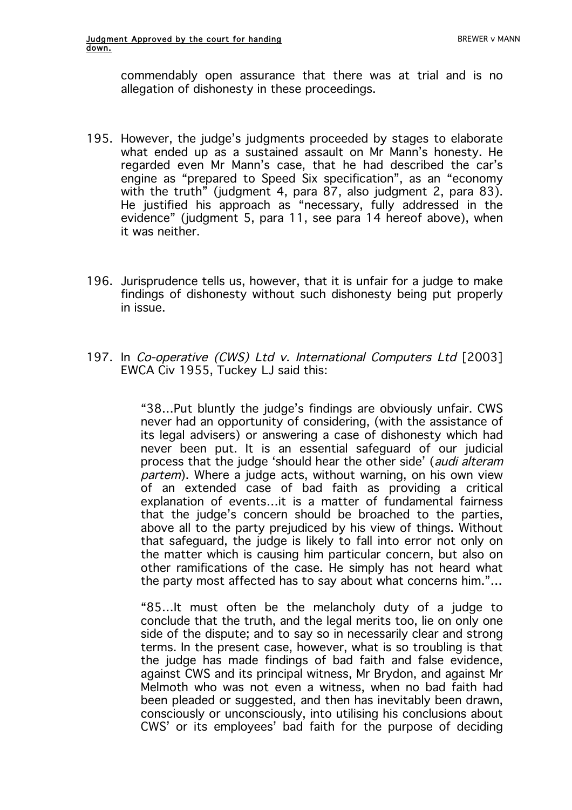commendably open assurance that there was at trial and is no allegation of dishonesty in these proceedings.

- 195. However, the judge's judgments proceeded by stages to elaborate what ended up as a sustained assault on Mr Mann's honesty. He regarded even Mr Mann's case, that he had described the car's engine as "prepared to Speed Six specification", as an "economy with the truth" (judgment 4, para 87, also judgment 2, para 83). He justified his approach as "necessary, fully addressed in the evidence" (judgment 5, para 11, see para 14 hereof above), when it was neither.
- 196. Jurisprudence tells us, however, that it is unfair for a judge to make findings of dishonesty without such dishonesty being put properly in issue.
- 197. In Co-operative (CWS) Ltd v. International Computers Ltd [2003] EWCA Civ 1955, Tuckey LJ said this:

"38…Put bluntly the judge's findings are obviously unfair. CWS never had an opportunity of considering, (with the assistance of its legal advisers) or answering a case of dishonesty which had never been put. It is an essential safeguard of our judicial process that the judge 'should hear the other side' (audi alteram partem). Where a judge acts, without warning, on his own view of an extended case of bad faith as providing a critical explanation of events…it is a matter of fundamental fairness that the judge's concern should be broached to the parties, above all to the party prejudiced by his view of things. Without that safeguard, the judge is likely to fall into error not only on the matter which is causing him particular concern, but also on other ramifications of the case. He simply has not heard what the party most affected has to say about what concerns him."…

"85…It must often be the melancholy duty of a judge to conclude that the truth, and the legal merits too, lie on only one side of the dispute; and to say so in necessarily clear and strong terms. In the present case, however, what is so troubling is that the judge has made findings of bad faith and false evidence, against CWS and its principal witness, Mr Brydon, and against Mr Melmoth who was not even a witness, when no bad faith had been pleaded or suggested, and then has inevitably been drawn, consciously or unconsciously, into utilising his conclusions about CWS' or its employees' bad faith for the purpose of deciding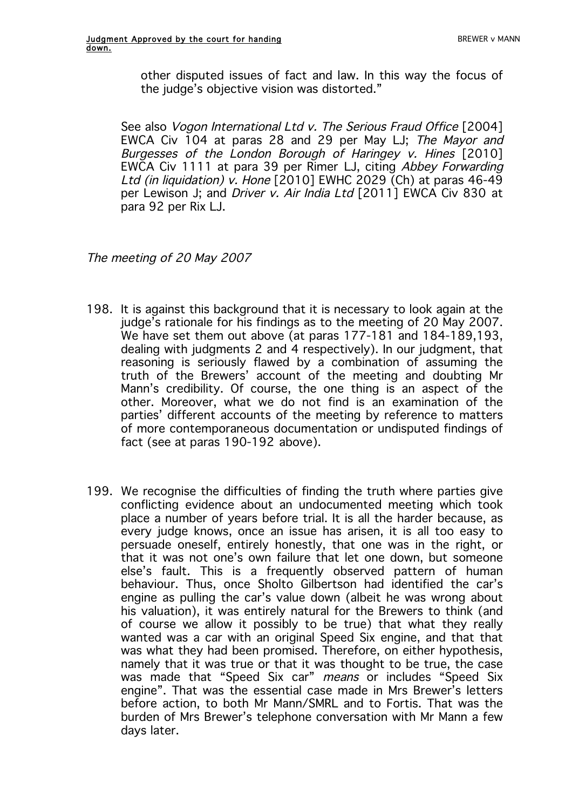other disputed issues of fact and law. In this way the focus of the judge's objective vision was distorted."

See also *Vogon International Ltd v. The Serious Fraud Office* [2004] EWCA Civ 104 at paras 28 and 29 per May LJ; The Mayor and Burgesses of the London Borough of Haringey v. Hines [2010] EWCA Civ 1111 at para 39 per Rimer LJ, citing Abbey Forwarding Ltd (in liquidation) v. Hone [2010] EWHC 2029 (Ch) at paras 46-49 per Lewison J; and Driver v. Air India Ltd [2011] EWCA Civ 830 at para 92 per Rix LJ.

The meeting of 20 May 2007

- 198. It is against this background that it is necessary to look again at the judge's rationale for his findings as to the meeting of 20 May 2007. We have set them out above (at paras 177-181 and 184-189,193, dealing with judgments 2 and 4 respectively). In our judgment, that reasoning is seriously flawed by a combination of assuming the truth of the Brewers' account of the meeting and doubting Mr Mann's credibility. Of course, the one thing is an aspect of the other. Moreover, what we do not find is an examination of the parties' different accounts of the meeting by reference to matters of more contemporaneous documentation or undisputed findings of fact (see at paras 190-192 above).
- 199. We recognise the difficulties of finding the truth where parties give conflicting evidence about an undocumented meeting which took place a number of years before trial. It is all the harder because, as every judge knows, once an issue has arisen, it is all too easy to persuade oneself, entirely honestly, that one was in the right, or that it was not one's own failure that let one down, but someone else's fault. This is a frequently observed pattern of human behaviour. Thus, once Sholto Gilbertson had identified the car's engine as pulling the car's value down (albeit he was wrong about his valuation), it was entirely natural for the Brewers to think (and of course we allow it possibly to be true) that what they really wanted was a car with an original Speed Six engine, and that that was what they had been promised. Therefore, on either hypothesis, namely that it was true or that it was thought to be true, the case was made that "Speed Six car" *means* or includes "Speed Six engine". That was the essential case made in Mrs Brewer's letters before action, to both Mr Mann/SMRL and to Fortis. That was the burden of Mrs Brewer's telephone conversation with Mr Mann a few days later.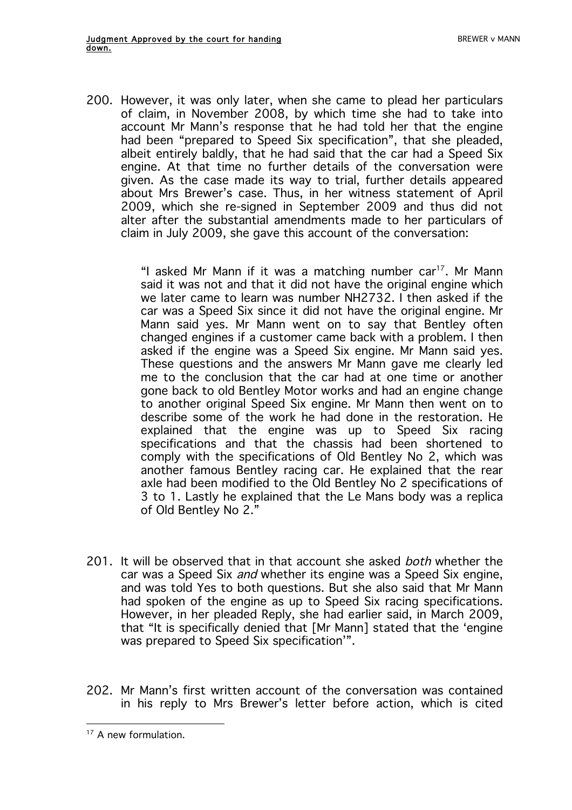200. However, it was only later, when she came to plead her particulars of claim, in November 2008, by which time she had to take into account Mr Mann's response that he had told her that the engine had been "prepared to Speed Six specification", that she pleaded, albeit entirely baldly, that he had said that the car had a Speed Six engine. At that time no further details of the conversation were given. As the case made its way to trial, further details appeared about Mrs Brewer's case. Thus, in her witness statement of April 2009, which she re-signed in September 2009 and thus did not alter after the substantial amendments made to her particulars of claim in July 2009, she gave this account of the conversation:

> "I asked Mr Mann if it was a matching number car<sup>17</sup>. Mr Mann said it was not and that it did not have the original engine which we later came to learn was number NH2732. I then asked if the car was a Speed Six since it did not have the original engine. Mr Mann said yes. Mr Mann went on to say that Bentley often changed engines if a customer came back with a problem. I then asked if the engine was a Speed Six engine. Mr Mann said yes. These questions and the answers Mr Mann gave me clearly led me to the conclusion that the car had at one time or another gone back to old Bentley Motor works and had an engine change to another original Speed Six engine. Mr Mann then went on to describe some of the work he had done in the restoration. He explained that the engine was up to Speed Six racing specifications and that the chassis had been shortened to comply with the specifications of Old Bentley No 2, which was another famous Bentley racing car. He explained that the rear axle had been modified to the Old Bentley No 2 specifications of 3 to 1. Lastly he explained that the Le Mans body was a replica of Old Bentley No 2."

- 201. It will be observed that in that account she asked both whether the car was a Speed Six and whether its engine was a Speed Six engine, and was told Yes to both questions. But she also said that Mr Mann had spoken of the engine as up to Speed Six racing specifications. However, in her pleaded Reply, she had earlier said, in March 2009, that "It is specifically denied that [Mr Mann] stated that the 'engine was prepared to Speed Six specification'".
- 202. Mr Mann's first written account of the conversation was contained in his reply to Mrs Brewer's letter before action, which is cited

 $\overline{a}$  $17$  A new formulation.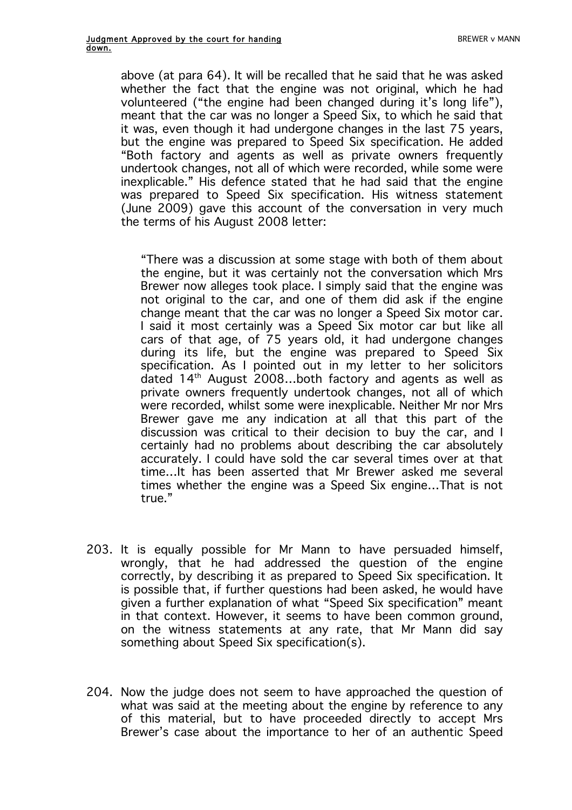above (at para 64). It will be recalled that he said that he was asked whether the fact that the engine was not original, which he had volunteered ("the engine had been changed during it's long life"), meant that the car was no longer a Speed Six, to which he said that it was, even though it had undergone changes in the last 75 years, but the engine was prepared to Speed Six specification. He added "Both factory and agents as well as private owners frequently undertook changes, not all of which were recorded, while some were inexplicable." His defence stated that he had said that the engine was prepared to Speed Six specification. His witness statement (June 2009) gave this account of the conversation in very much the terms of his August 2008 letter:

"There was a discussion at some stage with both of them about the engine, but it was certainly not the conversation which Mrs Brewer now alleges took place. I simply said that the engine was not original to the car, and one of them did ask if the engine change meant that the car was no longer a Speed Six motor car. I said it most certainly was a Speed Six motor car but like all cars of that age, of 75 years old, it had undergone changes during its life, but the engine was prepared to Speed Six specification. As I pointed out in my letter to her solicitors dated  $14<sup>th</sup>$  August 2008...both factory and agents as well as private owners frequently undertook changes, not all of which were recorded, whilst some were inexplicable. Neither Mr nor Mrs Brewer gave me any indication at all that this part of the discussion was critical to their decision to buy the car, and I certainly had no problems about describing the car absolutely accurately. I could have sold the car several times over at that time…It has been asserted that Mr Brewer asked me several times whether the engine was a Speed Six engine…That is not true."

- 203. It is equally possible for Mr Mann to have persuaded himself, wrongly, that he had addressed the question of the engine correctly, by describing it as prepared to Speed Six specification. It is possible that, if further questions had been asked, he would have given a further explanation of what "Speed Six specification" meant in that context. However, it seems to have been common ground, on the witness statements at any rate, that Mr Mann did say something about Speed Six specification(s).
- 204. Now the judge does not seem to have approached the question of what was said at the meeting about the engine by reference to any of this material, but to have proceeded directly to accept Mrs Brewer's case about the importance to her of an authentic Speed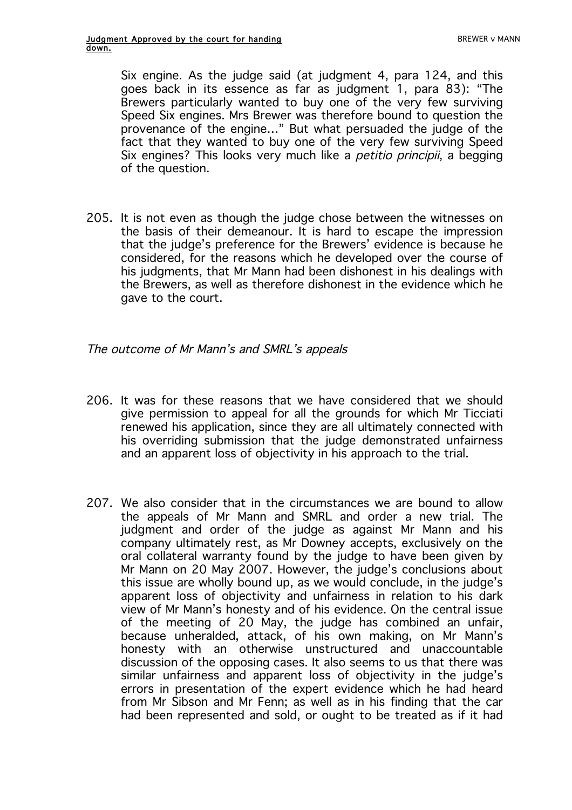Six engine. As the judge said (at judgment 4, para 124, and this goes back in its essence as far as judgment 1, para 83): "The Brewers particularly wanted to buy one of the very few surviving Speed Six engines. Mrs Brewer was therefore bound to question the provenance of the engine…" But what persuaded the judge of the fact that they wanted to buy one of the very few surviving Speed Six engines? This looks very much like a *petitio principii*, a begging of the question.

205. It is not even as though the judge chose between the witnesses on the basis of their demeanour. It is hard to escape the impression that the judge's preference for the Brewers' evidence is because he considered, for the reasons which he developed over the course of his judgments, that Mr Mann had been dishonest in his dealings with the Brewers, as well as therefore dishonest in the evidence which he gave to the court.

The outcome of Mr Mann's and SMRL's appeals

- 206. It was for these reasons that we have considered that we should give permission to appeal for all the grounds for which Mr Ticciati renewed his application, since they are all ultimately connected with his overriding submission that the judge demonstrated unfairness and an apparent loss of objectivity in his approach to the trial.
- 207. We also consider that in the circumstances we are bound to allow the appeals of Mr Mann and SMRL and order a new trial. The judgment and order of the judge as against Mr Mann and his company ultimately rest, as Mr Downey accepts, exclusively on the oral collateral warranty found by the judge to have been given by Mr Mann on 20 May 2007. However, the judge's conclusions about this issue are wholly bound up, as we would conclude, in the judge's apparent loss of objectivity and unfairness in relation to his dark view of Mr Mann's honesty and of his evidence. On the central issue of the meeting of 20 May, the judge has combined an unfair, because unheralded, attack, of his own making, on Mr Mann's honesty with an otherwise unstructured and unaccountable discussion of the opposing cases. It also seems to us that there was similar unfairness and apparent loss of objectivity in the judge's errors in presentation of the expert evidence which he had heard from Mr Sibson and Mr Fenn; as well as in his finding that the car had been represented and sold, or ought to be treated as if it had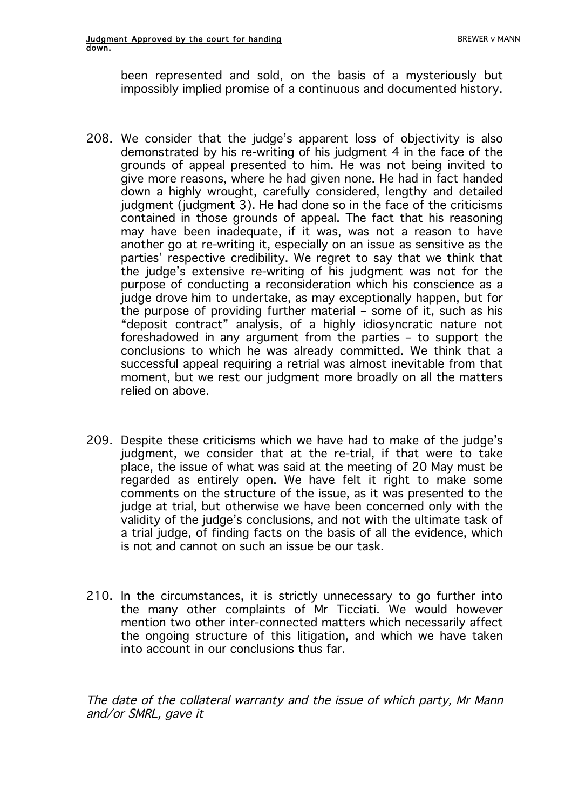been represented and sold, on the basis of a mysteriously but impossibly implied promise of a continuous and documented history.

- 208. We consider that the judge's apparent loss of objectivity is also demonstrated by his re-writing of his judgment 4 in the face of the grounds of appeal presented to him. He was not being invited to give more reasons, where he had given none. He had in fact handed down a highly wrought, carefully considered, lengthy and detailed judgment (judgment 3). He had done so in the face of the criticisms contained in those grounds of appeal. The fact that his reasoning may have been inadequate, if it was, was not a reason to have another go at re-writing it, especially on an issue as sensitive as the parties' respective credibility. We regret to say that we think that the judge's extensive re-writing of his judgment was not for the purpose of conducting a reconsideration which his conscience as a judge drove him to undertake, as may exceptionally happen, but for the purpose of providing further material – some of it, such as his "deposit contract" analysis, of a highly idiosyncratic nature not foreshadowed in any argument from the parties – to support the conclusions to which he was already committed. We think that a successful appeal requiring a retrial was almost inevitable from that moment, but we rest our judgment more broadly on all the matters relied on above.
- 209. Despite these criticisms which we have had to make of the judge's judgment, we consider that at the re-trial, if that were to take place, the issue of what was said at the meeting of 20 May must be regarded as entirely open. We have felt it right to make some comments on the structure of the issue, as it was presented to the judge at trial, but otherwise we have been concerned only with the validity of the judge's conclusions, and not with the ultimate task of a trial judge, of finding facts on the basis of all the evidence, which is not and cannot on such an issue be our task.
- 210. In the circumstances, it is strictly unnecessary to go further into the many other complaints of Mr Ticciati. We would however mention two other inter-connected matters which necessarily affect the ongoing structure of this litigation, and which we have taken into account in our conclusions thus far.

The date of the collateral warranty and the issue of which party, Mr Mann and/or SMRL, gave it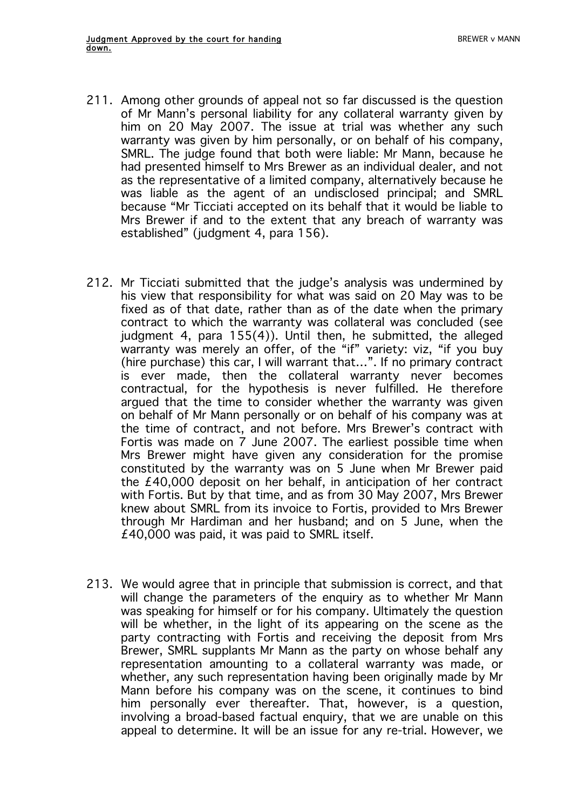- 211. Among other grounds of appeal not so far discussed is the question of Mr Mann's personal liability for any collateral warranty given by him on 20 May 2007. The issue at trial was whether any such warranty was given by him personally, or on behalf of his company, SMRL. The judge found that both were liable: Mr Mann, because he had presented himself to Mrs Brewer as an individual dealer, and not as the representative of a limited company, alternatively because he was liable as the agent of an undisclosed principal; and SMRL because "Mr Ticciati accepted on its behalf that it would be liable to Mrs Brewer if and to the extent that any breach of warranty was established" (judgment 4, para 156).
- 212. Mr Ticciati submitted that the judge's analysis was undermined by his view that responsibility for what was said on 20 May was to be fixed as of that date, rather than as of the date when the primary contract to which the warranty was collateral was concluded (see judgment 4, para 155(4)). Until then, he submitted, the alleged warranty was merely an offer, of the "if" variety: viz, "if you buy (hire purchase) this car, I will warrant that…". If no primary contract is ever made, then the collateral warranty never becomes contractual, for the hypothesis is never fulfilled. He therefore argued that the time to consider whether the warranty was given on behalf of Mr Mann personally or on behalf of his company was at the time of contract, and not before. Mrs Brewer's contract with Fortis was made on 7 June 2007. The earliest possible time when Mrs Brewer might have given any consideration for the promise constituted by the warranty was on 5 June when Mr Brewer paid the £40,000 deposit on her behalf, in anticipation of her contract with Fortis. But by that time, and as from 30 May 2007, Mrs Brewer knew about SMRL from its invoice to Fortis, provided to Mrs Brewer through Mr Hardiman and her husband; and on 5 June, when the £40,000 was paid, it was paid to SMRL itself.
- 213. We would agree that in principle that submission is correct, and that will change the parameters of the enquiry as to whether Mr Mann was speaking for himself or for his company. Ultimately the question will be whether, in the light of its appearing on the scene as the party contracting with Fortis and receiving the deposit from Mrs Brewer, SMRL supplants Mr Mann as the party on whose behalf any representation amounting to a collateral warranty was made, or whether, any such representation having been originally made by Mr Mann before his company was on the scene, it continues to bind him personally ever thereafter. That, however, is a question, involving a broad-based factual enquiry, that we are unable on this appeal to determine. It will be an issue for any re-trial. However, we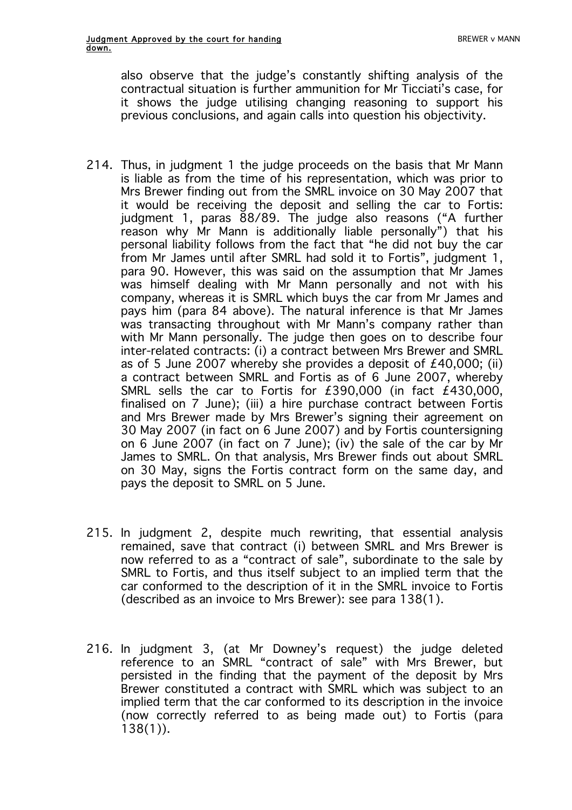also observe that the judge's constantly shifting analysis of the contractual situation is further ammunition for Mr Ticciati's case, for it shows the judge utilising changing reasoning to support his previous conclusions, and again calls into question his objectivity.

- 214. Thus, in judgment 1 the judge proceeds on the basis that Mr Mann is liable as from the time of his representation, which was prior to Mrs Brewer finding out from the SMRL invoice on 30 May 2007 that it would be receiving the deposit and selling the car to Fortis: judgment 1, paras 88/89. The judge also reasons ("A further reason why Mr Mann is additionally liable personally") that his personal liability follows from the fact that "he did not buy the car from Mr James until after SMRL had sold it to Fortis", judgment 1, para 90. However, this was said on the assumption that Mr James was himself dealing with Mr Mann personally and not with his company, whereas it is SMRL which buys the car from Mr James and pays him (para 84 above). The natural inference is that Mr James was transacting throughout with Mr Mann's company rather than with Mr Mann personally. The judge then goes on to describe four inter-related contracts: (i) a contract between Mrs Brewer and SMRL as of 5 June 2007 whereby she provides a deposit of  $£40,000$ ; (ii) a contract between SMRL and Fortis as of 6 June 2007, whereby SMRL sells the car to Fortis for £390,000 (in fact £430,000, finalised on 7 June); (iii) a hire purchase contract between Fortis and Mrs Brewer made by Mrs Brewer's signing their agreement on 30 May 2007 (in fact on 6 June 2007) and by Fortis countersigning on 6 June 2007 (in fact on 7 June); (iv) the sale of the car by Mr James to SMRL. On that analysis, Mrs Brewer finds out about SMRL on 30 May, signs the Fortis contract form on the same day, and pays the deposit to SMRL on 5 June.
- 215. In judgment 2, despite much rewriting, that essential analysis remained, save that contract (i) between SMRL and Mrs Brewer is now referred to as a "contract of sale", subordinate to the sale by SMRL to Fortis, and thus itself subject to an implied term that the car conformed to the description of it in the SMRL invoice to Fortis (described as an invoice to Mrs Brewer): see para 138(1).
- 216. In judgment 3, (at Mr Downey's request) the judge deleted reference to an SMRL "contract of sale" with Mrs Brewer, but persisted in the finding that the payment of the deposit by Mrs Brewer constituted a contract with SMRL which was subject to an implied term that the car conformed to its description in the invoice (now correctly referred to as being made out) to Fortis (para 138(1)).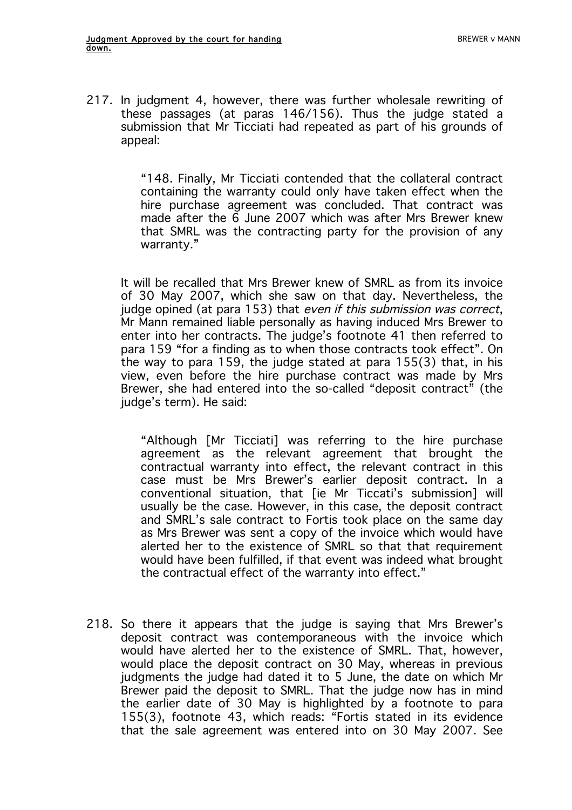217. In judgment 4, however, there was further wholesale rewriting of these passages (at paras 146/156). Thus the judge stated a submission that Mr Ticciati had repeated as part of his grounds of appeal:

> "148. Finally, Mr Ticciati contended that the collateral contract containing the warranty could only have taken effect when the hire purchase agreement was concluded. That contract was made after the 6 June 2007 which was after Mrs Brewer knew that SMRL was the contracting party for the provision of any warranty."

It will be recalled that Mrs Brewer knew of SMRL as from its invoice of 30 May 2007, which she saw on that day. Nevertheless, the judge opined (at para 153) that even if this submission was correct, Mr Mann remained liable personally as having induced Mrs Brewer to enter into her contracts. The judge's footnote 41 then referred to para 159 "for a finding as to when those contracts took effect". On the way to para 159, the judge stated at para 155(3) that, in his view, even before the hire purchase contract was made by Mrs Brewer, she had entered into the so-called "deposit contract" (the judge's term). He said:

"Although [Mr Ticciati] was referring to the hire purchase agreement as the relevant agreement that brought the contractual warranty into effect, the relevant contract in this case must be Mrs Brewer's earlier deposit contract. In a conventional situation, that [ie Mr Ticcati's submission] will usually be the case. However, in this case, the deposit contract and SMRL's sale contract to Fortis took place on the same day as Mrs Brewer was sent a copy of the invoice which would have alerted her to the existence of SMRL so that that requirement would have been fulfilled, if that event was indeed what brought the contractual effect of the warranty into effect."

218. So there it appears that the judge is saying that Mrs Brewer's deposit contract was contemporaneous with the invoice which would have alerted her to the existence of SMRL. That, however, would place the deposit contract on 30 May, whereas in previous judgments the judge had dated it to 5 June, the date on which Mr Brewer paid the deposit to SMRL. That the judge now has in mind the earlier date of 30 May is highlighted by a footnote to para 155(3), footnote 43, which reads: "Fortis stated in its evidence that the sale agreement was entered into on 30 May 2007. See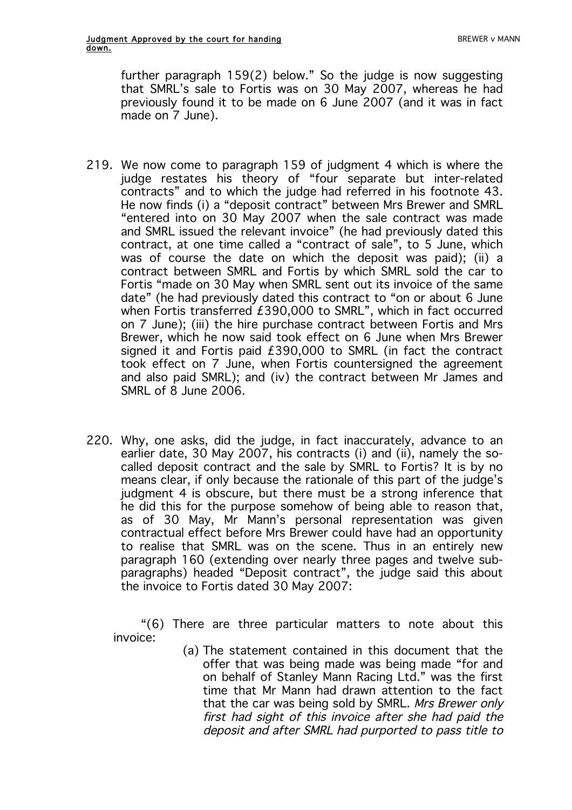further paragraph 159(2) below." So the judge is now suggesting that SMRL's sale to Fortis was on 30 May 2007, whereas he had previously found it to be made on 6 June 2007 (and it was in fact made on 7 June).

- 219. We now come to paragraph 159 of judgment 4 which is where the judge restates his theory of "four separate but inter-related contracts" and to which the judge had referred in his footnote 43. He now finds (i) a "deposit contract" between Mrs Brewer and SMRL "entered into on 30 May 2007 when the sale contract was made and SMRL issued the relevant invoice" (he had previously dated this contract, at one time called a "contract of sale", to 5 June, which was of course the date on which the deposit was paid); (ii) a contract between SMRL and Fortis by which SMRL sold the car to Fortis "made on 30 May when SMRL sent out its invoice of the same date" (he had previously dated this contract to "on or about 6 June when Fortis transferred £390,000 to SMRL", which in fact occurred on 7 June); (iii) the hire purchase contract between Fortis and Mrs Brewer, which he now said took effect on 6 June when Mrs Brewer signed it and Fortis paid £390,000 to SMRL (in fact the contract took effect on 7 June, when Fortis countersigned the agreement and also paid SMRL); and (iv) the contract between Mr James and SMRL of 8 June 2006.
- 220. Why, one asks, did the judge, in fact inaccurately, advance to an earlier date, 30 May 2007, his contracts (i) and (ii), namely the socalled deposit contract and the sale by SMRL to Fortis? It is by no means clear, if only because the rationale of this part of the judge's judgment 4 is obscure, but there must be a strong inference that he did this for the purpose somehow of being able to reason that, as of 30 May, Mr Mann's personal representation was given contractual effect before Mrs Brewer could have had an opportunity to realise that SMRL was on the scene. Thus in an entirely new paragraph 160 (extending over nearly three pages and twelve subparagraphs) headed "Deposit contract", the judge said this about the invoice to Fortis dated 30 May 2007:

"(6) There are three particular matters to note about this invoice:

> (a) The statement contained in this document that the offer that was being made was being made "for and on behalf of Stanley Mann Racing Ltd." was the first time that Mr Mann had drawn attention to the fact that the car was being sold by SMRL. Mrs Brewer only first had sight of this invoice after she had paid the deposit and after SMRL had purported to pass title to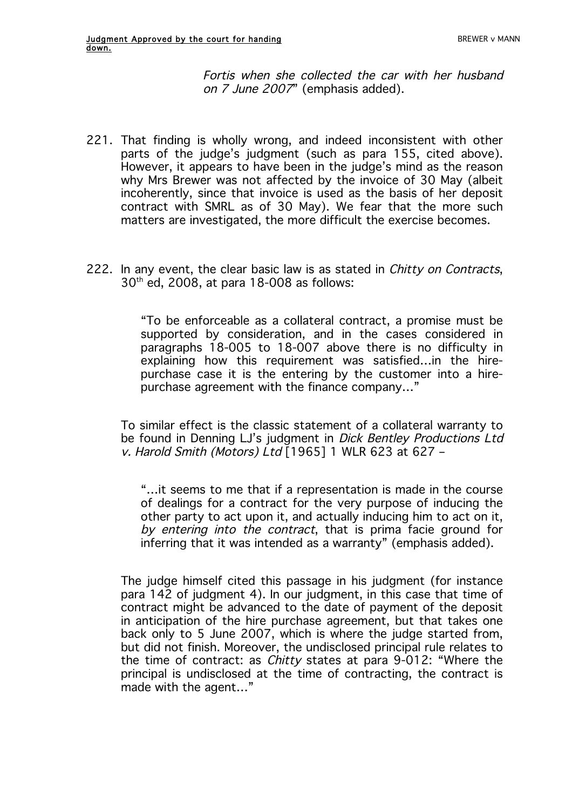Fortis when she collected the car with her husband on 7 June 2007" (emphasis added).

- 221. That finding is wholly wrong, and indeed inconsistent with other parts of the judge's judgment (such as para 155, cited above). However, it appears to have been in the judge's mind as the reason why Mrs Brewer was not affected by the invoice of 30 May (albeit incoherently, since that invoice is used as the basis of her deposit contract with SMRL as of 30 May). We fear that the more such matters are investigated, the more difficult the exercise becomes.
- 222. In any event, the clear basic law is as stated in *Chitty on Contracts*, 30th ed, 2008, at para 18-008 as follows:

"To be enforceable as a collateral contract, a promise must be supported by consideration, and in the cases considered in paragraphs 18-005 to 18-007 above there is no difficulty in explaining how this requirement was satisfied…in the hirepurchase case it is the entering by the customer into a hirepurchase agreement with the finance company…"

To similar effect is the classic statement of a collateral warranty to be found in Denning LJ's judgment in *Dick Bentley Productions Ltd* v. Harold Smith (Motors) Ltd [1965] 1 WLR 623 at 627 –

"…it seems to me that if a representation is made in the course of dealings for a contract for the very purpose of inducing the other party to act upon it, and actually inducing him to act on it, by entering into the contract, that is prima facie ground for inferring that it was intended as a warranty" (emphasis added).

The judge himself cited this passage in his judgment (for instance para 142 of judgment 4). In our judgment, in this case that time of contract might be advanced to the date of payment of the deposit in anticipation of the hire purchase agreement, but that takes one back only to 5 June 2007, which is where the judge started from, but did not finish. Moreover, the undisclosed principal rule relates to the time of contract: as Chitty states at para 9-012: "Where the principal is undisclosed at the time of contracting, the contract is made with the agent…"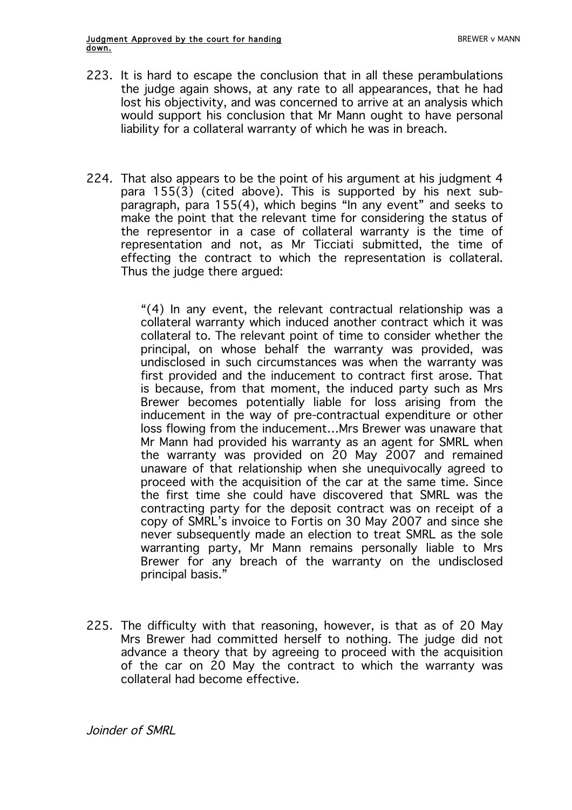- 223. It is hard to escape the conclusion that in all these perambulations the judge again shows, at any rate to all appearances, that he had lost his objectivity, and was concerned to arrive at an analysis which would support his conclusion that Mr Mann ought to have personal liability for a collateral warranty of which he was in breach.
- 224. That also appears to be the point of his argument at his judgment 4 para 155(3) (cited above). This is supported by his next subparagraph, para 155(4), which begins "In any event" and seeks to make the point that the relevant time for considering the status of the representor in a case of collateral warranty is the time of representation and not, as Mr Ticciati submitted, the time of effecting the contract to which the representation is collateral. Thus the judge there argued:

"(4) In any event, the relevant contractual relationship was a collateral warranty which induced another contract which it was collateral to. The relevant point of time to consider whether the principal, on whose behalf the warranty was provided, was undisclosed in such circumstances was when the warranty was first provided and the inducement to contract first arose. That is because, from that moment, the induced party such as Mrs Brewer becomes potentially liable for loss arising from the inducement in the way of pre-contractual expenditure or other loss flowing from the inducement…Mrs Brewer was unaware that Mr Mann had provided his warranty as an agent for SMRL when the warranty was provided on 20 May 2007 and remained unaware of that relationship when she unequivocally agreed to proceed with the acquisition of the car at the same time. Since the first time she could have discovered that SMRL was the contracting party for the deposit contract was on receipt of a copy of SMRL's invoice to Fortis on 30 May 2007 and since she never subsequently made an election to treat SMRL as the sole warranting party, Mr Mann remains personally liable to Mrs Brewer for any breach of the warranty on the undisclosed principal basis."

225. The difficulty with that reasoning, however, is that as of 20 May Mrs Brewer had committed herself to nothing. The judge did not advance a theory that by agreeing to proceed with the acquisition of the car on 20 May the contract to which the warranty was collateral had become effective.

Joinder of SMRL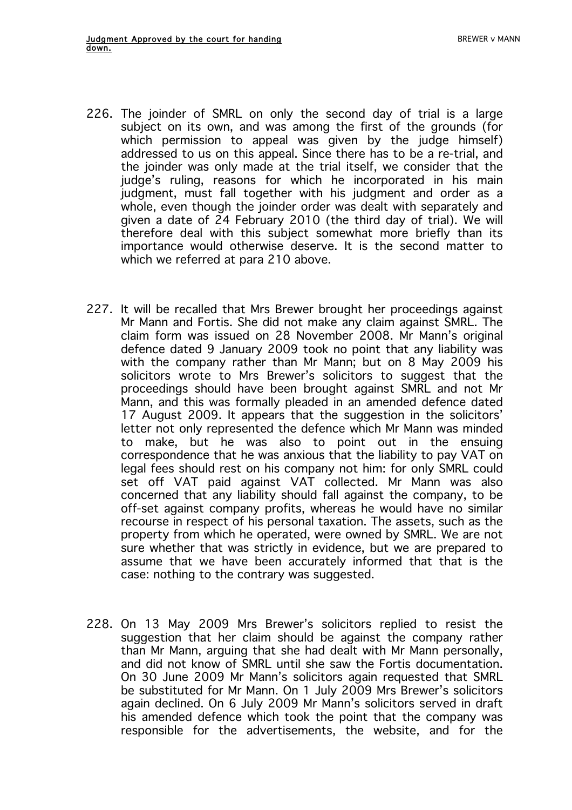- 226. The joinder of SMRL on only the second day of trial is a large subject on its own, and was among the first of the grounds (for which permission to appeal was given by the judge himself) addressed to us on this appeal. Since there has to be a re-trial, and the joinder was only made at the trial itself, we consider that the judge's ruling, reasons for which he incorporated in his main judgment, must fall together with his judgment and order as a whole, even though the joinder order was dealt with separately and given a date of 24 February 2010 (the third day of trial). We will therefore deal with this subject somewhat more briefly than its importance would otherwise deserve. It is the second matter to which we referred at para 210 above.
- 227. It will be recalled that Mrs Brewer brought her proceedings against Mr Mann and Fortis. She did not make any claim against SMRL. The claim form was issued on 28 November 2008. Mr Mann's original defence dated 9 January 2009 took no point that any liability was with the company rather than Mr Mann; but on 8 May 2009 his solicitors wrote to Mrs Brewer's solicitors to suggest that the proceedings should have been brought against SMRL and not Mr Mann, and this was formally pleaded in an amended defence dated 17 August 2009. It appears that the suggestion in the solicitors' letter not only represented the defence which Mr Mann was minded to make, but he was also to point out in the ensuing correspondence that he was anxious that the liability to pay VAT on legal fees should rest on his company not him: for only SMRL could set off VAT paid against VAT collected. Mr Mann was also concerned that any liability should fall against the company, to be off-set against company profits, whereas he would have no similar recourse in respect of his personal taxation. The assets, such as the property from which he operated, were owned by SMRL. We are not sure whether that was strictly in evidence, but we are prepared to assume that we have been accurately informed that that is the case: nothing to the contrary was suggested.
- 228. On 13 May 2009 Mrs Brewer's solicitors replied to resist the suggestion that her claim should be against the company rather than Mr Mann, arguing that she had dealt with Mr Mann personally, and did not know of SMRL until she saw the Fortis documentation. On 30 June 2009 Mr Mann's solicitors again requested that SMRL be substituted for Mr Mann. On 1 July 2009 Mrs Brewer's solicitors again declined. On 6 July 2009 Mr Mann's solicitors served in draft his amended defence which took the point that the company was responsible for the advertisements, the website, and for the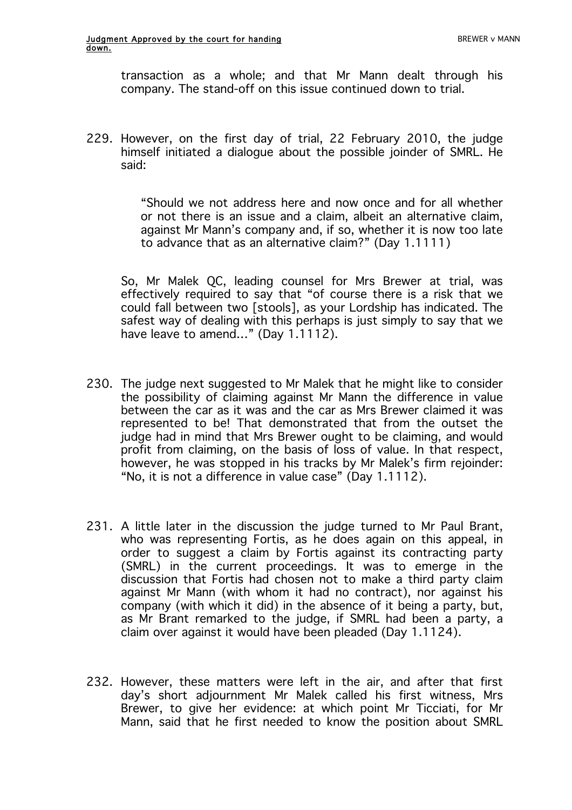transaction as a whole; and that Mr Mann dealt through his company. The stand-off on this issue continued down to trial.

229. However, on the first day of trial, 22 February 2010, the judge himself initiated a dialogue about the possible joinder of SMRL. He said:

> "Should we not address here and now once and for all whether or not there is an issue and a claim, albeit an alternative claim, against Mr Mann's company and, if so, whether it is now too late to advance that as an alternative claim?" (Day 1.1111)

So, Mr Malek QC, leading counsel for Mrs Brewer at trial, was effectively required to say that "of course there is a risk that we could fall between two [stools], as your Lordship has indicated. The safest way of dealing with this perhaps is just simply to say that we have leave to amend..." (Day 1.1112).

- 230. The judge next suggested to Mr Malek that he might like to consider the possibility of claiming against Mr Mann the difference in value between the car as it was and the car as Mrs Brewer claimed it was represented to be! That demonstrated that from the outset the judge had in mind that Mrs Brewer ought to be claiming, and would profit from claiming, on the basis of loss of value. In that respect, however, he was stopped in his tracks by Mr Malek's firm rejoinder: "No, it is not a difference in value case" (Day 1.1112).
- 231. A little later in the discussion the judge turned to Mr Paul Brant, who was representing Fortis, as he does again on this appeal, in order to suggest a claim by Fortis against its contracting party (SMRL) in the current proceedings. It was to emerge in the discussion that Fortis had chosen not to make a third party claim against Mr Mann (with whom it had no contract), nor against his company (with which it did) in the absence of it being a party, but, as Mr Brant remarked to the judge, if SMRL had been a party, a claim over against it would have been pleaded (Day 1.1124).
- 232. However, these matters were left in the air, and after that first day's short adjournment Mr Malek called his first witness, Mrs Brewer, to give her evidence: at which point Mr Ticciati, for Mr Mann, said that he first needed to know the position about SMRL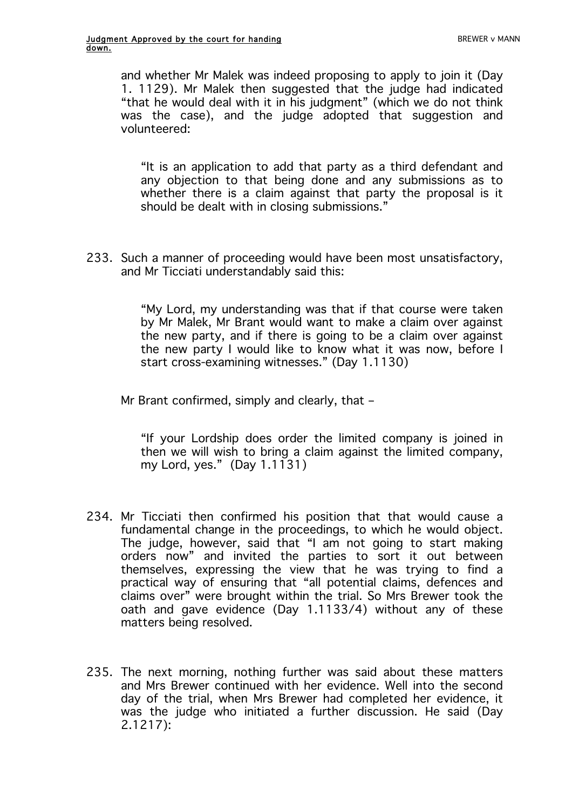and whether Mr Malek was indeed proposing to apply to join it (Day 1. 1129). Mr Malek then suggested that the judge had indicated "that he would deal with it in his judgment" (which we do not think was the case), and the judge adopted that suggestion and volunteered:

"It is an application to add that party as a third defendant and any objection to that being done and any submissions as to whether there is a claim against that party the proposal is it should be dealt with in closing submissions."

233. Such a manner of proceeding would have been most unsatisfactory, and Mr Ticciati understandably said this:

> "My Lord, my understanding was that if that course were taken by Mr Malek, Mr Brant would want to make a claim over against the new party, and if there is going to be a claim over against the new party I would like to know what it was now, before I start cross-examining witnesses." (Day 1.1130)

Mr Brant confirmed, simply and clearly, that –

"If your Lordship does order the limited company is joined in then we will wish to bring a claim against the limited company, my Lord, yes."  $(Day 1.1131)$ 

- 234. Mr Ticciati then confirmed his position that that would cause a fundamental change in the proceedings, to which he would object. The judge, however, said that "I am not going to start making orders now" and invited the parties to sort it out between themselves, expressing the view that he was trying to find a practical way of ensuring that "all potential claims, defences and claims over" were brought within the trial. So Mrs Brewer took the oath and gave evidence (Day 1.1133/4) without any of these matters being resolved.
- 235. The next morning, nothing further was said about these matters and Mrs Brewer continued with her evidence. Well into the second day of the trial, when Mrs Brewer had completed her evidence, it was the judge who initiated a further discussion. He said (Day 2.1217):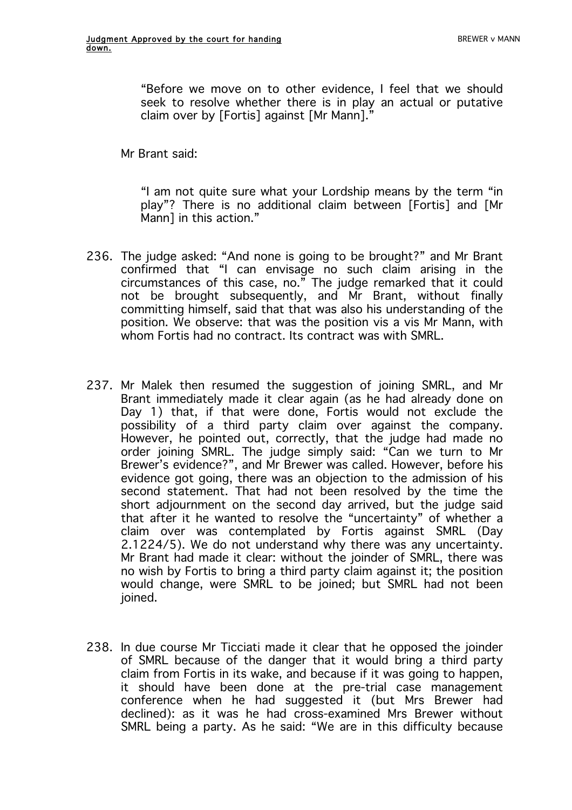"Before we move on to other evidence, I feel that we should seek to resolve whether there is in play an actual or putative claim over by [Fortis] against [Mr Mann]."

Mr Brant said:

"I am not quite sure what your Lordship means by the term "in play"? There is no additional claim between [Fortis] and [Mr Mann] in this action."

- 236. The judge asked: "And none is going to be brought?" and Mr Brant confirmed that "I can envisage no such claim arising in the circumstances of this case, no." The judge remarked that it could not be brought subsequently, and Mr Brant, without finally committing himself, said that that was also his understanding of the position. We observe: that was the position vis a vis Mr Mann, with whom Fortis had no contract. Its contract was with SMRL
- 237. Mr Malek then resumed the suggestion of joining SMRL, and Mr Brant immediately made it clear again (as he had already done on Day 1) that, if that were done, Fortis would not exclude the possibility of a third party claim over against the company. However, he pointed out, correctly, that the judge had made no order joining SMRL. The judge simply said: "Can we turn to Mr Brewer's evidence?", and Mr Brewer was called. However, before his evidence got going, there was an objection to the admission of his second statement. That had not been resolved by the time the short adjournment on the second day arrived, but the judge said that after it he wanted to resolve the "uncertainty" of whether a claim over was contemplated by Fortis against SMRL (Day 2.1224/5). We do not understand why there was any uncertainty. Mr Brant had made it clear: without the joinder of SMRL, there was no wish by Fortis to bring a third party claim against it; the position would change, were SMRL to be joined; but SMRL had not been joined.
- 238. In due course Mr Ticciati made it clear that he opposed the joinder of SMRL because of the danger that it would bring a third party claim from Fortis in its wake, and because if it was going to happen, it should have been done at the pre-trial case management conference when he had suggested it (but Mrs Brewer had declined): as it was he had cross-examined Mrs Brewer without SMRL being a party. As he said: "We are in this difficulty because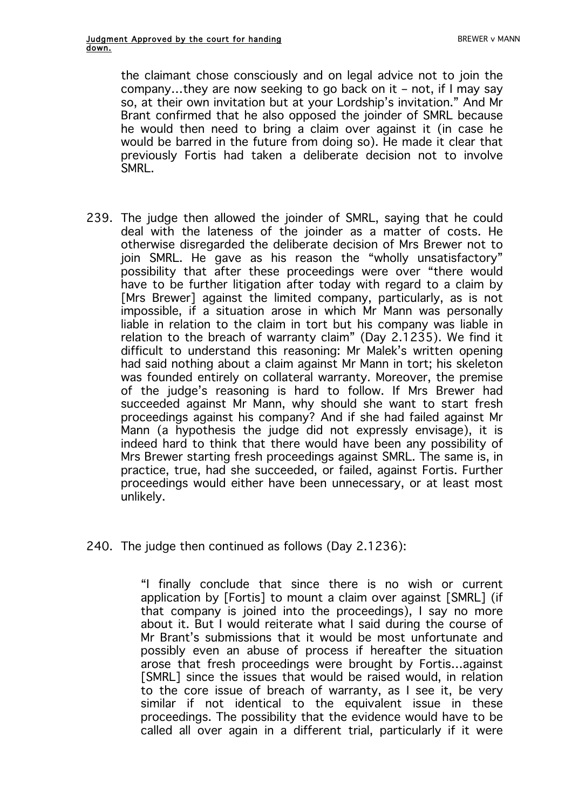the claimant chose consciously and on legal advice not to join the company…they are now seeking to go back on it – not, if I may say so, at their own invitation but at your Lordship's invitation." And Mr Brant confirmed that he also opposed the joinder of SMRL because he would then need to bring a claim over against it (in case he would be barred in the future from doing so). He made it clear that previously Fortis had taken a deliberate decision not to involve **SMRL.** 

- 239. The judge then allowed the joinder of SMRL, saying that he could deal with the lateness of the joinder as a matter of costs. He otherwise disregarded the deliberate decision of Mrs Brewer not to join SMRL. He gave as his reason the "wholly unsatisfactory" possibility that after these proceedings were over "there would have to be further litigation after today with regard to a claim by [Mrs Brewer] against the limited company, particularly, as is not impossible, if a situation arose in which Mr Mann was personally liable in relation to the claim in tort but his company was liable in relation to the breach of warranty claim" (Day 2.1235). We find it difficult to understand this reasoning: Mr Malek's written opening had said nothing about a claim against Mr Mann in tort; his skeleton was founded entirely on collateral warranty. Moreover, the premise of the judge's reasoning is hard to follow. If Mrs Brewer had succeeded against Mr Mann, why should she want to start fresh proceedings against his company? And if she had failed against Mr Mann (a hypothesis the judge did not expressly envisage), it is indeed hard to think that there would have been any possibility of Mrs Brewer starting fresh proceedings against SMRL. The same is, in practice, true, had she succeeded, or failed, against Fortis. Further proceedings would either have been unnecessary, or at least most unlikely.
- 240. The judge then continued as follows (Day 2.1236):

"I finally conclude that since there is no wish or current application by [Fortis] to mount a claim over against [SMRL] (if that company is joined into the proceedings), I say no more about it. But I would reiterate what I said during the course of Mr Brant's submissions that it would be most unfortunate and possibly even an abuse of process if hereafter the situation arose that fresh proceedings were brought by Fortis…against [SMRL] since the issues that would be raised would, in relation to the core issue of breach of warranty, as I see it, be very similar if not identical to the equivalent issue in these proceedings. The possibility that the evidence would have to be called all over again in a different trial, particularly if it were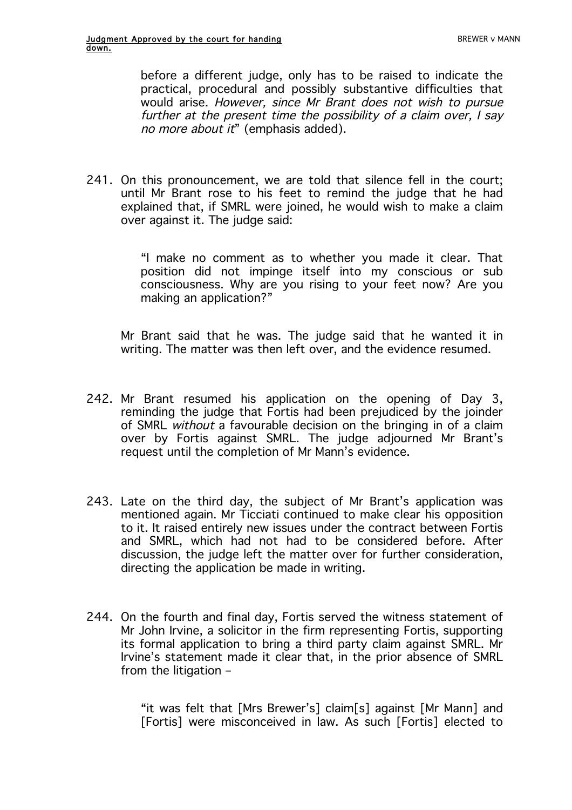before a different judge, only has to be raised to indicate the practical, procedural and possibly substantive difficulties that would arise. However, since Mr Brant does not wish to pursue further at the present time the possibility of a claim over, I say no more about it" (emphasis added).

241. On this pronouncement, we are told that silence fell in the court; until Mr Brant rose to his feet to remind the judge that he had explained that, if SMRL were joined, he would wish to make a claim over against it. The judge said:

> "I make no comment as to whether you made it clear. That position did not impinge itself into my conscious or sub consciousness. Why are you rising to your feet now? Are you making an application?"

Mr Brant said that he was. The judge said that he wanted it in writing. The matter was then left over, and the evidence resumed.

- 242. Mr Brant resumed his application on the opening of Day 3, reminding the judge that Fortis had been prejudiced by the joinder of SMRL without a favourable decision on the bringing in of a claim over by Fortis against SMRL. The judge adjourned Mr Brant's request until the completion of Mr Mann's evidence.
- 243. Late on the third day, the subject of Mr Brant's application was mentioned again. Mr Ticciati continued to make clear his opposition to it. It raised entirely new issues under the contract between Fortis and SMRL, which had not had to be considered before. After discussion, the judge left the matter over for further consideration, directing the application be made in writing.
- 244. On the fourth and final day, Fortis served the witness statement of Mr John Irvine, a solicitor in the firm representing Fortis, supporting its formal application to bring a third party claim against SMRL. Mr Irvine's statement made it clear that, in the prior absence of SMRL from the litigation –

"it was felt that [Mrs Brewer's] claim[s] against [Mr Mann] and [Fortis] were misconceived in law. As such [Fortis] elected to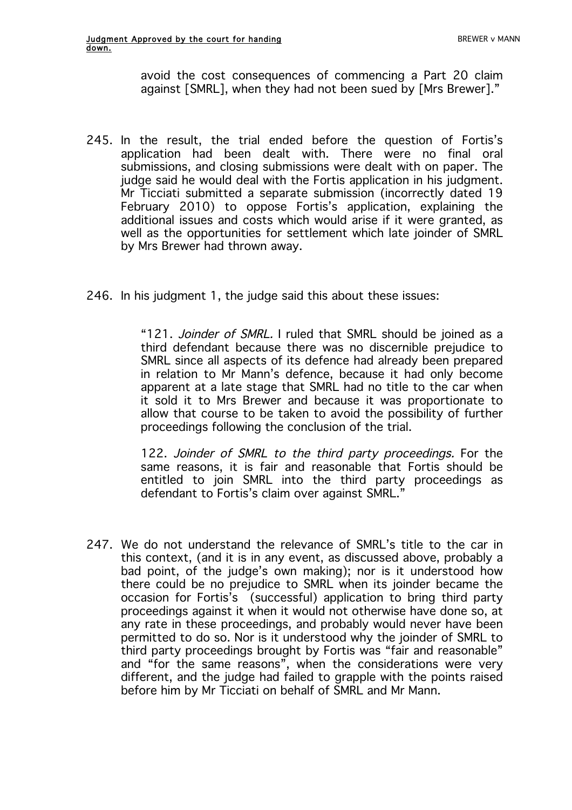avoid the cost consequences of commencing a Part 20 claim against [SMRL], when they had not been sued by [Mrs Brewer]."

- 245. In the result, the trial ended before the question of Fortis's application had been dealt with. There were no final oral submissions, and closing submissions were dealt with on paper. The judge said he would deal with the Fortis application in his judgment. Mr Ticciati submitted a separate submission (incorrectly dated 19 February 2010) to oppose Fortis's application, explaining the additional issues and costs which would arise if it were granted, as well as the opportunities for settlement which late joinder of SMRL by Mrs Brewer had thrown away.
- 246. In his judgment 1, the judge said this about these issues:

"121. Joinder of SMRL. I ruled that SMRL should be joined as a third defendant because there was no discernible prejudice to SMRL since all aspects of its defence had already been prepared in relation to Mr Mann's defence, because it had only become apparent at a late stage that SMRL had no title to the car when it sold it to Mrs Brewer and because it was proportionate to allow that course to be taken to avoid the possibility of further proceedings following the conclusion of the trial.

122. Joinder of SMRL to the third party proceedings. For the same reasons, it is fair and reasonable that Fortis should be entitled to join SMRL into the third party proceedings as defendant to Fortis's claim over against SMRL."

247. We do not understand the relevance of SMRL's title to the car in this context, (and it is in any event, as discussed above, probably a bad point, of the judge's own making); nor is it understood how there could be no prejudice to SMRL when its joinder became the occasion for Fortis's (successful) application to bring third party proceedings against it when it would not otherwise have done so, at any rate in these proceedings, and probably would never have been permitted to do so. Nor is it understood why the joinder of SMRL to third party proceedings brought by Fortis was "fair and reasonable" and "for the same reasons", when the considerations were very different, and the judge had failed to grapple with the points raised before him by Mr Ticciati on behalf of SMRL and Mr Mann.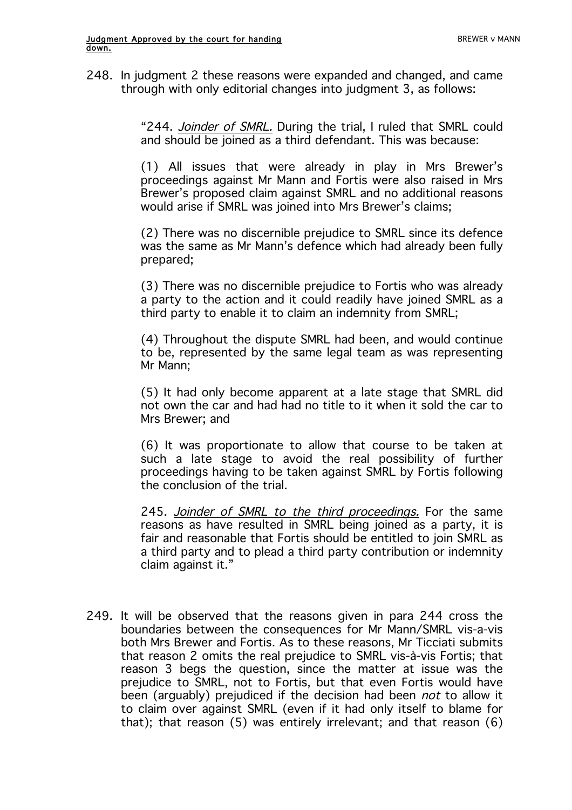248. In judgment 2 these reasons were expanded and changed, and came through with only editorial changes into judgment 3, as follows:

> "244. Joinder of SMRL. During the trial, I ruled that SMRL could and should be joined as a third defendant. This was because:

> (1) All issues that were already in play in Mrs Brewer's proceedings against Mr Mann and Fortis were also raised in Mrs Brewer's proposed claim against SMRL and no additional reasons would arise if SMRL was joined into Mrs Brewer's claims;

> (2) There was no discernible prejudice to SMRL since its defence was the same as Mr Mann's defence which had already been fully prepared;

> (3) There was no discernible prejudice to Fortis who was already a party to the action and it could readily have joined SMRL as a third party to enable it to claim an indemnity from SMRL;

> (4) Throughout the dispute SMRL had been, and would continue to be, represented by the same legal team as was representing Mr Mann;

> (5) It had only become apparent at a late stage that SMRL did not own the car and had had no title to it when it sold the car to Mrs Brewer; and

> (6) It was proportionate to allow that course to be taken at such a late stage to avoid the real possibility of further proceedings having to be taken against SMRL by Fortis following the conclusion of the trial.

> 245. Joinder of SMRL to the third proceedings. For the same reasons as have resulted in SMRL being joined as a party, it is fair and reasonable that Fortis should be entitled to join SMRL as a third party and to plead a third party contribution or indemnity claim against it."

249. It will be observed that the reasons given in para 244 cross the boundaries between the consequences for Mr Mann/SMRL vis-a-vis both Mrs Brewer and Fortis. As to these reasons, Mr Ticciati submits that reason 2 omits the real prejudice to SMRL vis-à-vis Fortis; that reason 3 begs the question, since the matter at issue was the prejudice to SMRL, not to Fortis, but that even Fortis would have been (arguably) prejudiced if the decision had been *not* to allow it to claim over against SMRL (even if it had only itself to blame for that); that reason (5) was entirely irrelevant; and that reason (6)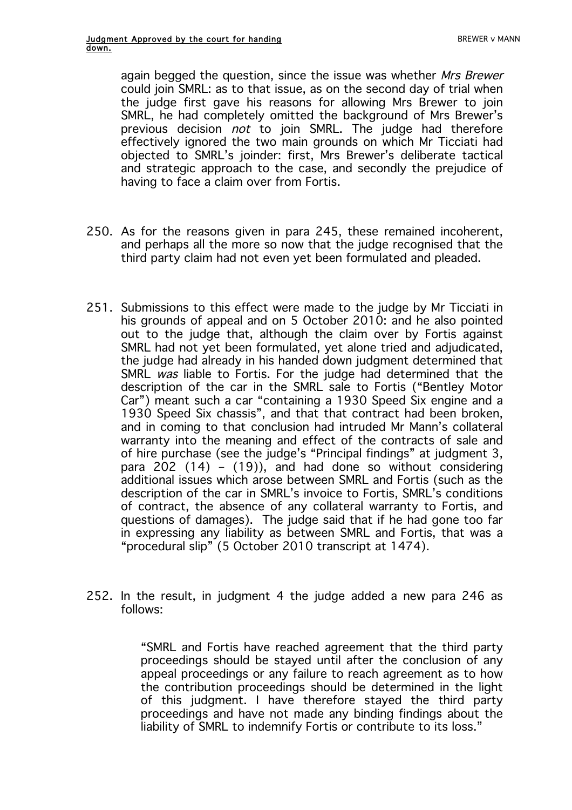again begged the question, since the issue was whether Mrs Brewer could join SMRL: as to that issue, as on the second day of trial when the judge first gave his reasons for allowing Mrs Brewer to join SMRL, he had completely omitted the background of Mrs Brewer's previous decision *not* to join SMRL. The judge had therefore effectively ignored the two main grounds on which Mr Ticciati had objected to SMRL's joinder: first, Mrs Brewer's deliberate tactical and strategic approach to the case, and secondly the prejudice of having to face a claim over from Fortis.

- 250. As for the reasons given in para 245, these remained incoherent, and perhaps all the more so now that the judge recognised that the third party claim had not even yet been formulated and pleaded.
- 251. Submissions to this effect were made to the judge by Mr Ticciati in his grounds of appeal and on 5 October 2010: and he also pointed out to the judge that, although the claim over by Fortis against SMRL had not yet been formulated, yet alone tried and adjudicated, the judge had already in his handed down judgment determined that SMRL was liable to Fortis. For the judge had determined that the description of the car in the SMRL sale to Fortis ("Bentley Motor Car") meant such a car "containing a 1930 Speed Six engine and a 1930 Speed Six chassis", and that that contract had been broken, and in coming to that conclusion had intruded Mr Mann's collateral warranty into the meaning and effect of the contracts of sale and of hire purchase (see the judge's "Principal findings" at judgment 3, para 202 (14) – (19)), and had done so without considering additional issues which arose between SMRL and Fortis (such as the description of the car in SMRL's invoice to Fortis, SMRL's conditions of contract, the absence of any collateral warranty to Fortis, and questions of damages). The judge said that if he had gone too far in expressing any liability as between SMRL and Fortis, that was a "procedural slip" (5 October 2010 transcript at 1474).
- 252. In the result, in judgment 4 the judge added a new para 246 as follows:

"SMRL and Fortis have reached agreement that the third party proceedings should be stayed until after the conclusion of any appeal proceedings or any failure to reach agreement as to how the contribution proceedings should be determined in the light of this judgment. I have therefore stayed the third party proceedings and have not made any binding findings about the liability of SMRL to indemnify Fortis or contribute to its loss."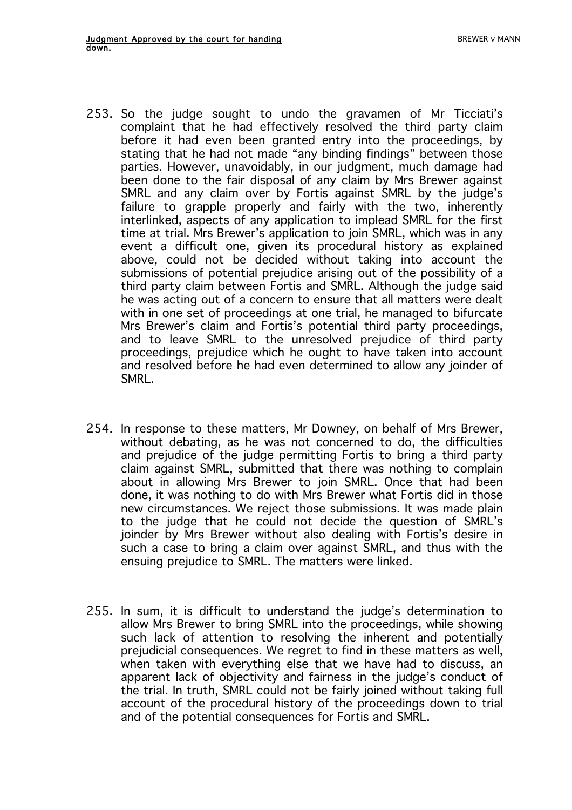- 253. So the judge sought to undo the gravamen of Mr Ticciati's complaint that he had effectively resolved the third party claim before it had even been granted entry into the proceedings, by stating that he had not made "any binding findings" between those parties. However, unavoidably, in our judgment, much damage had been done to the fair disposal of any claim by Mrs Brewer against SMRL and any claim over by Fortis against SMRL by the judge's failure to grapple properly and fairly with the two, inherently interlinked, aspects of any application to implead SMRL for the first time at trial. Mrs Brewer's application to join SMRL, which was in any event a difficult one, given its procedural history as explained above, could not be decided without taking into account the submissions of potential prejudice arising out of the possibility of a third party claim between Fortis and SMRL. Although the judge said he was acting out of a concern to ensure that all matters were dealt with in one set of proceedings at one trial, he managed to bifurcate Mrs Brewer's claim and Fortis's potential third party proceedings, and to leave SMRL to the unresolved prejudice of third party proceedings, prejudice which he ought to have taken into account and resolved before he had even determined to allow any joinder of SMRL.
- 254. In response to these matters, Mr Downey, on behalf of Mrs Brewer, without debating, as he was not concerned to do, the difficulties and prejudice of the judge permitting Fortis to bring a third party claim against SMRL, submitted that there was nothing to complain about in allowing Mrs Brewer to join SMRL. Once that had been done, it was nothing to do with Mrs Brewer what Fortis did in those new circumstances. We reject those submissions. It was made plain to the judge that he could not decide the question of SMRL's joinder by Mrs Brewer without also dealing with Fortis's desire in such a case to bring a claim over against SMRL, and thus with the ensuing prejudice to SMRL. The matters were linked.
- 255. In sum, it is difficult to understand the judge's determination to allow Mrs Brewer to bring SMRL into the proceedings, while showing such lack of attention to resolving the inherent and potentially prejudicial consequences. We regret to find in these matters as well, when taken with everything else that we have had to discuss, an apparent lack of objectivity and fairness in the judge's conduct of the trial. In truth, SMRL could not be fairly joined without taking full account of the procedural history of the proceedings down to trial and of the potential consequences for Fortis and SMRL.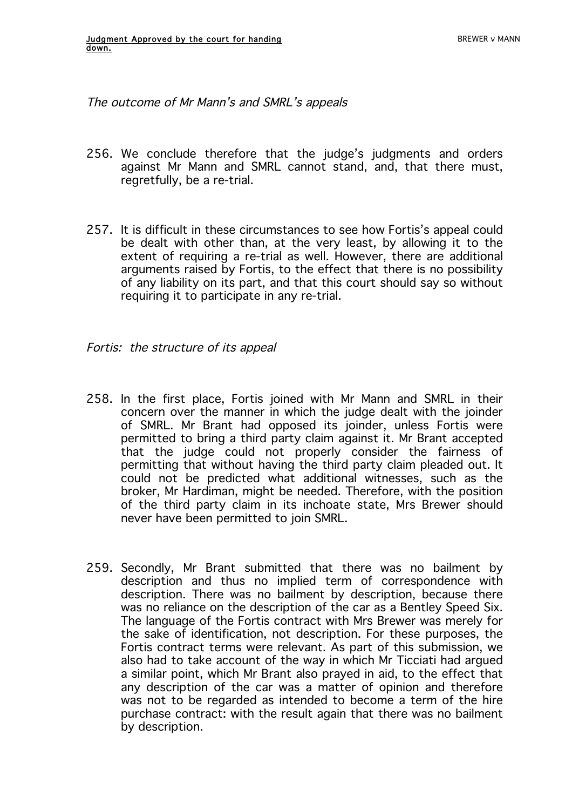The outcome of Mr Mann's and SMRL's appeals

- 256. We conclude therefore that the judge's judgments and orders against Mr Mann and SMRL cannot stand, and, that there must, regretfully, be a re-trial.
- 257. It is difficult in these circumstances to see how Fortis's appeal could be dealt with other than, at the very least, by allowing it to the extent of requiring a re-trial as well. However, there are additional arguments raised by Fortis, to the effect that there is no possibility of any liability on its part, and that this court should say so without requiring it to participate in any re-trial.

Fortis: the structure of its appeal

- 258. In the first place, Fortis joined with Mr Mann and SMRL in their concern over the manner in which the judge dealt with the joinder of SMRL. Mr Brant had opposed its joinder, unless Fortis were permitted to bring a third party claim against it. Mr Brant accepted that the judge could not properly consider the fairness of permitting that without having the third party claim pleaded out. It could not be predicted what additional witnesses, such as the broker, Mr Hardiman, might be needed. Therefore, with the position of the third party claim in its inchoate state, Mrs Brewer should never have been permitted to join SMRL.
- 259. Secondly, Mr Brant submitted that there was no bailment by description and thus no implied term of correspondence with description. There was no bailment by description, because there was no reliance on the description of the car as a Bentley Speed Six. The language of the Fortis contract with Mrs Brewer was merely for the sake of identification, not description. For these purposes, the Fortis contract terms were relevant. As part of this submission, we also had to take account of the way in which Mr Ticciati had argued a similar point, which Mr Brant also prayed in aid, to the effect that any description of the car was a matter of opinion and therefore was not to be regarded as intended to become a term of the hire purchase contract: with the result again that there was no bailment by description.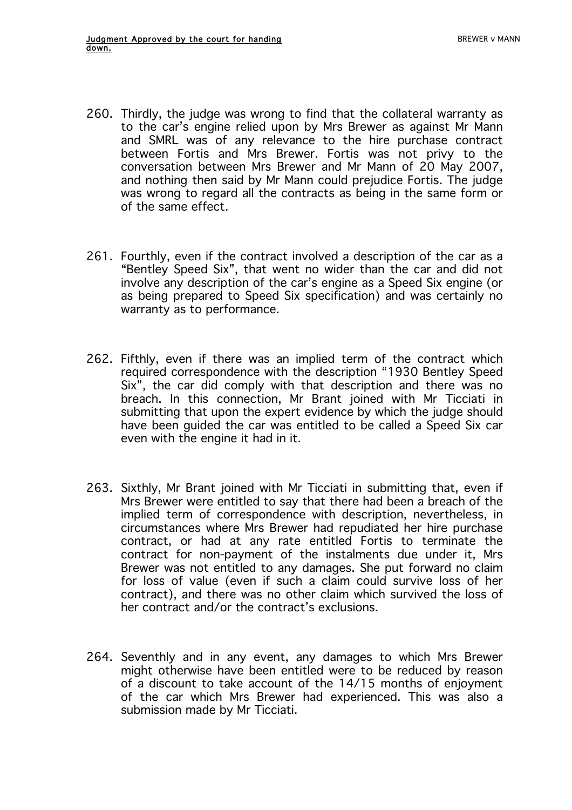- 260. Thirdly, the judge was wrong to find that the collateral warranty as to the car's engine relied upon by Mrs Brewer as against Mr Mann and SMRL was of any relevance to the hire purchase contract between Fortis and Mrs Brewer. Fortis was not privy to the conversation between Mrs Brewer and Mr Mann of 20 May 2007, and nothing then said by Mr Mann could prejudice Fortis. The judge was wrong to regard all the contracts as being in the same form or of the same effect.
- 261. Fourthly, even if the contract involved a description of the car as a "Bentley Speed Six", that went no wider than the car and did not involve any description of the car's engine as a Speed Six engine (or as being prepared to Speed Six specification) and was certainly no warranty as to performance.
- 262. Fifthly, even if there was an implied term of the contract which required correspondence with the description "1930 Bentley Speed Six", the car did comply with that description and there was no breach. In this connection, Mr Brant joined with Mr Ticciati in submitting that upon the expert evidence by which the judge should have been guided the car was entitled to be called a Speed Six car even with the engine it had in it.
- 263. Sixthly, Mr Brant joined with Mr Ticciati in submitting that, even if Mrs Brewer were entitled to say that there had been a breach of the implied term of correspondence with description, nevertheless, in circumstances where Mrs Brewer had repudiated her hire purchase contract, or had at any rate entitled Fortis to terminate the contract for non-payment of the instalments due under it, Mrs Brewer was not entitled to any damages. She put forward no claim for loss of value (even if such a claim could survive loss of her contract), and there was no other claim which survived the loss of her contract and/or the contract's exclusions.
- 264. Seventhly and in any event, any damages to which Mrs Brewer might otherwise have been entitled were to be reduced by reason of a discount to take account of the 14/15 months of enjoyment of the car which Mrs Brewer had experienced. This was also a submission made by Mr Ticciati.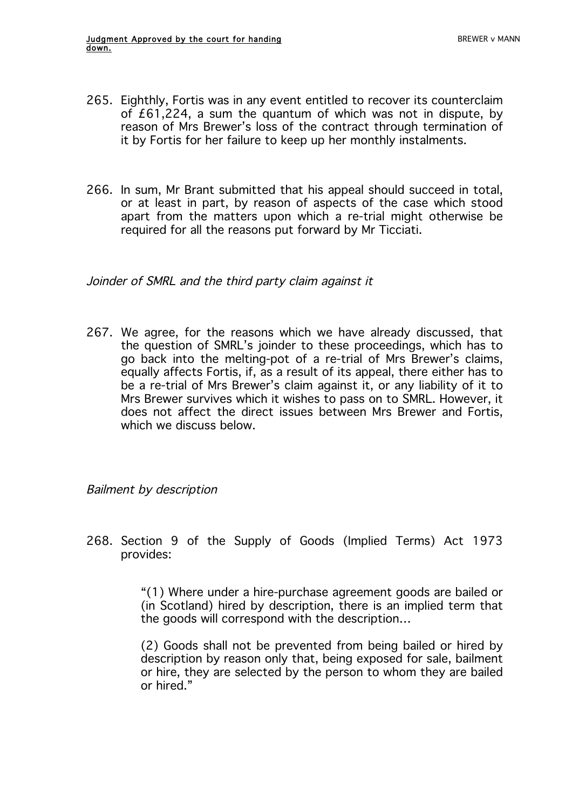- 265. Eighthly, Fortis was in any event entitled to recover its counterclaim of £61,224, a sum the quantum of which was not in dispute, by reason of Mrs Brewer's loss of the contract through termination of it by Fortis for her failure to keep up her monthly instalments.
- 266. In sum, Mr Brant submitted that his appeal should succeed in total, or at least in part, by reason of aspects of the case which stood apart from the matters upon which a re-trial might otherwise be required for all the reasons put forward by Mr Ticciati.

Joinder of SMRL and the third party claim against it

267. We agree, for the reasons which we have already discussed, that the question of SMRL's joinder to these proceedings, which has to go back into the melting-pot of a re-trial of Mrs Brewer's claims, equally affects Fortis, if, as a result of its appeal, there either has to be a re-trial of Mrs Brewer's claim against it, or any liability of it to Mrs Brewer survives which it wishes to pass on to SMRL. However, it does not affect the direct issues between Mrs Brewer and Fortis, which we discuss below.

Bailment by description

268. Section 9 of the Supply of Goods (Implied Terms) Act 1973 provides:

> "(1) Where under a hire-purchase agreement goods are bailed or (in Scotland) hired by description, there is an implied term that the goods will correspond with the description…

> (2) Goods shall not be prevented from being bailed or hired by description by reason only that, being exposed for sale, bailment or hire, they are selected by the person to whom they are bailed or hired."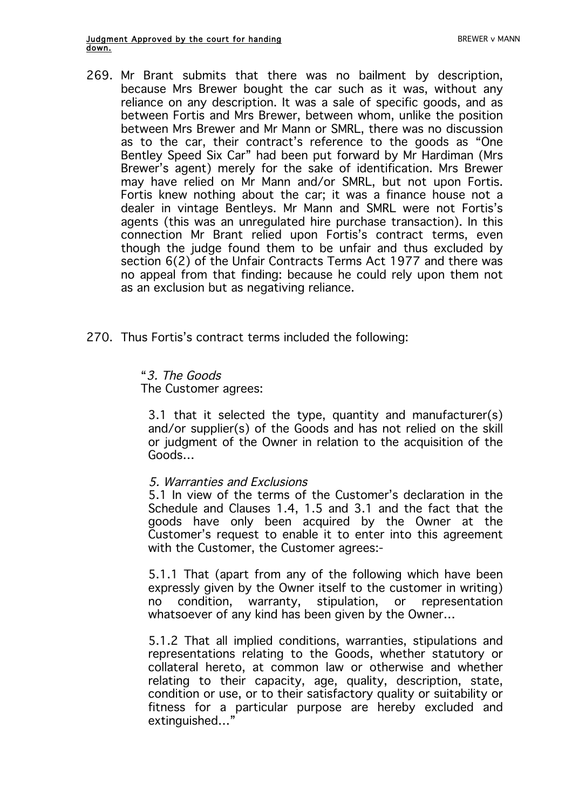- 269. Mr Brant submits that there was no bailment by description, because Mrs Brewer bought the car such as it was, without any reliance on any description. It was a sale of specific goods, and as between Fortis and Mrs Brewer, between whom, unlike the position between Mrs Brewer and Mr Mann or SMRL, there was no discussion as to the car, their contract's reference to the goods as "One Bentley Speed Six Car" had been put forward by Mr Hardiman (Mrs Brewer's agent) merely for the sake of identification. Mrs Brewer may have relied on Mr Mann and/or SMRL, but not upon Fortis. Fortis knew nothing about the car; it was a finance house not a dealer in vintage Bentleys. Mr Mann and SMRL were not Fortis's agents (this was an unregulated hire purchase transaction). In this connection Mr Brant relied upon Fortis's contract terms, even though the judge found them to be unfair and thus excluded by section 6(2) of the Unfair Contracts Terms Act 1977 and there was no appeal from that finding: because he could rely upon them not as an exclusion but as negativing reliance.
- 270. Thus Fortis's contract terms included the following:

"3. The Goods The Customer agrees:

3.1 that it selected the type, quantity and manufacturer(s) and/or supplier(s) of the Goods and has not relied on the skill or judgment of the Owner in relation to the acquisition of the Goods…

## 5. Warranties and Exclusions

5.1 In view of the terms of the Customer's declaration in the Schedule and Clauses 1.4, 1.5 and 3.1 and the fact that the goods have only been acquired by the Owner at the Customer's request to enable it to enter into this agreement with the Customer, the Customer agrees:-

5.1.1 That (apart from any of the following which have been expressly given by the Owner itself to the customer in writing) no condition, warranty, stipulation, or representation whatsoever of any kind has been given by the Owner…

5.1.2 That all implied conditions, warranties, stipulations and representations relating to the Goods, whether statutory or collateral hereto, at common law or otherwise and whether relating to their capacity, age, quality, description, state, condition or use, or to their satisfactory quality or suitability or fitness for a particular purpose are hereby excluded and extinguished…"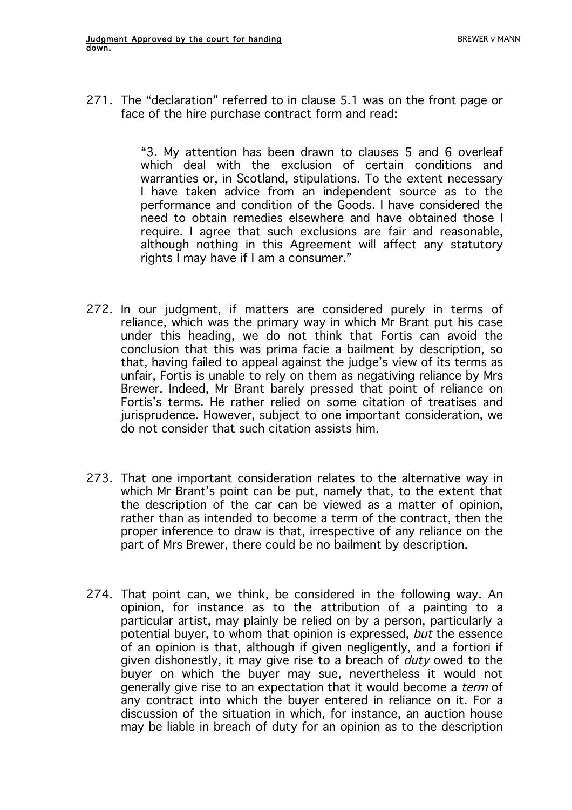271. The "declaration" referred to in clause 5.1 was on the front page or face of the hire purchase contract form and read:

> "3. My attention has been drawn to clauses 5 and 6 overleaf which deal with the exclusion of certain conditions and warranties or, in Scotland, stipulations. To the extent necessary I have taken advice from an independent source as to the performance and condition of the Goods. I have considered the need to obtain remedies elsewhere and have obtained those I require. I agree that such exclusions are fair and reasonable, although nothing in this Agreement will affect any statutory rights I may have if I am a consumer."

- 272. In our judgment, if matters are considered purely in terms of reliance, which was the primary way in which Mr Brant put his case under this heading, we do not think that Fortis can avoid the conclusion that this was prima facie a bailment by description, so that, having failed to appeal against the judge's view of its terms as unfair, Fortis is unable to rely on them as negativing reliance by Mrs Brewer. Indeed, Mr Brant barely pressed that point of reliance on Fortis's terms. He rather relied on some citation of treatises and jurisprudence. However, subject to one important consideration, we do not consider that such citation assists him.
- 273. That one important consideration relates to the alternative way in which Mr Brant's point can be put, namely that, to the extent that the description of the car can be viewed as a matter of opinion, rather than as intended to become a term of the contract, then the proper inference to draw is that, irrespective of any reliance on the part of Mrs Brewer, there could be no bailment by description.
- 274. That point can, we think, be considered in the following way. An opinion, for instance as to the attribution of a painting to a particular artist, may plainly be relied on by a person, particularly a potential buyer, to whom that opinion is expressed, but the essence of an opinion is that, although if given negligently, and a fortiori if given dishonestly, it may give rise to a breach of *duty* owed to the buyer on which the buyer may sue, nevertheless it would not generally give rise to an expectation that it would become a term of any contract into which the buyer entered in reliance on it. For a discussion of the situation in which, for instance, an auction house may be liable in breach of duty for an opinion as to the description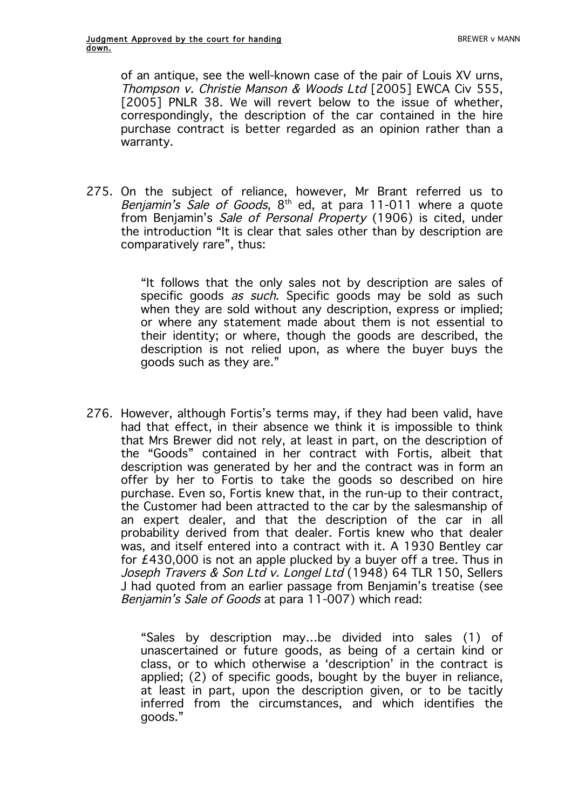of an antique, see the well-known case of the pair of Louis XV urns, Thompson v. Christie Manson & Woods Ltd [2005] EWCA Civ 555, [2005] PNLR 38. We will revert below to the issue of whether, correspondingly, the description of the car contained in the hire purchase contract is better regarded as an opinion rather than a warranty.

275. On the subject of reliance, however, Mr Brant referred us to Benjamin's Sale of Goods,  $8<sup>th</sup>$  ed, at para 11-011 where a quote from Benjamin's Sale of Personal Property (1906) is cited, under the introduction "It is clear that sales other than by description are comparatively rare", thus:

> "It follows that the only sales not by description are sales of specific goods *as such*. Specific goods may be sold as such when they are sold without any description, express or implied; or where any statement made about them is not essential to their identity; or where, though the goods are described, the description is not relied upon, as where the buyer buys the goods such as they are."

276. However, although Fortis's terms may, if they had been valid, have had that effect, in their absence we think it is impossible to think that Mrs Brewer did not rely, at least in part, on the description of the "Goods" contained in her contract with Fortis, albeit that description was generated by her and the contract was in form an offer by her to Fortis to take the goods so described on hire purchase. Even so, Fortis knew that, in the run-up to their contract, the Customer had been attracted to the car by the salesmanship of an expert dealer, and that the description of the car in all probability derived from that dealer. Fortis knew who that dealer was, and itself entered into a contract with it. A 1930 Bentley car for £430,000 is not an apple plucked by a buyer off a tree. Thus in Joseph Travers & Son Ltd v. Longel Ltd (1948) 64 TLR 150, Sellers J had quoted from an earlier passage from Benjamin's treatise (see Benjamin's Sale of Goods at para 11-007) which read:

> "Sales by description may…be divided into sales (1) of unascertained or future goods, as being of a certain kind or class, or to which otherwise a 'description' in the contract is applied; (2) of specific goods, bought by the buyer in reliance, at least in part, upon the description given, or to be tacitly inferred from the circumstances, and which identifies the goods."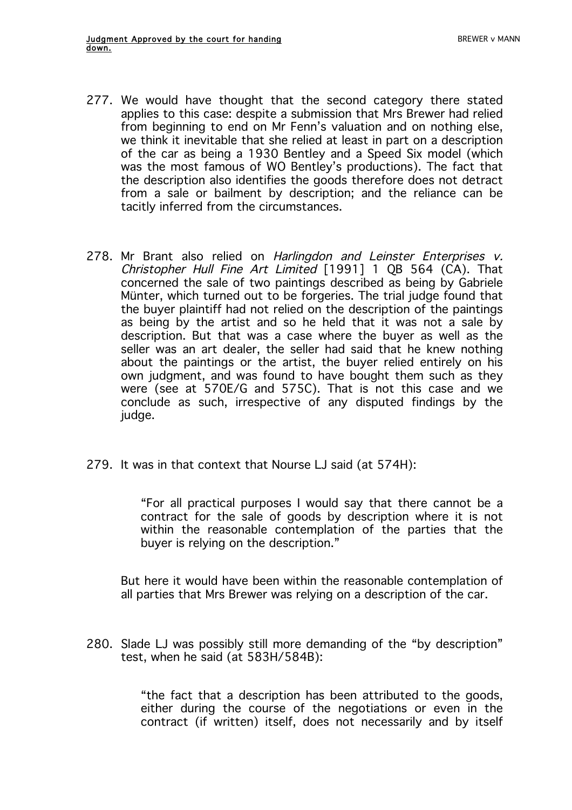- 277. We would have thought that the second category there stated applies to this case: despite a submission that Mrs Brewer had relied from beginning to end on Mr Fenn's valuation and on nothing else, we think it inevitable that she relied at least in part on a description of the car as being a 1930 Bentley and a Speed Six model (which was the most famous of WO Bentley's productions). The fact that the description also identifies the goods therefore does not detract from a sale or bailment by description; and the reliance can be tacitly inferred from the circumstances.
- 278. Mr Brant also relied on Harlingdon and Leinster Enterprises v. Christopher Hull Fine Art Limited [1991] 1 QB 564 (CA). That concerned the sale of two paintings described as being by Gabriele Münter, which turned out to be forgeries. The trial judge found that the buyer plaintiff had not relied on the description of the paintings as being by the artist and so he held that it was not a sale by description. But that was a case where the buyer as well as the seller was an art dealer, the seller had said that he knew nothing about the paintings or the artist, the buyer relied entirely on his own judgment, and was found to have bought them such as they were (see at 570E/G and 575C). That is not this case and we conclude as such, irrespective of any disputed findings by the judge.
- 279. It was in that context that Nourse LJ said (at 574H):

"For all practical purposes I would say that there cannot be a contract for the sale of goods by description where it is not within the reasonable contemplation of the parties that the buyer is relying on the description."

But here it would have been within the reasonable contemplation of all parties that Mrs Brewer was relying on a description of the car.

280. Slade LJ was possibly still more demanding of the "by description" test, when he said (at 583H/584B):

> "the fact that a description has been attributed to the goods, either during the course of the negotiations or even in the contract (if written) itself, does not necessarily and by itself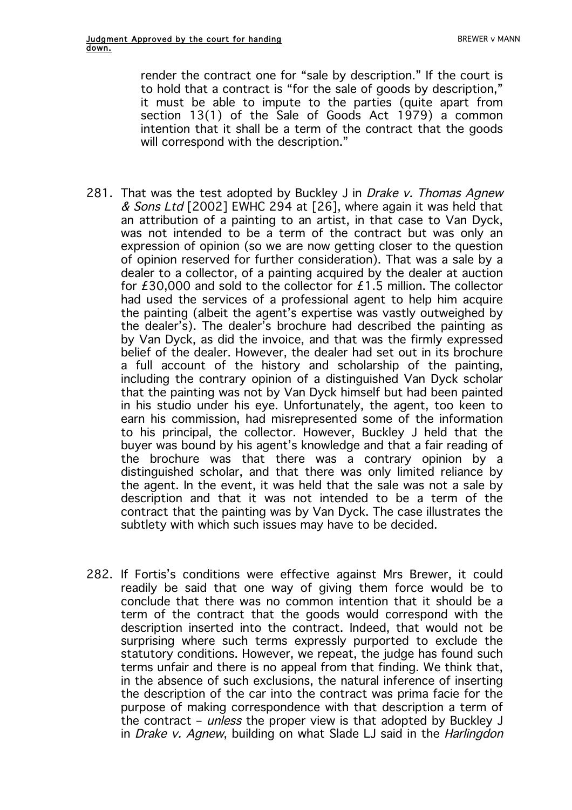render the contract one for "sale by description." If the court is to hold that a contract is "for the sale of goods by description," it must be able to impute to the parties (quite apart from section 13(1) of the Sale of Goods Act 1979) a common intention that it shall be a term of the contract that the goods will correspond with the description."

- 281. That was the test adopted by Buckley J in Drake v. Thomas Agnew & Sons Ltd [2002] EWHC 294 at [26], where again it was held that an attribution of a painting to an artist, in that case to Van Dyck, was not intended to be a term of the contract but was only an expression of opinion (so we are now getting closer to the question of opinion reserved for further consideration). That was a sale by a dealer to a collector, of a painting acquired by the dealer at auction for £30,000 and sold to the collector for £1.5 million. The collector had used the services of a professional agent to help him acquire the painting (albeit the agent's expertise was vastly outweighed by the dealer's). The dealer's brochure had described the painting as by Van Dyck, as did the invoice, and that was the firmly expressed belief of the dealer. However, the dealer had set out in its brochure a full account of the history and scholarship of the painting, including the contrary opinion of a distinguished Van Dyck scholar that the painting was not by Van Dyck himself but had been painted in his studio under his eye. Unfortunately, the agent, too keen to earn his commission, had misrepresented some of the information to his principal, the collector. However, Buckley J held that the buyer was bound by his agent's knowledge and that a fair reading of the brochure was that there was a contrary opinion by a distinguished scholar, and that there was only limited reliance by the agent. In the event, it was held that the sale was not a sale by description and that it was not intended to be a term of the contract that the painting was by Van Dyck. The case illustrates the subtlety with which such issues may have to be decided.
- 282. If Fortis's conditions were effective against Mrs Brewer, it could readily be said that one way of giving them force would be to conclude that there was no common intention that it should be a term of the contract that the goods would correspond with the description inserted into the contract. Indeed, that would not be surprising where such terms expressly purported to exclude the statutory conditions. However, we repeat, the judge has found such terms unfair and there is no appeal from that finding. We think that, in the absence of such exclusions, the natural inference of inserting the description of the car into the contract was prima facie for the purpose of making correspondence with that description a term of the contract – *unless* the proper view is that adopted by Buckley J in Drake v. Agnew, building on what Slade LJ said in the Harlingdon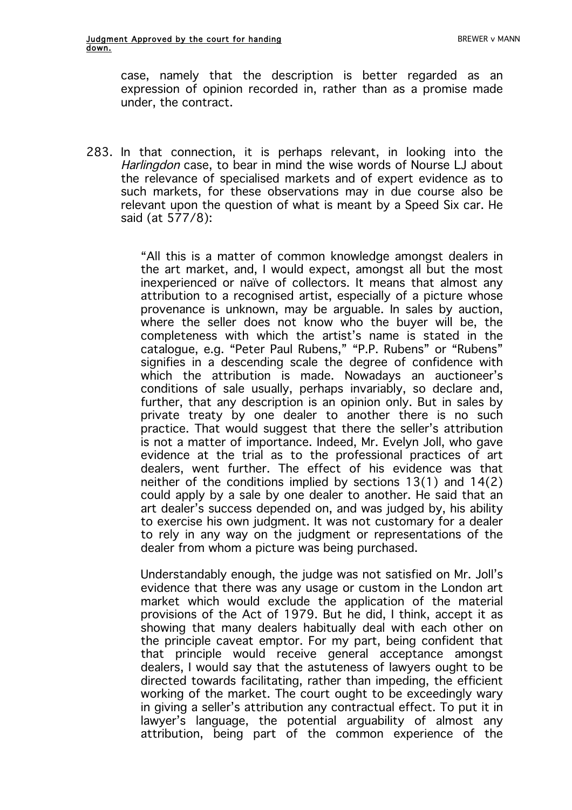case, namely that the description is better regarded as an expression of opinion recorded in, rather than as a promise made under, the contract.

283. In that connection, it is perhaps relevant, in looking into the Harlingdon case, to bear in mind the wise words of Nourse LJ about the relevance of specialised markets and of expert evidence as to such markets, for these observations may in due course also be relevant upon the question of what is meant by a Speed Six car. He said (at 577/8):

> "All this is a matter of common knowledge amongst dealers in the art market, and, I would expect, amongst all but the most inexperienced or naïve of collectors. It means that almost any attribution to a recognised artist, especially of a picture whose provenance is unknown, may be arguable. In sales by auction, where the seller does not know who the buyer will be, the completeness with which the artist's name is stated in the catalogue, e.g. "Peter Paul Rubens," "P.P. Rubens" or "Rubens" signifies in a descending scale the degree of confidence with which the attribution is made. Nowadays an auctioneer's conditions of sale usually, perhaps invariably, so declare and, further, that any description is an opinion only. But in sales by private treaty by one dealer to another there is no such practice. That would suggest that there the seller's attribution is not a matter of importance. Indeed, Mr. Evelyn Joll, who gave evidence at the trial as to the professional practices of art dealers, went further. The effect of his evidence was that neither of the conditions implied by sections 13(1) and 14(2) could apply by a sale by one dealer to another. He said that an art dealer's success depended on, and was judged by, his ability to exercise his own judgment. It was not customary for a dealer to rely in any way on the judgment or representations of the dealer from whom a picture was being purchased.

> Understandably enough, the judge was not satisfied on Mr. Joll's evidence that there was any usage or custom in the London art market which would exclude the application of the material provisions of the Act of 1979. But he did, I think, accept it as showing that many dealers habitually deal with each other on the principle caveat emptor. For my part, being confident that that principle would receive general acceptance amongst dealers, I would say that the astuteness of lawyers ought to be directed towards facilitating, rather than impeding, the efficient working of the market. The court ought to be exceedingly wary in giving a seller's attribution any contractual effect. To put it in lawyer's language, the potential arguability of almost any attribution, being part of the common experience of the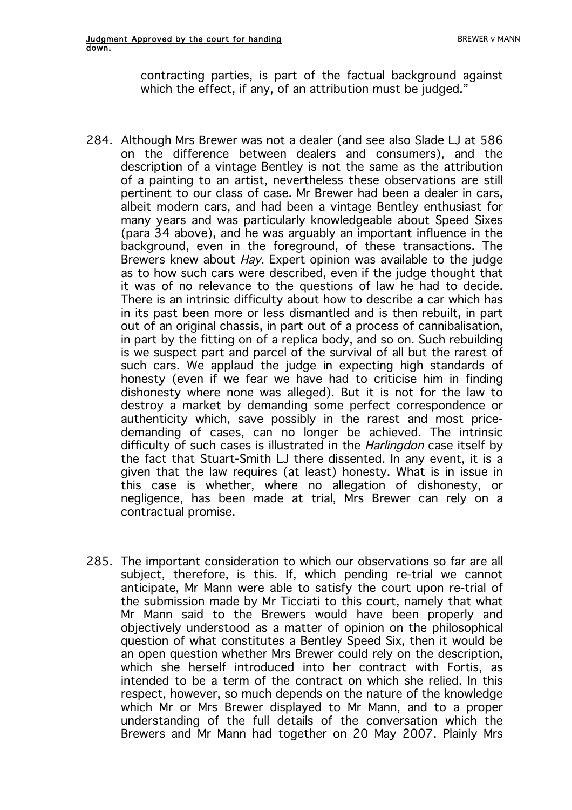contracting parties, is part of the factual background against which the effect, if any, of an attribution must be judged."

- 284. Although Mrs Brewer was not a dealer (and see also Slade LJ at 586 on the difference between dealers and consumers), and the description of a vintage Bentley is not the same as the attribution of a painting to an artist, nevertheless these observations are still pertinent to our class of case. Mr Brewer had been a dealer in cars, albeit modern cars, and had been a vintage Bentley enthusiast for many years and was particularly knowledgeable about Speed Sixes (para 34 above), and he was arguably an important influence in the background, even in the foreground, of these transactions. The Brewers knew about *Hay*. Expert opinion was available to the judge as to how such cars were described, even if the judge thought that it was of no relevance to the questions of law he had to decide. There is an intrinsic difficulty about how to describe a car which has in its past been more or less dismantled and is then rebuilt, in part out of an original chassis, in part out of a process of cannibalisation, in part by the fitting on of a replica body, and so on. Such rebuilding is we suspect part and parcel of the survival of all but the rarest of such cars. We applaud the judge in expecting high standards of honesty (even if we fear we have had to criticise him in finding dishonesty where none was alleged). But it is not for the law to destroy a market by demanding some perfect correspondence or authenticity which, save possibly in the rarest and most pricedemanding of cases, can no longer be achieved. The intrinsic difficulty of such cases is illustrated in the *Harlingdon* case itself by the fact that Stuart-Smith LJ there dissented. In any event, it is a given that the law requires (at least) honesty. What is in issue in this case is whether, where no allegation of dishonesty, or negligence, has been made at trial, Mrs Brewer can rely on a contractual promise.
- 285. The important consideration to which our observations so far are all subject, therefore, is this. If, which pending re-trial we cannot anticipate, Mr Mann were able to satisfy the court upon re-trial of the submission made by Mr Ticciati to this court, namely that what Mr Mann said to the Brewers would have been properly and objectively understood as a matter of opinion on the philosophical question of what constitutes a Bentley Speed Six, then it would be an open question whether Mrs Brewer could rely on the description, which she herself introduced into her contract with Fortis, as intended to be a term of the contract on which she relied. In this respect, however, so much depends on the nature of the knowledge which Mr or Mrs Brewer displayed to Mr Mann, and to a proper understanding of the full details of the conversation which the Brewers and Mr Mann had together on 20 May 2007. Plainly Mrs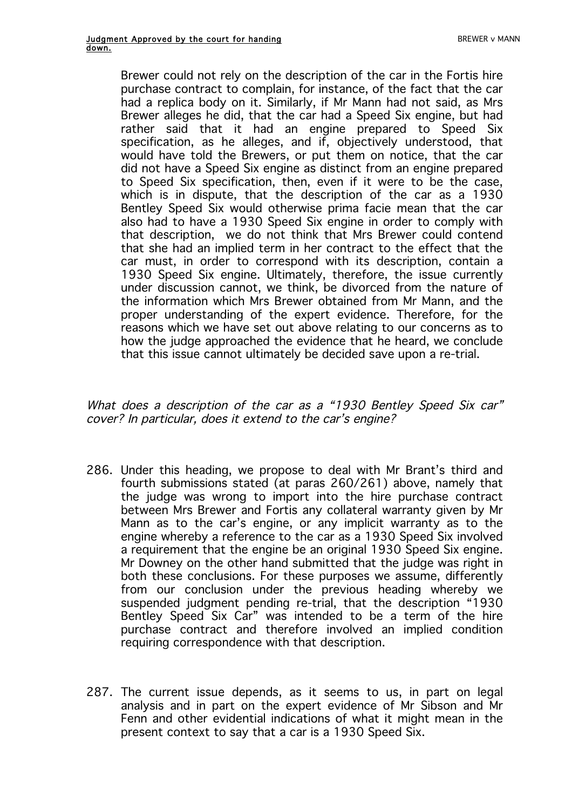Brewer could not rely on the description of the car in the Fortis hire purchase contract to complain, for instance, of the fact that the car had a replica body on it. Similarly, if Mr Mann had not said, as Mrs Brewer alleges he did, that the car had a Speed Six engine, but had rather said that it had an engine prepared to Speed Six specification, as he alleges, and if, objectively understood, that would have told the Brewers, or put them on notice, that the car did not have a Speed Six engine as distinct from an engine prepared to Speed Six specification, then, even if it were to be the case, which is in dispute, that the description of the car as a 1930 Bentley Speed Six would otherwise prima facie mean that the car also had to have a 1930 Speed Six engine in order to comply with that description, we do not think that Mrs Brewer could contend that she had an implied term in her contract to the effect that the car must, in order to correspond with its description, contain a 1930 Speed Six engine. Ultimately, therefore, the issue currently under discussion cannot, we think, be divorced from the nature of the information which Mrs Brewer obtained from Mr Mann, and the proper understanding of the expert evidence. Therefore, for the reasons which we have set out above relating to our concerns as to how the judge approached the evidence that he heard, we conclude that this issue cannot ultimately be decided save upon a re-trial.

What does a description of the car as a "1930 Bentley Speed Six car" cover? In particular, does it extend to the car's engine?

- 286. Under this heading, we propose to deal with Mr Brant's third and fourth submissions stated (at paras 260/261) above, namely that the judge was wrong to import into the hire purchase contract between Mrs Brewer and Fortis any collateral warranty given by Mr Mann as to the car's engine, or any implicit warranty as to the engine whereby a reference to the car as a 1930 Speed Six involved a requirement that the engine be an original 1930 Speed Six engine. Mr Downey on the other hand submitted that the judge was right in both these conclusions. For these purposes we assume, differently from our conclusion under the previous heading whereby we suspended judgment pending re-trial, that the description "1930 Bentley Speed Six Car" was intended to be a term of the hire purchase contract and therefore involved an implied condition requiring correspondence with that description.
- 287. The current issue depends, as it seems to us, in part on legal analysis and in part on the expert evidence of Mr Sibson and Mr Fenn and other evidential indications of what it might mean in the present context to say that a car is a 1930 Speed Six.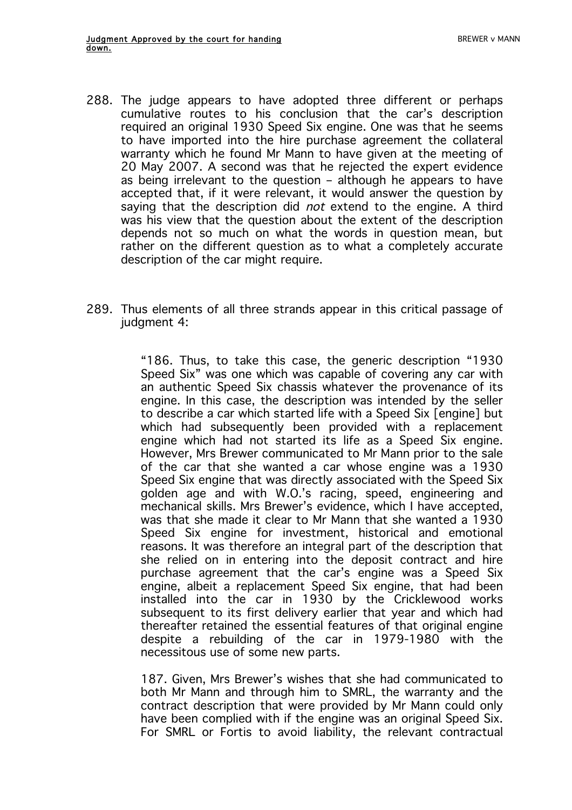- 288. The judge appears to have adopted three different or perhaps cumulative routes to his conclusion that the car's description required an original 1930 Speed Six engine. One was that he seems to have imported into the hire purchase agreement the collateral warranty which he found Mr Mann to have given at the meeting of 20 May 2007. A second was that he rejected the expert evidence as being irrelevant to the question – although he appears to have accepted that, if it were relevant, it would answer the question by saying that the description did *not* extend to the engine. A third was his view that the question about the extent of the description depends not so much on what the words in question mean, but rather on the different question as to what a completely accurate description of the car might require.
- 289. Thus elements of all three strands appear in this critical passage of judgment 4:

"186. Thus, to take this case, the generic description "1930 Speed Six" was one which was capable of covering any car with an authentic Speed Six chassis whatever the provenance of its engine. In this case, the description was intended by the seller to describe a car which started life with a Speed Six [engine] but which had subsequently been provided with a replacement engine which had not started its life as a Speed Six engine. However, Mrs Brewer communicated to Mr Mann prior to the sale of the car that she wanted a car whose engine was a 1930 Speed Six engine that was directly associated with the Speed Six golden age and with W.O.'s racing, speed, engineering and mechanical skills. Mrs Brewer's evidence, which I have accepted, was that she made it clear to Mr Mann that she wanted a 1930 Speed Six engine for investment, historical and emotional reasons. It was therefore an integral part of the description that she relied on in entering into the deposit contract and hire purchase agreement that the car's engine was a Speed Six engine, albeit a replacement Speed Six engine, that had been installed into the car in 1930 by the Cricklewood works subsequent to its first delivery earlier that year and which had thereafter retained the essential features of that original engine despite a rebuilding of the car in 1979-1980 with the necessitous use of some new parts.

187. Given, Mrs Brewer's wishes that she had communicated to both Mr Mann and through him to SMRL, the warranty and the contract description that were provided by Mr Mann could only have been complied with if the engine was an original Speed Six. For SMRL or Fortis to avoid liability, the relevant contractual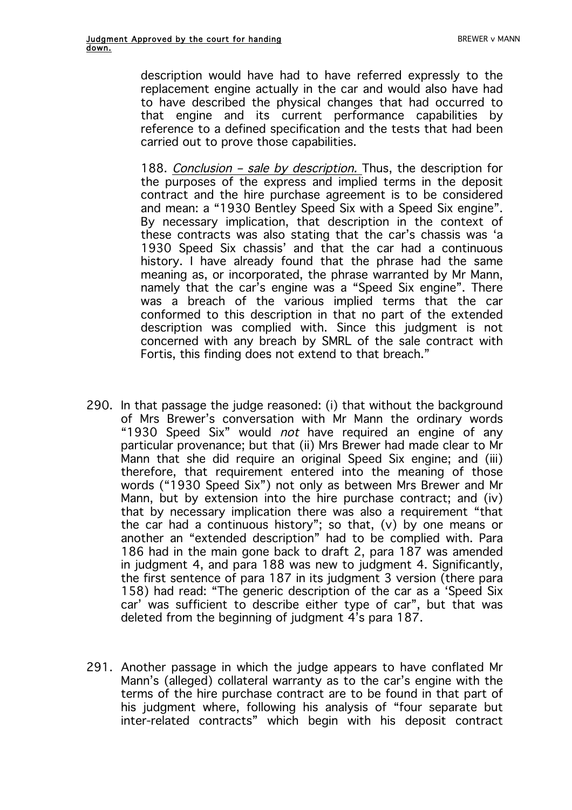description would have had to have referred expressly to the replacement engine actually in the car and would also have had to have described the physical changes that had occurred to that engine and its current performance capabilities by reference to a defined specification and the tests that had been carried out to prove those capabilities.

188. Conclusion - sale by description. Thus, the description for the purposes of the express and implied terms in the deposit contract and the hire purchase agreement is to be considered and mean: a "1930 Bentley Speed Six with a Speed Six engine". By necessary implication, that description in the context of these contracts was also stating that the car's chassis was 'a 1930 Speed Six chassis' and that the car had a continuous history. I have already found that the phrase had the same meaning as, or incorporated, the phrase warranted by Mr Mann, namely that the car's engine was a "Speed Six engine". There was a breach of the various implied terms that the car conformed to this description in that no part of the extended description was complied with. Since this judgment is not concerned with any breach by SMRL of the sale contract with Fortis, this finding does not extend to that breach."

- 290. In that passage the judge reasoned: (i) that without the background of Mrs Brewer's conversation with Mr Mann the ordinary words "1930 Speed Six" would *not* have required an engine of any particular provenance; but that (ii) Mrs Brewer had made clear to Mr Mann that she did require an original Speed Six engine; and (iii) therefore, that requirement entered into the meaning of those words ("1930 Speed Six") not only as between Mrs Brewer and Mr Mann, but by extension into the hire purchase contract; and (iv) that by necessary implication there was also a requirement "that the car had a continuous history"; so that, (v) by one means or another an "extended description" had to be complied with. Para 186 had in the main gone back to draft 2, para 187 was amended in judgment 4, and para 188 was new to judgment 4. Significantly, the first sentence of para 187 in its judgment 3 version (there para 158) had read: "The generic description of the car as a 'Speed Six car' was sufficient to describe either type of car", but that was deleted from the beginning of judgment 4's para 187.
- 291. Another passage in which the judge appears to have conflated Mr Mann's (alleged) collateral warranty as to the car's engine with the terms of the hire purchase contract are to be found in that part of his judgment where, following his analysis of "four separate but inter-related contracts" which begin with his deposit contract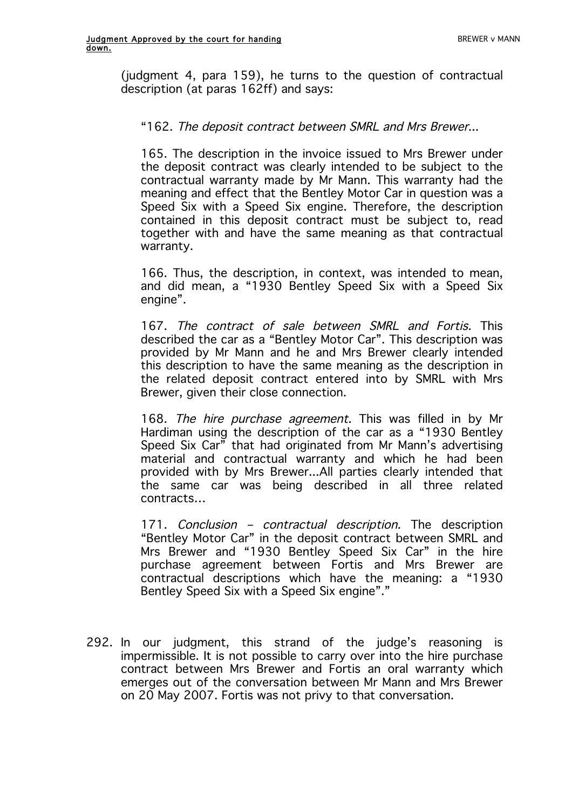(judgment 4, para 159), he turns to the question of contractual description (at paras 162ff) and says:

## "162. The deposit contract between SMRL and Mrs Brewer...

165. The description in the invoice issued to Mrs Brewer under the deposit contract was clearly intended to be subject to the contractual warranty made by Mr Mann. This warranty had the meaning and effect that the Bentley Motor Car in question was a Speed Six with a Speed Six engine. Therefore, the description contained in this deposit contract must be subject to, read together with and have the same meaning as that contractual warranty.

166. Thus, the description, in context, was intended to mean, and did mean, a "1930 Bentley Speed Six with a Speed Six engine".

167. The contract of sale between SMRL and Fortis. This described the car as a "Bentley Motor Car". This description was provided by Mr Mann and he and Mrs Brewer clearly intended this description to have the same meaning as the description in the related deposit contract entered into by SMRL with Mrs Brewer, given their close connection.

168. The hire purchase agreement. This was filled in by Mr Hardiman using the description of the car as a "1930 Bentley Speed Six Car $\bar{r}$  that had originated from Mr Mann's advertising material and contractual warranty and which he had been provided with by Mrs Brewer...All parties clearly intended that the same car was being described in all three related contracts…

171. Conclusion - contractual description. The description "Bentley Motor Car" in the deposit contract between SMRL and Mrs Brewer and "1930 Bentley Speed Six Car" in the hire purchase agreement between Fortis and Mrs Brewer are contractual descriptions which have the meaning: a "1930 Bentley Speed Six with a Speed Six engine"."

292. In our judgment, this strand of the judge's reasoning is impermissible. It is not possible to carry over into the hire purchase contract between Mrs Brewer and Fortis an oral warranty which emerges out of the conversation between Mr Mann and Mrs Brewer on 20 May 2007. Fortis was not privy to that conversation.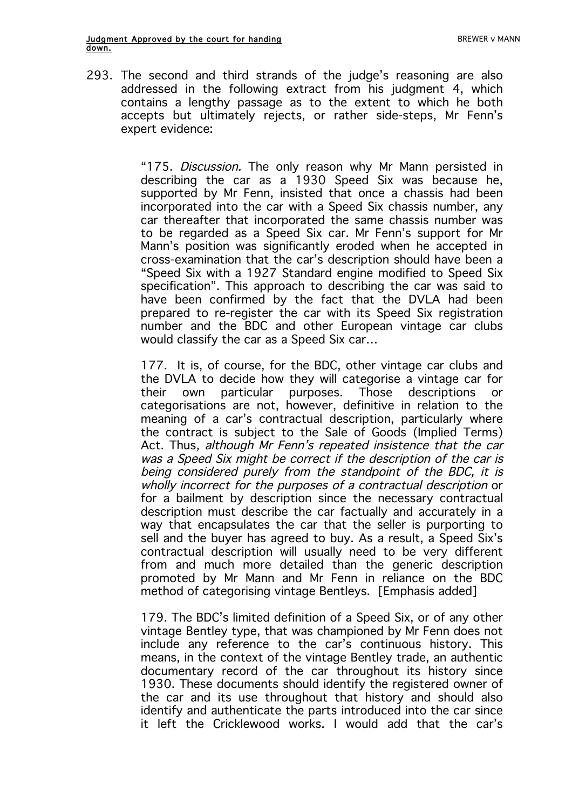293. The second and third strands of the judge's reasoning are also addressed in the following extract from his judgment 4, which contains a lengthy passage as to the extent to which he both accepts but ultimately rejects, or rather side-steps, Mr Fenn's expert evidence:

> "175. Discussion. The only reason why Mr Mann persisted in describing the car as a 1930 Speed Six was because he, supported by Mr Fenn, insisted that once a chassis had been incorporated into the car with a Speed Six chassis number, any car thereafter that incorporated the same chassis number was to be regarded as a Speed Six car. Mr Fenn's support for Mr Mann's position was significantly eroded when he accepted in cross-examination that the car's description should have been a "Speed Six with a 1927 Standard engine modified to Speed Six specification". This approach to describing the car was said to have been confirmed by the fact that the DVLA had been prepared to re-register the car with its Speed Six registration number and the BDC and other European vintage car clubs would classify the car as a Speed Six car…

> 177. It is, of course, for the BDC, other vintage car clubs and the DVLA to decide how they will categorise a vintage car for their own particular purposes. Those descriptions or categorisations are not, however, definitive in relation to the meaning of a car's contractual description, particularly where the contract is subject to the Sale of Goods (Implied Terms) Act. Thus, although Mr Fenn's repeated insistence that the car was a Speed Six might be correct if the description of the car is being considered purely from the standpoint of the BDC, it is wholly incorrect for the purposes of a contractual description or for a bailment by description since the necessary contractual description must describe the car factually and accurately in a way that encapsulates the car that the seller is purporting to sell and the buyer has agreed to buy. As a result, a Speed Six's contractual description will usually need to be very different from and much more detailed than the generic description promoted by Mr Mann and Mr Fenn in reliance on the BDC method of categorising vintage Bentleys. [Emphasis added]

> 179. The BDC's limited definition of a Speed Six, or of any other vintage Bentley type, that was championed by Mr Fenn does not include any reference to the car's continuous history. This means, in the context of the vintage Bentley trade, an authentic documentary record of the car throughout its history since 1930. These documents should identify the registered owner of the car and its use throughout that history and should also identify and authenticate the parts introduced into the car since it left the Cricklewood works. I would add that the car's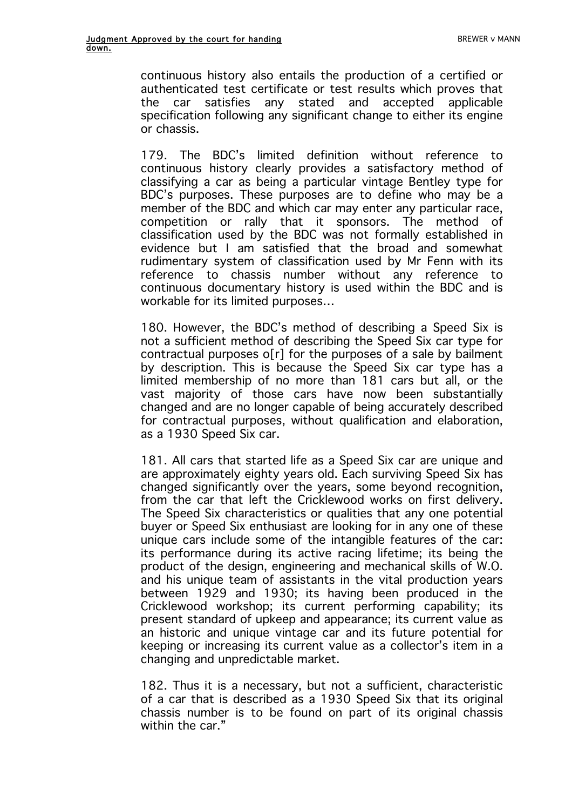continuous history also entails the production of a certified or authenticated test certificate or test results which proves that the car satisfies any stated and accepted applicable specification following any significant change to either its engine or chassis.

179. The BDC's limited definition without reference to continuous history clearly provides a satisfactory method of classifying a car as being a particular vintage Bentley type for BDC's purposes. These purposes are to define who may be a member of the BDC and which car may enter any particular race, competition or rally that it sponsors. The method of classification used by the BDC was not formally established in evidence but I am satisfied that the broad and somewhat rudimentary system of classification used by Mr Fenn with its reference to chassis number without any reference to continuous documentary history is used within the BDC and is workable for its limited purposes…

180. However, the BDC's method of describing a Speed Six is not a sufficient method of describing the Speed Six car type for contractual purposes o[r] for the purposes of a sale by bailment by description. This is because the Speed Six car type has a limited membership of no more than 181 cars but all, or the vast majority of those cars have now been substantially changed and are no longer capable of being accurately described for contractual purposes, without qualification and elaboration, as a 1930 Speed Six car.

181. All cars that started life as a Speed Six car are unique and are approximately eighty years old. Each surviving Speed Six has changed significantly over the years, some beyond recognition, from the car that left the Cricklewood works on first delivery. The Speed Six characteristics or qualities that any one potential buyer or Speed Six enthusiast are looking for in any one of these unique cars include some of the intangible features of the car: its performance during its active racing lifetime; its being the product of the design, engineering and mechanical skills of W.O. and his unique team of assistants in the vital production years between 1929 and 1930; its having been produced in the Cricklewood workshop; its current performing capability; its present standard of upkeep and appearance; its current value as an historic and unique vintage car and its future potential for keeping or increasing its current value as a collector's item in a changing and unpredictable market.

182. Thus it is a necessary, but not a sufficient, characteristic of a car that is described as a 1930 Speed Six that its original chassis number is to be found on part of its original chassis within the car."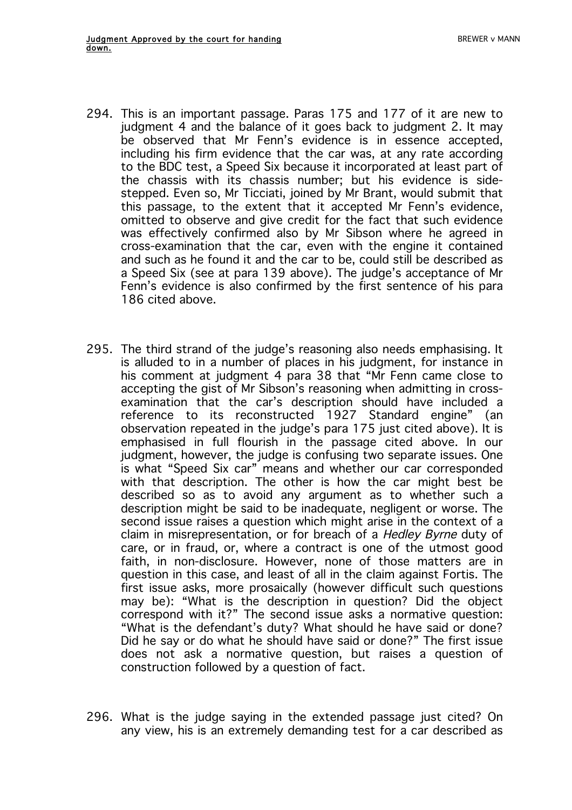- 294. This is an important passage. Paras 175 and 177 of it are new to judgment 4 and the balance of it goes back to judgment 2. It may be observed that Mr Fenn's evidence is in essence accepted, including his firm evidence that the car was, at any rate according to the BDC test, a Speed Six because it incorporated at least part of the chassis with its chassis number; but his evidence is sidestepped. Even so, Mr Ticciati, joined by Mr Brant, would submit that this passage, to the extent that it accepted Mr Fenn's evidence, omitted to observe and give credit for the fact that such evidence was effectively confirmed also by Mr Sibson where he agreed in cross-examination that the car, even with the engine it contained and such as he found it and the car to be, could still be described as a Speed Six (see at para 139 above). The judge's acceptance of Mr Fenn's evidence is also confirmed by the first sentence of his para 186 cited above.
- 295. The third strand of the judge's reasoning also needs emphasising. It is alluded to in a number of places in his judgment, for instance in his comment at judgment 4 para 38 that "Mr Fenn came close to accepting the gist of Mr Sibson's reasoning when admitting in crossexamination that the car's description should have included a reference to its reconstructed 1927 Standard engine" (an observation repeated in the judge's para 175 just cited above). It is emphasised in full flourish in the passage cited above. In our judgment, however, the judge is confusing two separate issues. One is what "Speed Six car" means and whether our car corresponded with that description. The other is how the car might best be described so as to avoid any argument as to whether such a description might be said to be inadequate, negligent or worse. The second issue raises a question which might arise in the context of a claim in misrepresentation, or for breach of a Hedley Byrne duty of care, or in fraud, or, where a contract is one of the utmost good faith, in non-disclosure. However, none of those matters are in question in this case, and least of all in the claim against Fortis. The first issue asks, more prosaically (however difficult such questions may be): "What is the description in question? Did the object correspond with it?" The second issue asks a normative question: "What is the defendant's duty? What should he have said or done? Did he say or do what he should have said or done?" The first issue does not ask a normative question, but raises a question of construction followed by a question of fact.
- 296. What is the judge saying in the extended passage just cited? On any view, his is an extremely demanding test for a car described as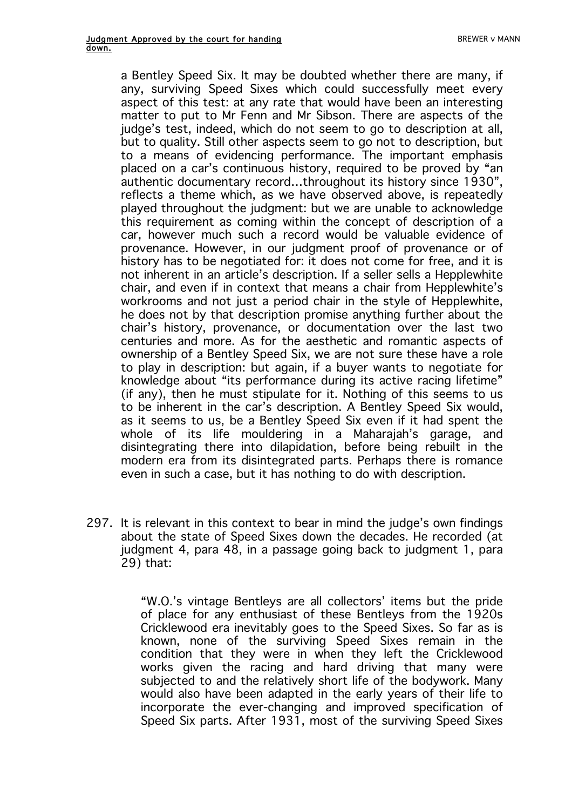a Bentley Speed Six. It may be doubted whether there are many, if any, surviving Speed Sixes which could successfully meet every aspect of this test: at any rate that would have been an interesting matter to put to Mr Fenn and Mr Sibson. There are aspects of the judge's test, indeed, which do not seem to go to description at all. but to quality. Still other aspects seem to go not to description, but to a means of evidencing performance. The important emphasis placed on a car's continuous history, required to be proved by "an authentic documentary record…throughout its history since 1930", reflects a theme which, as we have observed above, is repeatedly played throughout the judgment: but we are unable to acknowledge this requirement as coming within the concept of description of a car, however much such a record would be valuable evidence of provenance. However, in our judgment proof of provenance or of history has to be negotiated for: it does not come for free, and it is not inherent in an article's description. If a seller sells a Hepplewhite chair, and even if in context that means a chair from Hepplewhite's workrooms and not just a period chair in the style of Hepplewhite. he does not by that description promise anything further about the chair's history, provenance, or documentation over the last two centuries and more. As for the aesthetic and romantic aspects of ownership of a Bentley Speed Six, we are not sure these have a role to play in description: but again, if a buyer wants to negotiate for knowledge about "its performance during its active racing lifetime" (if any), then he must stipulate for it. Nothing of this seems to us to be inherent in the car's description. A Bentley Speed Six would, as it seems to us, be a Bentley Speed Six even if it had spent the whole of its life mouldering in a Maharajah's garage, and disintegrating there into dilapidation, before being rebuilt in the modern era from its disintegrated parts. Perhaps there is romance even in such a case, but it has nothing to do with description.

297. It is relevant in this context to bear in mind the judge's own findings about the state of Speed Sixes down the decades. He recorded (at judgment 4, para 48, in a passage going back to judgment 1, para 29) that:

> "W.O.'s vintage Bentleys are all collectors' items but the pride of place for any enthusiast of these Bentleys from the 1920s Cricklewood era inevitably goes to the Speed Sixes. So far as is known, none of the surviving Speed Sixes remain in the condition that they were in when they left the Cricklewood works given the racing and hard driving that many were subjected to and the relatively short life of the bodywork. Many would also have been adapted in the early years of their life to incorporate the ever-changing and improved specification of Speed Six parts. After 1931, most of the surviving Speed Sixes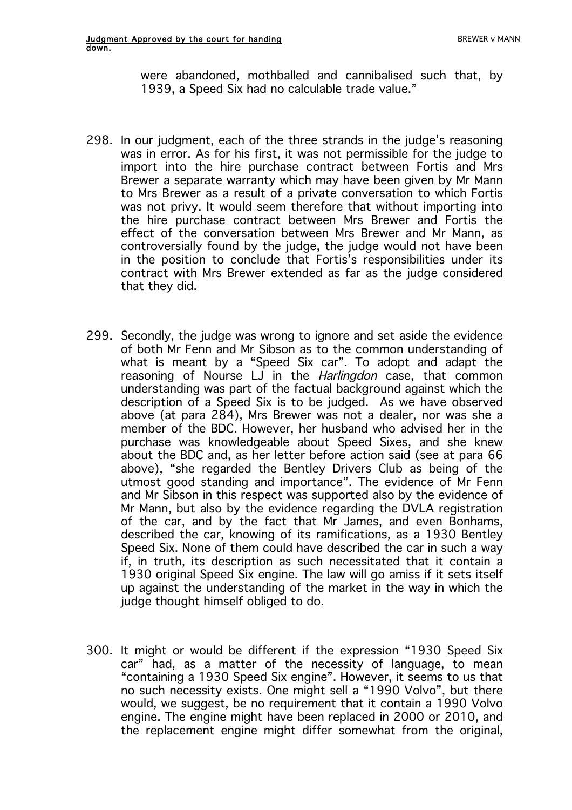were abandoned, mothballed and cannibalised such that, by 1939, a Speed Six had no calculable trade value."

- 298. In our judgment, each of the three strands in the judge's reasoning was in error. As for his first, it was not permissible for the judge to import into the hire purchase contract between Fortis and Mrs Brewer a separate warranty which may have been given by Mr Mann to Mrs Brewer as a result of a private conversation to which Fortis was not privy. It would seem therefore that without importing into the hire purchase contract between Mrs Brewer and Fortis the effect of the conversation between Mrs Brewer and Mr Mann, as controversially found by the judge, the judge would not have been in the position to conclude that Fortis's responsibilities under its contract with Mrs Brewer extended as far as the judge considered that they did.
- 299. Secondly, the judge was wrong to ignore and set aside the evidence of both Mr Fenn and Mr Sibson as to the common understanding of what is meant by a "Speed Six car". To adopt and adapt the reasoning of Nourse LJ in the Harlingdon case, that common understanding was part of the factual background against which the description of a Speed Six is to be judged. As we have observed above (at para 284), Mrs Brewer was not a dealer, nor was she a member of the BDC. However, her husband who advised her in the purchase was knowledgeable about Speed Sixes, and she knew about the BDC and, as her letter before action said (see at para 66 above), "she regarded the Bentley Drivers Club as being of the utmost good standing and importance". The evidence of Mr Fenn and Mr Sibson in this respect was supported also by the evidence of Mr Mann, but also by the evidence regarding the DVLA registration of the car, and by the fact that Mr James, and even Bonhams, described the car, knowing of its ramifications, as a 1930 Bentley Speed Six. None of them could have described the car in such a way if, in truth, its description as such necessitated that it contain a 1930 original Speed Six engine. The law will go amiss if it sets itself up against the understanding of the market in the way in which the judge thought himself obliged to do.
- 300. It might or would be different if the expression "1930 Speed Six car" had, as a matter of the necessity of language, to mean "containing a 1930 Speed Six engine". However, it seems to us that no such necessity exists. One might sell a "1990 Volvo", but there would, we suggest, be no requirement that it contain a 1990 Volvo engine. The engine might have been replaced in 2000 or 2010, and the replacement engine might differ somewhat from the original,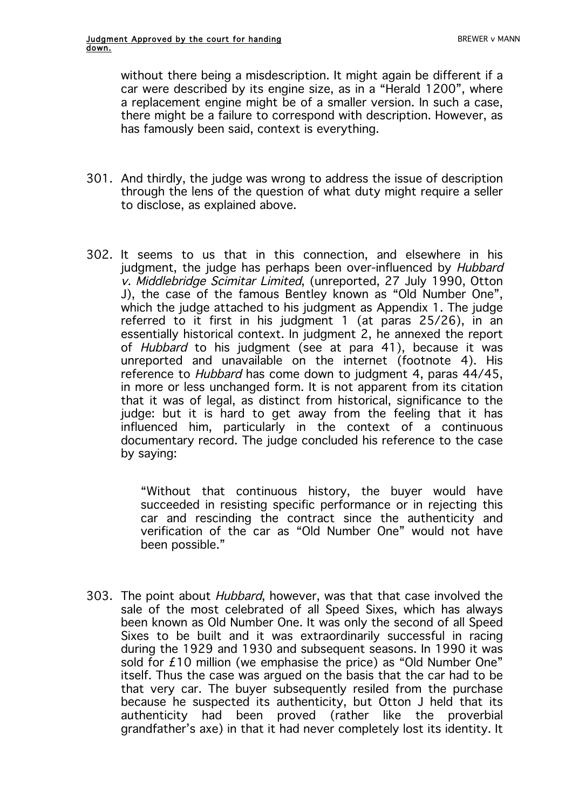without there being a misdescription. It might again be different if a car were described by its engine size, as in a "Herald 1200", where a replacement engine might be of a smaller version. In such a case, there might be a failure to correspond with description. However, as has famously been said, context is everything.

- 301. And thirdly, the judge was wrong to address the issue of description through the lens of the question of what duty might require a seller to disclose, as explained above.
- 302. It seems to us that in this connection, and elsewhere in his judgment, the judge has perhaps been over-influenced by Hubbard v. Middlebridge Scimitar Limited, (unreported, 27 July 1990, Otton J), the case of the famous Bentley known as "Old Number One", which the judge attached to his judgment as Appendix 1. The judge referred to it first in his judgment 1 (at paras 25/26), in an essentially historical context. In judgment 2, he annexed the report of *Hubbard* to his judgment (see at para 41), because it was unreported and unavailable on the internet (footnote 4). His reference to *Hubbard* has come down to judgment 4, paras 44/45, in more or less unchanged form. It is not apparent from its citation that it was of legal, as distinct from historical, significance to the judge: but it is hard to get away from the feeling that it has influenced him, particularly in the context of a continuous documentary record. The judge concluded his reference to the case by saying:

"Without that continuous history, the buyer would have succeeded in resisting specific performance or in rejecting this car and rescinding the contract since the authenticity and verification of the car as "Old Number One" would not have been possible."

303. The point about Hubbard, however, was that that case involved the sale of the most celebrated of all Speed Sixes, which has always been known as Old Number One. It was only the second of all Speed Sixes to be built and it was extraordinarily successful in racing during the 1929 and 1930 and subsequent seasons. In 1990 it was sold for £10 million (we emphasise the price) as "Old Number One" itself. Thus the case was argued on the basis that the car had to be that very car. The buyer subsequently resiled from the purchase because he suspected its authenticity, but Otton J held that its authenticity had been proved (rather like the proverbial grandfather's axe) in that it had never completely lost its identity. It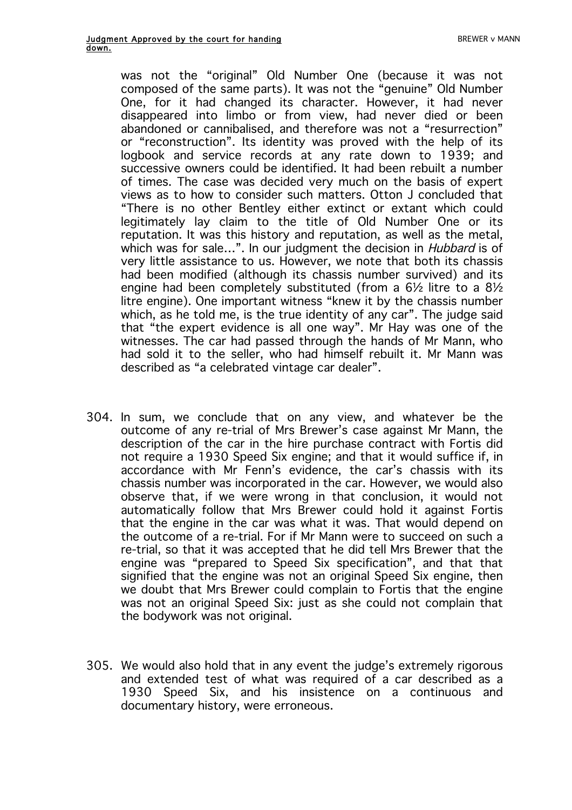was not the "original" Old Number One (because it was not composed of the same parts). It was not the "genuine" Old Number One, for it had changed its character. However, it had never disappeared into limbo or from view, had never died or been abandoned or cannibalised, and therefore was not a "resurrection" or "reconstruction". Its identity was proved with the help of its logbook and service records at any rate down to 1939; and successive owners could be identified. It had been rebuilt a number of times. The case was decided very much on the basis of expert views as to how to consider such matters. Otton J concluded that "There is no other Bentley either extinct or extant which could legitimately lay claim to the title of Old Number One or its reputation. It was this history and reputation, as well as the metal, which was for sale...". In our judgment the decision in *Hubbard* is of very little assistance to us. However, we note that both its chassis had been modified (although its chassis number survived) and its engine had been completely substituted (from a 6½ litre to a 8½ litre engine). One important witness "knew it by the chassis number which, as he told me, is the true identity of any car". The judge said that "the expert evidence is all one way". Mr Hay was one of the witnesses. The car had passed through the hands of Mr Mann, who had sold it to the seller, who had himself rebuilt it. Mr Mann was described as "a celebrated vintage car dealer".

- 304. In sum, we conclude that on any view, and whatever be the outcome of any re-trial of Mrs Brewer's case against Mr Mann, the description of the car in the hire purchase contract with Fortis did not require a 1930 Speed Six engine; and that it would suffice if, in accordance with Mr Fenn's evidence, the car's chassis with its chassis number was incorporated in the car. However, we would also observe that, if we were wrong in that conclusion, it would not automatically follow that Mrs Brewer could hold it against Fortis that the engine in the car was what it was. That would depend on the outcome of a re-trial. For if Mr Mann were to succeed on such a re-trial, so that it was accepted that he did tell Mrs Brewer that the engine was "prepared to Speed Six specification", and that that signified that the engine was not an original Speed Six engine, then we doubt that Mrs Brewer could complain to Fortis that the engine was not an original Speed Six: just as she could not complain that the bodywork was not original.
- 305. We would also hold that in any event the judge's extremely rigorous and extended test of what was required of a car described as a 1930 Speed Six, and his insistence on a continuous and documentary history, were erroneous.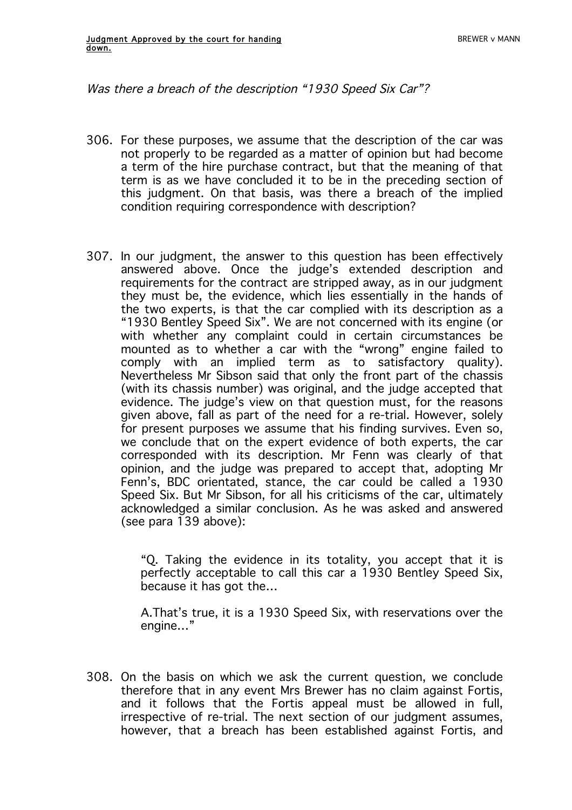Was there a breach of the description "1930 Speed Six Car"?

- 306. For these purposes, we assume that the description of the car was not properly to be regarded as a matter of opinion but had become a term of the hire purchase contract, but that the meaning of that term is as we have concluded it to be in the preceding section of this judgment. On that basis, was there a breach of the implied condition requiring correspondence with description?
- 307. In our judgment, the answer to this question has been effectively answered above. Once the judge's extended description and requirements for the contract are stripped away, as in our judgment they must be, the evidence, which lies essentially in the hands of the two experts, is that the car complied with its description as a "1930 Bentley Speed Six". We are not concerned with its engine (or with whether any complaint could in certain circumstances be mounted as to whether a car with the "wrong" engine failed to comply with an implied term as to satisfactory quality). Nevertheless Mr Sibson said that only the front part of the chassis (with its chassis number) was original, and the judge accepted that evidence. The judge's view on that question must, for the reasons given above, fall as part of the need for a re-trial. However, solely for present purposes we assume that his finding survives. Even so, we conclude that on the expert evidence of both experts, the car corresponded with its description. Mr Fenn was clearly of that opinion, and the judge was prepared to accept that, adopting Mr Fenn's, BDC orientated, stance, the car could be called a 1930 Speed Six. But Mr Sibson, for all his criticisms of the car, ultimately acknowledged a similar conclusion. As he was asked and answered (see para 139 above):

"Q. Taking the evidence in its totality, you accept that it is perfectly acceptable to call this car a 1930 Bentley Speed Six, because it has got the…

A.That's true, it is a 1930 Speed Six, with reservations over the engine…"

308. On the basis on which we ask the current question, we conclude therefore that in any event Mrs Brewer has no claim against Fortis, and it follows that the Fortis appeal must be allowed in full, irrespective of re-trial. The next section of our judgment assumes, however, that a breach has been established against Fortis, and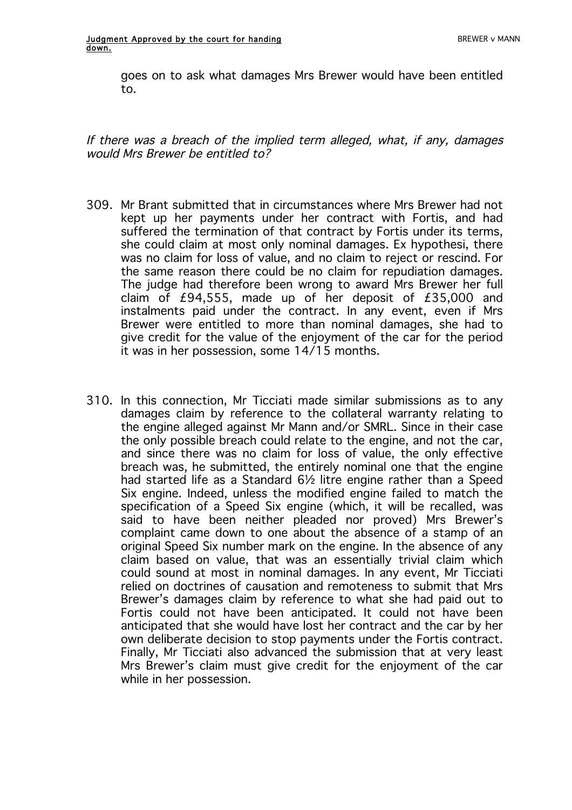goes on to ask what damages Mrs Brewer would have been entitled to.

If there was a breach of the implied term alleged, what, if any, damages would Mrs Brewer be entitled to?

- 309. Mr Brant submitted that in circumstances where Mrs Brewer had not kept up her payments under her contract with Fortis, and had suffered the termination of that contract by Fortis under its terms, she could claim at most only nominal damages. Ex hypothesi, there was no claim for loss of value, and no claim to reject or rescind. For the same reason there could be no claim for repudiation damages. The judge had therefore been wrong to award Mrs Brewer her full claim of  $£94,555$ , made up of her deposit of  $£35,000$  and instalments paid under the contract. In any event, even if Mrs Brewer were entitled to more than nominal damages, she had to give credit for the value of the enjoyment of the car for the period it was in her possession, some 14/15 months.
- 310. In this connection, Mr Ticciati made similar submissions as to any damages claim by reference to the collateral warranty relating to the engine alleged against Mr Mann and/or SMRL. Since in their case the only possible breach could relate to the engine, and not the car, and since there was no claim for loss of value, the only effective breach was, he submitted, the entirely nominal one that the engine had started life as a Standard 6½ litre engine rather than a Speed Six engine. Indeed, unless the modified engine failed to match the specification of a Speed Six engine (which, it will be recalled, was said to have been neither pleaded nor proved) Mrs Brewer's complaint came down to one about the absence of a stamp of an original Speed Six number mark on the engine. In the absence of any claim based on value, that was an essentially trivial claim which could sound at most in nominal damages. In any event, Mr Ticciati relied on doctrines of causation and remoteness to submit that Mrs Brewer's damages claim by reference to what she had paid out to Fortis could not have been anticipated. It could not have been anticipated that she would have lost her contract and the car by her own deliberate decision to stop payments under the Fortis contract. Finally, Mr Ticciati also advanced the submission that at very least Mrs Brewer's claim must give credit for the enjoyment of the car while in her possession.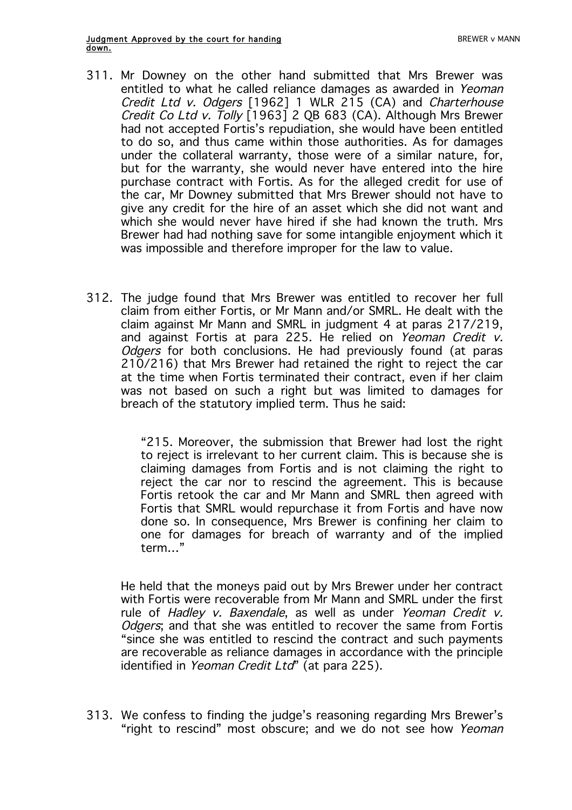- 311. Mr Downey on the other hand submitted that Mrs Brewer was entitled to what he called reliance damages as awarded in Yeoman Credit Ltd v. Odgers [1962] 1 WLR 215 (CA) and Charterhouse Credit Co Ltd v. Tolly [1963] 2 QB 683 (CA). Although Mrs Brewer had not accepted Fortis's repudiation, she would have been entitled to do so, and thus came within those authorities. As for damages under the collateral warranty, those were of a similar nature, for, but for the warranty, she would never have entered into the hire purchase contract with Fortis. As for the alleged credit for use of the car, Mr Downey submitted that Mrs Brewer should not have to give any credit for the hire of an asset which she did not want and which she would never have hired if she had known the truth. Mrs Brewer had had nothing save for some intangible enjoyment which it was impossible and therefore improper for the law to value.
- 312. The judge found that Mrs Brewer was entitled to recover her full claim from either Fortis, or Mr Mann and/or SMRL. He dealt with the claim against Mr Mann and SMRL in judgment 4 at paras 217/219, and against Fortis at para 225. He relied on Yeoman Credit v. Odgers for both conclusions. He had previously found (at paras 210/216) that Mrs Brewer had retained the right to reject the car at the time when Fortis terminated their contract, even if her claim was not based on such a right but was limited to damages for breach of the statutory implied term. Thus he said:

"215. Moreover, the submission that Brewer had lost the right to reject is irrelevant to her current claim. This is because she is claiming damages from Fortis and is not claiming the right to reject the car nor to rescind the agreement. This is because Fortis retook the car and Mr Mann and SMRL then agreed with Fortis that SMRL would repurchase it from Fortis and have now done so. In consequence, Mrs Brewer is confining her claim to one for damages for breach of warranty and of the implied term…"

He held that the moneys paid out by Mrs Brewer under her contract with Fortis were recoverable from Mr Mann and SMRL under the first rule of Hadley v. Baxendale, as well as under Yeoman Credit v. Odgers; and that she was entitled to recover the same from Fortis "since she was entitled to rescind the contract and such payments are recoverable as reliance damages in accordance with the principle identified in Yeoman Credit Ltd" (at para 225).

313. We confess to finding the judge's reasoning regarding Mrs Brewer's "right to rescind" most obscure; and we do not see how Yeoman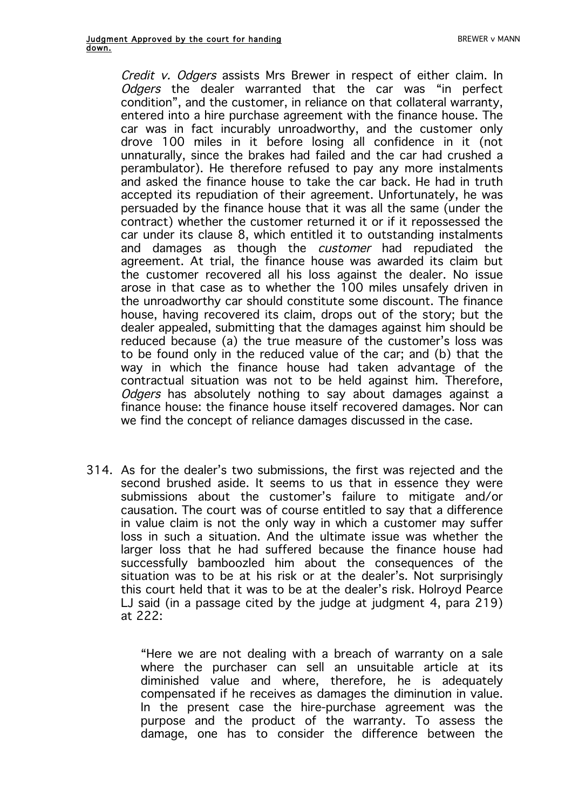Credit v. Odgers assists Mrs Brewer in respect of either claim. In Odgers the dealer warranted that the car was "in perfect condition", and the customer, in reliance on that collateral warranty, entered into a hire purchase agreement with the finance house. The car was in fact incurably unroadworthy, and the customer only drove 100 miles in it before losing all confidence in it (not unnaturally, since the brakes had failed and the car had crushed a perambulator). He therefore refused to pay any more instalments and asked the finance house to take the car back. He had in truth accepted its repudiation of their agreement. Unfortunately, he was persuaded by the finance house that it was all the same (under the contract) whether the customer returned it or if it repossessed the car under its clause 8, which entitled it to outstanding instalments and damages as though the customer had repudiated the agreement. At trial, the finance house was awarded its claim but the customer recovered all his loss against the dealer. No issue arose in that case as to whether the 100 miles unsafely driven in the unroadworthy car should constitute some discount. The finance house, having recovered its claim, drops out of the story; but the dealer appealed, submitting that the damages against him should be reduced because (a) the true measure of the customer's loss was to be found only in the reduced value of the car; and (b) that the way in which the finance house had taken advantage of the contractual situation was not to be held against him. Therefore, Odgers has absolutely nothing to say about damages against a finance house: the finance house itself recovered damages. Nor can we find the concept of reliance damages discussed in the case.

314. As for the dealer's two submissions, the first was rejected and the second brushed aside. It seems to us that in essence they were submissions about the customer's failure to mitigate and/or causation. The court was of course entitled to say that a difference in value claim is not the only way in which a customer may suffer loss in such a situation. And the ultimate issue was whether the larger loss that he had suffered because the finance house had successfully bamboozled him about the consequences of the situation was to be at his risk or at the dealer's. Not surprisingly this court held that it was to be at the dealer's risk. Holroyd Pearce LJ said (in a passage cited by the judge at judgment 4, para 219) at 222:

> "Here we are not dealing with a breach of warranty on a sale where the purchaser can sell an unsuitable article at its diminished value and where, therefore, he is adequately compensated if he receives as damages the diminution in value. In the present case the hire-purchase agreement was the purpose and the product of the warranty. To assess the damage, one has to consider the difference between the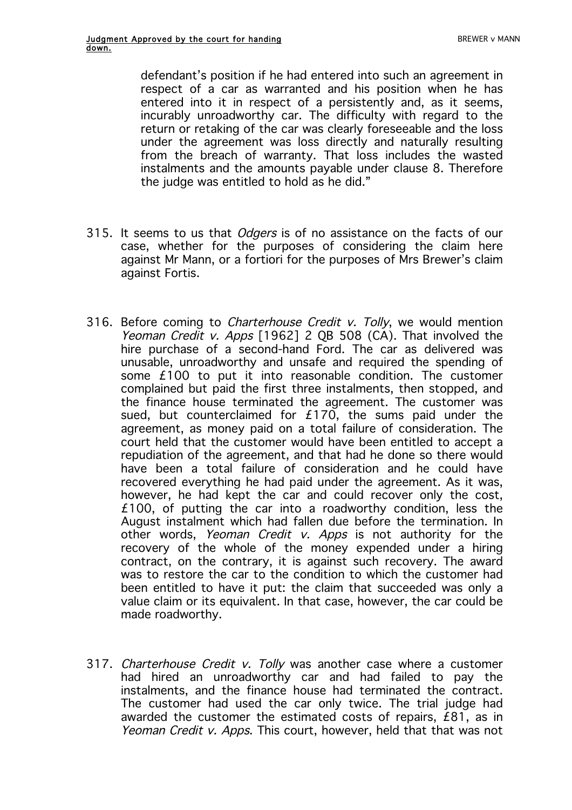defendant's position if he had entered into such an agreement in respect of a car as warranted and his position when he has entered into it in respect of a persistently and, as it seems, incurably unroadworthy car. The difficulty with regard to the return or retaking of the car was clearly foreseeable and the loss under the agreement was loss directly and naturally resulting from the breach of warranty. That loss includes the wasted instalments and the amounts payable under clause 8. Therefore the judge was entitled to hold as he did."

- 315. It seems to us that *Odgers* is of no assistance on the facts of our case, whether for the purposes of considering the claim here against Mr Mann, or a fortiori for the purposes of Mrs Brewer's claim against Fortis.
- 316. Before coming to *Charterhouse Credit v. Tolly*, we would mention Yeoman Credit v. Apps [1962] 2 QB 508  $(CA)$ . That involved the hire purchase of a second-hand Ford. The car as delivered was unusable, unroadworthy and unsafe and required the spending of some £100 to put it into reasonable condition. The customer complained but paid the first three instalments, then stopped, and the finance house terminated the agreement. The customer was sued, but counterclaimed for  $£170$ , the sums paid under the agreement, as money paid on a total failure of consideration. The court held that the customer would have been entitled to accept a repudiation of the agreement, and that had he done so there would have been a total failure of consideration and he could have recovered everything he had paid under the agreement. As it was, however, he had kept the car and could recover only the cost, £100, of putting the car into a roadworthy condition, less the August instalment which had fallen due before the termination. In other words, Yeoman Credit v. Apps is not authority for the recovery of the whole of the money expended under a hiring contract, on the contrary, it is against such recovery. The award was to restore the car to the condition to which the customer had been entitled to have it put: the claim that succeeded was only a value claim or its equivalent. In that case, however, the car could be made roadworthy.
- 317. Charterhouse Credit v. Tolly was another case where a customer had hired an unroadworthy car and had failed to pay the instalments, and the finance house had terminated the contract. The customer had used the car only twice. The trial judge had awarded the customer the estimated costs of repairs, £81, as in Yeoman Credit v. Apps. This court, however, held that that was not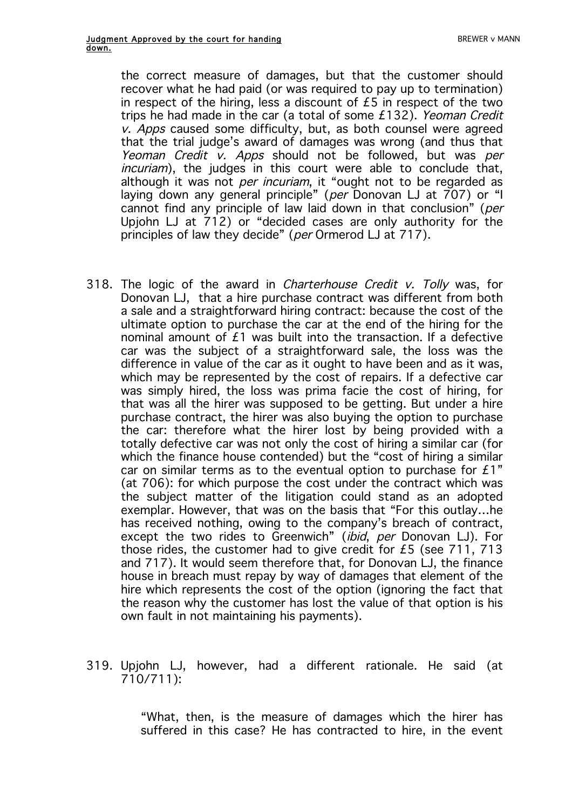the correct measure of damages, but that the customer should recover what he had paid (or was required to pay up to termination) in respect of the hiring, less a discount of  $£5$  in respect of the two trips he had made in the car (a total of some £132). Yeoman Credit v. Apps caused some difficulty, but, as both counsel were agreed that the trial judge's award of damages was wrong (and thus that Yeoman Credit v. Apps should not be followed, but was per incuriam), the judges in this court were able to conclude that, although it was not *per incuriam*, it "ought not to be regarded as laying down any general principle" (per Donovan LJ at 707) or "I cannot find any principle of law laid down in that conclusion" (per Upjohn LJ at  $712$ ) or "decided cases are only authority for the principles of law they decide" (per Ormerod LJ at 717).

- 318. The logic of the award in *Charterhouse Credit v. Tolly* was, for Donovan LJ, that a hire purchase contract was different from both a sale and a straightforward hiring contract: because the cost of the ultimate option to purchase the car at the end of the hiring for the nominal amount of £1 was built into the transaction. If a defective car was the subject of a straightforward sale, the loss was the difference in value of the car as it ought to have been and as it was, which may be represented by the cost of repairs. If a defective car was simply hired, the loss was prima facie the cost of hiring, for that was all the hirer was supposed to be getting. But under a hire purchase contract, the hirer was also buying the option to purchase the car: therefore what the hirer lost by being provided with a totally defective car was not only the cost of hiring a similar car (for which the finance house contended) but the "cost of hiring a similar car on similar terms as to the eventual option to purchase for £1" (at 706): for which purpose the cost under the contract which was the subject matter of the litigation could stand as an adopted exemplar. However, that was on the basis that "For this outlay…he has received nothing, owing to the company's breach of contract, except the two rides to Greenwich" *(ibid, per Donovan LJ)*. For those rides, the customer had to give credit for  $£5$  (see  $711$ ,  $713$ ) and 717). It would seem therefore that, for Donovan LJ, the finance house in breach must repay by way of damages that element of the hire which represents the cost of the option (ignoring the fact that the reason why the customer has lost the value of that option is his own fault in not maintaining his payments).
- 319. Upjohn LJ, however, had a different rationale. He said (at 710/711):

"What, then, is the measure of damages which the hirer has suffered in this case? He has contracted to hire, in the event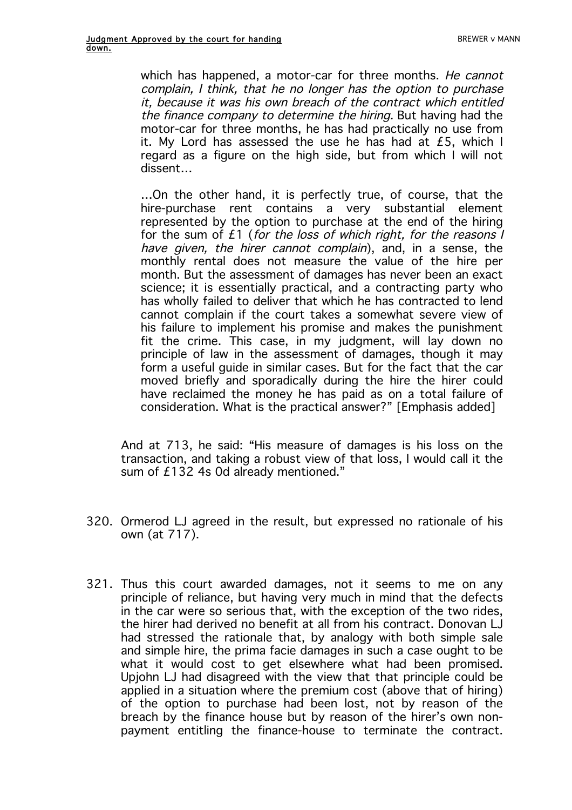which has happened, a motor-car for three months. He cannot complain, I think, that he no longer has the option to purchase it, because it was his own breach of the contract which entitled the finance company to determine the hiring. But having had the motor-car for three months, he has had practically no use from it. My Lord has assessed the use he has had at  $£5$ , which I regard as a figure on the high side, but from which I will not dissent…

…On the other hand, it is perfectly true, of course, that the hire-purchase rent contains a very substantial element represented by the option to purchase at the end of the hiring for the sum of £1 (for the loss of which right, for the reasons I have given, the hirer cannot complain), and, in a sense, the monthly rental does not measure the value of the hire per month. But the assessment of damages has never been an exact science; it is essentially practical, and a contracting party who has wholly failed to deliver that which he has contracted to lend cannot complain if the court takes a somewhat severe view of his failure to implement his promise and makes the punishment fit the crime. This case, in my judgment, will lay down no principle of law in the assessment of damages, though it may form a useful guide in similar cases. But for the fact that the car moved briefly and sporadically during the hire the hirer could have reclaimed the money he has paid as on a total failure of consideration. What is the practical answer?" [Emphasis added]

And at 713, he said: "His measure of damages is his loss on the transaction, and taking a robust view of that loss, I would call it the sum of £132 4s 0d already mentioned."

- 320. Ormerod LJ agreed in the result, but expressed no rationale of his own (at 717).
- 321. Thus this court awarded damages, not it seems to me on any principle of reliance, but having very much in mind that the defects in the car were so serious that, with the exception of the two rides, the hirer had derived no benefit at all from his contract. Donovan LJ had stressed the rationale that, by analogy with both simple sale and simple hire, the prima facie damages in such a case ought to be what it would cost to get elsewhere what had been promised. Upjohn LJ had disagreed with the view that that principle could be applied in a situation where the premium cost (above that of hiring) of the option to purchase had been lost, not by reason of the breach by the finance house but by reason of the hirer's own nonpayment entitling the finance-house to terminate the contract.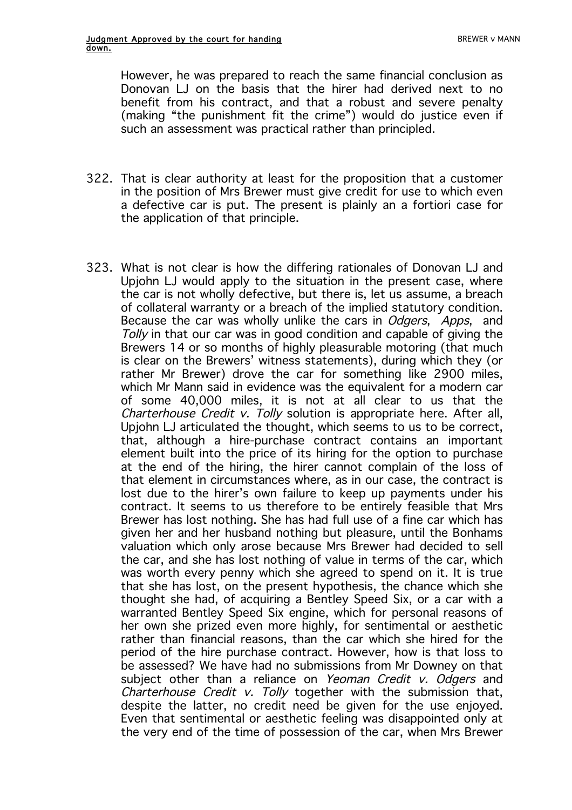However, he was prepared to reach the same financial conclusion as Donovan LJ on the basis that the hirer had derived next to no benefit from his contract, and that a robust and severe penalty (making "the punishment fit the crime") would do justice even if such an assessment was practical rather than principled.

- 322. That is clear authority at least for the proposition that a customer in the position of Mrs Brewer must give credit for use to which even a defective car is put. The present is plainly an a fortiori case for the application of that principle.
- 323. What is not clear is how the differing rationales of Donovan LJ and Upjohn LJ would apply to the situation in the present case, where the car is not wholly defective, but there is, let us assume, a breach of collateral warranty or a breach of the implied statutory condition. Because the car was wholly unlike the cars in *Odgers*, *Apps*, and Tolly in that our car was in good condition and capable of giving the Brewers 14 or so months of highly pleasurable motoring (that much is clear on the Brewers' witness statements), during which they (or rather Mr Brewer) drove the car for something like 2900 miles, which Mr Mann said in evidence was the equivalent for a modern car of some 40,000 miles, it is not at all clear to us that the Charterhouse Credit v. Tolly solution is appropriate here. After all, Upjohn LJ articulated the thought, which seems to us to be correct, that, although a hire-purchase contract contains an important element built into the price of its hiring for the option to purchase at the end of the hiring, the hirer cannot complain of the loss of that element in circumstances where, as in our case, the contract is lost due to the hirer's own failure to keep up payments under his contract. It seems to us therefore to be entirely feasible that Mrs Brewer has lost nothing. She has had full use of a fine car which has given her and her husband nothing but pleasure, until the Bonhams valuation which only arose because Mrs Brewer had decided to sell the car, and she has lost nothing of value in terms of the car, which was worth every penny which she agreed to spend on it. It is true that she has lost, on the present hypothesis, the chance which she thought she had, of acquiring a Bentley Speed Six, or a car with a warranted Bentley Speed Six engine, which for personal reasons of her own she prized even more highly, for sentimental or aesthetic rather than financial reasons, than the car which she hired for the period of the hire purchase contract. However, how is that loss to be assessed? We have had no submissions from Mr Downey on that subject other than a reliance on Yeoman Credit v. Odgers and Charterhouse Credit v. Tolly together with the submission that, despite the latter, no credit need be given for the use enjoyed. Even that sentimental or aesthetic feeling was disappointed only at the very end of the time of possession of the car, when Mrs Brewer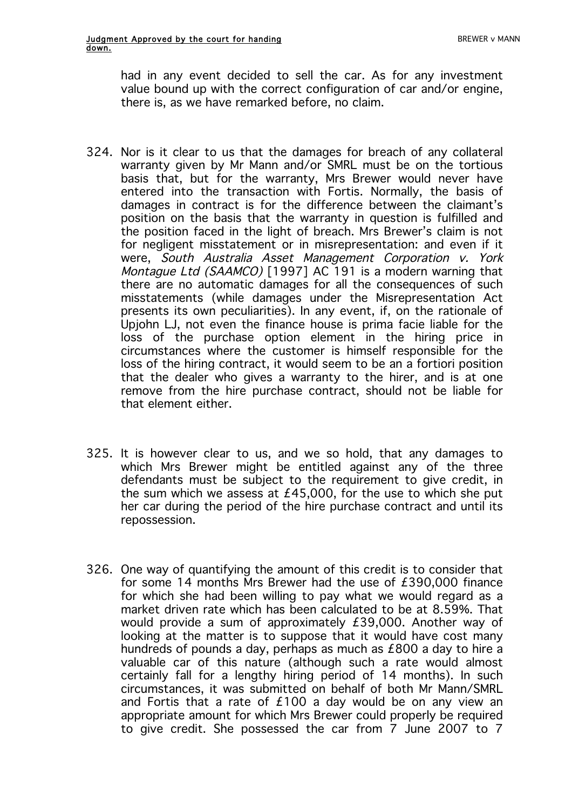had in any event decided to sell the car. As for any investment value bound up with the correct configuration of car and/or engine, there is, as we have remarked before, no claim.

- 324. Nor is it clear to us that the damages for breach of any collateral warranty given by Mr Mann and/or SMRL must be on the tortious basis that, but for the warranty, Mrs Brewer would never have entered into the transaction with Fortis. Normally, the basis of damages in contract is for the difference between the claimant's position on the basis that the warranty in question is fulfilled and the position faced in the light of breach. Mrs Brewer's claim is not for negligent misstatement or in misrepresentation: and even if it were, South Australia Asset Management Corporation v. York Montague Ltd (SAAMCO) [1997] AC 191 is a modern warning that there are no automatic damages for all the consequences of such misstatements (while damages under the Misrepresentation Act presents its own peculiarities). In any event, if, on the rationale of Upjohn LJ, not even the finance house is prima facie liable for the loss of the purchase option element in the hiring price in circumstances where the customer is himself responsible for the loss of the hiring contract, it would seem to be an a fortiori position that the dealer who gives a warranty to the hirer, and is at one remove from the hire purchase contract, should not be liable for that element either.
- 325. It is however clear to us, and we so hold, that any damages to which Mrs Brewer might be entitled against any of the three defendants must be subject to the requirement to give credit, in the sum which we assess at £45,000, for the use to which she put her car during the period of the hire purchase contract and until its repossession.
- 326. One way of quantifying the amount of this credit is to consider that for some 14 months Mrs Brewer had the use of £390,000 finance for which she had been willing to pay what we would regard as a market driven rate which has been calculated to be at 8.59%. That would provide a sum of approximately £39,000. Another way of looking at the matter is to suppose that it would have cost many hundreds of pounds a day, perhaps as much as £800 a day to hire a valuable car of this nature (although such a rate would almost certainly fall for a lengthy hiring period of 14 months). In such circumstances, it was submitted on behalf of both Mr Mann/SMRL and Fortis that a rate of  $£100$  a day would be on any view an appropriate amount for which Mrs Brewer could properly be required to give credit. She possessed the car from 7 June 2007 to 7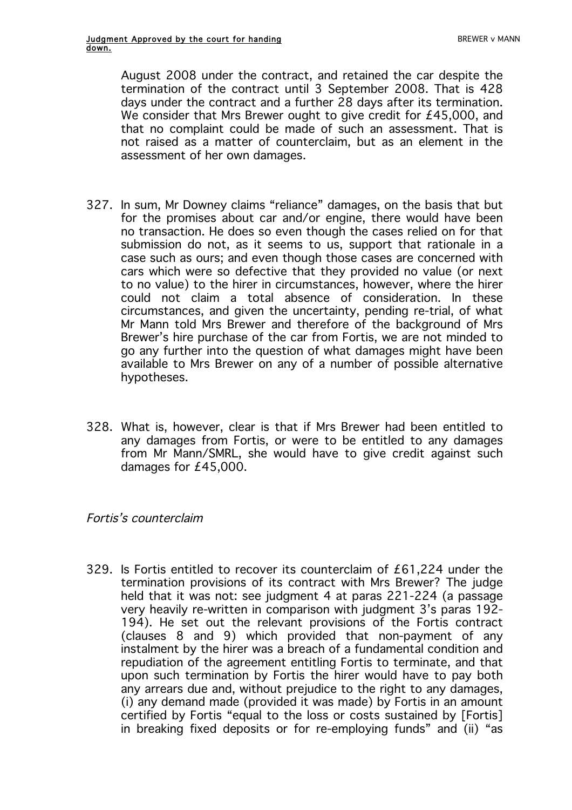August 2008 under the contract, and retained the car despite the termination of the contract until 3 September 2008. That is 428 days under the contract and a further 28 days after its termination. We consider that Mrs Brewer ought to give credit for £45,000, and that no complaint could be made of such an assessment. That is not raised as a matter of counterclaim, but as an element in the assessment of her own damages.

- 327. In sum, Mr Downey claims "reliance" damages, on the basis that but for the promises about car and/or engine, there would have been no transaction. He does so even though the cases relied on for that submission do not, as it seems to us, support that rationale in a case such as ours; and even though those cases are concerned with cars which were so defective that they provided no value (or next to no value) to the hirer in circumstances, however, where the hirer could not claim a total absence of consideration. In these circumstances, and given the uncertainty, pending re-trial, of what Mr Mann told Mrs Brewer and therefore of the background of Mrs Brewer's hire purchase of the car from Fortis, we are not minded to go any further into the question of what damages might have been available to Mrs Brewer on any of a number of possible alternative hypotheses.
- 328. What is, however, clear is that if Mrs Brewer had been entitled to any damages from Fortis, or were to be entitled to any damages from Mr Mann/SMRL, she would have to give credit against such damages for £45,000.

## Fortis's counterclaim

329. Is Fortis entitled to recover its counterclaim of £61,224 under the termination provisions of its contract with Mrs Brewer? The judge held that it was not: see judgment 4 at paras 221-224 (a passage very heavily re-written in comparison with judgment 3's paras 192- 194). He set out the relevant provisions of the Fortis contract (clauses 8 and 9) which provided that non-payment of any instalment by the hirer was a breach of a fundamental condition and repudiation of the agreement entitling Fortis to terminate, and that upon such termination by Fortis the hirer would have to pay both any arrears due and, without prejudice to the right to any damages, (i) any demand made (provided it was made) by Fortis in an amount certified by Fortis "equal to the loss or costs sustained by [Fortis] in breaking fixed deposits or for re-employing funds" and (ii) "as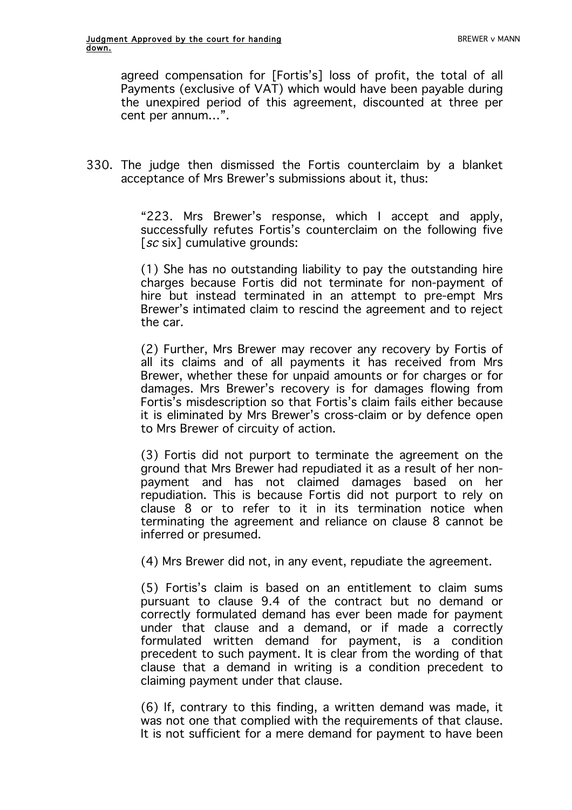agreed compensation for [Fortis's] loss of profit, the total of all Payments (exclusive of VAT) which would have been payable during the unexpired period of this agreement, discounted at three per cent per annum…".

330. The judge then dismissed the Fortis counterclaim by a blanket acceptance of Mrs Brewer's submissions about it, thus:

> "223. Mrs Brewer's response, which I accept and apply, successfully refutes Fortis's counterclaim on the following five [sc six] cumulative grounds:

> (1) She has no outstanding liability to pay the outstanding hire charges because Fortis did not terminate for non-payment of hire but instead terminated in an attempt to pre-empt Mrs Brewer's intimated claim to rescind the agreement and to reject the car.

> (2) Further, Mrs Brewer may recover any recovery by Fortis of all its claims and of all payments it has received from Mrs Brewer, whether these for unpaid amounts or for charges or for damages. Mrs Brewer's recovery is for damages flowing from Fortis's misdescription so that Fortis's claim fails either because it is eliminated by Mrs Brewer's cross-claim or by defence open to Mrs Brewer of circuity of action.

> (3) Fortis did not purport to terminate the agreement on the ground that Mrs Brewer had repudiated it as a result of her nonpayment and has not claimed damages based on her repudiation. This is because Fortis did not purport to rely on clause 8 or to refer to it in its termination notice when terminating the agreement and reliance on clause 8 cannot be inferred or presumed.

(4) Mrs Brewer did not, in any event, repudiate the agreement.

(5) Fortis's claim is based on an entitlement to claim sums pursuant to clause 9.4 of the contract but no demand or correctly formulated demand has ever been made for payment under that clause and a demand, or if made a correctly formulated written demand for payment, is a condition precedent to such payment. It is clear from the wording of that clause that a demand in writing is a condition precedent to claiming payment under that clause.

(6) If, contrary to this finding, a written demand was made, it was not one that complied with the requirements of that clause. It is not sufficient for a mere demand for payment to have been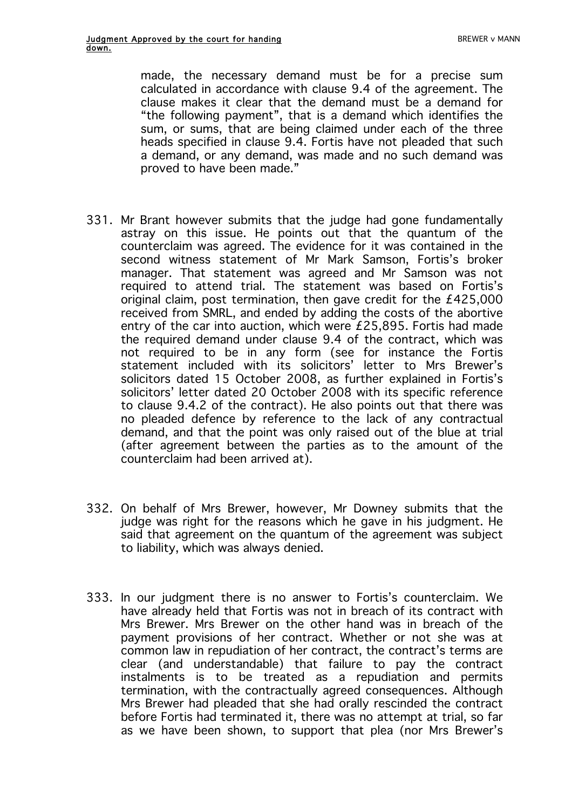made, the necessary demand must be for a precise sum calculated in accordance with clause 9.4 of the agreement. The clause makes it clear that the demand must be a demand for "the following payment", that is a demand which identifies the sum, or sums, that are being claimed under each of the three heads specified in clause 9.4. Fortis have not pleaded that such a demand, or any demand, was made and no such demand was proved to have been made."

- 331. Mr Brant however submits that the judge had gone fundamentally astray on this issue. He points out that the quantum of the counterclaim was agreed. The evidence for it was contained in the second witness statement of Mr Mark Samson, Fortis's broker manager. That statement was agreed and Mr Samson was not required to attend trial. The statement was based on Fortis's original claim, post termination, then gave credit for the £425,000 received from SMRL, and ended by adding the costs of the abortive entry of the car into auction, which were £25,895. Fortis had made the required demand under clause 9.4 of the contract, which was not required to be in any form (see for instance the Fortis statement included with its solicitors' letter to Mrs Brewer's solicitors dated 15 October 2008, as further explained in Fortis's solicitors' letter dated 20 October 2008 with its specific reference to clause 9.4.2 of the contract). He also points out that there was no pleaded defence by reference to the lack of any contractual demand, and that the point was only raised out of the blue at trial (after agreement between the parties as to the amount of the counterclaim had been arrived at).
- 332. On behalf of Mrs Brewer, however, Mr Downey submits that the judge was right for the reasons which he gave in his judgment. He said that agreement on the quantum of the agreement was subject to liability, which was always denied.
- 333. In our judgment there is no answer to Fortis's counterclaim. We have already held that Fortis was not in breach of its contract with Mrs Brewer. Mrs Brewer on the other hand was in breach of the payment provisions of her contract. Whether or not she was at common law in repudiation of her contract, the contract's terms are clear (and understandable) that failure to pay the contract instalments is to be treated as a repudiation and permits termination, with the contractually agreed consequences. Although Mrs Brewer had pleaded that she had orally rescinded the contract before Fortis had terminated it, there was no attempt at trial, so far as we have been shown, to support that plea (nor Mrs Brewer's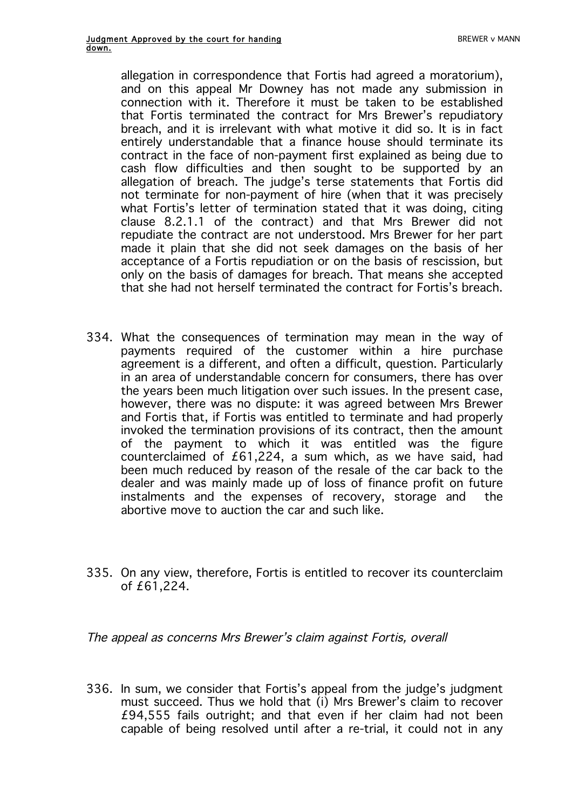allegation in correspondence that Fortis had agreed a moratorium), and on this appeal Mr Downey has not made any submission in connection with it. Therefore it must be taken to be established that Fortis terminated the contract for Mrs Brewer's repudiatory breach, and it is irrelevant with what motive it did so. It is in fact entirely understandable that a finance house should terminate its contract in the face of non-payment first explained as being due to cash flow difficulties and then sought to be supported by an allegation of breach. The judge's terse statements that Fortis did not terminate for non-payment of hire (when that it was precisely what Fortis's letter of termination stated that it was doing, citing clause 8.2.1.1 of the contract) and that Mrs Brewer did not repudiate the contract are not understood. Mrs Brewer for her part made it plain that she did not seek damages on the basis of her acceptance of a Fortis repudiation or on the basis of rescission, but only on the basis of damages for breach. That means she accepted that she had not herself terminated the contract for Fortis's breach.

- 334. What the consequences of termination may mean in the way of payments required of the customer within a hire purchase agreement is a different, and often a difficult, question. Particularly in an area of understandable concern for consumers, there has over the years been much litigation over such issues. In the present case, however, there was no dispute: it was agreed between Mrs Brewer and Fortis that, if Fortis was entitled to terminate and had properly invoked the termination provisions of its contract, then the amount of the payment to which it was entitled was the figure counterclaimed of £61,224, a sum which, as we have said, had been much reduced by reason of the resale of the car back to the dealer and was mainly made up of loss of finance profit on future instalments and the expenses of recovery, storage and the abortive move to auction the car and such like.
- 335. On any view, therefore, Fortis is entitled to recover its counterclaim of £61,224.

The appeal as concerns Mrs Brewer's claim against Fortis, overall

336. In sum, we consider that Fortis's appeal from the judge's judgment must succeed. Thus we hold that (i) Mrs Brewer's claim to recover £94,555 fails outright; and that even if her claim had not been capable of being resolved until after a re-trial, it could not in any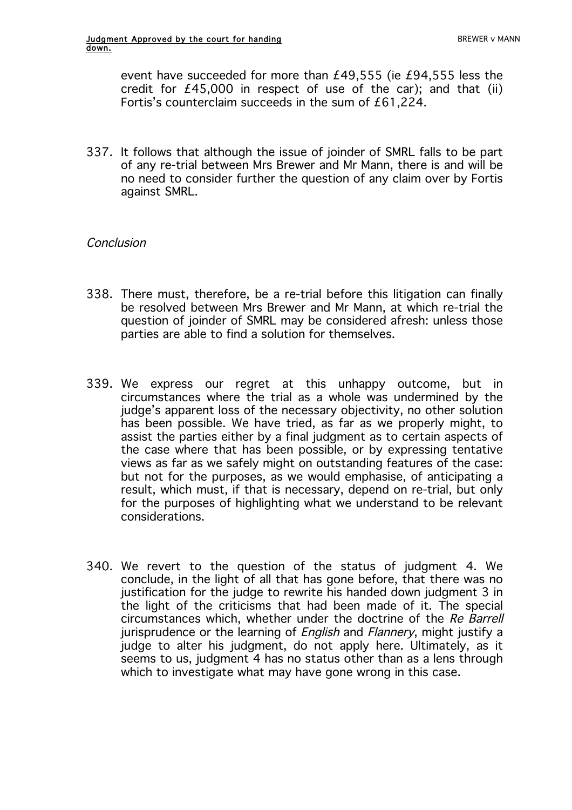event have succeeded for more than £49,555 (ie £94,555 less the credit for  $£45,000$  in respect of use of the car); and that (ii) Fortis's counterclaim succeeds in the sum of £61,224.

337. It follows that although the issue of joinder of SMRL falls to be part of any re-trial between Mrs Brewer and Mr Mann, there is and will be no need to consider further the question of any claim over by Fortis against SMRL.

## Conclusion

- 338. There must, therefore, be a re-trial before this litigation can finally be resolved between Mrs Brewer and Mr Mann, at which re-trial the question of joinder of SMRL may be considered afresh: unless those parties are able to find a solution for themselves.
- 339. We express our regret at this unhappy outcome, but in circumstances where the trial as a whole was undermined by the judge's apparent loss of the necessary objectivity, no other solution has been possible. We have tried, as far as we properly might, to assist the parties either by a final judgment as to certain aspects of the case where that has been possible, or by expressing tentative views as far as we safely might on outstanding features of the case: but not for the purposes, as we would emphasise, of anticipating a result, which must, if that is necessary, depend on re-trial, but only for the purposes of highlighting what we understand to be relevant considerations.
- 340. We revert to the question of the status of judgment 4. We conclude, in the light of all that has gone before, that there was no justification for the judge to rewrite his handed down judgment 3 in the light of the criticisms that had been made of it. The special circumstances which, whether under the doctrine of the Re Barrell jurisprudence or the learning of *English* and *Flannery*, might justify a judge to alter his judgment, do not apply here. Ultimately, as it seems to us, judgment 4 has no status other than as a lens through which to investigate what may have gone wrong in this case.